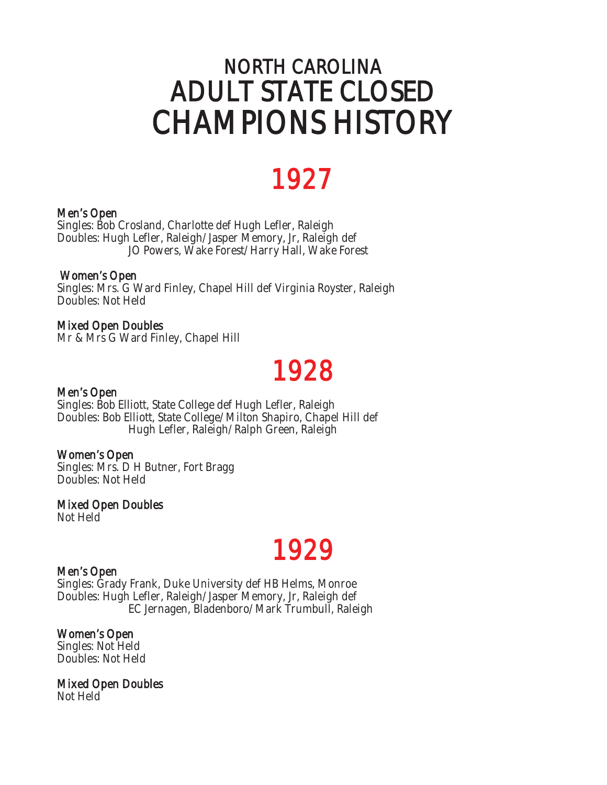## NORTH CAROLINA ADULT STATE CLOSED CHAMPIONS HISTORY

## 1927

### Men's Open

Singles: Bob Crosland, Charlotte def Hugh Lefler, Raleigh Doubles: Hugh Lefler, Raleigh/Jasper Memory, Jr, Raleigh def JO Powers, Wake Forest/Harry Hall, Wake Forest

### Women's Open

Singles: Mrs. G Ward Finley, Chapel Hill def Virginia Royster, Raleigh Doubles: Not Held

Mixed Open Doubles Mr & Mrs G Ward Finley, Chapel Hill

## Men's Open **1928**

Singles: Bob Elliott, State College def Hugh Lefler, Raleigh Doubles: Bob Elliott, State College/Milton Shapiro, Chapel Hill def Hugh Lefler, Raleigh/Ralph Green, Raleigh

### Women's Open

Singles: Mrs. D H Butner, Fort Bragg Doubles: Not Held

Mixed Open Doubles Not Held

## Men's Open **1929**

Singles: Grady Frank, Duke University def HB Helms, Monroe Doubles: Hugh Lefler, Raleigh/Jasper Memory, Jr, Raleigh def EC Jernagen, Bladenboro/Mark Trumbull, Raleigh

### Women's Open

Singles: Not Held Doubles: Not Held

Mixed Open Doubles Not Held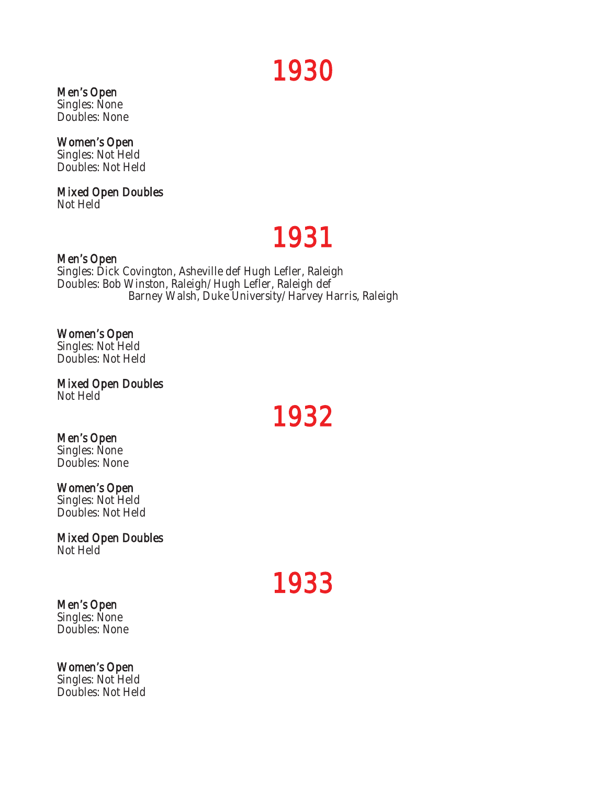## Men's Open **1930**

Singles: None Doubles: None

### Women's Open

Singles: Not Held Doubles: Not Held

## Mixed Open Doubles

Not Held

# Men's Open **1931**

Singles: Dick Covington, Asheville def Hugh Lefler, Raleigh Doubles: Bob Winston, Raleigh/Hugh Lefler, Raleigh def Barney Walsh, Duke University/Harvey Harris, Raleigh

### Women's Open

Singles: Not Held Doubles: Not Held

Mixed Open Doubles Not Held

Men's Open **1932** 

Singles: None Doubles: None

### Women's Open

Singles: Not Held Doubles: Not Held

## Mixed Open Doubles

Not Held

## Men's Open **1933**

Singles: None Doubles: None

### Women's Open Singles: Not Held

Doubles: Not Held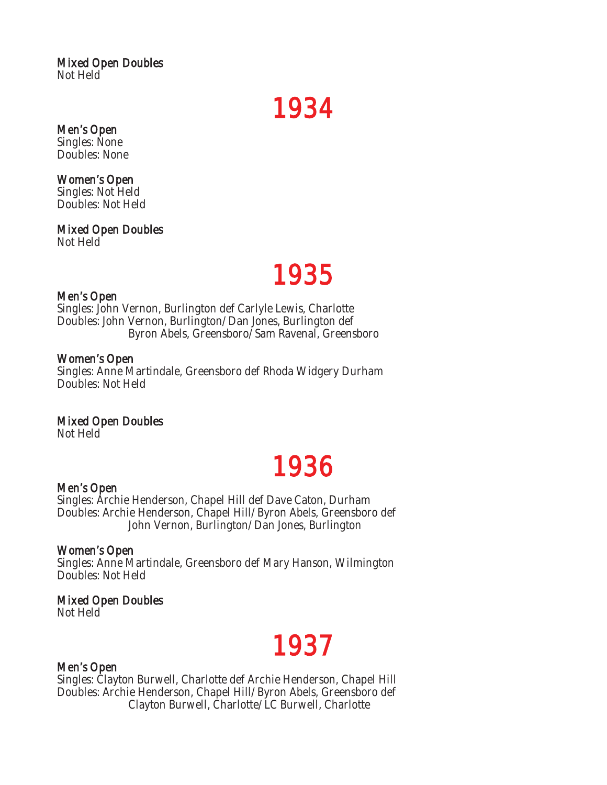### Mixed Open Doubles Not Held

Men's Open **1934** 

Singles: None

Doubles: None

### Women's Open

Singles: Not Held Doubles: Not Held

Mixed Open Doubles Not Held

## Men's Open **1935**

Singles: John Vernon, Burlington def Carlyle Lewis, Charlotte Doubles: John Vernon, Burlington/Dan Jones, Burlington def Byron Abels, Greensboro/Sam Ravenal, Greensboro

### Women's Open

Singles: Anne Martindale, Greensboro def Rhoda Widgery Durham Doubles: Not Held

### Mixed Open Doubles

Not Held

## Men's Open **1936**

Singles: Archie Henderson, Chapel Hill def Dave Caton, Durham Doubles: Archie Henderson, Chapel Hill/Byron Abels, Greensboro def John Vernon, Burlington/Dan Jones, Burlington

### Women's Open

Singles: Anne Martindale, Greensboro def Mary Hanson, Wilmington Doubles: Not Held

### Mixed Open Doubles

Not Held

## Men's Open **1937**

Singles: Clayton Burwell, Charlotte def Archie Henderson, Chapel Hill Doubles: Archie Henderson, Chapel Hill/Byron Abels, Greensboro def Clayton Burwell, Charlotte/LC Burwell, Charlotte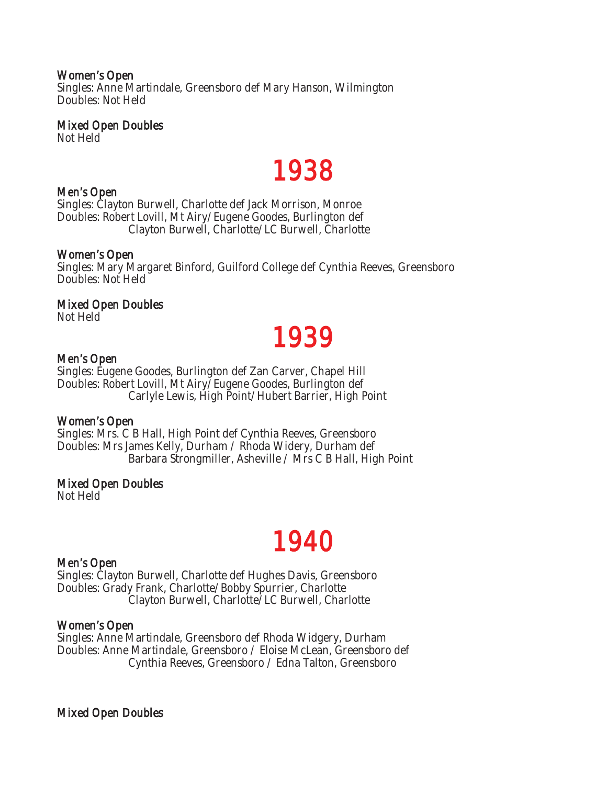### Women's Open

Singles: Anne Martindale, Greensboro def Mary Hanson, Wilmington Doubles: Not Held

### Mixed Open Doubles

Not Held

# Men's Open  $1938$

Singles: Clayton Burwell, Charlotte def Jack Morrison, Monroe Doubles: Robert Lovill, Mt Airy/Eugene Goodes, Burlington def Clayton Burwell, Charlotte/LC Burwell, Charlotte

### Women's Open

Singles: Mary Margaret Binford, Guilford College def Cynthia Reeves, Greensboro Doubles: Not Held

### Mixed Open Doubles

Not Held

# Men's Open **1939**

Singles: Eugene Goodes, Burlington def Zan Carver, Chapel Hill Doubles: Robert Lovill, Mt Airy/Eugene Goodes, Burlington def Carlyle Lewis, High Point/Hubert Barrier, High Point

### Women's Open

Singles: Mrs. C B Hall, High Point def Cynthia Reeves, Greensboro Doubles: Mrs James Kelly, Durham / Rhoda Widery, Durham def Barbara Strongmiller, Asheville / Mrs C B Hall, High Point

### Mixed Open Doubles

Not Held

## Men's Open **1940**

Singles: Clayton Burwell, Charlotte def Hughes Davis, Greensboro Doubles: Grady Frank, Charlotte/Bobby Spurrier, Charlotte Clayton Burwell, Charlotte/LC Burwell, Charlotte

### Women's Open

Singles: Anne Martindale, Greensboro def Rhoda Widgery, Durham Doubles: Anne Martindale, Greensboro / Eloise McLean, Greensboro def Cynthia Reeves, Greensboro / Edna Talton, Greensboro

Mixed Open Doubles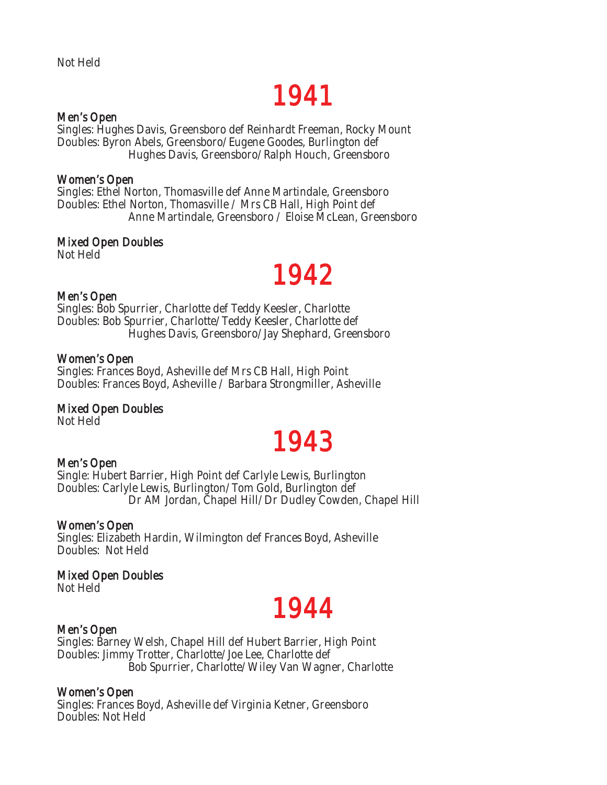# Men's Open  $1941$

Singles: Hughes Davis, Greensboro def Reinhardt Freeman, Rocky Mount Doubles: Byron Abels, Greensboro/Eugene Goodes, Burlington def Hughes Davis, Greensboro/Ralph Houch, Greensboro

### Women's Open

Singles: Ethel Norton, Thomasville def Anne Martindale, Greensboro Doubles: Ethel Norton, Thomasville / Mrs CB Hall, High Point def Anne Martindale, Greensboro / Eloise McLean, Greensboro

### Mixed Open Doubles

Not Held

## Men's Open **1942**

Singles: Bob Spurrier, Charlotte def Teddy Keesler, Charlotte Doubles: Bob Spurrier, Charlotte/Teddy Keesler, Charlotte def Hughes Davis, Greensboro/Jay Shephard, Greensboro

### Women's Open

Singles: Frances Boyd, Asheville def Mrs CB Hall, High Point Doubles: Frances Boyd, Asheville / Barbara Strongmiller, Asheville

### Mixed Open Doubles

Not Held

## Men's Open **1943**

Single: Hubert Barrier, High Point def Carlyle Lewis, Burlington Doubles: Carlyle Lewis, Burlington/Tom Gold, Burlington def Dr AM Jordan, Chapel Hill/Dr Dudley Cowden, Chapel Hill

### Women's Open

Singles: Elizabeth Hardin, Wilmington def Frances Boyd, Asheville Doubles: Not Held

### Mixed Open Doubles

Not Held

## Men's Open **1944**

Singles: Barney Welsh, Chapel Hill def Hubert Barrier, High Point Doubles: Jimmy Trotter, Charlotte/Joe Lee, Charlotte def Bob Spurrier, Charlotte/Wiley Van Wagner, Charlotte

### Women's Open

Singles: Frances Boyd, Asheville def Virginia Ketner, Greensboro Doubles: Not Held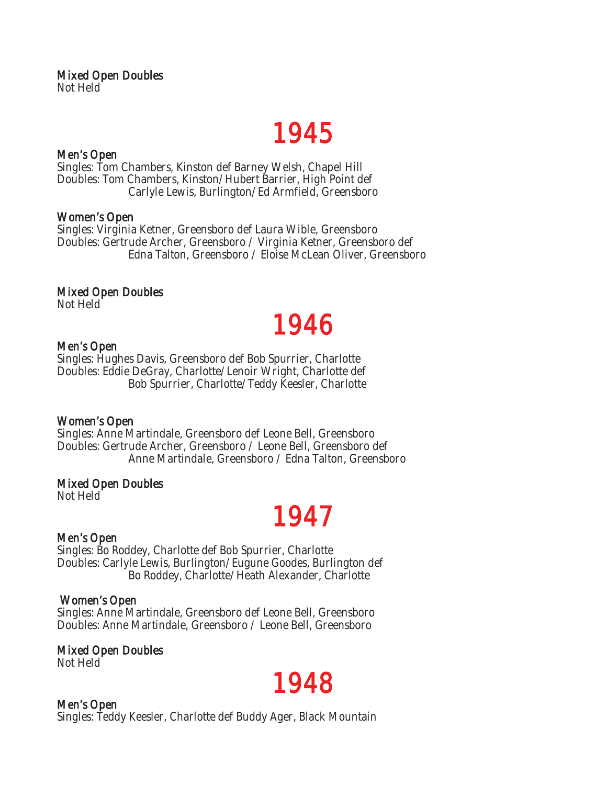# Men's Open  $1945$

Singles: Tom Chambers, Kinston def Barney Welsh, Chapel Hill Doubles: Tom Chambers, Kinston/Hubert Barrier, High Point def Carlyle Lewis, Burlington/Ed Armfield, Greensboro

### Women's Open

Singles: Virginia Ketner, Greensboro def Laura Wible, Greensboro Doubles: Gertrude Archer, Greensboro / Virginia Ketner, Greensboro def Edna Talton, Greensboro / Eloise McLean Oliver, Greensboro

### Mixed Open Doubles

Not Held

## Men's Open **1946**

Singles: Hughes Davis, Greensboro def Bob Spurrier, Charlotte Doubles: Eddie DeGray, Charlotte/Lenoir Wright, Charlotte def Bob Spurrier, Charlotte/Teddy Keesler, Charlotte

### Women's Open

Singles: Anne Martindale, Greensboro def Leone Bell, Greensboro Doubles: Gertrude Archer, Greensboro / Leone Bell, Greensboro def Anne Martindale, Greensboro / Edna Talton, Greensboro

### Mixed Open Doubles

Not Held

## Men's Open **1947**

Singles: Bo Roddey, Charlotte def Bob Spurrier, Charlotte Doubles: Carlyle Lewis, Burlington/Eugune Goodes, Burlington def Bo Roddey, Charlotte/Heath Alexander, Charlotte

### Women's Open

Singles: Anne Martindale, Greensboro def Leone Bell, Greensboro Doubles: Anne Martindale, Greensboro / Leone Bell, Greensboro

Mixed Open Doubles Not Held

## Men's Open  $1948$

Singles: Teddy Keesler, Charlotte def Buddy Ager, Black Mountain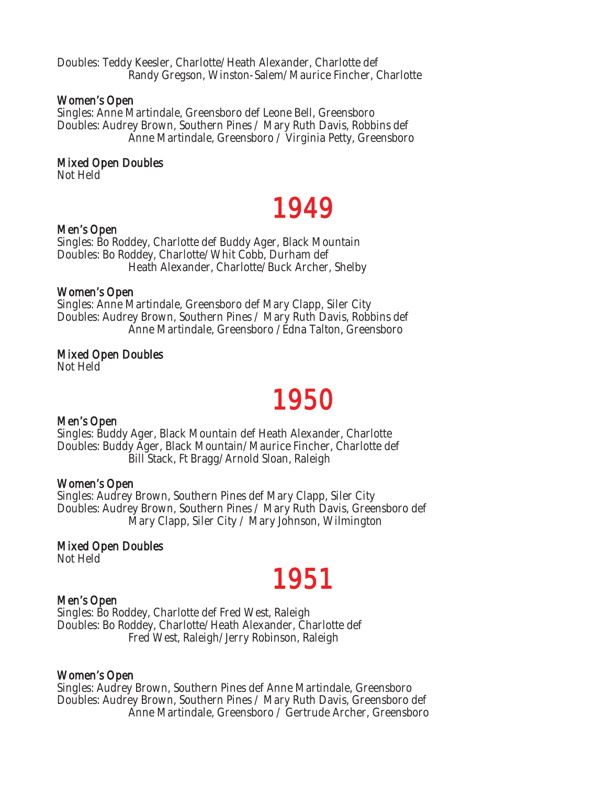Doubles: Teddy Keesler, Charlotte/Heath Alexander, Charlotte def Randy Gregson, Winston-Salem/Maurice Fincher, Charlotte

### Women's Open

Singles: Anne Martindale, Greensboro def Leone Bell, Greensboro Doubles: Audrey Brown, Southern Pines / Mary Ruth Davis, Robbins def Anne Martindale, Greensboro / Virginia Petty, Greensboro

### Mixed Open Doubles

Not Held

## Men's Open **1949**

Singles: Bo Roddey, Charlotte def Buddy Ager, Black Mountain Doubles: Bo Roddey, Charlotte/Whit Cobb, Durham def Heath Alexander, Charlotte/Buck Archer, Shelby

### Women's Open

Singles: Anne Martindale, Greensboro def Mary Clapp, Siler City Doubles: Audrey Brown, Southern Pines / Mary Ruth Davis, Robbins def Anne Martindale, Greensboro /Edna Talton, Greensboro

### Mixed Open Doubles

Not Held

## Men's Open **1950**

Singles: Buddy Ager, Black Mountain def Heath Alexander, Charlotte Doubles: Buddy Ager, Black Mountain/Maurice Fincher, Charlotte def Bill Stack, Ft Bragg/Arnold Sloan, Raleigh

### Women's Open

Singles: Audrey Brown, Southern Pines def Mary Clapp, Siler City Doubles: Audrey Brown, Southern Pines / Mary Ruth Davis, Greensboro def Mary Clapp, Siler City / Mary Johnson, Wilmington

### Mixed Open Doubles

Not Held

## Men's Open **1951**

Singles: Bo Roddey, Charlotte def Fred West, Raleigh Doubles: Bo Roddey, Charlotte/Heath Alexander, Charlotte def Fred West, Raleigh/Jerry Robinson, Raleigh

### Women's Open

Singles: Audrey Brown, Southern Pines def Anne Martindale, Greensboro Doubles: Audrey Brown, Southern Pines / Mary Ruth Davis, Greensboro def Anne Martindale, Greensboro / Gertrude Archer, Greensboro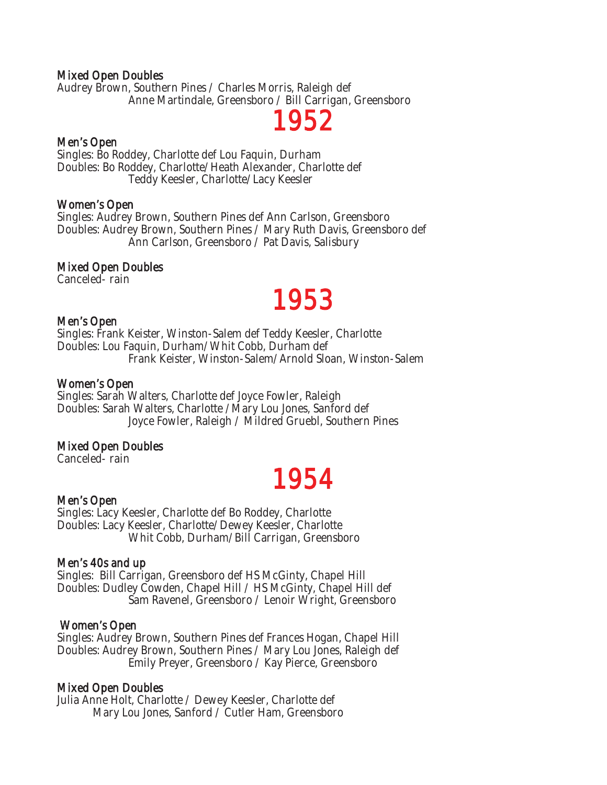### Mixed Open Doubles

Audrey Brown, Southern Pines / Charles Morris, Raleigh def Anne Martindale, Greensboro / Bill Carrigan, Greensboro



Singles: Bo Roddey, Charlotte def Lou Faquin, Durham Doubles: Bo Roddey, Charlotte/Heath Alexander, Charlotte def Teddy Keesler, Charlotte/Lacy Keesler

### Women's Open

Singles: Audrey Brown, Southern Pines def Ann Carlson, Greensboro Doubles: Audrey Brown, Southern Pines / Mary Ruth Davis, Greensboro def Ann Carlson, Greensboro / Pat Davis, Salisbury

### Mixed Open Doubles

Canceled- rain

## Men's Open **1953**

Singles: Frank Keister, Winston-Salem def Teddy Keesler, Charlotte Doubles: Lou Faquin, Durham/Whit Cobb, Durham def Frank Keister, Winston-Salem/Arnold Sloan, Winston-Salem

### Women's Open

Singles: Sarah Walters, Charlotte def Joyce Fowler, Raleigh Doubles: Sarah Walters, Charlotte /Mary Lou Jones, Sanford def Joyce Fowler, Raleigh / Mildred Gruebl, Southern Pines

### Mixed Open Doubles

Canceled- rain

## Men's Open **1954**

Singles: Lacy Keesler, Charlotte def Bo Roddey, Charlotte Doubles: Lacy Keesler, Charlotte/Dewey Keesler, Charlotte Whit Cobb, Durham/Bill Carrigan, Greensboro

### Men's 40s and up

Singles: Bill Carrigan, Greensboro def HS McGinty, Chapel Hill Doubles: Dudley Cowden, Chapel Hill / HS McGinty, Chapel Hill def Sam Ravenel, Greensboro / Lenoir Wright, Greensboro

### Women's Open

Singles: Audrey Brown, Southern Pines def Frances Hogan, Chapel Hill Doubles: Audrey Brown, Southern Pines / Mary Lou Jones, Raleigh def Emily Preyer, Greensboro / Kay Pierce, Greensboro

### Mixed Open Doubles

Julia Anne Holt, Charlotte / Dewey Keesler, Charlotte def Mary Lou Jones, Sanford / Cutler Ham, Greensboro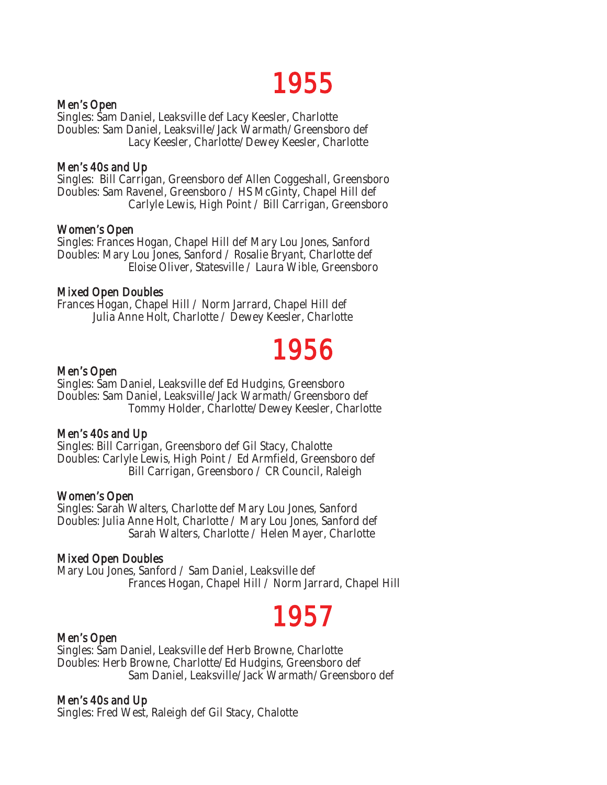## Men's Open **1955**

Singles: Sam Daniel, Leaksville def Lacy Keesler, Charlotte Doubles: Sam Daniel, Leaksville/Jack Warmath/Greensboro def Lacy Keesler, Charlotte/Dewey Keesler, Charlotte

### Men's 40s and Up

Singles: Bill Carrigan, Greensboro def Allen Coggeshall, Greensboro Doubles: Sam Ravenel, Greensboro / HS McGinty, Chapel Hill def Carlyle Lewis, High Point / Bill Carrigan, Greensboro

### Women's Open

Singles: Frances Hogan, Chapel Hill def Mary Lou Jones, Sanford Doubles: Mary Lou Jones, Sanford / Rosalie Bryant, Charlotte def Eloise Oliver, Statesville / Laura Wible, Greensboro

### Mixed Open Doubles

Frances Hogan, Chapel Hill / Norm Jarrard, Chapel Hill def Julia Anne Holt, Charlotte / Dewey Keesler, Charlotte

## Men's Open **1956**

Singles: Sam Daniel, Leaksville def Ed Hudgins, Greensboro Doubles: Sam Daniel, Leaksville/Jack Warmath/Greensboro def Tommy Holder, Charlotte/Dewey Keesler, Charlotte

### Men's 40s and Up

Singles: Bill Carrigan, Greensboro def Gil Stacy, Chalotte Doubles: Carlyle Lewis, High Point / Ed Armfield, Greensboro def Bill Carrigan, Greensboro / CR Council, Raleigh

### Women's Open

Singles: Sarah Walters, Charlotte def Mary Lou Jones, Sanford Doubles: Julia Anne Holt, Charlotte / Mary Lou Jones, Sanford def Sarah Walters, Charlotte / Helen Mayer, Charlotte

### Mixed Open Doubles

Mary Lou Jones, Sanford / Sam Daniel, Leaksville def Frances Hogan, Chapel Hill / Norm Jarrard, Chapel Hill

# Men's Open  $1957$

Singles: Sam Daniel, Leaksville def Herb Browne, Charlotte Doubles: Herb Browne, Charlotte/Ed Hudgins, Greensboro def Sam Daniel, Leaksville/Jack Warmath/Greensboro def

### Men's 40s and Up

Singles: Fred West, Raleigh def Gil Stacy, Chalotte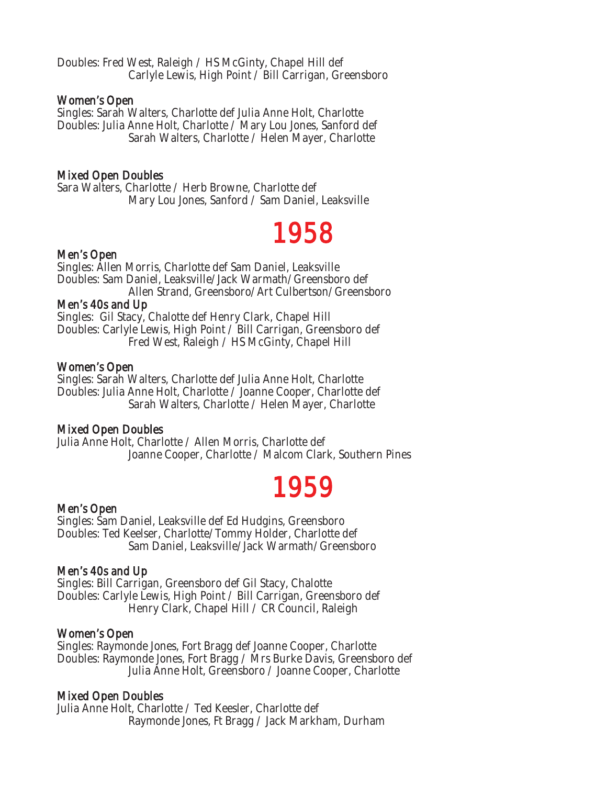Doubles: Fred West, Raleigh / HS McGinty, Chapel Hill def Carlyle Lewis, High Point / Bill Carrigan, Greensboro

### Women's Open

Singles: Sarah Walters, Charlotte def Julia Anne Holt, Charlotte Doubles: Julia Anne Holt, Charlotte / Mary Lou Jones, Sanford def Sarah Walters, Charlotte / Helen Mayer, Charlotte

### Mixed Open Doubles

Sara Walters, Charlotte / Herb Browne, Charlotte def Mary Lou Jones, Sanford / Sam Daniel, Leaksville

# Men's Open  $1958$

Singles: Allen Morris, Charlotte def Sam Daniel, Leaksville Doubles: Sam Daniel, Leaksville/Jack Warmath/Greensboro def Allen Strand, Greensboro/Art Culbertson/Greensboro

### Men's 40s and Up

Singles: Gil Stacy, Chalotte def Henry Clark, Chapel Hill Doubles: Carlyle Lewis, High Point / Bill Carrigan, Greensboro def Fred West, Raleigh / HS McGinty, Chapel Hill

### Women's Open

Singles: Sarah Walters, Charlotte def Julia Anne Holt, Charlotte Doubles: Julia Anne Holt, Charlotte / Joanne Cooper, Charlotte def Sarah Walters, Charlotte / Helen Mayer, Charlotte

### Mixed Open Doubles

Julia Anne Holt, Charlotte / Allen Morris, Charlotte def Joanne Cooper, Charlotte / Malcom Clark, Southern Pines

## Men's Open  $1959$

Singles: Sam Daniel, Leaksville def Ed Hudgins, Greensboro Doubles: Ted Keelser, Charlotte/Tommy Holder, Charlotte def Sam Daniel, Leaksville/Jack Warmath/Greensboro

### Men's 40s and Up

Singles: Bill Carrigan, Greensboro def Gil Stacy, Chalotte Doubles: Carlyle Lewis, High Point / Bill Carrigan, Greensboro def Henry Clark, Chapel Hill / CR Council, Raleigh

### Women's Open

Singles: Raymonde Jones, Fort Bragg def Joanne Cooper, Charlotte Doubles: Raymonde Jones, Fort Bragg / Mrs Burke Davis, Greensboro def Julia Anne Holt, Greensboro / Joanne Cooper, Charlotte

### Mixed Open Doubles

Julia Anne Holt, Charlotte / Ted Keesler, Charlotte def Raymonde Jones, Ft Bragg / Jack Markham, Durham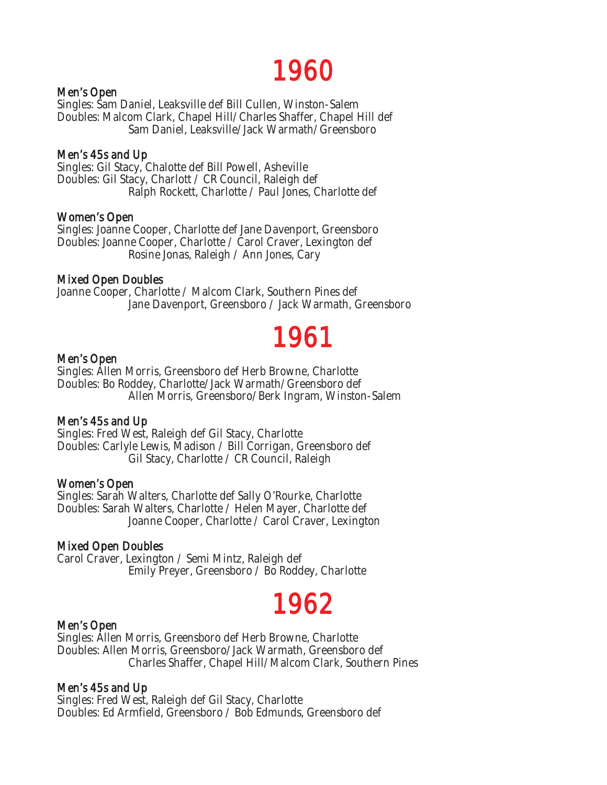# Men's Open  $1960$

Singles: Sam Daniel, Leaksville def Bill Cullen, Winston-Salem Doubles: Malcom Clark, Chapel Hill/Charles Shaffer, Chapel Hill def Sam Daniel, Leaksville/Jack Warmath/Greensboro

### Men's 45s and Up

Singles: Gil Stacy, Chalotte def Bill Powell, Asheville Doubles: Gil Stacy, Charlott / CR Council, Raleigh def Ralph Rockett, Charlotte / Paul Jones, Charlotte def

### Women's Open

Singles: Joanne Cooper, Charlotte def Jane Davenport, Greensboro Doubles: Joanne Cooper, Charlotte / Carol Craver, Lexington def Rosine Jonas, Raleigh / Ann Jones, Cary

### Mixed Open Doubles

Joanne Cooper, Charlotte / Malcom Clark, Southern Pines def Jane Davenport, Greensboro / Jack Warmath, Greensboro

# Men's Open  $1961$

Singles: Allen Morris, Greensboro def Herb Browne, Charlotte Doubles: Bo Roddey, Charlotte/Jack Warmath/Greensboro def Allen Morris, Greensboro/Berk Ingram, Winston-Salem

### Men's 45s and Up

Singles: Fred West, Raleigh def Gil Stacy, Charlotte Doubles: Carlyle Lewis, Madison / Bill Corrigan, Greensboro def Gil Stacy, Charlotte / CR Council, Raleigh

### Women's Open

Singles: Sarah Walters, Charlotte def Sally O'Rourke, Charlotte Doubles: Sarah Walters, Charlotte / Helen Mayer, Charlotte def Joanne Cooper, Charlotte / Carol Craver, Lexington

### Mixed Open Doubles

Carol Craver, Lexington / Semi Mintz, Raleigh def Emily Preyer, Greensboro / Bo Roddey, Charlotte

## Men's Open  $1962$

Singles: Allen Morris, Greensboro def Herb Browne, Charlotte Doubles: Allen Morris, Greensboro/Jack Warmath, Greensboro def Charles Shaffer, Chapel Hill/Malcom Clark, Southern Pines

### Men's 45s and Up

Singles: Fred West, Raleigh def Gil Stacy, Charlotte Doubles: Ed Armfield, Greensboro / Bob Edmunds, Greensboro def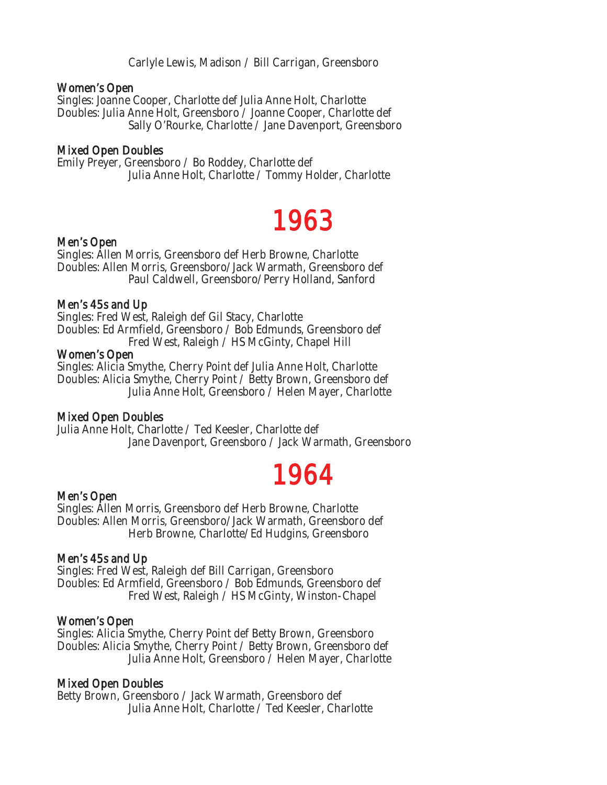Carlyle Lewis, Madison / Bill Carrigan, Greensboro

### Women's Open

Singles: Joanne Cooper, Charlotte def Julia Anne Holt, Charlotte Doubles: Julia Anne Holt, Greensboro / Joanne Cooper, Charlotte def Sally O'Rourke, Charlotte / Jane Davenport, Greensboro

### Mixed Open Doubles

Emily Preyer, Greensboro / Bo Roddey, Charlotte def Julia Anne Holt, Charlotte / Tommy Holder, Charlotte

## Men's Open **1963**

Singles: Allen Morris, Greensboro def Herb Browne, Charlotte Doubles: Allen Morris, Greensboro/Jack Warmath, Greensboro def Paul Caldwell, Greensboro/Perry Holland, Sanford

### Men's 45s and Up

Singles: Fred West, Raleigh def Gil Stacy, Charlotte Doubles: Ed Armfield, Greensboro / Bob Edmunds, Greensboro def Fred West, Raleigh / HS McGinty, Chapel Hill

### Women's Open

Singles: Alicia Smythe, Cherry Point def Julia Anne Holt, Charlotte Doubles: Alicia Smythe, Cherry Point / Betty Brown, Greensboro def Julia Anne Holt, Greensboro / Helen Mayer, Charlotte

### Mixed Open Doubles

Julia Anne Holt, Charlotte / Ted Keesler, Charlotte def Jane Davenport, Greensboro / Jack Warmath, Greensboro

## Men's Open **1964**

Singles: Allen Morris, Greensboro def Herb Browne, Charlotte Doubles: Allen Morris, Greensboro/Jack Warmath, Greensboro def Herb Browne, Charlotte/Ed Hudgins, Greensboro

### Men's 45s and Up

Singles: Fred West, Raleigh def Bill Carrigan, Greensboro Doubles: Ed Armfield, Greensboro / Bob Edmunds, Greensboro def Fred West, Raleigh / HS McGinty, Winston-Chapel

### Women's Open

Singles: Alicia Smythe, Cherry Point def Betty Brown, Greensboro Doubles: Alicia Smythe, Cherry Point / Betty Brown, Greensboro def Julia Anne Holt, Greensboro / Helen Mayer, Charlotte

### Mixed Open Doubles

Betty Brown, Greensboro / Jack Warmath, Greensboro def Julia Anne Holt, Charlotte / Ted Keesler, Charlotte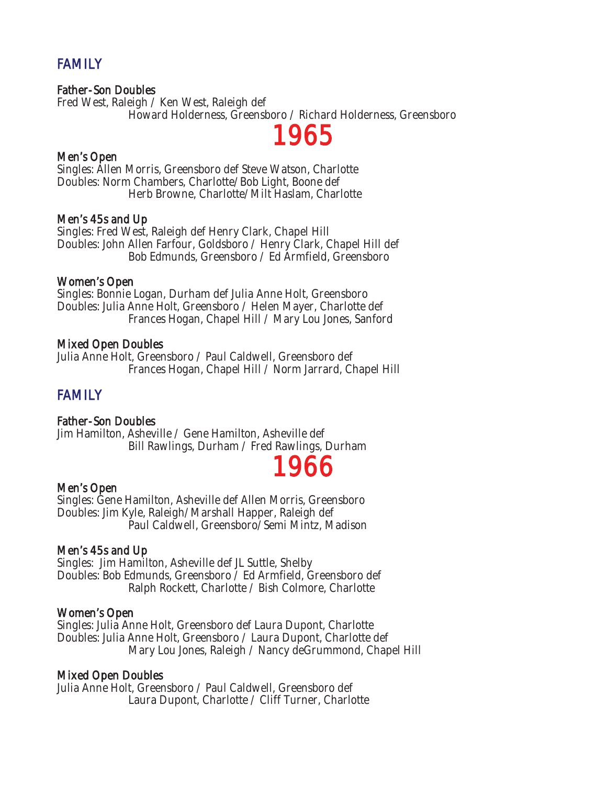### **FAMILY**

### Father-Son Doubles

Fred West, Raleigh / Ken West, Raleigh def Howard Holderness, Greensboro / Richard Holderness, Greensboro

## Men's Open  $1965$

Singles: Allen Morris, Greensboro def Steve Watson, Charlotte Doubles: Norm Chambers, Charlotte/Bob Light, Boone def Herb Browne, Charlotte/Milt Haslam, Charlotte

### Men's 45s and Up

Singles: Fred West, Raleigh def Henry Clark, Chapel Hill Doubles: John Allen Farfour, Goldsboro / Henry Clark, Chapel Hill def Bob Edmunds, Greensboro / Ed Armfield, Greensboro

### Women's Open

Singles: Bonnie Logan, Durham def Julia Anne Holt, Greensboro Doubles: Julia Anne Holt, Greensboro / Helen Mayer, Charlotte def Frances Hogan, Chapel Hill / Mary Lou Jones, Sanford

### Mixed Open Doubles

Julia Anne Holt, Greensboro / Paul Caldwell, Greensboro def Frances Hogan, Chapel Hill / Norm Jarrard, Chapel Hill

### **FAMILY**

### Father-Son Doubles

Jim Hamilton, Asheville / Gene Hamilton, Asheville def Bill Rawlings, Durham / Fred Rawlings, Durham

## Men's Open  $1966$

Singles: Gene Hamilton, Asheville def Allen Morris, Greensboro Doubles: Jim Kyle, Raleigh/Marshall Happer, Raleigh def Paul Caldwell, Greensboro/Semi Mintz, Madison

### Men's 45s and Up

Singles: Jim Hamilton, Asheville def JL Suttle, Shelby Doubles: Bob Edmunds, Greensboro / Ed Armfield, Greensboro def Ralph Rockett, Charlotte / Bish Colmore, Charlotte

### Women's Open

Singles: Julia Anne Holt, Greensboro def Laura Dupont, Charlotte Doubles: Julia Anne Holt, Greensboro / Laura Dupont, Charlotte def Mary Lou Jones, Raleigh / Nancy deGrummond, Chapel Hill

### Mixed Open Doubles

Julia Anne Holt, Greensboro / Paul Caldwell, Greensboro def Laura Dupont, Charlotte / Cliff Turner, Charlotte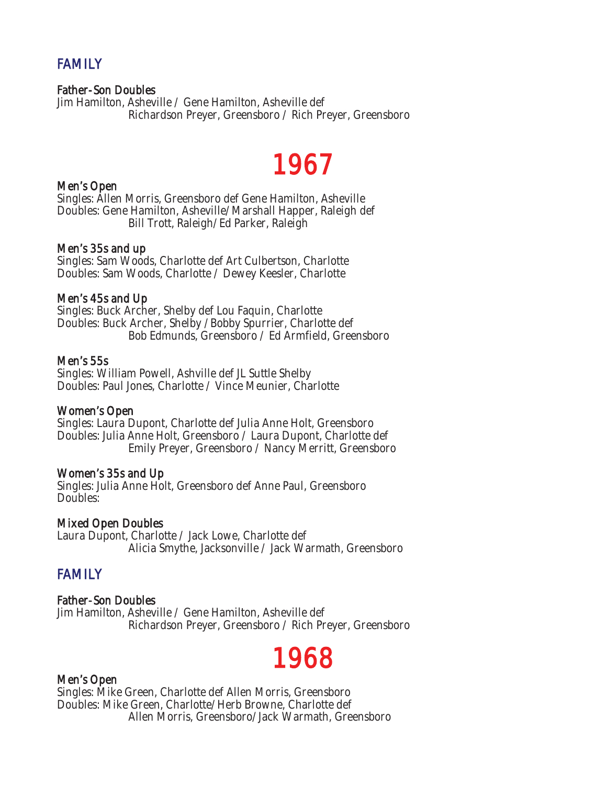### **FAMILY**

### Father-Son Doubles

Jim Hamilton, Asheville / Gene Hamilton, Asheville def Richardson Preyer, Greensboro / Rich Preyer, Greensboro

## Men's Open  $1967$

Singles: Allen Morris, Greensboro def Gene Hamilton, Asheville Doubles: Gene Hamilton, Asheville/Marshall Happer, Raleigh def Bill Trott, Raleigh/Ed Parker, Raleigh

### Men's 35s and up

Singles: Sam Woods, Charlotte def Art Culbertson, Charlotte Doubles: Sam Woods, Charlotte / Dewey Keesler, Charlotte

### Men's 45s and Up

Singles: Buck Archer, Shelby def Lou Faquin, Charlotte Doubles: Buck Archer, Shelby /Bobby Spurrier, Charlotte def Bob Edmunds, Greensboro / Ed Armfield, Greensboro

### Men's 55s

Singles: William Powell, Ashville def JL Suttle Shelby Doubles: Paul Jones, Charlotte / Vince Meunier, Charlotte

### Women's Open

Singles: Laura Dupont, Charlotte def Julia Anne Holt, Greensboro Doubles: Julia Anne Holt, Greensboro / Laura Dupont, Charlotte def Emily Preyer, Greensboro / Nancy Merritt, Greensboro

### Women's 35s and Up

Singles: Julia Anne Holt, Greensboro def Anne Paul, Greensboro Doubles:

### Mixed Open Doubles

Laura Dupont, Charlotte / Jack Lowe, Charlotte def Alicia Smythe, Jacksonville / Jack Warmath, Greensboro

### **FAMILY**

### Father-Son Doubles

Jim Hamilton, Asheville / Gene Hamilton, Asheville def Richardson Preyer, Greensboro / Rich Preyer, Greensboro

## Men's Open **1968**

Singles: Mike Green, Charlotte def Allen Morris, Greensboro Doubles: Mike Green, Charlotte/Herb Browne, Charlotte def Allen Morris, Greensboro/Jack Warmath, Greensboro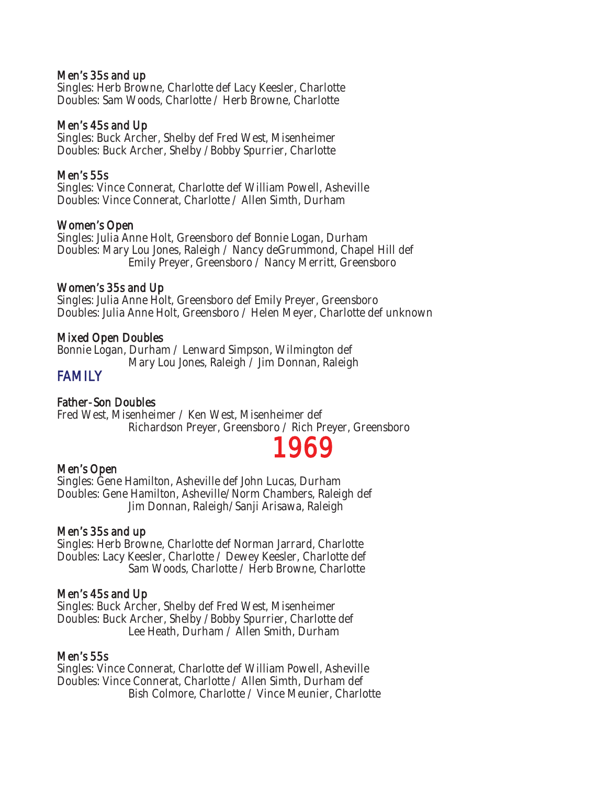### Men's 35s and up

Singles: Herb Browne, Charlotte def Lacy Keesler, Charlotte Doubles: Sam Woods, Charlotte / Herb Browne, Charlotte

### Men's 45s and Up

Singles: Buck Archer, Shelby def Fred West, Misenheimer Doubles: Buck Archer, Shelby /Bobby Spurrier, Charlotte

### Men's 55s

Singles: Vince Connerat, Charlotte def William Powell, Asheville Doubles: Vince Connerat, Charlotte / Allen Simth, Durham

### Women's Open

Singles: Julia Anne Holt, Greensboro def Bonnie Logan, Durham Doubles: Mary Lou Jones, Raleigh / Nancy deGrummond, Chapel Hill def Emily Preyer, Greensboro / Nancy Merritt, Greensboro

### Women's 35s and Up

Singles: Julia Anne Holt, Greensboro def Emily Preyer, Greensboro Doubles: Julia Anne Holt, Greensboro / Helen Meyer, Charlotte def unknown

### Mixed Open Doubles

Bonnie Logan, Durham / Lenward Simpson, Wilmington def Mary Lou Jones, Raleigh / Jim Donnan, Raleigh

### **FAMILY**

### Father-Son Doubles

Fred West, Misenheimer / Ken West, Misenheimer def Richardson Preyer, Greensboro / Rich Preyer, Greensboro<br>Men's Open

Singles: Gene Hamilton, Asheville def John Lucas, Durham Doubles: Gene Hamilton, Asheville/Norm Chambers, Raleigh def Jim Donnan, Raleigh/Sanji Arisawa, Raleigh

### Men's 35s and up

Singles: Herb Browne, Charlotte def Norman Jarrard, Charlotte Doubles: Lacy Keesler, Charlotte / Dewey Keesler, Charlotte def Sam Woods, Charlotte / Herb Browne, Charlotte

### Men's 45s and Up

Singles: Buck Archer, Shelby def Fred West, Misenheimer Doubles: Buck Archer, Shelby /Bobby Spurrier, Charlotte def Lee Heath, Durham / Allen Smith, Durham

### Men's 55s

Singles: Vince Connerat, Charlotte def William Powell, Asheville Doubles: Vince Connerat, Charlotte / Allen Simth, Durham def Bish Colmore, Charlotte / Vince Meunier, Charlotte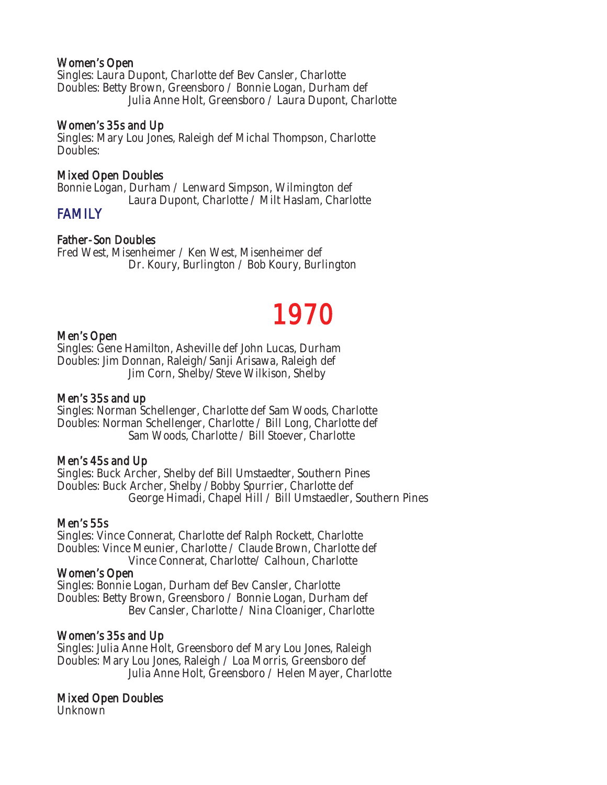### Women's Open

Singles: Laura Dupont, Charlotte def Bev Cansler, Charlotte Doubles: Betty Brown, Greensboro / Bonnie Logan, Durham def Julia Anne Holt, Greensboro / Laura Dupont, Charlotte

### Women's 35s and Up

Singles: Mary Lou Jones, Raleigh def Michal Thompson, Charlotte Doubles:

### Mixed Open Doubles

Bonnie Logan, Durham / Lenward Simpson, Wilmington def Laura Dupont, Charlotte / Milt Haslam, Charlotte

### **FAMILY**

### Father-Son Doubles

Fred West, Misenheimer / Ken West, Misenheimer def Dr. Koury, Burlington / Bob Koury, Burlington

## Men's Open **1970**

Singles: Gene Hamilton, Asheville def John Lucas, Durham Doubles: Jim Donnan, Raleigh/Sanji Arisawa, Raleigh def Jim Corn, Shelby/Steve Wilkison, Shelby

### Men's 35s and up

Singles: Norman Schellenger, Charlotte def Sam Woods, Charlotte Doubles: Norman Schellenger, Charlotte / Bill Long, Charlotte def Sam Woods, Charlotte / Bill Stoever, Charlotte

### Men's 45s and Up

Singles: Buck Archer, Shelby def Bill Umstaedter, Southern Pines Doubles: Buck Archer, Shelby /Bobby Spurrier, Charlotte def George Himadi, Chapel Hill / Bill Umstaedler, Southern Pines

### Men's 55s

Singles: Vince Connerat, Charlotte def Ralph Rockett, Charlotte Doubles: Vince Meunier, Charlotte / Claude Brown, Charlotte def Vince Connerat, Charlotte/ Calhoun, Charlotte

### Women's Open

Singles: Bonnie Logan, Durham def Bev Cansler, Charlotte Doubles: Betty Brown, Greensboro / Bonnie Logan, Durham def Bev Cansler, Charlotte / Nina Cloaniger, Charlotte

### Women's 35s and Up

Singles: Julia Anne Holt, Greensboro def Mary Lou Jones, Raleigh Doubles: Mary Lou Jones, Raleigh / Loa Morris, Greensboro def Julia Anne Holt, Greensboro / Helen Mayer, Charlotte

### Mixed Open Doubles

Unknown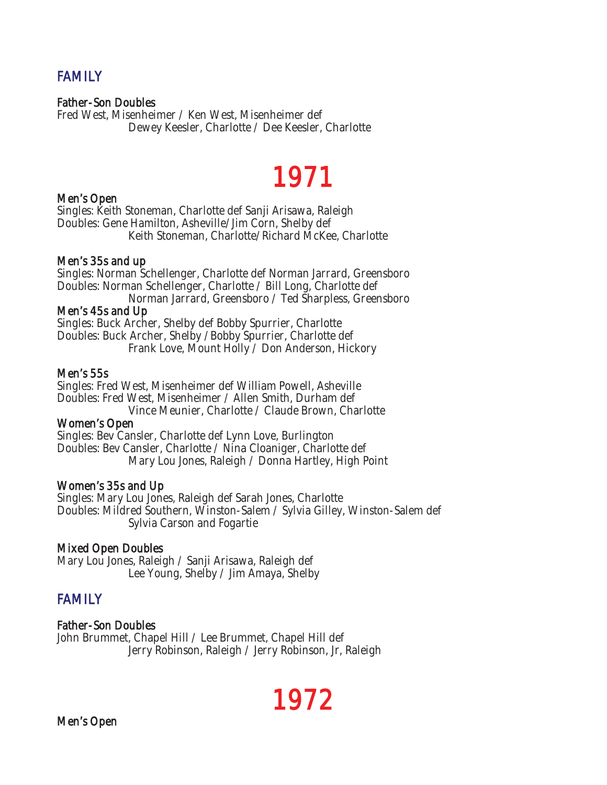## FAMILY

### Father-Son Doubles

Fred West, Misenheimer / Ken West, Misenheimer def Dewey Keesler, Charlotte / Dee Keesler, Charlotte

# Men's Open  $\overline{\text{1971}}$

Singles: Keith Stoneman, Charlotte def Sanji Arisawa, Raleigh Doubles: Gene Hamilton, Asheville/Jim Corn, Shelby def Keith Stoneman, Charlotte/Richard McKee, Charlotte

### Men's 35s and up

Singles: Norman Schellenger, Charlotte def Norman Jarrard, Greensboro Doubles: Norman Schellenger, Charlotte / Bill Long, Charlotte def Norman Jarrard, Greensboro / Ted Sharpless, Greensboro

### Men's 45s and Up

Singles: Buck Archer, Shelby def Bobby Spurrier, Charlotte Doubles: Buck Archer, Shelby /Bobby Spurrier, Charlotte def Frank Love, Mount Holly / Don Anderson, Hickory

### Men's 55s

Singles: Fred West, Misenheimer def William Powell, Asheville Doubles: Fred West, Misenheimer / Allen Smith, Durham def Vince Meunier, Charlotte / Claude Brown, Charlotte

### Women's Open

Singles: Bev Cansler, Charlotte def Lynn Love, Burlington Doubles: Bev Cansler, Charlotte / Nina Cloaniger, Charlotte def Mary Lou Jones, Raleigh / Donna Hartley, High Point

### Women's 35s and Up

Singles: Mary Lou Jones, Raleigh def Sarah Jones, Charlotte Doubles: Mildred Southern, Winston-Salem / Sylvia Gilley, Winston-Salem def Sylvia Carson and Fogartie

### Mixed Open Doubles

Mary Lou Jones, Raleigh / Sanji Arisawa, Raleigh def Lee Young, Shelby / Jim Amaya, Shelby

### FAMILY

### Father-Son Doubles

John Brummet, Chapel Hill / Lee Brummet, Chapel Hill def Jerry Robinson, Raleigh / Jerry Robinson, Jr, Raleigh

## Men's Open **1972**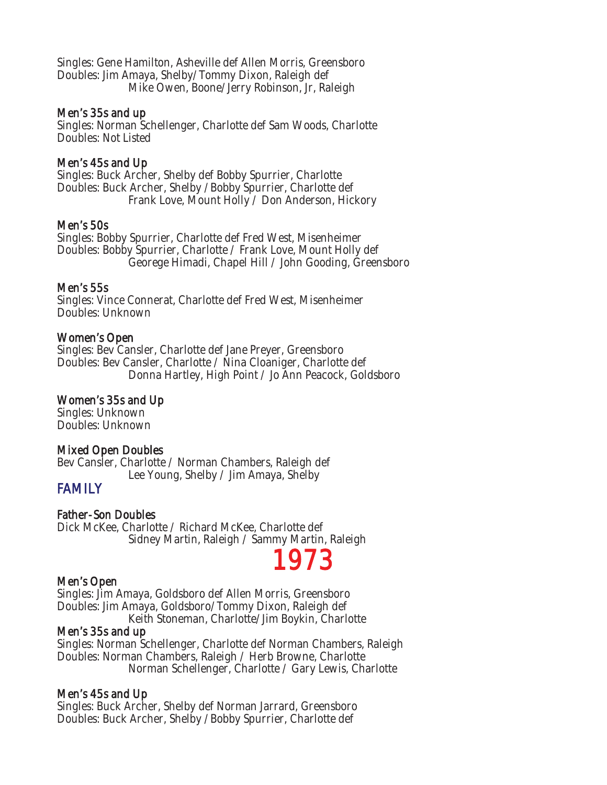Singles: Gene Hamilton, Asheville def Allen Morris, Greensboro Doubles: Jim Amaya, Shelby/Tommy Dixon, Raleigh def Mike Owen, Boone/Jerry Robinson, Jr, Raleigh

### Men's 35s and up

Singles: Norman Schellenger, Charlotte def Sam Woods, Charlotte Doubles: Not Listed

### Men's 45s and Up

Singles: Buck Archer, Shelby def Bobby Spurrier, Charlotte Doubles: Buck Archer, Shelby /Bobby Spurrier, Charlotte def Frank Love, Mount Holly / Don Anderson, Hickory

### Men's 50s

Singles: Bobby Spurrier, Charlotte def Fred West, Misenheimer Doubles: Bobby Spurrier, Charlotte / Frank Love, Mount Holly def Georege Himadi, Chapel Hill / John Gooding, Greensboro

### Men's 55s

Singles: Vince Connerat, Charlotte def Fred West, Misenheimer Doubles: Unknown

### Women's Open

Singles: Bev Cansler, Charlotte def Jane Preyer, Greensboro Doubles: Bev Cansler, Charlotte / Nina Cloaniger, Charlotte def Donna Hartley, High Point / Jo Ann Peacock, Goldsboro

### Women's 35s and Up

Singles: Unknown Doubles: Unknown

### Mixed Open Doubles

Bev Cansler, Charlotte / Norman Chambers, Raleigh def Lee Young, Shelby / Jim Amaya, Shelby

### **FAMILY**

### Father-Son Doubles

Dick McKee, Charlotte / Richard McKee, Charlotte def Sidney Martin, Raleigh / Sammy Martin, Raleigh

## Men's Open  $1973$

Singles: Jim Amaya, Goldsboro def Allen Morris, Greensboro Doubles: Jim Amaya, Goldsboro/Tommy Dixon, Raleigh def Keith Stoneman, Charlotte/Jim Boykin, Charlotte

### Men's 35s and up

Singles: Norman Schellenger, Charlotte def Norman Chambers, Raleigh Doubles: Norman Chambers, Raleigh / Herb Browne, Charlotte Norman Schellenger, Charlotte / Gary Lewis, Charlotte

### Men's 45s and Up

Singles: Buck Archer, Shelby def Norman Jarrard, Greensboro Doubles: Buck Archer, Shelby /Bobby Spurrier, Charlotte def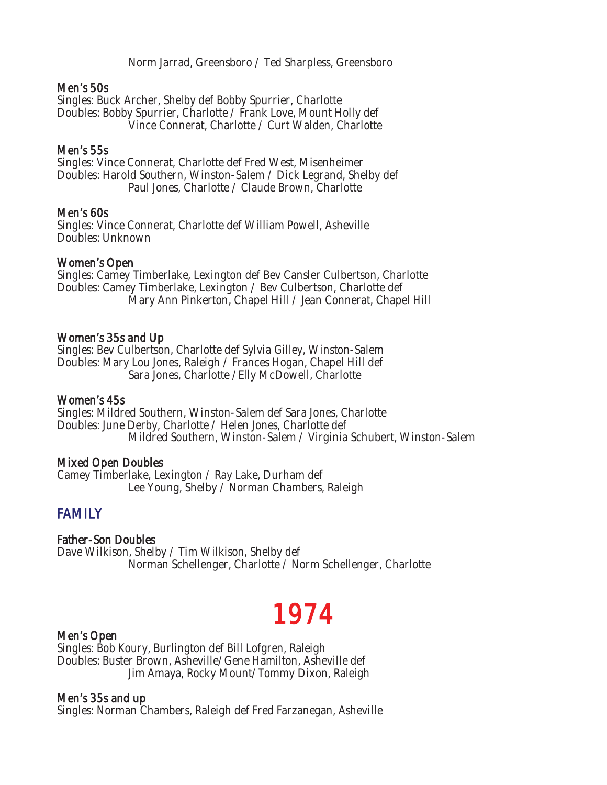Norm Jarrad, Greensboro / Ted Sharpless, Greensboro

### Men's 50s

Singles: Buck Archer, Shelby def Bobby Spurrier, Charlotte Doubles: Bobby Spurrier, Charlotte / Frank Love, Mount Holly def Vince Connerat, Charlotte / Curt Walden, Charlotte

### Men's 55s

Singles: Vince Connerat, Charlotte def Fred West, Misenheimer Doubles: Harold Southern, Winston-Salem / Dick Legrand, Shelby def Paul Jones, Charlotte / Claude Brown, Charlotte

### Men's 60s

Singles: Vince Connerat, Charlotte def William Powell, Asheville Doubles: Unknown

### Women's Open

Singles: Camey Timberlake, Lexington def Bev Cansler Culbertson, Charlotte Doubles: Camey Timberlake, Lexington / Bev Culbertson, Charlotte def Mary Ann Pinkerton, Chapel Hill / Jean Connerat, Chapel Hill

### Women's 35s and Up

Singles: Bev Culbertson, Charlotte def Sylvia Gilley, Winston-Salem Doubles: Mary Lou Jones, Raleigh / Frances Hogan, Chapel Hill def Sara Jones, Charlotte /Elly McDowell, Charlotte

### Women's 45s

Singles: Mildred Southern, Winston-Salem def Sara Jones, Charlotte Doubles: June Derby, Charlotte / Helen Jones, Charlotte def Mildred Southern, Winston-Salem / Virginia Schubert, Winston-Salem

### Mixed Open Doubles

Camey Timberlake, Lexington / Ray Lake, Durham def Lee Young, Shelby / Norman Chambers, Raleigh

### FAMILY

### Father-Son Doubles

Dave Wilkison, Shelby / Tim Wilkison, Shelby def Norman Schellenger, Charlotte / Norm Schellenger, Charlotte

## Men's Open **1974**

Singles: Bob Koury, Burlington def Bill Lofgren, Raleigh Doubles: Buster Brown, Asheville/Gene Hamilton, Asheville def Jim Amaya, Rocky Mount/Tommy Dixon, Raleigh

### Men's 35s and up

Singles: Norman Chambers, Raleigh def Fred Farzanegan, Asheville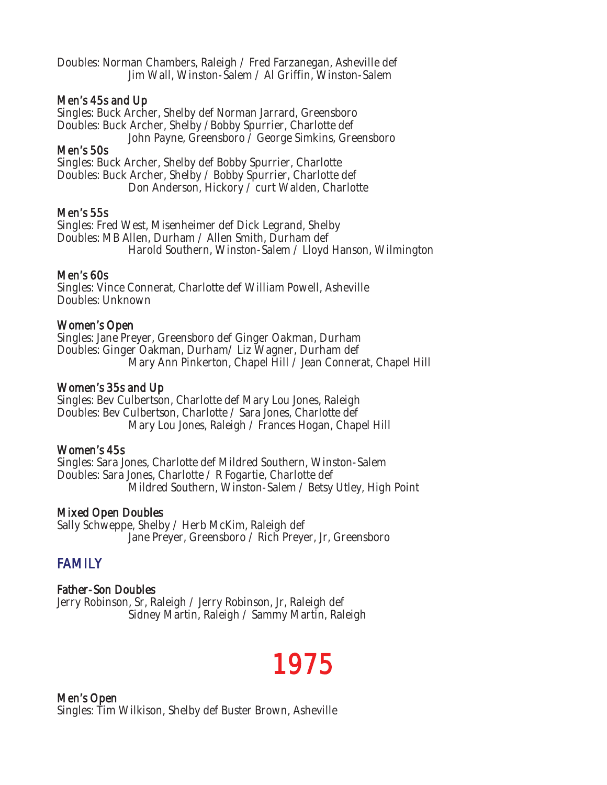Doubles: Norman Chambers, Raleigh / Fred Farzanegan, Asheville def Jim Wall, Winston-Salem / Al Griffin, Winston-Salem

### Men's 45s and Up

Singles: Buck Archer, Shelby def Norman Jarrard, Greensboro Doubles: Buck Archer, Shelby /Bobby Spurrier, Charlotte def John Payne, Greensboro / George Simkins, Greensboro

### Men's 50s

Singles: Buck Archer, Shelby def Bobby Spurrier, Charlotte Doubles: Buck Archer, Shelby / Bobby Spurrier, Charlotte def Don Anderson, Hickory / curt Walden, Charlotte

### Men's 55s

Singles: Fred West, Misenheimer def Dick Legrand, Shelby Doubles: MB Allen, Durham / Allen Smith, Durham def Harold Southern, Winston-Salem / Lloyd Hanson, Wilmington

### Men's 60s

Singles: Vince Connerat, Charlotte def William Powell, Asheville Doubles: Unknown

### Women's Open

Singles: Jane Preyer, Greensboro def Ginger Oakman, Durham Doubles: Ginger Oakman, Durham/ Liz Wagner, Durham def Mary Ann Pinkerton, Chapel Hill / Jean Connerat, Chapel Hill

### Women's 35s and Up

Singles: Bev Culbertson, Charlotte def Mary Lou Jones, Raleigh Doubles: Bev Culbertson, Charlotte / Sara Jones, Charlotte def Mary Lou Jones, Raleigh / Frances Hogan, Chapel Hill

### Women's 45s

Singles: Sara Jones, Charlotte def Mildred Southern, Winston-Salem Doubles: Sara Jones, Charlotte / R Fogartie, Charlotte def Mildred Southern, Winston-Salem / Betsy Utley, High Point

### Mixed Open Doubles

Sally Schweppe, Shelby / Herb McKim, Raleigh def Jane Preyer, Greensboro / Rich Preyer, Jr, Greensboro

### **FAMILY**

### Father-Son Doubles

Jerry Robinson, Sr, Raleigh / Jerry Robinson, Jr, Raleigh def Sidney Martin, Raleigh / Sammy Martin, Raleigh

## 1975

Men's Open Singles: Tim Wilkison, Shelby def Buster Brown, Asheville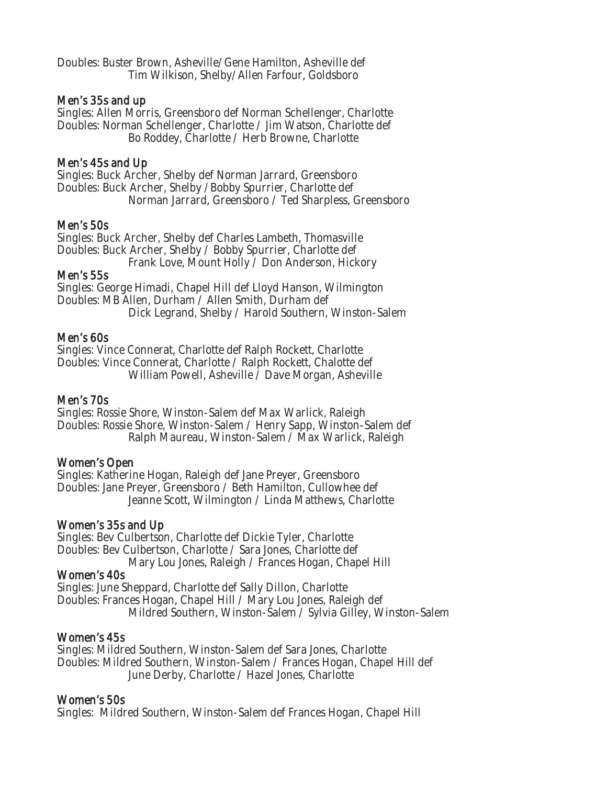Doubles: Buster Brown, Asheville/Gene Hamilton, Asheville def Tim Wilkison, Shelby/Allen Farfour, Goldsboro

### Men's 35s and up

Singles: Allen Morris, Greensboro def Norman Schellenger, Charlotte Doubles: Norman Schellenger, Charlotte / Jim Watson, Charlotte def Bo Roddey, Charlotte / Herb Browne, Charlotte

### Men's 45s and Up

Singles: Buck Archer, Shelby def Norman Jarrard, Greensboro Doubles: Buck Archer, Shelby /Bobby Spurrier, Charlotte def Norman Jarrard, Greensboro / Ted Sharpless, Greensboro

### Men's 50s

Singles: Buck Archer, Shelby def Charles Lambeth, Thomasville Doubles: Buck Archer, Shelby / Bobby Spurrier, Charlotte def Frank Love, Mount Holly / Don Anderson, Hickory

### Men's 55s

Singles: George Himadi, Chapel Hill def Lloyd Hanson, Wilmington Doubles: MB Allen, Durham / Allen Smith, Durham def Dick Legrand, Shelby / Harold Southern, Winston-Salem

### Men's 60s

Singles: Vince Connerat, Charlotte def Ralph Rockett, Charlotte Doubles: Vince Connerat, Charlotte / Ralph Rockett, Chalotte def William Powell, Asheville / Dave Morgan, Asheville

### Men's 70s

Singles: Rossie Shore, Winston-Salem def Max Warlick, Raleigh Doubles: Rossie Shore, Winston-Salem / Henry Sapp, Winston-Salem def Ralph Maureau, Winston-Salem / Max Warlick, Raleigh

### Women's Open

Singles: Katherine Hogan, Raleigh def Jane Preyer, Greensboro Doubles: Jane Preyer, Greensboro / Beth Hamilton, Cullowhee def Jeanne Scott, Wilmington / Linda Matthews, Charlotte

### Women's 35s and Up

Singles: Bev Culbertson, Charlotte def Dickie Tyler, Charlotte Doubles: Bev Culbertson, Charlotte / Sara Jones, Charlotte def Mary Lou Jones, Raleigh / Frances Hogan, Chapel Hill

### Women's 40s

Singles: June Sheppard, Charlotte def Sally Dillon, Charlotte Doubles: Frances Hogan, Chapel Hill / Mary Lou Jones, Raleigh def Mildred Southern, Winston-Salem / Sylvia Gilley, Winston-Salem

### Women's 45s

Singles: Mildred Southern, Winston-Salem def Sara Jones, Charlotte Doubles: Mildred Southern, Winston-Salem / Frances Hogan, Chapel Hill def June Derby, Charlotte / Hazel Jones, Charlotte

### Women's 50s

Singles: Mildred Southern, Winston-Salem def Frances Hogan, Chapel Hill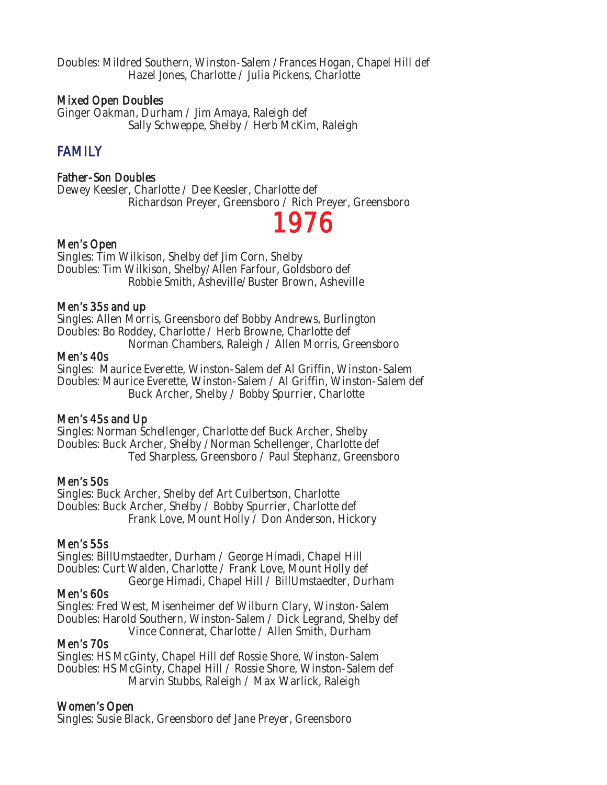Doubles: Mildred Southern, Winston-Salem /Frances Hogan, Chapel Hill def Hazel Jones, Charlotte / Julia Pickens, Charlotte

### Mixed Open Doubles

Ginger Oakman, Durham / Jim Amaya, Raleigh def Sally Schweppe, Shelby / Herb McKim, Raleigh

### FAMILY

### Father-Son Doubles

Dewey Keesler, Charlotte / Dee Keesler, Charlotte def Richardson Preyer, Greensboro / Rich Preyer, Greensboro<br>Men's Open

Singles: Tim Wilkison, Shelby def Jim Corn, Shelby Doubles: Tim Wilkison, Shelby/Allen Farfour, Goldsboro def Robbie Smith, Asheville/Buster Brown, Asheville

### Men's 35s and up

Singles: Allen Morris, Greensboro def Bobby Andrews, Burlington Doubles: Bo Roddey, Charlotte / Herb Browne, Charlotte def Norman Chambers, Raleigh / Allen Morris, Greensboro

### Men's 40s

Singles: Maurice Everette, Winston-Salem def Al Griffin, Winston-Salem Doubles: Maurice Everette, Winston-Salem / Al Griffin, Winston-Salem def Buck Archer, Shelby / Bobby Spurrier, Charlotte

### Men's 45s and Up

Singles: Norman Schellenger, Charlotte def Buck Archer, Shelby Doubles: Buck Archer, Shelby /Norman Schellenger, Charlotte def Ted Sharpless, Greensboro / Paul Stephanz, Greensboro

### Men's 50s

Singles: Buck Archer, Shelby def Art Culbertson, Charlotte Doubles: Buck Archer, Shelby / Bobby Spurrier, Charlotte def Frank Love, Mount Holly / Don Anderson, Hickory

### Men's 55s

Singles: BillUmstaedter, Durham / George Himadi, Chapel Hill Doubles: Curt Walden, Charlotte / Frank Love, Mount Holly def George Himadi, Chapel Hill / BillUmstaedter, Durham

### Men's 60s

Singles: Fred West, Misenheimer def Wilburn Clary, Winston-Salem Doubles: Harold Southern, Winston-Salem / Dick Legrand, Shelby def Vince Connerat, Charlotte / Allen Smith, Durham

### Men's 70s

Singles: HS McGinty, Chapel Hill def Rossie Shore, Winston-Salem Doubles: HS McGinty, Chapel Hill / Rossie Shore, Winston-Salem def Marvin Stubbs, Raleigh / Max Warlick, Raleigh

### Women's Open

Singles: Susie Black, Greensboro def Jane Preyer, Greensboro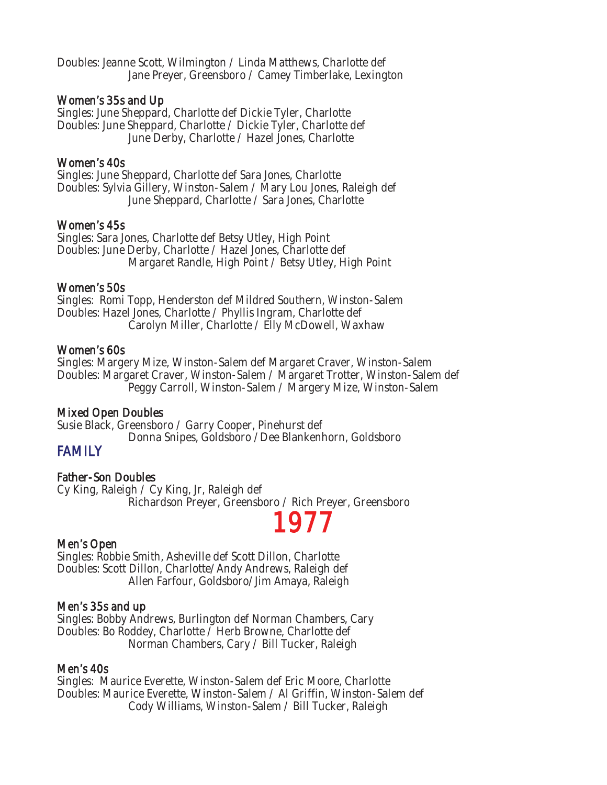Doubles: Jeanne Scott, Wilmington / Linda Matthews, Charlotte def Jane Preyer, Greensboro / Camey Timberlake, Lexington

### Women's 35s and Up

Singles: June Sheppard, Charlotte def Dickie Tyler, Charlotte Doubles: June Sheppard, Charlotte / Dickie Tyler, Charlotte def June Derby, Charlotte / Hazel Jones, Charlotte

### Women's 40s

Singles: June Sheppard, Charlotte def Sara Jones, Charlotte Doubles: Sylvia Gillery, Winston-Salem / Mary Lou Jones, Raleigh def June Sheppard, Charlotte / Sara Jones, Charlotte

### Women's 45s

Singles: Sara Jones, Charlotte def Betsy Utley, High Point Doubles: June Derby, Charlotte / Hazel Jones, Charlotte def Margaret Randle, High Point / Betsy Utley, High Point

### Women's 50s

Singles: Romi Topp, Henderston def Mildred Southern, Winston-Salem Doubles: Hazel Jones, Charlotte / Phyllis Ingram, Charlotte def Carolyn Miller, Charlotte / Elly McDowell, Waxhaw

### Women's 60s

Singles: Margery Mize, Winston-Salem def Margaret Craver, Winston-Salem Doubles: Margaret Craver, Winston-Salem / Margaret Trotter, Winston-Salem def Peggy Carroll, Winston-Salem / Margery Mize, Winston-Salem

### Mixed Open Doubles

Susie Black, Greensboro / Garry Cooper, Pinehurst def Donna Snipes, Goldsboro /Dee Blankenhorn, Goldsboro

### FAMILY

### Father-Son Doubles

Cy King, Raleigh / Cy King, Jr, Raleigh def Richardson Preyer, Greensboro / Rich Preyer, Greensboro<br>Men's Open

Singles: Robbie Smith, Asheville def Scott Dillon, Charlotte Doubles: Scott Dillon, Charlotte/Andy Andrews, Raleigh def Allen Farfour, Goldsboro/Jim Amaya, Raleigh

### Men's 35s and up

Singles: Bobby Andrews, Burlington def Norman Chambers, Cary Doubles: Bo Roddey, Charlotte / Herb Browne, Charlotte def Norman Chambers, Cary / Bill Tucker, Raleigh

### Men's 40s

Singles: Maurice Everette, Winston-Salem def Eric Moore, Charlotte Doubles: Maurice Everette, Winston-Salem / Al Griffin, Winston-Salem def Cody Williams, Winston-Salem / Bill Tucker, Raleigh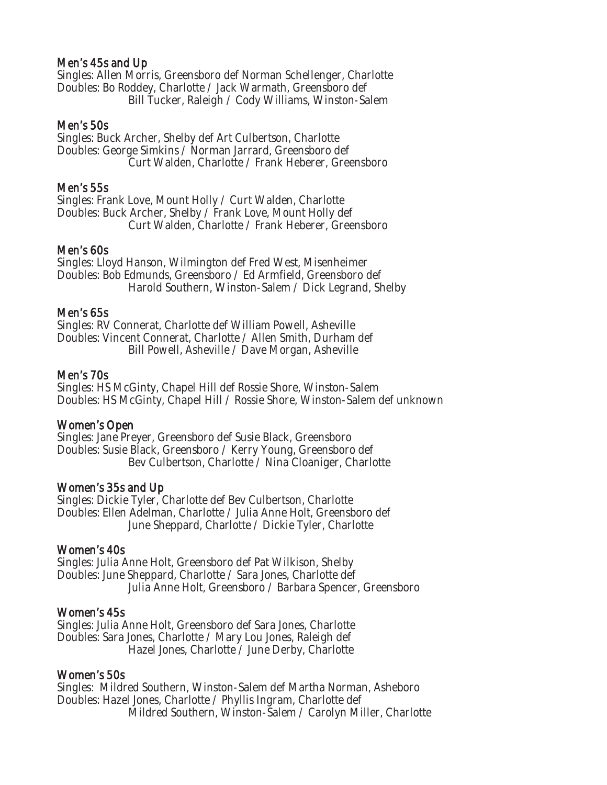### Men's 45s and Up

Singles: Allen Morris, Greensboro def Norman Schellenger, Charlotte Doubles: Bo Roddey, Charlotte / Jack Warmath, Greensboro def Bill Tucker, Raleigh / Cody Williams, Winston-Salem

### Men's 50s

Singles: Buck Archer, Shelby def Art Culbertson, Charlotte Doubles: George Simkins / Norman Jarrard, Greensboro def Curt Walden, Charlotte / Frank Heberer, Greensboro

### Men's 55s

Singles: Frank Love, Mount Holly / Curt Walden, Charlotte Doubles: Buck Archer, Shelby / Frank Love, Mount Holly def Curt Walden, Charlotte / Frank Heberer, Greensboro

### Men's 60s

Singles: Lloyd Hanson, Wilmington def Fred West, Misenheimer Doubles: Bob Edmunds, Greensboro / Ed Armfield, Greensboro def Harold Southern, Winston-Salem / Dick Legrand, Shelby

### Men's 65s

Singles: RV Connerat, Charlotte def William Powell, Asheville Doubles: Vincent Connerat, Charlotte / Allen Smith, Durham def Bill Powell, Asheville / Dave Morgan, Asheville

### Men's 70s

Singles: HS McGinty, Chapel Hill def Rossie Shore, Winston-Salem Doubles: HS McGinty, Chapel Hill / Rossie Shore, Winston-Salem def unknown

### Women's Open

Singles: Jane Preyer, Greensboro def Susie Black, Greensboro Doubles: Susie Black, Greensboro / Kerry Young, Greensboro def Bev Culbertson, Charlotte / Nina Cloaniger, Charlotte

### Women's 35s and Up

Singles: Dickie Tyler, Charlotte def Bev Culbertson, Charlotte Doubles: Ellen Adelman, Charlotte / Julia Anne Holt, Greensboro def June Sheppard, Charlotte / Dickie Tyler, Charlotte

### Women's 40s

Singles: Julia Anne Holt, Greensboro def Pat Wilkison, Shelby Doubles: June Sheppard, Charlotte / Sara Jones, Charlotte def Julia Anne Holt, Greensboro / Barbara Spencer, Greensboro

### Women's 45s

Singles: Julia Anne Holt, Greensboro def Sara Jones, Charlotte Doubles: Sara Jones, Charlotte / Mary Lou Jones, Raleigh def Hazel Jones, Charlotte / June Derby, Charlotte

### Women's 50s

Singles: Mildred Southern, Winston-Salem def Martha Norman, Asheboro Doubles: Hazel Jones, Charlotte / Phyllis Ingram, Charlotte def Mildred Southern, Winston-Salem / Carolyn Miller, Charlotte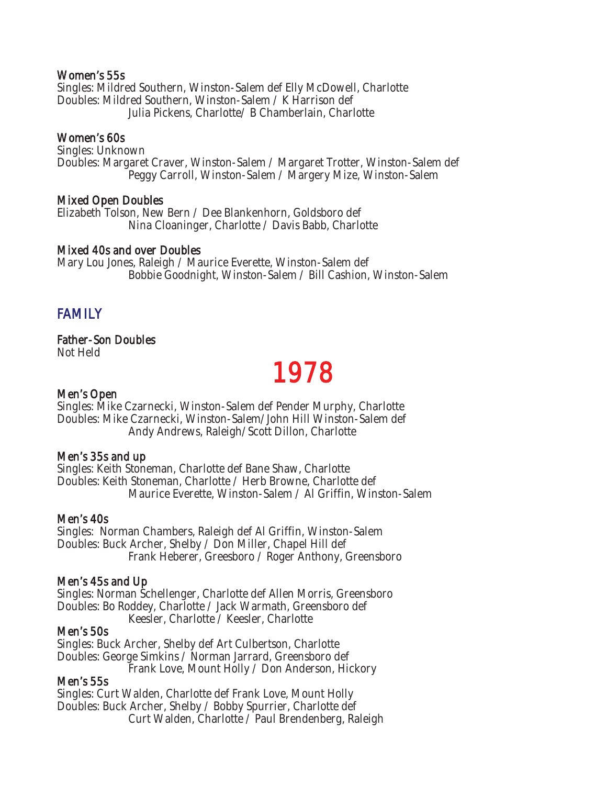### Women's 55s

Singles: Mildred Southern, Winston-Salem def Elly McDowell, Charlotte Doubles: Mildred Southern, Winston-Salem / K Harrison def Julia Pickens, Charlotte/ B Chamberlain, Charlotte

### Women's 60s

Singles: Unknown Doubles: Margaret Craver, Winston-Salem / Margaret Trotter, Winston-Salem def Peggy Carroll, Winston-Salem / Margery Mize, Winston-Salem

### Mixed Open Doubles

Elizabeth Tolson, New Bern / Dee Blankenhorn, Goldsboro def Nina Cloaninger, Charlotte / Davis Babb, Charlotte

### Mixed 40s and over Doubles

Mary Lou Jones, Raleigh / Maurice Everette, Winston-Salem def Bobbie Goodnight, Winston-Salem / Bill Cashion, Winston-Salem

### FAMILY

## Father-Son Doubles

Not Held

## Men's Open **1978**

Singles: Mike Czarnecki, Winston-Salem def Pender Murphy, Charlotte Doubles: Mike Czarnecki, Winston-Salem/John Hill Winston-Salem def Andy Andrews, Raleigh/Scott Dillon, Charlotte

### Men's 35s and up

Singles: Keith Stoneman, Charlotte def Bane Shaw, Charlotte Doubles: Keith Stoneman, Charlotte / Herb Browne, Charlotte def Maurice Everette, Winston-Salem / Al Griffin, Winston-Salem

### Men's 40s

Singles: Norman Chambers, Raleigh def Al Griffin, Winston-Salem Doubles: Buck Archer, Shelby / Don Miller, Chapel Hill def Frank Heberer, Greesboro / Roger Anthony, Greensboro

### Men's 45s and Up

Singles: Norman Schellenger, Charlotte def Allen Morris, Greensboro Doubles: Bo Roddey, Charlotte / Jack Warmath, Greensboro def Keesler, Charlotte / Keesler, Charlotte

### Men's 50s

Singles: Buck Archer, Shelby def Art Culbertson, Charlotte Doubles: George Simkins / Norman Jarrard, Greensboro def Frank Love, Mount Holly / Don Anderson, Hickory

### Men's 55s

Singles: Curt Walden, Charlotte def Frank Love, Mount Holly Doubles: Buck Archer, Shelby / Bobby Spurrier, Charlotte def Curt Walden, Charlotte / Paul Brendenberg, Raleigh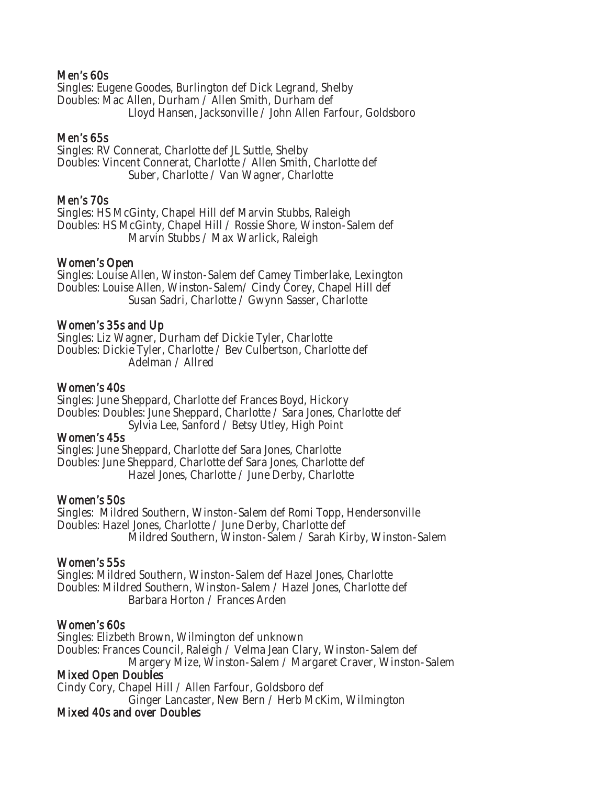### Men's 60s

Singles: Eugene Goodes, Burlington def Dick Legrand, Shelby Doubles: Mac Allen, Durham / Allen Smith, Durham def Lloyd Hansen, Jacksonville / John Allen Farfour, Goldsboro

### Men's 65s

Singles: RV Connerat, Charlotte def JL Suttle, Shelby Doubles: Vincent Connerat, Charlotte / Allen Smith, Charlotte def Suber, Charlotte / Van Wagner, Charlotte

### Men's 70s

Singles: HS McGinty, Chapel Hill def Marvin Stubbs, Raleigh Doubles: HS McGinty, Chapel Hill / Rossie Shore, Winston-Salem def Marvin Stubbs / Max Warlick, Raleigh

### Women's Open

Singles: Louise Allen, Winston-Salem def Camey Timberlake, Lexington Doubles: Louise Allen, Winston-Salem/ Cindy Corey, Chapel Hill def Susan Sadri, Charlotte / Gwynn Sasser, Charlotte

### Women's 35s and Up

Singles: Liz Wagner, Durham def Dickie Tyler, Charlotte Doubles: Dickie Tyler, Charlotte / Bev Culbertson, Charlotte def Adelman / Allred

### Women's 40s

Singles: June Sheppard, Charlotte def Frances Boyd, Hickory Doubles: Doubles: June Sheppard, Charlotte / Sara Jones, Charlotte def Sylvia Lee, Sanford / Betsy Utley, High Point

### Women's 45s

Singles: June Sheppard, Charlotte def Sara Jones, Charlotte Doubles: June Sheppard, Charlotte def Sara Jones, Charlotte def Hazel Jones, Charlotte / June Derby, Charlotte

### Women's 50s

Singles: Mildred Southern, Winston-Salem def Romi Topp, Hendersonville Doubles: Hazel Jones, Charlotte / June Derby, Charlotte def Mildred Southern, Winston-Salem / Sarah Kirby, Winston-Salem

### Women's 55s

Singles: Mildred Southern, Winston-Salem def Hazel Jones, Charlotte Doubles: Mildred Southern, Winston-Salem / Hazel Jones, Charlotte def Barbara Horton / Frances Arden

### Women's 60s

Singles: Elizbeth Brown, Wilmington def unknown Doubles: Frances Council, Raleigh / Velma Jean Clary, Winston-Salem def Margery Mize, Winston-Salem / Margaret Craver, Winston-Salem Mixed Open Doubles

Cindy Cory, Chapel Hill / Allen Farfour, Goldsboro def

Ginger Lancaster, New Bern / Herb McKim, Wilmington

### Mixed 40s and over Doubles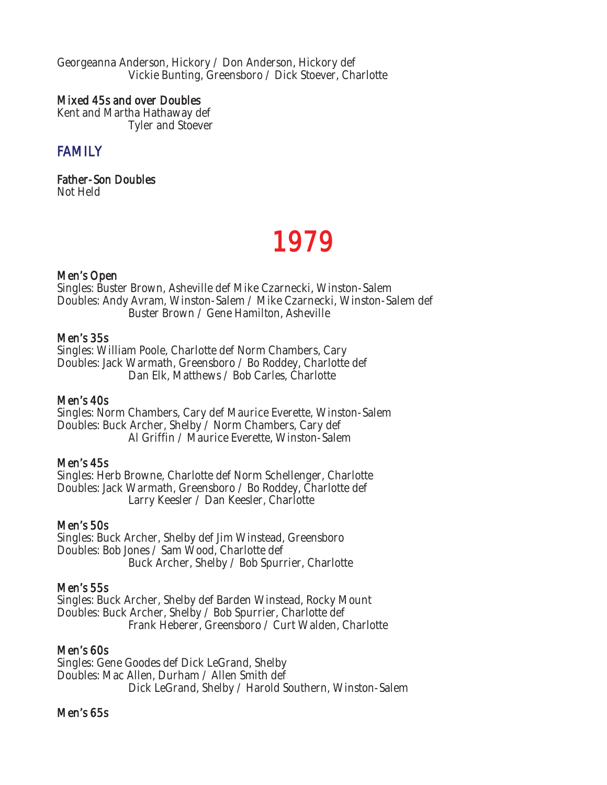Georgeanna Anderson, Hickory / Don Anderson, Hickory def Vickie Bunting, Greensboro / Dick Stoever, Charlotte

### Mixed 45s and over Doubles

Kent and Martha Hathaway def Tyler and Stoever

## **FAMILY**

Father-Son Doubles Not Held

## 1979

### Men's Open

Singles: Buster Brown, Asheville def Mike Czarnecki, Winston-Salem Doubles: Andy Avram, Winston-Salem / Mike Czarnecki, Winston-Salem def Buster Brown / Gene Hamilton, Asheville

### Men's 35s

Singles: William Poole, Charlotte def Norm Chambers, Cary Doubles: Jack Warmath, Greensboro / Bo Roddey, Charlotte def Dan Elk, Matthews / Bob Carles, Charlotte

### Men's 40s

Singles: Norm Chambers, Cary def Maurice Everette, Winston-Salem Doubles: Buck Archer, Shelby / Norm Chambers, Cary def Al Griffin / Maurice Everette, Winston-Salem

### Men's 45s

Singles: Herb Browne, Charlotte def Norm Schellenger, Charlotte Doubles: Jack Warmath, Greensboro / Bo Roddey, Charlotte def Larry Keesler / Dan Keesler, Charlotte

### Men's 50s

Singles: Buck Archer, Shelby def Jim Winstead, Greensboro Doubles: Bob Jones / Sam Wood, Charlotte def Buck Archer, Shelby / Bob Spurrier, Charlotte

### Men's 55s

Singles: Buck Archer, Shelby def Barden Winstead, Rocky Mount Doubles: Buck Archer, Shelby / Bob Spurrier, Charlotte def Frank Heberer, Greensboro / Curt Walden, Charlotte

### Men's 60s

Singles: Gene Goodes def Dick LeGrand, Shelby Doubles: Mac Allen, Durham / Allen Smith def Dick LeGrand, Shelby / Harold Southern, Winston-Salem

### Men's 65s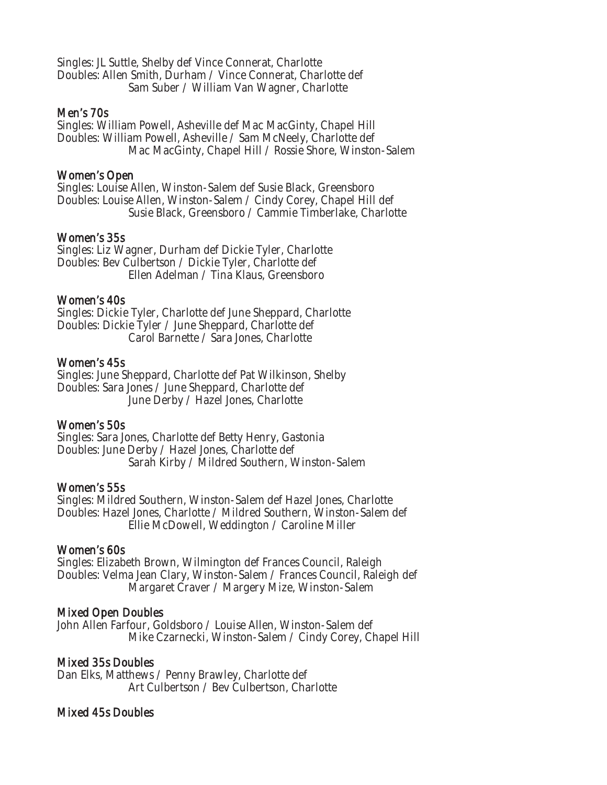Singles: JL Suttle, Shelby def Vince Connerat, Charlotte Doubles: Allen Smith, Durham / Vince Connerat, Charlotte def Sam Suber / William Van Wagner, Charlotte

### Men's 70s

Singles: William Powell, Asheville def Mac MacGinty, Chapel Hill Doubles: William Powell, Asheville / Sam McNeely, Charlotte def Mac MacGinty, Chapel Hill / Rossie Shore, Winston-Salem

### Women's Open

Singles: Louise Allen, Winston-Salem def Susie Black, Greensboro Doubles: Louise Allen, Winston-Salem / Cindy Corey, Chapel Hill def Susie Black, Greensboro / Cammie Timberlake, Charlotte

### Women's 35s

Singles: Liz Wagner, Durham def Dickie Tyler, Charlotte Doubles: Bev Culbertson / Dickie Tyler, Charlotte def Ellen Adelman / Tina Klaus, Greensboro

### Women's 40s

Singles: Dickie Tyler, Charlotte def June Sheppard, Charlotte Doubles: Dickie Tyler / June Sheppard, Charlotte def Carol Barnette / Sara Jones, Charlotte

### Women's 45s

Singles: June Sheppard, Charlotte def Pat Wilkinson, Shelby Doubles: Sara Jones / June Sheppard, Charlotte def June Derby / Hazel Jones, Charlotte

### Women's 50s

Singles: Sara Jones, Charlotte def Betty Henry, Gastonia Doubles: June Derby / Hazel Jones, Charlotte def Sarah Kirby / Mildred Southern, Winston-Salem

### Women's 55s

Singles: Mildred Southern, Winston-Salem def Hazel Jones, Charlotte Doubles: Hazel Jones, Charlotte / Mildred Southern, Winston-Salem def Ellie McDowell, Weddington / Caroline Miller

### Women's 60s

Singles: Elizabeth Brown, Wilmington def Frances Council, Raleigh Doubles: Velma Jean Clary, Winston-Salem / Frances Council, Raleigh def Margaret Craver / Margery Mize, Winston-Salem

### Mixed Open Doubles

John Allen Farfour, Goldsboro / Louise Allen, Winston-Salem def Mike Czarnecki, Winston-Salem / Cindy Corey, Chapel Hill

### Mixed 35s Doubles

Dan Elks, Matthews / Penny Brawley, Charlotte def Art Culbertson / Bev Culbertson, Charlotte

### Mixed 45s Doubles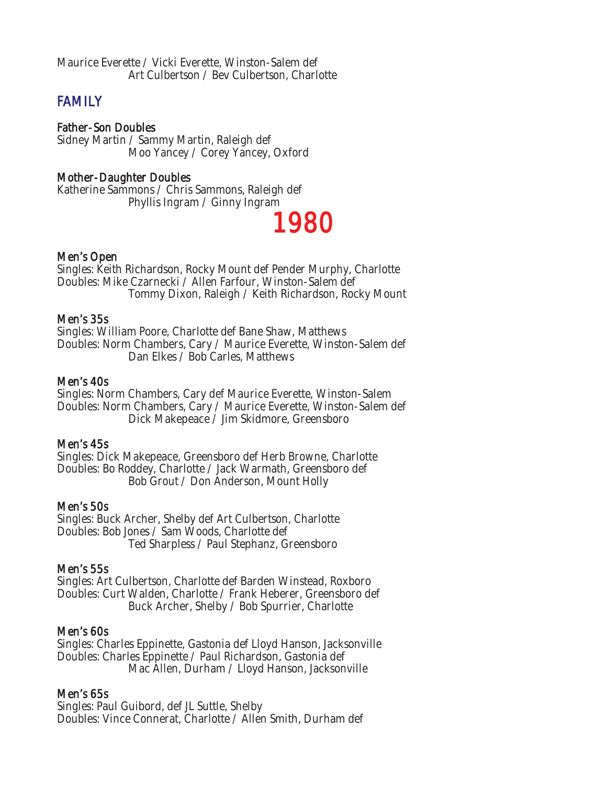## **FAMILY**

Father-Son Doubles Sidney Martin / Sammy Martin, Raleigh def Moo Yancey / Corey Yancey, Oxford

### Mother-Daughter Doubles

Katherine Sammons / Chris Sammons, Raleigh def Phyllis Ingram / Ginny Ingram

## 1980

### Men's Open

Singles: Keith Richardson, Rocky Mount def Pender Murphy, Charlotte Doubles: Mike Czarnecki / Allen Farfour, Winston-Salem def Tommy Dixon, Raleigh / Keith Richardson, Rocky Mount

### Men's 35s

Singles: William Poore, Charlotte def Bane Shaw, Matthews Doubles: Norm Chambers, Cary / Maurice Everette, Winston-Salem def Dan Elkes / Bob Carles, Matthews

### Men's 40s

Singles: Norm Chambers, Cary def Maurice Everette, Winston-Salem Doubles: Norm Chambers, Cary / Maurice Everette, Winston-Salem def Dick Makepeace / Jim Skidmore, Greensboro

### Men's 45s

Singles: Dick Makepeace, Greensboro def Herb Browne, Charlotte Doubles: Bo Roddey, Charlotte / Jack Warmath, Greensboro def Bob Grout / Don Anderson, Mount Holly

### Men's 50s

Singles: Buck Archer, Shelby def Art Culbertson, Charlotte Doubles: Bob Jones / Sam Woods, Charlotte def Ted Sharpless / Paul Stephanz, Greensboro

### Men's 55s

Singles: Art Culbertson, Charlotte def Barden Winstead, Roxboro Doubles: Curt Walden, Charlotte / Frank Heberer, Greensboro def Buck Archer, Shelby / Bob Spurrier, Charlotte

### Men's 60s

Singles: Charles Eppinette, Gastonia def Lloyd Hanson, Jacksonville Doubles: Charles Eppinette / Paul Richardson, Gastonia def Mac Allen, Durham / Lloyd Hanson, Jacksonville

### Men's 65s

Singles: Paul Guibord, def JL Suttle, Shelby Doubles: Vince Connerat, Charlotte / Allen Smith, Durham def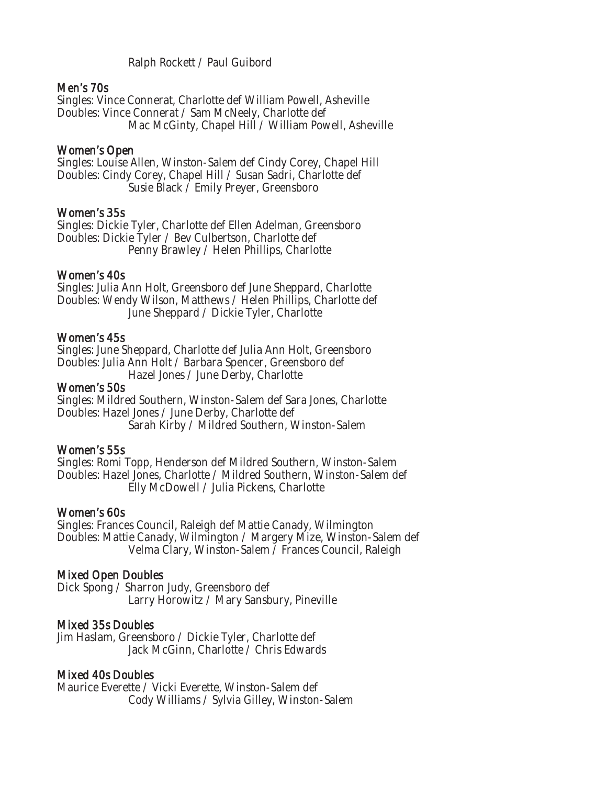Ralph Rockett / Paul Guibord

### Men's 70s

Singles: Vince Connerat, Charlotte def William Powell, Asheville Doubles: Vince Connerat / Sam McNeely, Charlotte def Mac McGinty, Chapel Hill / William Powell, Asheville

### Women's Open

Singles: Louise Allen, Winston-Salem def Cindy Corey, Chapel Hill Doubles: Cindy Corey, Chapel Hill / Susan Sadri, Charlotte def Susie Black / Emily Preyer, Greensboro

### Women's 35s

Singles: Dickie Tyler, Charlotte def Ellen Adelman, Greensboro Doubles: Dickie Tyler / Bev Culbertson, Charlotte def Penny Brawley / Helen Phillips, Charlotte

### Women's 40s

Singles: Julia Ann Holt, Greensboro def June Sheppard, Charlotte Doubles: Wendy Wilson, Matthews / Helen Phillips, Charlotte def June Sheppard / Dickie Tyler, Charlotte

### Women's 45s

Singles: June Sheppard, Charlotte def Julia Ann Holt, Greensboro Doubles: Julia Ann Holt / Barbara Spencer, Greensboro def

Hazel Jones / June Derby, Charlotte

### Women's 50s

Singles: Mildred Southern, Winston-Salem def Sara Jones, Charlotte Doubles: Hazel Jones / June Derby, Charlotte def Sarah Kirby / Mildred Southern, Winston-Salem

### Women's 55s

Singles: Romi Topp, Henderson def Mildred Southern, Winston-Salem Doubles: Hazel Jones, Charlotte / Mildred Southern, Winston-Salem def Elly McDowell / Julia Pickens, Charlotte

### Women's 60s

Singles: Frances Council, Raleigh def Mattie Canady, Wilmington Doubles: Mattie Canady, Wilmington / Margery Mize, Winston-Salem def Velma Clary, Winston-Salem / Frances Council, Raleigh

### Mixed Open Doubles

Dick Spong / Sharron Judy, Greensboro def Larry Horowitz / Mary Sansbury, Pineville

### Mixed 35s Doubles

Jim Haslam, Greensboro / Dickie Tyler, Charlotte def Jack McGinn, Charlotte / Chris Edwards

### Mixed 40s Doubles

Maurice Everette / Vicki Everette, Winston-Salem def Cody Williams / Sylvia Gilley, Winston-Salem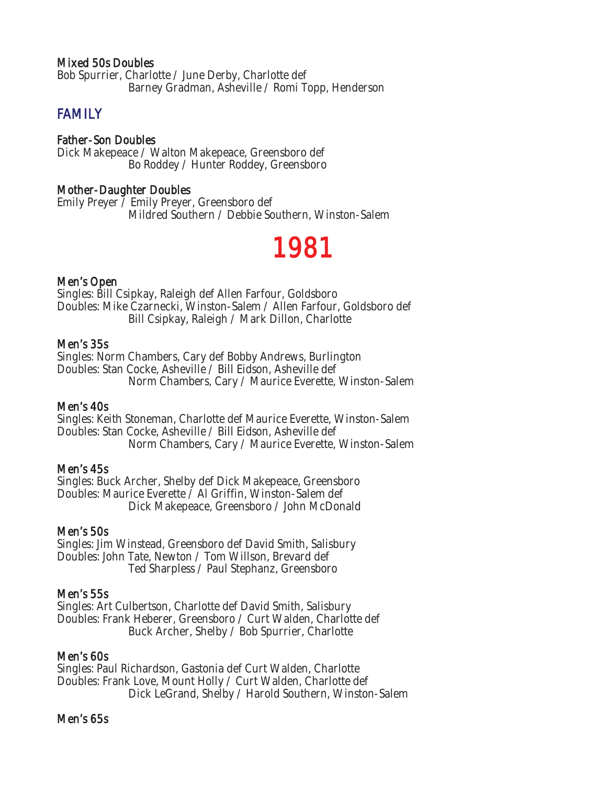### Mixed 50s Doubles

Bob Spurrier, Charlotte / June Derby, Charlotte def Barney Gradman, Asheville / Romi Topp, Henderson

### **FAMILY**

### Father-Son Doubles

Dick Makepeace / Walton Makepeace, Greensboro def Bo Roddey / Hunter Roddey, Greensboro

### Mother-Daughter Doubles

Emily Preyer / Emily Preyer, Greensboro def Mildred Southern / Debbie Southern, Winston-Salem

## 1981

### Men's Open

Singles: Bill Csipkay, Raleigh def Allen Farfour, Goldsboro Doubles: Mike Czarnecki, Winston-Salem / Allen Farfour, Goldsboro def Bill Csipkay, Raleigh / Mark Dillon, Charlotte

### Men's 35s

Singles: Norm Chambers, Cary def Bobby Andrews, Burlington Doubles: Stan Cocke, Asheville / Bill Eidson, Asheville def Norm Chambers, Cary / Maurice Everette, Winston-Salem

### Men's 40s

Singles: Keith Stoneman, Charlotte def Maurice Everette, Winston-Salem Doubles: Stan Cocke, Asheville / Bill Eidson, Asheville def Norm Chambers, Cary / Maurice Everette, Winston-Salem

### Men's 45s

Singles: Buck Archer, Shelby def Dick Makepeace, Greensboro Doubles: Maurice Everette / Al Griffin, Winston-Salem def Dick Makepeace, Greensboro / John McDonald

### Men's 50s

Singles: Jim Winstead, Greensboro def David Smith, Salisbury Doubles: John Tate, Newton / Tom Willson, Brevard def Ted Sharpless / Paul Stephanz, Greensboro

### Men's 55s

Singles: Art Culbertson, Charlotte def David Smith, Salisbury Doubles: Frank Heberer, Greensboro / Curt Walden, Charlotte def Buck Archer, Shelby / Bob Spurrier, Charlotte

### Men's 60s

Singles: Paul Richardson, Gastonia def Curt Walden, Charlotte Doubles: Frank Love, Mount Holly / Curt Walden, Charlotte def Dick LeGrand, Shelby / Harold Southern, Winston-Salem

### Men's 65s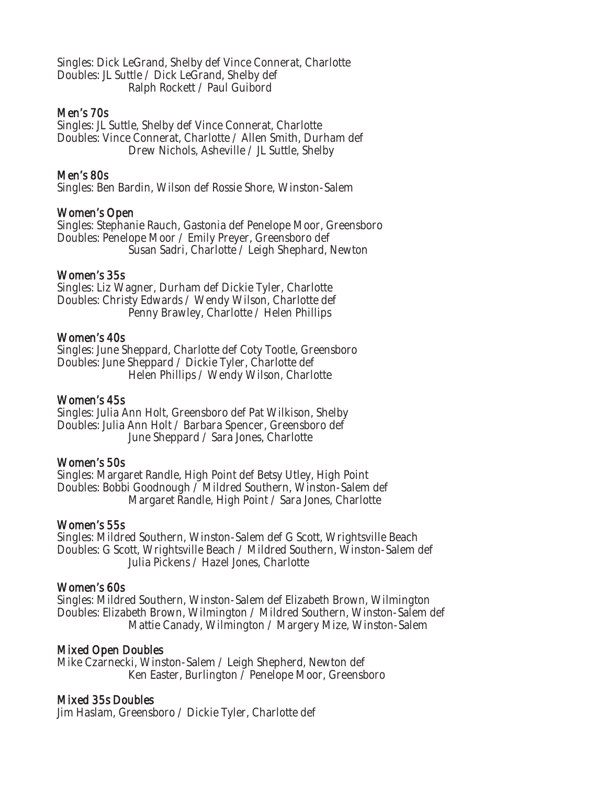Singles: Dick LeGrand, Shelby def Vince Connerat, Charlotte Doubles: JL Suttle / Dick LeGrand, Shelby def Ralph Rockett / Paul Guibord

### Men's 70s

Singles: JL Suttle, Shelby def Vince Connerat, Charlotte Doubles: Vince Connerat, Charlotte / Allen Smith, Durham def Drew Nichols, Asheville / JL Suttle, Shelby

### Men's 80s

Singles: Ben Bardin, Wilson def Rossie Shore, Winston-Salem

### Women's Open

Singles: Stephanie Rauch, Gastonia def Penelope Moor, Greensboro Doubles: Penelope Moor / Emily Preyer, Greensboro def Susan Sadri, Charlotte / Leigh Shephard, Newton

### Women's 35s

Singles: Liz Wagner, Durham def Dickie Tyler, Charlotte Doubles: Christy Edwards / Wendy Wilson, Charlotte def Penny Brawley, Charlotte / Helen Phillips

### Women's 40s

Singles: June Sheppard, Charlotte def Coty Tootle, Greensboro Doubles: June Sheppard / Dickie Tyler, Charlotte def Helen Phillips / Wendy Wilson, Charlotte

### Women's 45s

Singles: Julia Ann Holt, Greensboro def Pat Wilkison, Shelby Doubles: Julia Ann Holt / Barbara Spencer, Greensboro def June Sheppard / Sara Jones, Charlotte

### Women's 50s

Singles: Margaret Randle, High Point def Betsy Utley, High Point Doubles: Bobbi Goodnough / Mildred Southern, Winston-Salem def Margaret Randle, High Point / Sara Jones, Charlotte

### Women's 55s

Singles: Mildred Southern, Winston-Salem def G Scott, Wrightsville Beach Doubles: G Scott, Wrightsville Beach / Mildred Southern, Winston-Salem def Julia Pickens / Hazel Jones, Charlotte

### Women's 60s

Singles: Mildred Southern, Winston-Salem def Elizabeth Brown, Wilmington Doubles: Elizabeth Brown, Wilmington / Mildred Southern, Winston-Salem def Mattie Canady, Wilmington / Margery Mize, Winston-Salem

### Mixed Open Doubles

Mike Czarnecki, Winston-Salem / Leigh Shepherd, Newton def Ken Easter, Burlington / Penelope Moor, Greensboro

### Mixed 35s Doubles

Jim Haslam, Greensboro / Dickie Tyler, Charlotte def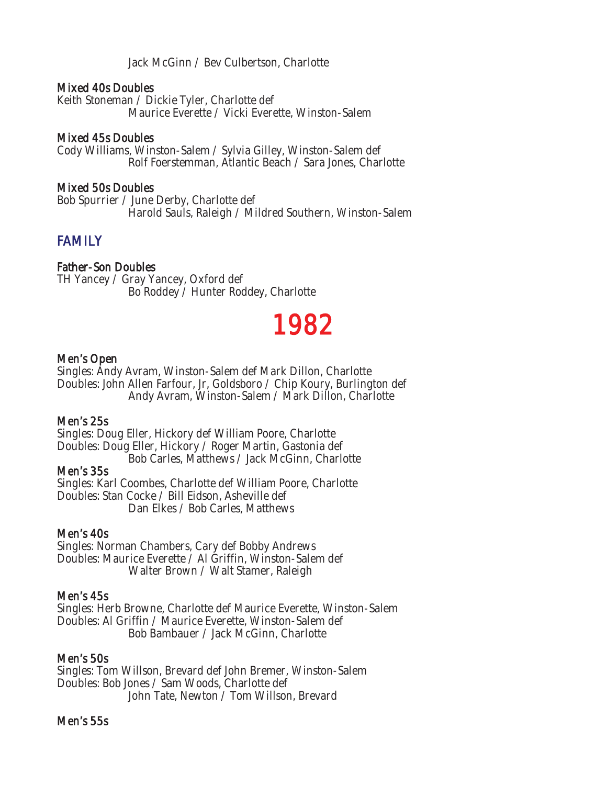Jack McGinn / Bev Culbertson, Charlotte

### Mixed 40s Doubles

Keith Stoneman / Dickie Tyler, Charlotte def Maurice Everette / Vicki Everette, Winston-Salem

### Mixed 45s Doubles

Cody Williams, Winston-Salem / Sylvia Gilley, Winston-Salem def Rolf Foerstemman, Atlantic Beach / Sara Jones, Charlotte

### Mixed 50s Doubles

Bob Spurrier / June Derby, Charlotte def Harold Sauls, Raleigh / Mildred Southern, Winston-Salem

### FAMILY

### Father-Son Doubles

TH Yancey / Gray Yancey, Oxford def Bo Roddey / Hunter Roddey, Charlotte

## 1982

### Men's Open

Singles: Andy Avram, Winston-Salem def Mark Dillon, Charlotte Doubles: John Allen Farfour, Jr, Goldsboro / Chip Koury, Burlington def Andy Avram, Winston-Salem / Mark Dillon, Charlotte

### Men's 25s

Singles: Doug Eller, Hickory def William Poore, Charlotte Doubles: Doug Eller, Hickory / Roger Martin, Gastonia def Bob Carles, Matthews / Jack McGinn, Charlotte

### Men's 35s

Singles: Karl Coombes, Charlotte def William Poore, Charlotte Doubles: Stan Cocke / Bill Eidson, Asheville def Dan Elkes / Bob Carles, Matthews

### Men's 40s

Singles: Norman Chambers, Cary def Bobby Andrews Doubles: Maurice Everette / Al Griffin, Winston-Salem def Walter Brown / Walt Stamer, Raleigh

### Men's 45s

Singles: Herb Browne, Charlotte def Maurice Everette, Winston-Salem Doubles: Al Griffin / Maurice Everette, Winston-Salem def Bob Bambauer / Jack McGinn, Charlotte

### Men's 50s

Singles: Tom Willson, Brevard def John Bremer, Winston-Salem Doubles: Bob Jones / Sam Woods, Charlotte def John Tate, Newton / Tom Willson, Brevard

### Men's 55s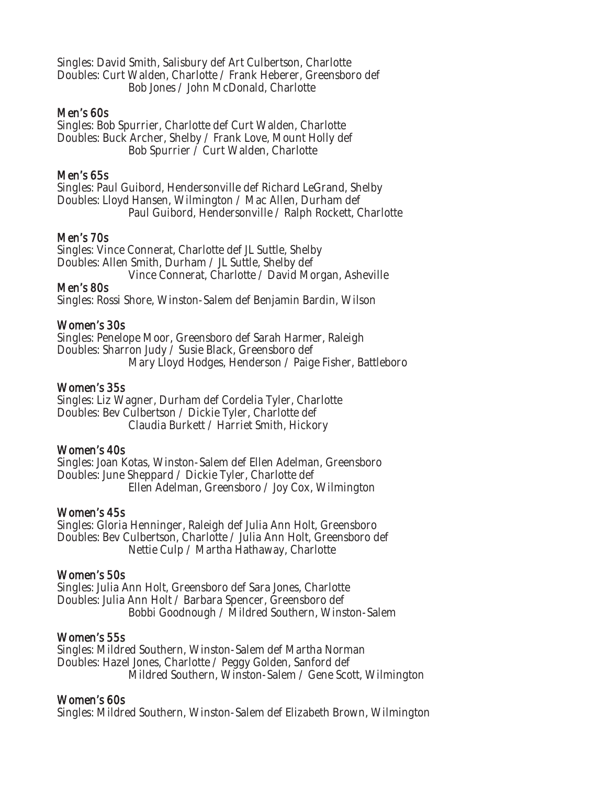Singles: David Smith, Salisbury def Art Culbertson, Charlotte Doubles: Curt Walden, Charlotte / Frank Heberer, Greensboro def Bob Jones / John McDonald, Charlotte

### Men's 60s

Singles: Bob Spurrier, Charlotte def Curt Walden, Charlotte Doubles: Buck Archer, Shelby / Frank Love, Mount Holly def Bob Spurrier / Curt Walden, Charlotte

### Men's 65s

Singles: Paul Guibord, Hendersonville def Richard LeGrand, Shelby Doubles: Lloyd Hansen, Wilmington / Mac Allen, Durham def Paul Guibord, Hendersonville / Ralph Rockett, Charlotte

### Men's 70s

Singles: Vince Connerat, Charlotte def JL Suttle, Shelby Doubles: Allen Smith, Durham / JL Suttle, Shelby def Vince Connerat, Charlotte / David Morgan, Asheville

Men's 80s

Singles: Rossi Shore, Winston-Salem def Benjamin Bardin, Wilson

### Women's 30s

Singles: Penelope Moor, Greensboro def Sarah Harmer, Raleigh Doubles: Sharron Judy / Susie Black, Greensboro def Mary Lloyd Hodges, Henderson / Paige Fisher, Battleboro

### Women's 35s

Singles: Liz Wagner, Durham def Cordelia Tyler, Charlotte Doubles: Bev Culbertson / Dickie Tyler, Charlotte def Claudia Burkett / Harriet Smith, Hickory

### Women's 40s

Singles: Joan Kotas, Winston-Salem def Ellen Adelman, Greensboro Doubles: June Sheppard / Dickie Tyler, Charlotte def Ellen Adelman, Greensboro / Joy Cox, Wilmington

### Women's 45s

Singles: Gloria Henninger, Raleigh def Julia Ann Holt, Greensboro Doubles: Bev Culbertson, Charlotte / Julia Ann Holt, Greensboro def Nettie Culp / Martha Hathaway, Charlotte

### Women's 50s

Singles: Julia Ann Holt, Greensboro def Sara Jones, Charlotte Doubles: Julia Ann Holt / Barbara Spencer, Greensboro def Bobbi Goodnough / Mildred Southern, Winston-Salem

### Women's 55s

Singles: Mildred Southern, Winston-Salem def Martha Norman Doubles: Hazel Jones, Charlotte / Peggy Golden, Sanford def Mildred Southern, Winston-Salem / Gene Scott, Wilmington

### Women's 60s

Singles: Mildred Southern, Winston-Salem def Elizabeth Brown, Wilmington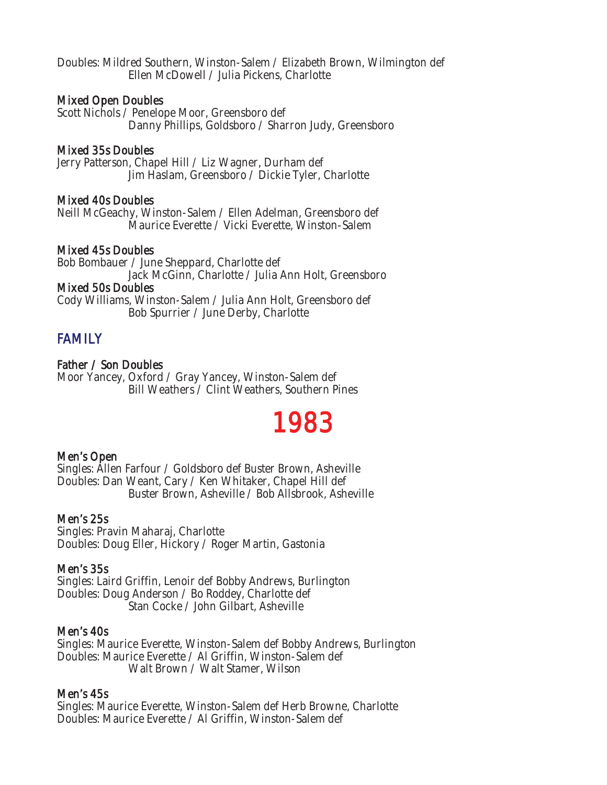Doubles: Mildred Southern, Winston-Salem / Elizabeth Brown, Wilmington def Ellen McDowell / Julia Pickens, Charlotte

### Mixed Open Doubles

Scott Nichols / Penelope Moor, Greensboro def Danny Phillips, Goldsboro / Sharron Judy, Greensboro

### Mixed 35s Doubles

Jerry Patterson, Chapel Hill / Liz Wagner, Durham def Jim Haslam, Greensboro / Dickie Tyler, Charlotte

### Mixed 40s Doubles

Neill McGeachy, Winston-Salem / Ellen Adelman, Greensboro def Maurice Everette / Vicki Everette, Winston-Salem

### Mixed 45s Doubles

Bob Bombauer / June Sheppard, Charlotte def Jack McGinn, Charlotte / Julia Ann Holt, Greensboro Mixed 50s Doubles Cody Williams, Winston-Salem / Julia Ann Holt, Greensboro def Bob Spurrier / June Derby, Charlotte

### FAMILY

### Father / Son Doubles

Moor Yancey, Oxford / Gray Yancey, Winston-Salem def Bill Weathers / Clint Weathers, Southern Pines

## 1983

### Men's Open

Singles: Allen Farfour / Goldsboro def Buster Brown, Asheville Doubles: Dan Weant, Cary / Ken Whitaker, Chapel Hill def Buster Brown, Asheville / Bob Allsbrook, Asheville

### Men's 25s

Singles: Pravin Maharaj, Charlotte Doubles: Doug Eller, Hickory / Roger Martin, Gastonia

### Men's 35s

Singles: Laird Griffin, Lenoir def Bobby Andrews, Burlington Doubles: Doug Anderson / Bo Roddey, Charlotte def Stan Cocke / John Gilbart, Asheville

### Men's 40s

Singles: Maurice Everette, Winston-Salem def Bobby Andrews, Burlington Doubles: Maurice Everette / Al Griffin, Winston-Salem def Walt Brown / Walt Stamer, Wilson

### Men's 45s

Singles: Maurice Everette, Winston-Salem def Herb Browne, Charlotte Doubles: Maurice Everette / Al Griffin, Winston-Salem def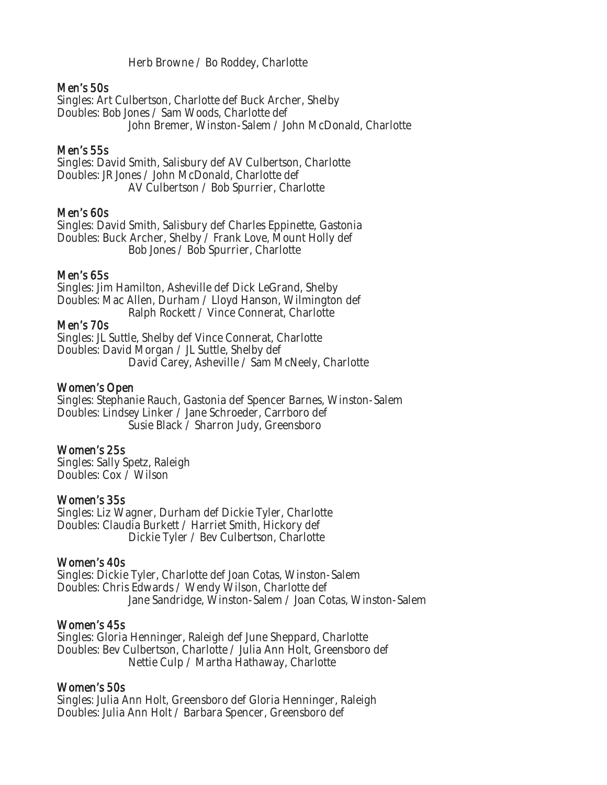Herb Browne / Bo Roddey, Charlotte

### Men's 50s

Singles: Art Culbertson, Charlotte def Buck Archer, Shelby Doubles: Bob Jones / Sam Woods, Charlotte def John Bremer, Winston-Salem / John McDonald, Charlotte

### Men's 55s

Singles: David Smith, Salisbury def AV Culbertson, Charlotte Doubles: JR Jones / John McDonald, Charlotte def AV Culbertson / Bob Spurrier, Charlotte

### Men's 60s

Singles: David Smith, Salisbury def Charles Eppinette, Gastonia Doubles: Buck Archer, Shelby / Frank Love, Mount Holly def Bob Jones / Bob Spurrier, Charlotte

### Men's 65s

Singles: Jim Hamilton, Asheville def Dick LeGrand, Shelby Doubles: Mac Allen, Durham / Lloyd Hanson, Wilmington def Ralph Rockett / Vince Connerat, Charlotte

### Men's 70s

Singles: JL Suttle, Shelby def Vince Connerat, Charlotte Doubles: David Morgan / JL Suttle, Shelby def David Carey, Asheville / Sam McNeely, Charlotte

### Women's Open

Singles: Stephanie Rauch, Gastonia def Spencer Barnes, Winston-Salem Doubles: Lindsey Linker / Jane Schroeder, Carrboro def Susie Black / Sharron Judy, Greensboro

### Women's 25s

Singles: Sally Spetz, Raleigh Doubles: Cox / Wilson

### Women's 35s

Singles: Liz Wagner, Durham def Dickie Tyler, Charlotte Doubles: Claudia Burkett / Harriet Smith, Hickory def Dickie Tyler / Bev Culbertson, Charlotte

### Women's 40s

Singles: Dickie Tyler, Charlotte def Joan Cotas, Winston-Salem Doubles: Chris Edwards / Wendy Wilson, Charlotte def Jane Sandridge, Winston-Salem / Joan Cotas, Winston-Salem

### Women's 45s

Singles: Gloria Henninger, Raleigh def June Sheppard, Charlotte Doubles: Bev Culbertson, Charlotte / Julia Ann Holt, Greensboro def Nettie Culp / Martha Hathaway, Charlotte

### Women's 50s

Singles: Julia Ann Holt, Greensboro def Gloria Henninger, Raleigh Doubles: Julia Ann Holt / Barbara Spencer, Greensboro def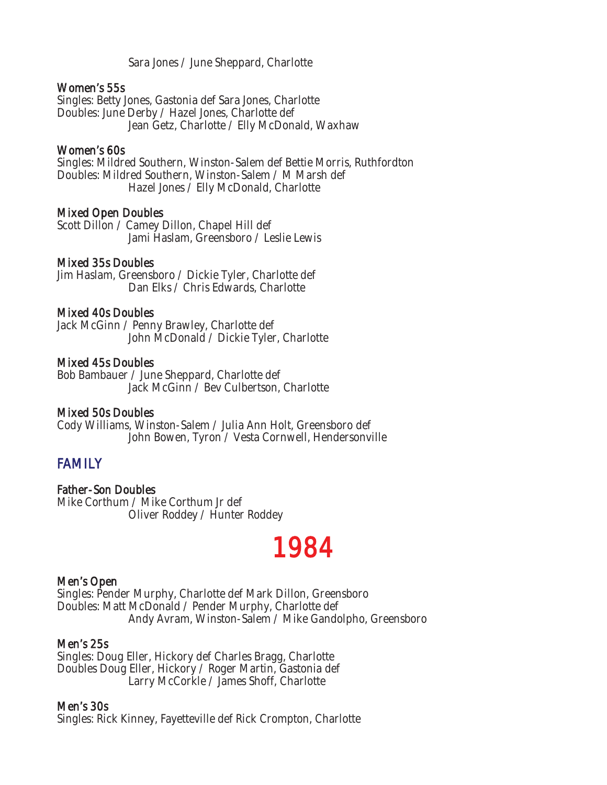Sara Jones / June Sheppard, Charlotte

#### Women's 55s

Singles: Betty Jones, Gastonia def Sara Jones, Charlotte Doubles: June Derby / Hazel Jones, Charlotte def Jean Getz, Charlotte / Elly McDonald, Waxhaw

#### Women's 60s

Singles: Mildred Southern, Winston-Salem def Bettie Morris, Ruthfordton Doubles: Mildred Southern, Winston-Salem / M Marsh def Hazel Jones / Elly McDonald, Charlotte

#### Mixed Open Doubles

Scott Dillon / Camey Dillon, Chapel Hill def Jami Haslam, Greensboro / Leslie Lewis

#### Mixed 35s Doubles

Jim Haslam, Greensboro / Dickie Tyler, Charlotte def Dan Elks / Chris Edwards, Charlotte

#### Mixed 40s Doubles

Jack McGinn / Penny Brawley, Charlotte def John McDonald / Dickie Tyler, Charlotte

#### Mixed 45s Doubles

Bob Bambauer / June Sheppard, Charlotte def Jack McGinn / Bev Culbertson, Charlotte

# Mixed 50s Doubles

Cody Williams, Winston-Salem / Julia Ann Holt, Greensboro def John Bowen, Tyron / Vesta Cornwell, Hendersonville

# FAMILY

# Father-Son Doubles

Mike Corthum / Mike Corthum Jr def Oliver Roddey / Hunter Roddey

# 1984

# Men's Open

Singles: Pender Murphy, Charlotte def Mark Dillon, Greensboro Doubles: Matt McDonald / Pender Murphy, Charlotte def Andy Avram, Winston-Salem / Mike Gandolpho, Greensboro

#### Men's 25s

Singles: Doug Eller, Hickory def Charles Bragg, Charlotte Doubles Doug Eller, Hickory / Roger Martin, Gastonia def Larry McCorkle / James Shoff, Charlotte

#### Men's 30s

Singles: Rick Kinney, Fayetteville def Rick Crompton, Charlotte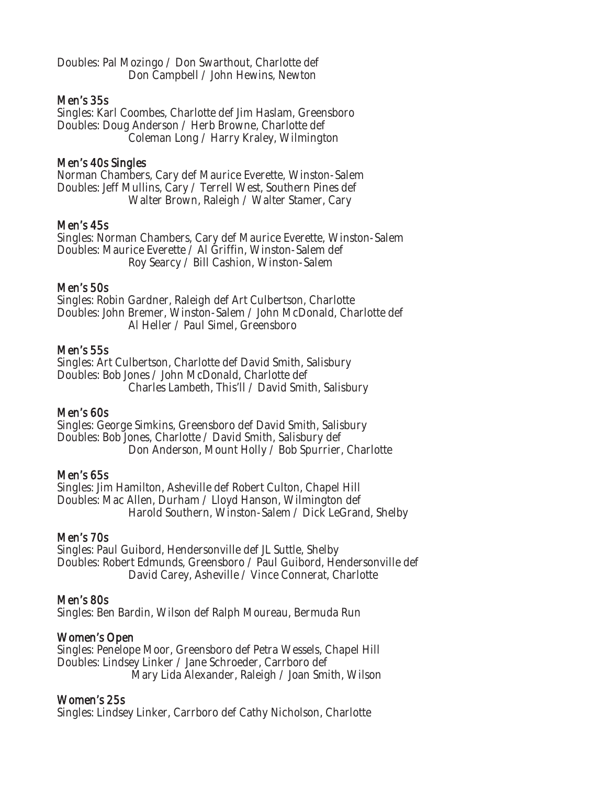Doubles: Pal Mozingo / Don Swarthout, Charlotte def Don Campbell / John Hewins, Newton

#### Men's 35s

Singles: Karl Coombes, Charlotte def Jim Haslam, Greensboro Doubles: Doug Anderson / Herb Browne, Charlotte def Coleman Long / Harry Kraley, Wilmington

#### Men's 40s Singles

Norman Chambers, Cary def Maurice Everette, Winston-Salem Doubles: Jeff Mullins, Cary / Terrell West, Southern Pines def Walter Brown, Raleigh / Walter Stamer, Cary

#### Men's 45s

Singles: Norman Chambers, Cary def Maurice Everette, Winston-Salem Doubles: Maurice Everette / Al Griffin, Winston-Salem def Roy Searcy / Bill Cashion, Winston-Salem

#### Men's 50s

Singles: Robin Gardner, Raleigh def Art Culbertson, Charlotte Doubles: John Bremer, Winston-Salem / John McDonald, Charlotte def Al Heller / Paul Simel, Greensboro

#### Men's 55s

Singles: Art Culbertson, Charlotte def David Smith, Salisbury Doubles: Bob Jones / John McDonald, Charlotte def Charles Lambeth, This'll / David Smith, Salisbury

# Men's 60s

Singles: George Simkins, Greensboro def David Smith, Salisbury Doubles: Bob Jones, Charlotte / David Smith, Salisbury def Don Anderson, Mount Holly / Bob Spurrier, Charlotte

# Men's 65s

Singles: Jim Hamilton, Asheville def Robert Culton, Chapel Hill Doubles: Mac Allen, Durham / Lloyd Hanson, Wilmington def Harold Southern, Winston-Salem / Dick LeGrand, Shelby

#### Men's 70s

Singles: Paul Guibord, Hendersonville def JL Suttle, Shelby Doubles: Robert Edmunds, Greensboro / Paul Guibord, Hendersonville def David Carey, Asheville / Vince Connerat, Charlotte

# Men's 80s

Singles: Ben Bardin, Wilson def Ralph Moureau, Bermuda Run

# Women's Open

Singles: Penelope Moor, Greensboro def Petra Wessels, Chapel Hill Doubles: Lindsey Linker / Jane Schroeder, Carrboro def Mary Lida Alexander, Raleigh / Joan Smith, Wilson

# Women's 25s

Singles: Lindsey Linker, Carrboro def Cathy Nicholson, Charlotte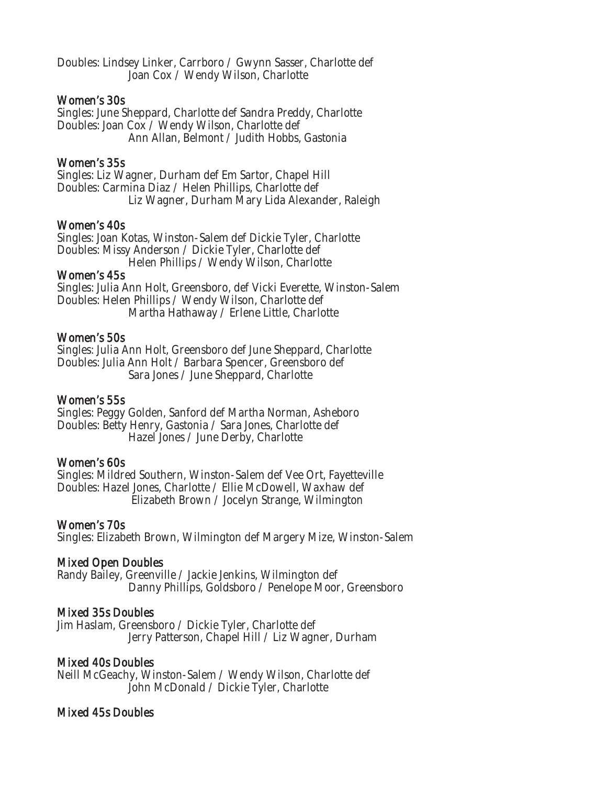Doubles: Lindsey Linker, Carrboro / Gwynn Sasser, Charlotte def Joan Cox / Wendy Wilson, Charlotte

#### Women's 30s

Singles: June Sheppard, Charlotte def Sandra Preddy, Charlotte Doubles: Joan Cox / Wendy Wilson, Charlotte def Ann Allan, Belmont / Judith Hobbs, Gastonia

# Women's 35s

Singles: Liz Wagner, Durham def Em Sartor, Chapel Hill Doubles: Carmina Diaz / Helen Phillips, Charlotte def Liz Wagner, Durham Mary Lida Alexander, Raleigh

#### Women's 40s

Singles: Joan Kotas, Winston-Salem def Dickie Tyler, Charlotte Doubles: Missy Anderson / Dickie Tyler, Charlotte def Helen Phillips / Wendy Wilson, Charlotte

#### Women's 45s

Singles: Julia Ann Holt, Greensboro, def Vicki Everette, Winston-Salem Doubles: Helen Phillips / Wendy Wilson, Charlotte def Martha Hathaway / Erlene Little, Charlotte

#### Women's 50s

Singles: Julia Ann Holt, Greensboro def June Sheppard, Charlotte Doubles: Julia Ann Holt / Barbara Spencer, Greensboro def Sara Jones / June Sheppard, Charlotte

#### Women's 55s

Singles: Peggy Golden, Sanford def Martha Norman, Asheboro Doubles: Betty Henry, Gastonia / Sara Jones, Charlotte def Hazel Jones / June Derby, Charlotte

#### Women's 60s

Singles: Mildred Southern, Winston-Salem def Vee Ort, Fayetteville Doubles: Hazel Jones, Charlotte / Ellie McDowell, Waxhaw def Elizabeth Brown / Jocelyn Strange, Wilmington

# Women's 70s

Singles: Elizabeth Brown, Wilmington def Margery Mize, Winston-Salem

# Mixed Open Doubles

Randy Bailey, Greenville / Jackie Jenkins, Wilmington def Danny Phillips, Goldsboro / Penelope Moor, Greensboro

# Mixed 35s Doubles

Jim Haslam, Greensboro / Dickie Tyler, Charlotte def Jerry Patterson, Chapel Hill / Liz Wagner, Durham

# Mixed 40s Doubles

Neill McGeachy, Winston-Salem / Wendy Wilson, Charlotte def John McDonald / Dickie Tyler, Charlotte

# Mixed 45s Doubles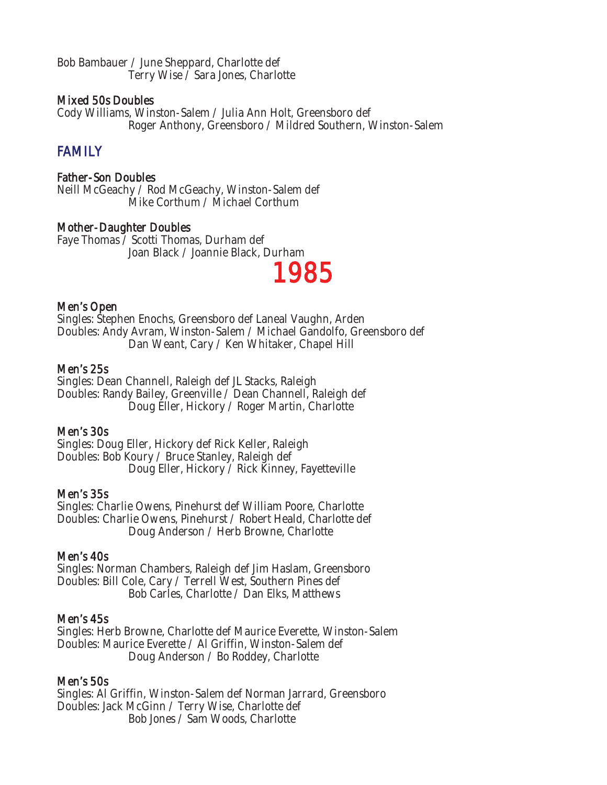Bob Bambauer / June Sheppard, Charlotte def Terry Wise / Sara Jones, Charlotte

# Mixed 50s Doubles

Cody Williams, Winston-Salem / Julia Ann Holt, Greensboro def Roger Anthony, Greensboro / Mildred Southern, Winston-Salem

# **FAMILY**

# Father-Son Doubles

Neill McGeachy / Rod McGeachy, Winston-Salem def Mike Corthum / Michael Corthum

# Mother-Daughter Doubles

Faye Thomas / Scotti Thomas, Durham def Joan Black / Joannie Black, Durham

# 1985

#### Men's Open

Singles: Stephen Enochs, Greensboro def Laneal Vaughn, Arden Doubles: Andy Avram, Winston-Salem / Michael Gandolfo, Greensboro def Dan Weant, Cary / Ken Whitaker, Chapel Hill

#### Men's 25s

Singles: Dean Channell, Raleigh def JL Stacks, Raleigh Doubles: Randy Bailey, Greenville / Dean Channell, Raleigh def Doug Eller, Hickory / Roger Martin, Charlotte

# Men's 30s

Singles: Doug Eller, Hickory def Rick Keller, Raleigh Doubles: Bob Koury / Bruce Stanley, Raleigh def Doug Eller, Hickory / Rick Kinney, Fayetteville

#### Men's 35s

Singles: Charlie Owens, Pinehurst def William Poore, Charlotte Doubles: Charlie Owens, Pinehurst / Robert Heald, Charlotte def Doug Anderson / Herb Browne, Charlotte

# Men's 40s

Singles: Norman Chambers, Raleigh def Jim Haslam, Greensboro Doubles: Bill Cole, Cary / Terrell West, Southern Pines def Bob Carles, Charlotte / Dan Elks, Matthews

#### Men's 45s

Singles: Herb Browne, Charlotte def Maurice Everette, Winston-Salem Doubles: Maurice Everette / Al Griffin, Winston-Salem def Doug Anderson / Bo Roddey, Charlotte

# Men's 50s

Singles: Al Griffin, Winston-Salem def Norman Jarrard, Greensboro Doubles: Jack McGinn / Terry Wise, Charlotte def Bob Jones / Sam Woods, Charlotte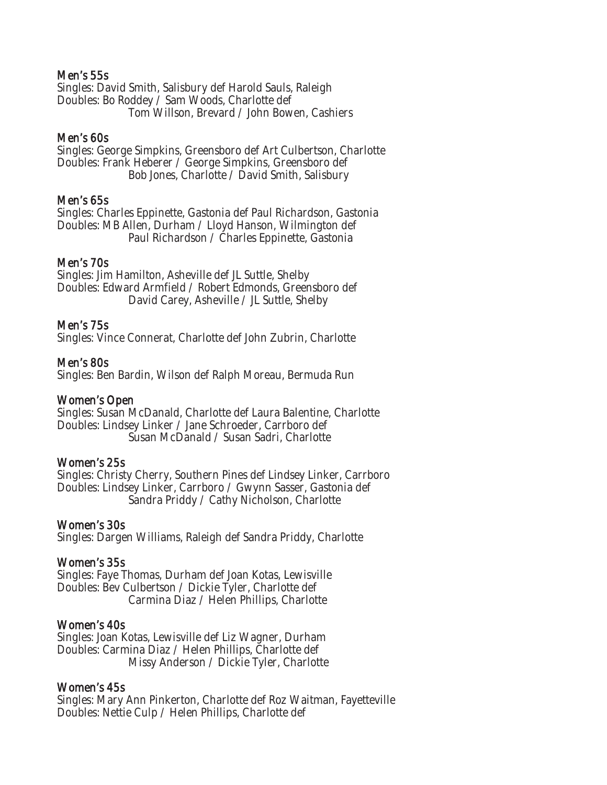# Men's 55s

Singles: David Smith, Salisbury def Harold Sauls, Raleigh Doubles: Bo Roddey / Sam Woods, Charlotte def Tom Willson, Brevard / John Bowen, Cashiers

#### Men's 60s

Singles: George Simpkins, Greensboro def Art Culbertson, Charlotte Doubles: Frank Heberer / George Simpkins, Greensboro def Bob Jones, Charlotte / David Smith, Salisbury

#### Men's 65s

Singles: Charles Eppinette, Gastonia def Paul Richardson, Gastonia Doubles: MB Allen, Durham / Lloyd Hanson, Wilmington def Paul Richardson / Charles Eppinette, Gastonia

#### Men's 70s

Singles: Jim Hamilton, Asheville def JL Suttle, Shelby Doubles: Edward Armfield / Robert Edmonds, Greensboro def David Carey, Asheville / JL Suttle, Shelby

#### Men's 75s

Singles: Vince Connerat, Charlotte def John Zubrin, Charlotte

#### Men's 80s

Singles: Ben Bardin, Wilson def Ralph Moreau, Bermuda Run

#### Women's Open

Singles: Susan McDanald, Charlotte def Laura Balentine, Charlotte Doubles: Lindsey Linker / Jane Schroeder, Carrboro def Susan McDanald / Susan Sadri, Charlotte

#### Women's 25s

Singles: Christy Cherry, Southern Pines def Lindsey Linker, Carrboro Doubles: Lindsey Linker, Carrboro / Gwynn Sasser, Gastonia def Sandra Priddy / Cathy Nicholson, Charlotte

#### Women's 30s

Singles: Dargen Williams, Raleigh def Sandra Priddy, Charlotte

# Women's 35s

Singles: Faye Thomas, Durham def Joan Kotas, Lewisville Doubles: Bev Culbertson / Dickie Tyler, Charlotte def Carmina Diaz / Helen Phillips, Charlotte

#### Women's 40s

Singles: Joan Kotas, Lewisville def Liz Wagner, Durham Doubles: Carmina Diaz / Helen Phillips, Charlotte def Missy Anderson / Dickie Tyler, Charlotte

#### Women's 45s

Singles: Mary Ann Pinkerton, Charlotte def Roz Waitman, Fayetteville Doubles: Nettie Culp / Helen Phillips, Charlotte def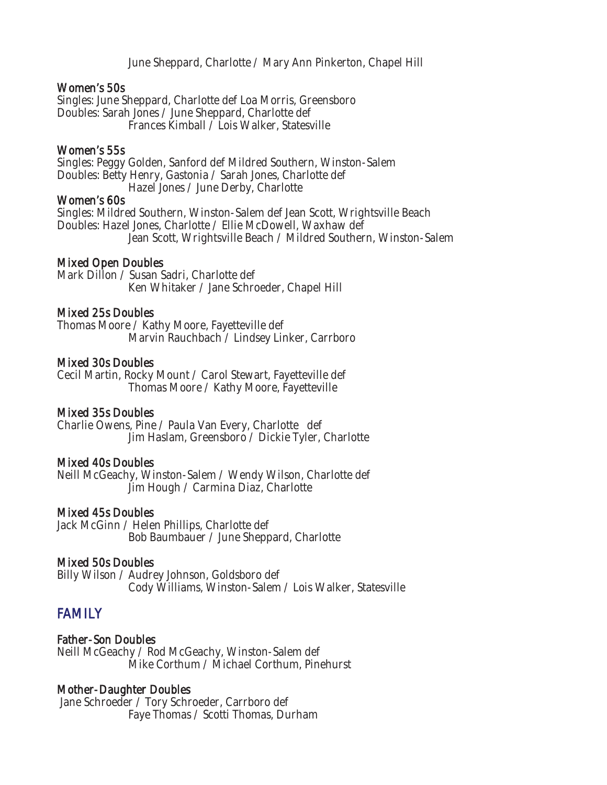June Sheppard, Charlotte / Mary Ann Pinkerton, Chapel Hill

#### Women's 50s

Singles: June Sheppard, Charlotte def Loa Morris, Greensboro Doubles: Sarah Jones / June Sheppard, Charlotte def Frances Kimball / Lois Walker, Statesville

#### Women's 55s

Singles: Peggy Golden, Sanford def Mildred Southern, Winston-Salem Doubles: Betty Henry, Gastonia / Sarah Jones, Charlotte def Hazel Jones / June Derby, Charlotte

#### Women's 60s

Singles: Mildred Southern, Winston-Salem def Jean Scott, Wrightsville Beach Doubles: Hazel Jones, Charlotte / Ellie McDowell, Waxhaw def Jean Scott, Wrightsville Beach / Mildred Southern, Winston-Salem

# Mixed Open Doubles

Mark Dillon / Susan Sadri, Charlotte def Ken Whitaker / Jane Schroeder, Chapel Hill

#### Mixed 25s Doubles

Thomas Moore / Kathy Moore, Fayetteville def Marvin Rauchbach / Lindsey Linker, Carrboro

#### Mixed 30s Doubles

Cecil Martin, Rocky Mount / Carol Stewart, Fayetteville def Thomas Moore / Kathy Moore, Fayetteville

# Mixed 35s Doubles

Charlie Owens, Pine / Paula Van Every, Charlotte def Jim Haslam, Greensboro / Dickie Tyler, Charlotte

# Mixed 40s Doubles

Neill McGeachy, Winston-Salem / Wendy Wilson, Charlotte def Jim Hough / Carmina Diaz, Charlotte

#### Mixed 45s Doubles

Jack McGinn / Helen Phillips, Charlotte def Bob Baumbauer / June Sheppard, Charlotte

# Mixed 50s Doubles

Billy Wilson / Audrey Johnson, Goldsboro def Cody Williams, Winston-Salem / Lois Walker, Statesville

# **FAMILY**

Father-Son Doubles Neill McGeachy / Rod McGeachy, Winston-Salem def Mike Corthum / Michael Corthum, Pinehurst

# Mother-Daughter Doubles

 Jane Schroeder / Tory Schroeder, Carrboro def Faye Thomas / Scotti Thomas, Durham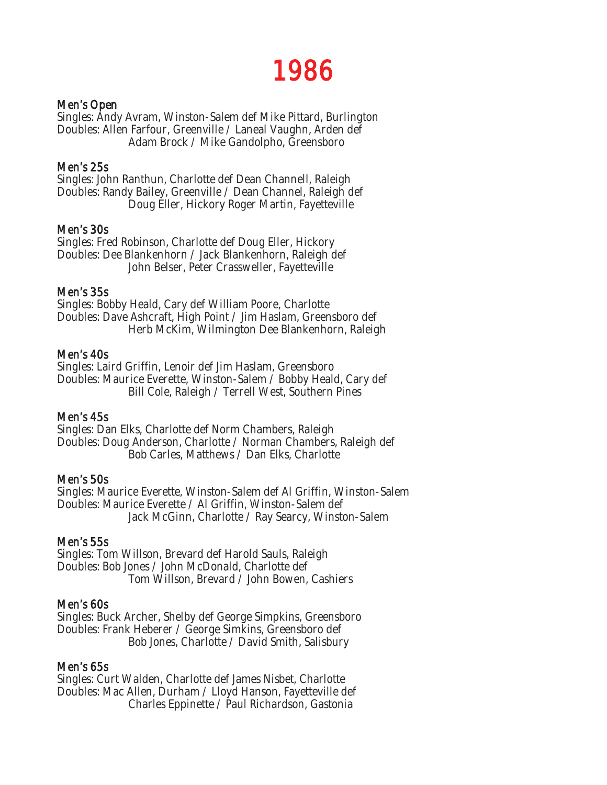# 1986

# Men's Open

Singles: Andy Avram, Winston-Salem def Mike Pittard, Burlington Doubles: Allen Farfour, Greenville / Laneal Vaughn, Arden def Adam Brock / Mike Gandolpho, Greensboro

#### Men's 25s

Singles: John Ranthun, Charlotte def Dean Channell, Raleigh Doubles: Randy Bailey, Greenville / Dean Channel, Raleigh def Doug Eller, Hickory Roger Martin, Fayetteville

#### Men's 30s

Singles: Fred Robinson, Charlotte def Doug Eller, Hickory Doubles: Dee Blankenhorn / Jack Blankenhorn, Raleigh def John Belser, Peter Crassweller, Fayetteville

#### Men's 35s

Singles: Bobby Heald, Cary def William Poore, Charlotte Doubles: Dave Ashcraft, High Point / Jim Haslam, Greensboro def Herb McKim, Wilmington Dee Blankenhorn, Raleigh

#### Men's 40s

Singles: Laird Griffin, Lenoir def Jim Haslam, Greensboro Doubles: Maurice Everette, Winston-Salem / Bobby Heald, Cary def Bill Cole, Raleigh / Terrell West, Southern Pines

# Men's 45s

Singles: Dan Elks, Charlotte def Norm Chambers, Raleigh Doubles: Doug Anderson, Charlotte / Norman Chambers, Raleigh def Bob Carles, Matthews / Dan Elks, Charlotte

#### Men's 50s

Singles: Maurice Everette, Winston-Salem def Al Griffin, Winston-Salem Doubles: Maurice Everette / Al Griffin, Winston-Salem def Jack McGinn, Charlotte / Ray Searcy, Winston-Salem

# Men's 55s

Singles: Tom Willson, Brevard def Harold Sauls, Raleigh Doubles: Bob Jones / John McDonald, Charlotte def Tom Willson, Brevard / John Bowen, Cashiers

# Men's 60s

Singles: Buck Archer, Shelby def George Simpkins, Greensboro Doubles: Frank Heberer / George Simkins, Greensboro def Bob Jones, Charlotte / David Smith, Salisbury

#### Men's 65s

Singles: Curt Walden, Charlotte def James Nisbet, Charlotte Doubles: Mac Allen, Durham / Lloyd Hanson, Fayetteville def Charles Eppinette / Paul Richardson, Gastonia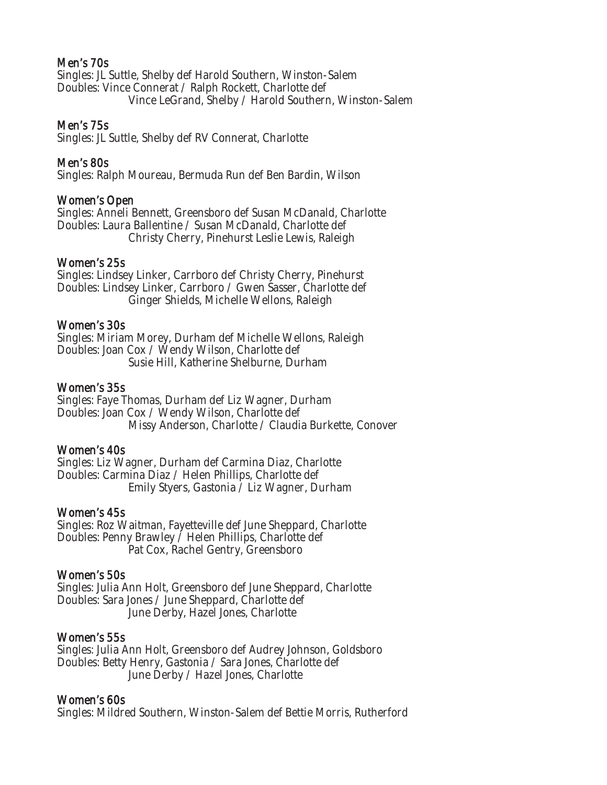# Men's 70s

Singles: JL Suttle, Shelby def Harold Southern, Winston-Salem Doubles: Vince Connerat / Ralph Rockett, Charlotte def Vince LeGrand, Shelby / Harold Southern, Winston-Salem

#### Men's 75s

Singles: JL Suttle, Shelby def RV Connerat, Charlotte

#### Men's 80s

Singles: Ralph Moureau, Bermuda Run def Ben Bardin, Wilson

#### Women's Open

Singles: Anneli Bennett, Greensboro def Susan McDanald, Charlotte Doubles: Laura Ballentine / Susan McDanald, Charlotte def Christy Cherry, Pinehurst Leslie Lewis, Raleigh

#### Women's 25s

Singles: Lindsey Linker, Carrboro def Christy Cherry, Pinehurst Doubles: Lindsey Linker, Carrboro / Gwen Sasser, Charlotte def Ginger Shields, Michelle Wellons, Raleigh

#### Women's 30s

Singles: Miriam Morey, Durham def Michelle Wellons, Raleigh Doubles: Joan Cox / Wendy Wilson, Charlotte def Susie Hill, Katherine Shelburne, Durham

#### Women's 35s

Singles: Faye Thomas, Durham def Liz Wagner, Durham Doubles: Joan Cox / Wendy Wilson, Charlotte def Missy Anderson, Charlotte / Claudia Burkette, Conover

#### Women's 40s

Singles: Liz Wagner, Durham def Carmina Diaz, Charlotte Doubles: Carmina Diaz / Helen Phillips, Charlotte def Emily Styers, Gastonia / Liz Wagner, Durham

#### Women's 45s

Singles: Roz Waitman, Fayetteville def June Sheppard, Charlotte Doubles: Penny Brawley / Helen Phillips, Charlotte def Pat Cox, Rachel Gentry, Greensboro

#### Women's 50s

Singles: Julia Ann Holt, Greensboro def June Sheppard, Charlotte Doubles: Sara Jones / June Sheppard, Charlotte def June Derby, Hazel Jones, Charlotte

#### Women's 55s

Singles: Julia Ann Holt, Greensboro def Audrey Johnson, Goldsboro Doubles: Betty Henry, Gastonia / Sara Jones, Charlotte def June Derby / Hazel Jones, Charlotte

#### Women's 60s

Singles: Mildred Southern, Winston-Salem def Bettie Morris, Rutherford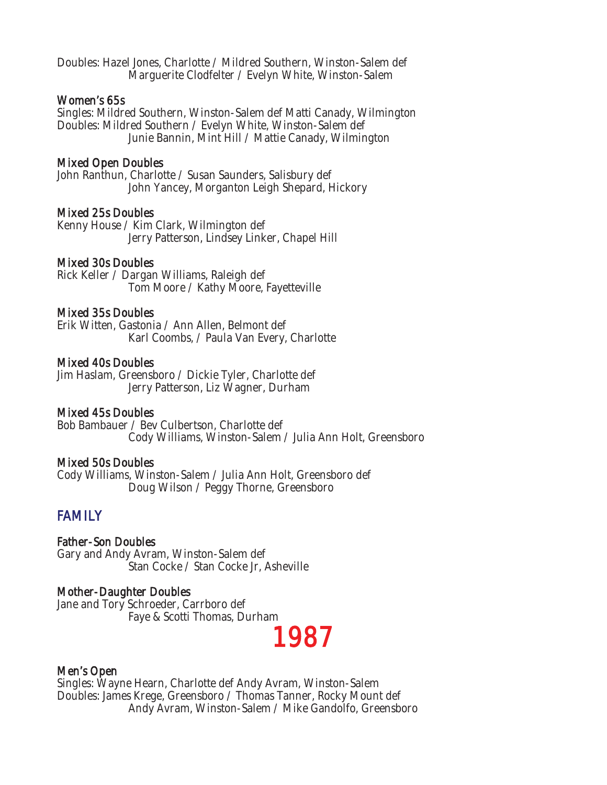Doubles: Hazel Jones, Charlotte / Mildred Southern, Winston-Salem def Marguerite Clodfelter / Evelyn White, Winston-Salem

#### Women's 65s

Singles: Mildred Southern, Winston-Salem def Matti Canady, Wilmington Doubles: Mildred Southern / Evelyn White, Winston-Salem def Junie Bannin, Mint Hill / Mattie Canady, Wilmington

#### Mixed Open Doubles

John Ranthun, Charlotte / Susan Saunders, Salisbury def John Yancey, Morganton Leigh Shepard, Hickory

#### Mixed 25s Doubles

Kenny House / Kim Clark, Wilmington def Jerry Patterson, Lindsey Linker, Chapel Hill

#### Mixed 30s Doubles

Rick Keller / Dargan Williams, Raleigh def Tom Moore / Kathy Moore, Fayetteville

#### Mixed 35s Doubles

Erik Witten, Gastonia / Ann Allen, Belmont def Karl Coombs, / Paula Van Every, Charlotte

#### Mixed 40s Doubles

Jim Haslam, Greensboro / Dickie Tyler, Charlotte def Jerry Patterson, Liz Wagner, Durham

#### Mixed 45s Doubles

Bob Bambauer / Bev Culbertson, Charlotte def Cody Williams, Winston-Salem / Julia Ann Holt, Greensboro

#### Mixed 50s Doubles

Cody Williams, Winston-Salem / Julia Ann Holt, Greensboro def Doug Wilson / Peggy Thorne, Greensboro

# **FAMILY**

Father-Son Doubles Gary and Andy Avram, Winston-Salem def Stan Cocke / Stan Cocke Jr, Asheville

#### Mother-Daughter Doubles

Jane and Tory Schroeder, Carrboro def Faye & Scotti Thomas, Durham

# 1987

#### Men's Open

Singles: Wayne Hearn, Charlotte def Andy Avram, Winston-Salem Doubles: James Krege, Greensboro / Thomas Tanner, Rocky Mount def Andy Avram, Winston-Salem / Mike Gandolfo, Greensboro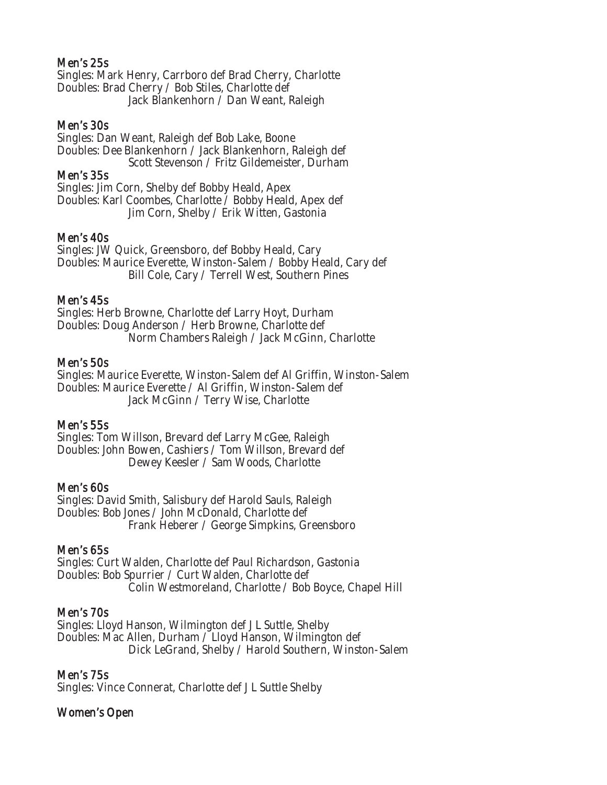# Men's 25s

Singles: Mark Henry, Carrboro def Brad Cherry, Charlotte Doubles: Brad Cherry / Bob Stiles, Charlotte def Jack Blankenhorn / Dan Weant, Raleigh

#### Men's 30s

Singles: Dan Weant, Raleigh def Bob Lake, Boone Doubles: Dee Blankenhorn / Jack Blankenhorn, Raleigh def Scott Stevenson / Fritz Gildemeister, Durham

#### Men's 35s

Singles: Jim Corn, Shelby def Bobby Heald, Apex Doubles: Karl Coombes, Charlotte / Bobby Heald, Apex def Jim Corn, Shelby / Erik Witten, Gastonia

#### Men's 40s

Singles: JW Quick, Greensboro, def Bobby Heald, Cary Doubles: Maurice Everette, Winston-Salem / Bobby Heald, Cary def Bill Cole, Cary / Terrell West, Southern Pines

#### Men's 45s

Singles: Herb Browne, Charlotte def Larry Hoyt, Durham Doubles: Doug Anderson / Herb Browne, Charlotte def Norm Chambers Raleigh / Jack McGinn, Charlotte

#### Men's 50s

Singles: Maurice Everette, Winston-Salem def Al Griffin, Winston-Salem Doubles: Maurice Everette / Al Griffin, Winston-Salem def Jack McGinn / Terry Wise, Charlotte

# Men's 55s

Singles: Tom Willson, Brevard def Larry McGee, Raleigh Doubles: John Bowen, Cashiers / Tom Willson, Brevard def Dewey Keesler / Sam Woods, Charlotte

# Men's 60s

Singles: David Smith, Salisbury def Harold Sauls, Raleigh Doubles: Bob Jones / John McDonald, Charlotte def Frank Heberer / George Simpkins, Greensboro

#### Men's 65s

Singles: Curt Walden, Charlotte def Paul Richardson, Gastonia Doubles: Bob Spurrier / Curt Walden, Charlotte def Colin Westmoreland, Charlotte / Bob Boyce, Chapel Hill

# Men's 70s

Singles: Lloyd Hanson, Wilmington def J L Suttle, Shelby Doubles: Mac Allen, Durham / Lloyd Hanson, Wilmington def Dick LeGrand, Shelby / Harold Southern, Winston-Salem

# Men's 75s

Singles: Vince Connerat, Charlotte def J L Suttle Shelby

# Women's Open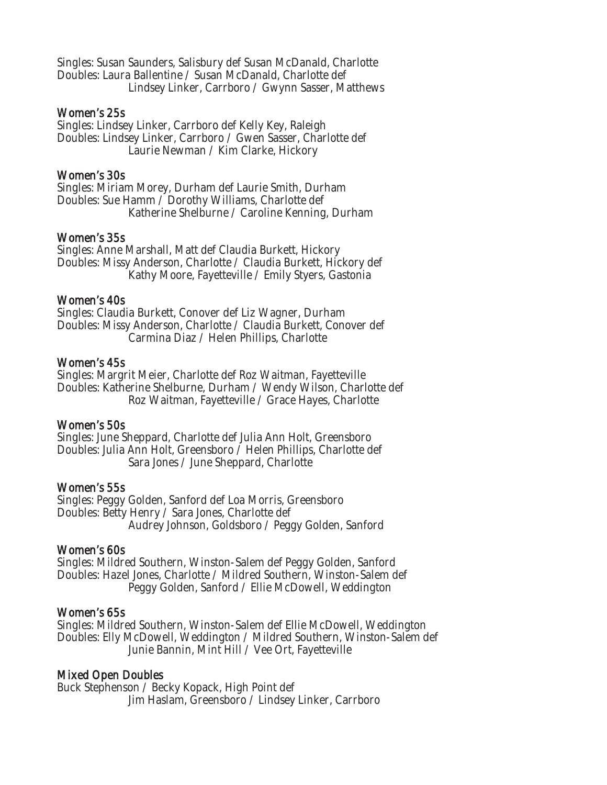Singles: Susan Saunders, Salisbury def Susan McDanald, Charlotte Doubles: Laura Ballentine / Susan McDanald, Charlotte def Lindsey Linker, Carrboro / Gwynn Sasser, Matthews

#### Women's 25s

Singles: Lindsey Linker, Carrboro def Kelly Key, Raleigh Doubles: Lindsey Linker, Carrboro / Gwen Sasser, Charlotte def Laurie Newman / Kim Clarke, Hickory

# Women's 30s

Singles: Miriam Morey, Durham def Laurie Smith, Durham Doubles: Sue Hamm / Dorothy Williams, Charlotte def Katherine Shelburne / Caroline Kenning, Durham

#### Women's 35s

Singles: Anne Marshall, Matt def Claudia Burkett, Hickory Doubles: Missy Anderson, Charlotte / Claudia Burkett, Hickory def Kathy Moore, Fayetteville / Emily Styers, Gastonia

#### Women's 40s

Singles: Claudia Burkett, Conover def Liz Wagner, Durham Doubles: Missy Anderson, Charlotte / Claudia Burkett, Conover def Carmina Diaz / Helen Phillips, Charlotte

#### Women's 45s

Singles: Margrit Meier, Charlotte def Roz Waitman, Fayetteville Doubles: Katherine Shelburne, Durham / Wendy Wilson, Charlotte def Roz Waitman, Fayetteville / Grace Hayes, Charlotte

# Women's 50s

Singles: June Sheppard, Charlotte def Julia Ann Holt, Greensboro Doubles: Julia Ann Holt, Greensboro / Helen Phillips, Charlotte def Sara Jones / June Sheppard, Charlotte

#### Women's 55s

Singles: Peggy Golden, Sanford def Loa Morris, Greensboro Doubles: Betty Henry / Sara Jones, Charlotte def Audrey Johnson, Goldsboro / Peggy Golden, Sanford

# Women's 60s

Singles: Mildred Southern, Winston-Salem def Peggy Golden, Sanford Doubles: Hazel Jones, Charlotte / Mildred Southern, Winston-Salem def Peggy Golden, Sanford / Ellie McDowell, Weddington

# Women's 65s

Singles: Mildred Southern, Winston-Salem def Ellie McDowell, Weddington Doubles: Elly McDowell, Weddington / Mildred Southern, Winston-Salem def Junie Bannin, Mint Hill / Vee Ort, Fayetteville

# Mixed Open Doubles

Buck Stephenson / Becky Kopack, High Point def Jim Haslam, Greensboro / Lindsey Linker, Carrboro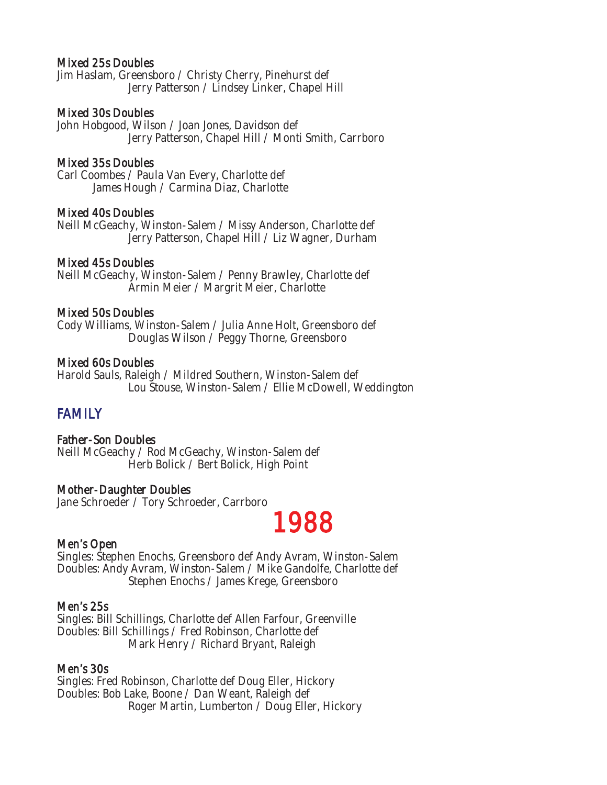#### Mixed 25s Doubles

Jim Haslam, Greensboro / Christy Cherry, Pinehurst def Jerry Patterson / Lindsey Linker, Chapel Hill

#### Mixed 30s Doubles

John Hobgood, Wilson / Joan Jones, Davidson def Jerry Patterson, Chapel Hill / Monti Smith, Carrboro

#### Mixed 35s Doubles

Carl Coombes / Paula Van Every, Charlotte def James Hough / Carmina Diaz, Charlotte

#### Mixed 40s Doubles

Neill McGeachy, Winston-Salem / Missy Anderson, Charlotte def Jerry Patterson, Chapel Hill / Liz Wagner, Durham

#### Mixed 45s Doubles

Neill McGeachy, Winston-Salem / Penny Brawley, Charlotte def Armin Meier / Margrit Meier, Charlotte

#### Mixed 50s Doubles

Cody Williams, Winston-Salem / Julia Anne Holt, Greensboro def Douglas Wilson / Peggy Thorne, Greensboro

#### Mixed 60s Doubles

Harold Sauls, Raleigh / Mildred Southern, Winston-Salem def Lou Stouse, Winston-Salem / Ellie McDowell, Weddington

# FAMILY

# Father-Son Doubles

Neill McGeachy / Rod McGeachy, Winston-Salem def Herb Bolick / Bert Bolick, High Point

# Mother-Daughter Doubles

Jane Schroeder / Tory Schroeder, Carrboro

# Men's Open  $\blacksquare$

Singles: Stephen Enochs, Greensboro def Andy Avram, Winston-Salem Doubles: Andy Avram, Winston-Salem / Mike Gandolfe, Charlotte def Stephen Enochs / James Krege, Greensboro

#### Men's 25s

Singles: Bill Schillings, Charlotte def Allen Farfour, Greenville Doubles: Bill Schillings / Fred Robinson, Charlotte def Mark Henry / Richard Bryant, Raleigh

#### Men's 30s

Singles: Fred Robinson, Charlotte def Doug Eller, Hickory Doubles: Bob Lake, Boone / Dan Weant, Raleigh def Roger Martin, Lumberton / Doug Eller, Hickory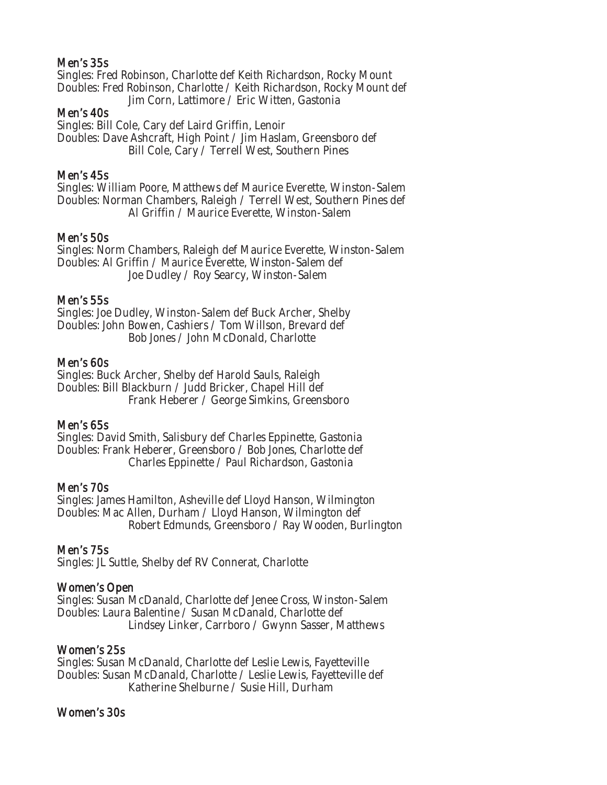# Men's 35s

Singles: Fred Robinson, Charlotte def Keith Richardson, Rocky Mount Doubles: Fred Robinson, Charlotte / Keith Richardson, Rocky Mount def Jim Corn, Lattimore / Eric Witten, Gastonia

# Men's 40s

Singles: Bill Cole, Cary def Laird Griffin, Lenoir Doubles: Dave Ashcraft, High Point / Jim Haslam, Greensboro def Bill Cole, Cary / Terrell West, Southern Pines

# Men's 45s

Singles: William Poore, Matthews def Maurice Everette, Winston-Salem Doubles: Norman Chambers, Raleigh / Terrell West, Southern Pines def Al Griffin / Maurice Everette, Winston-Salem

#### Men's 50s

Singles: Norm Chambers, Raleigh def Maurice Everette, Winston-Salem Doubles: Al Griffin / Maurice Everette, Winston-Salem def Joe Dudley / Roy Searcy, Winston-Salem

#### Men's 55s

Singles: Joe Dudley, Winston-Salem def Buck Archer, Shelby Doubles: John Bowen, Cashiers / Tom Willson, Brevard def Bob Jones / John McDonald, Charlotte

#### Men's 60s

Singles: Buck Archer, Shelby def Harold Sauls, Raleigh Doubles: Bill Blackburn / Judd Bricker, Chapel Hill def Frank Heberer / George Simkins, Greensboro

# Men's 65s

Singles: David Smith, Salisbury def Charles Eppinette, Gastonia Doubles: Frank Heberer, Greensboro / Bob Jones, Charlotte def Charles Eppinette / Paul Richardson, Gastonia

# Men's 70s

Singles: James Hamilton, Asheville def Lloyd Hanson, Wilmington Doubles: Mac Allen, Durham / Lloyd Hanson, Wilmington def Robert Edmunds, Greensboro / Ray Wooden, Burlington

# Men's 75s

Singles: JL Suttle, Shelby def RV Connerat, Charlotte

# Women's Open

Singles: Susan McDanald, Charlotte def Jenee Cross, Winston-Salem Doubles: Laura Balentine / Susan McDanald, Charlotte def Lindsey Linker, Carrboro / Gwynn Sasser, Matthews

# Women's 25s

Singles: Susan McDanald, Charlotte def Leslie Lewis, Fayetteville Doubles: Susan McDanald, Charlotte / Leslie Lewis, Fayetteville def Katherine Shelburne / Susie Hill, Durham

# Women's 30s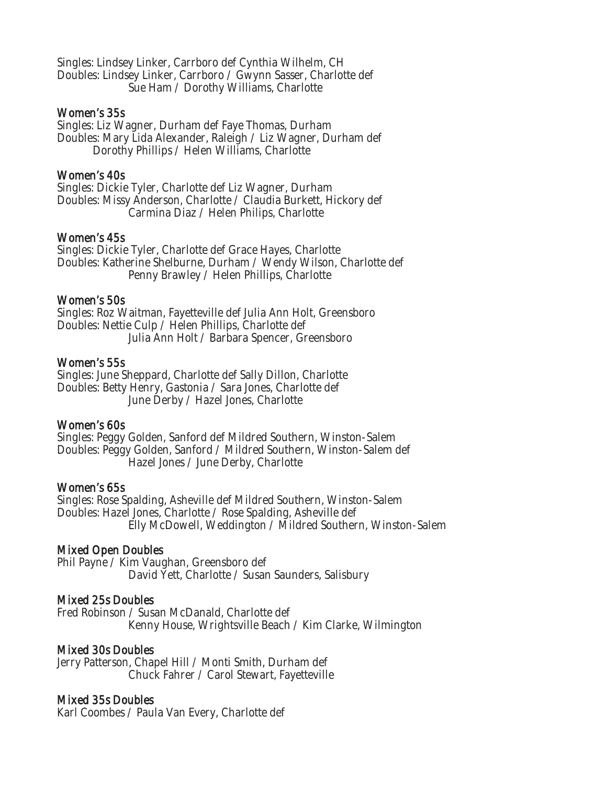Singles: Lindsey Linker, Carrboro def Cynthia Wilhelm, CH Doubles: Lindsey Linker, Carrboro / Gwynn Sasser, Charlotte def Sue Ham / Dorothy Williams, Charlotte

#### Women's 35s

Singles: Liz Wagner, Durham def Faye Thomas, Durham Doubles: Mary Lida Alexander, Raleigh / Liz Wagner, Durham def Dorothy Phillips / Helen Williams, Charlotte

# Women's 40s

Singles: Dickie Tyler, Charlotte def Liz Wagner, Durham Doubles: Missy Anderson, Charlotte / Claudia Burkett, Hickory def Carmina Diaz / Helen Philips, Charlotte

#### Women's 45s

Singles: Dickie Tyler, Charlotte def Grace Hayes, Charlotte Doubles: Katherine Shelburne, Durham / Wendy Wilson, Charlotte def Penny Brawley / Helen Phillips, Charlotte

#### Women's 50s

Singles: Roz Waitman, Fayetteville def Julia Ann Holt, Greensboro Doubles: Nettie Culp / Helen Phillips, Charlotte def Julia Ann Holt / Barbara Spencer, Greensboro

#### Women's 55s

Singles: June Sheppard, Charlotte def Sally Dillon, Charlotte Doubles: Betty Henry, Gastonia / Sara Jones, Charlotte def June Derby / Hazel Jones, Charlotte

# Women's 60s

Singles: Peggy Golden, Sanford def Mildred Southern, Winston-Salem Doubles: Peggy Golden, Sanford / Mildred Southern, Winston-Salem def Hazel Jones / June Derby, Charlotte

#### Women's 65s

Singles: Rose Spalding, Asheville def Mildred Southern, Winston-Salem Doubles: Hazel Jones, Charlotte / Rose Spalding, Asheville def Elly McDowell, Weddington / Mildred Southern, Winston-Salem

# Mixed Open Doubles

Phil Payne / Kim Vaughan, Greensboro def David Yett, Charlotte / Susan Saunders, Salisbury

# Mixed 25s Doubles

Fred Robinson / Susan McDanald, Charlotte def Kenny House, Wrightsville Beach / Kim Clarke, Wilmington

# Mixed 30s Doubles

Jerry Patterson, Chapel Hill / Monti Smith, Durham def Chuck Fahrer / Carol Stewart, Fayetteville

#### Mixed 35s Doubles

Karl Coombes / Paula Van Every, Charlotte def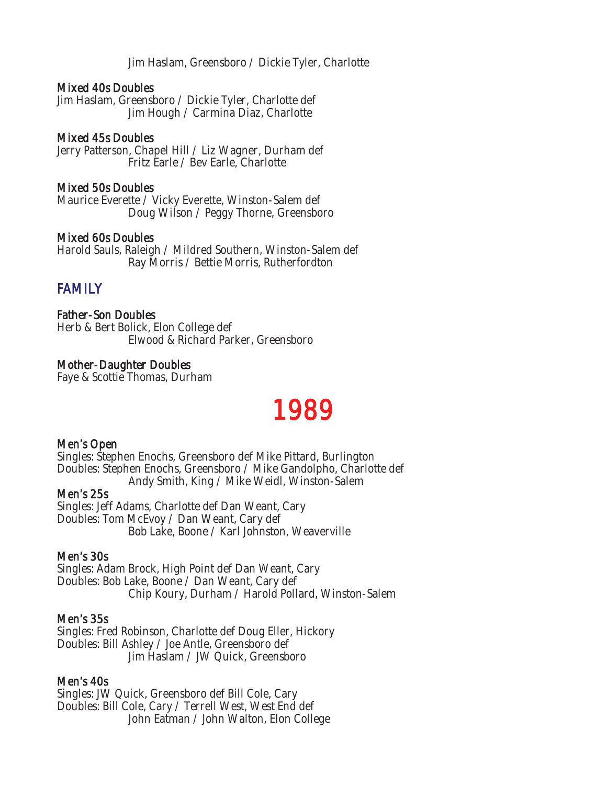Jim Haslam, Greensboro / Dickie Tyler, Charlotte

#### Mixed 40s Doubles

Jim Haslam, Greensboro / Dickie Tyler, Charlotte def Jim Hough / Carmina Diaz, Charlotte

# Mixed 45s Doubles

Jerry Patterson, Chapel Hill / Liz Wagner, Durham def Fritz Earle / Bev Earle, Charlotte

#### Mixed 50s Doubles

Maurice Everette / Vicky Everette, Winston-Salem def Doug Wilson / Peggy Thorne, Greensboro

#### Mixed 60s Doubles

Harold Sauls, Raleigh / Mildred Southern, Winston-Salem def Ray Morris / Bettie Morris, Rutherfordton

# FAMILY

Father-Son Doubles Herb & Bert Bolick, Elon College def Elwood & Richard Parker, Greensboro

# Mother-Daughter Doubles

Faye & Scottie Thomas, Durham

# 1989

#### Men's Open

Singles: Stephen Enochs, Greensboro def Mike Pittard, Burlington Doubles: Stephen Enochs, Greensboro / Mike Gandolpho, Charlotte def Andy Smith, King / Mike Weidl, Winston-Salem

#### Men's 25s

Singles: Jeff Adams, Charlotte def Dan Weant, Cary Doubles: Tom McEvoy / Dan Weant, Cary def Bob Lake, Boone / Karl Johnston, Weaverville

# Men's 30s

Singles: Adam Brock, High Point def Dan Weant, Cary Doubles: Bob Lake, Boone / Dan Weant, Cary def Chip Koury, Durham / Harold Pollard, Winston-Salem

#### Men's 35s

Singles: Fred Robinson, Charlotte def Doug Eller, Hickory Doubles: Bill Ashley / Joe Antle, Greensboro def Jim Haslam / JW Quick, Greensboro

#### Men's 40s

Singles: JW Quick, Greensboro def Bill Cole, Cary Doubles: Bill Cole, Cary / Terrell West, West End def John Eatman / John Walton, Elon College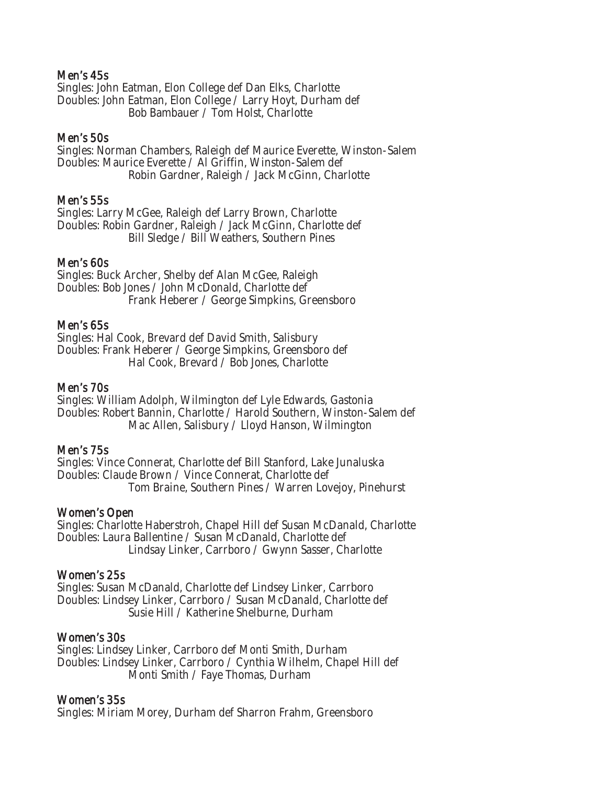#### Men's 45s

Singles: John Eatman, Elon College def Dan Elks, Charlotte Doubles: John Eatman, Elon College / Larry Hoyt, Durham def Bob Bambauer / Tom Holst, Charlotte

#### Men's 50s

Singles: Norman Chambers, Raleigh def Maurice Everette, Winston-Salem Doubles: Maurice Everette / Al Griffin, Winston-Salem def Robin Gardner, Raleigh / Jack McGinn, Charlotte

#### Men's 55s

Singles: Larry McGee, Raleigh def Larry Brown, Charlotte Doubles: Robin Gardner, Raleigh / Jack McGinn, Charlotte def Bill Sledge / Bill Weathers, Southern Pines

#### Men's 60s

Singles: Buck Archer, Shelby def Alan McGee, Raleigh Doubles: Bob Jones / John McDonald, Charlotte def Frank Heberer / George Simpkins, Greensboro

#### Men's 65s

Singles: Hal Cook, Brevard def David Smith, Salisbury Doubles: Frank Heberer / George Simpkins, Greensboro def Hal Cook, Brevard / Bob Jones, Charlotte

# Men's 70s

Singles: William Adolph, Wilmington def Lyle Edwards, Gastonia Doubles: Robert Bannin, Charlotte / Harold Southern, Winston-Salem def Mac Allen, Salisbury / Lloyd Hanson, Wilmington

#### Men's 75s

Singles: Vince Connerat, Charlotte def Bill Stanford, Lake Junaluska Doubles: Claude Brown / Vince Connerat, Charlotte def Tom Braine, Southern Pines / Warren Lovejoy, Pinehurst

#### Women's Open

Singles: Charlotte Haberstroh, Chapel Hill def Susan McDanald, Charlotte Doubles: Laura Ballentine / Susan McDanald, Charlotte def Lindsay Linker, Carrboro / Gwynn Sasser, Charlotte

#### Women's 25s

Singles: Susan McDanald, Charlotte def Lindsey Linker, Carrboro Doubles: Lindsey Linker, Carrboro / Susan McDanald, Charlotte def Susie Hill / Katherine Shelburne, Durham

#### Women's 30s

Singles: Lindsey Linker, Carrboro def Monti Smith, Durham Doubles: Lindsey Linker, Carrboro / Cynthia Wilhelm, Chapel Hill def Monti Smith / Faye Thomas, Durham

# Women's 35s

Singles: Miriam Morey, Durham def Sharron Frahm, Greensboro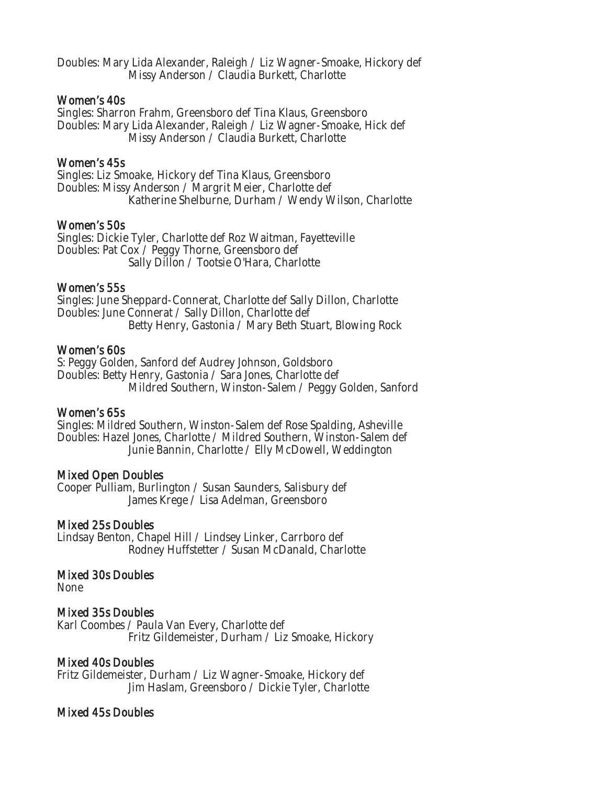Doubles: Mary Lida Alexander, Raleigh / Liz Wagner-Smoake, Hickory def Missy Anderson / Claudia Burkett, Charlotte

#### Women's 40s

Singles: Sharron Frahm, Greensboro def Tina Klaus, Greensboro Doubles: Mary Lida Alexander, Raleigh / Liz Wagner-Smoake, Hick def Missy Anderson / Claudia Burkett, Charlotte

#### Women's 45s

Singles: Liz Smoake, Hickory def Tina Klaus, Greensboro Doubles: Missy Anderson / Margrit Meier, Charlotte def Katherine Shelburne, Durham / Wendy Wilson, Charlotte

#### Women's 50s

Singles: Dickie Tyler, Charlotte def Roz Waitman, Fayetteville Doubles: Pat Cox / Peggy Thorne, Greensboro def Sally Dillon / Tootsie O'Hara, Charlotte

#### Women's 55s

Singles: June Sheppard-Connerat, Charlotte def Sally Dillon, Charlotte Doubles: June Connerat / Sally Dillon, Charlotte def Betty Henry, Gastonia / Mary Beth Stuart, Blowing Rock

#### Women's 60s

S: Peggy Golden, Sanford def Audrey Johnson, Goldsboro Doubles: Betty Henry, Gastonia / Sara Jones, Charlotte def Mildred Southern, Winston-Salem / Peggy Golden, Sanford

#### Women's 65s

Singles: Mildred Southern, Winston-Salem def Rose Spalding, Asheville Doubles: Hazel Jones, Charlotte / Mildred Southern, Winston-Salem def Junie Bannin, Charlotte / Elly McDowell, Weddington

# Mixed Open Doubles

Cooper Pulliam, Burlington / Susan Saunders, Salisbury def James Krege / Lisa Adelman, Greensboro

# Mixed 25s Doubles

Lindsay Benton, Chapel Hill / Lindsey Linker, Carrboro def Rodney Huffstetter / Susan McDanald, Charlotte

# Mixed 30s Doubles

None

# Mixed 35s Doubles

Karl Coombes / Paula Van Every, Charlotte def Fritz Gildemeister, Durham / Liz Smoake, Hickory

# Mixed 40s Doubles

Fritz Gildemeister, Durham / Liz Wagner-Smoake, Hickory def Jim Haslam, Greensboro / Dickie Tyler, Charlotte

# Mixed 45s Doubles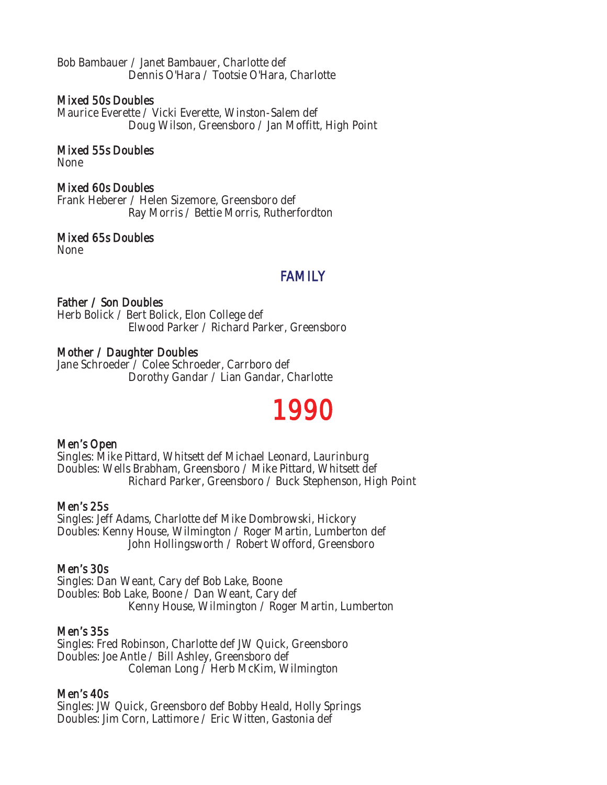Bob Bambauer / Janet Bambauer, Charlotte def Dennis O'Hara / Tootsie O'Hara, Charlotte

# Mixed 50s Doubles

Maurice Everette / Vicki Everette, Winston-Salem def Doug Wilson, Greensboro / Jan Moffitt, High Point

Mixed 55s Doubles

None

# Mixed 60s Doubles

Frank Heberer / Helen Sizemore, Greensboro def Ray Morris / Bettie Morris, Rutherfordton

# Mixed 65s Doubles

None

# FAMILY

#### Father / Son Doubles

Herb Bolick / Bert Bolick, Elon College def Elwood Parker / Richard Parker, Greensboro

# Mother / Daughter Doubles

Jane Schroeder / Colee Schroeder, Carrboro def Dorothy Gandar / Lian Gandar, Charlotte

# 1990

#### Men's Open

Singles: Mike Pittard, Whitsett def Michael Leonard, Laurinburg Doubles: Wells Brabham, Greensboro / Mike Pittard, Whitsett def Richard Parker, Greensboro / Buck Stephenson, High Point

# Men's 25s

Singles: Jeff Adams, Charlotte def Mike Dombrowski, Hickory Doubles: Kenny House, Wilmington / Roger Martin, Lumberton def John Hollingsworth / Robert Wofford, Greensboro

# Men's 30s

Singles: Dan Weant, Cary def Bob Lake, Boone Doubles: Bob Lake, Boone / Dan Weant, Cary def Kenny House, Wilmington / Roger Martin, Lumberton

#### Men's 35s

Singles: Fred Robinson, Charlotte def JW Quick, Greensboro Doubles: Joe Antle / Bill Ashley, Greensboro def Coleman Long / Herb McKim, Wilmington

# Men's 40s

Singles: JW Quick, Greensboro def Bobby Heald, Holly Springs Doubles: Jim Corn, Lattimore / Eric Witten, Gastonia def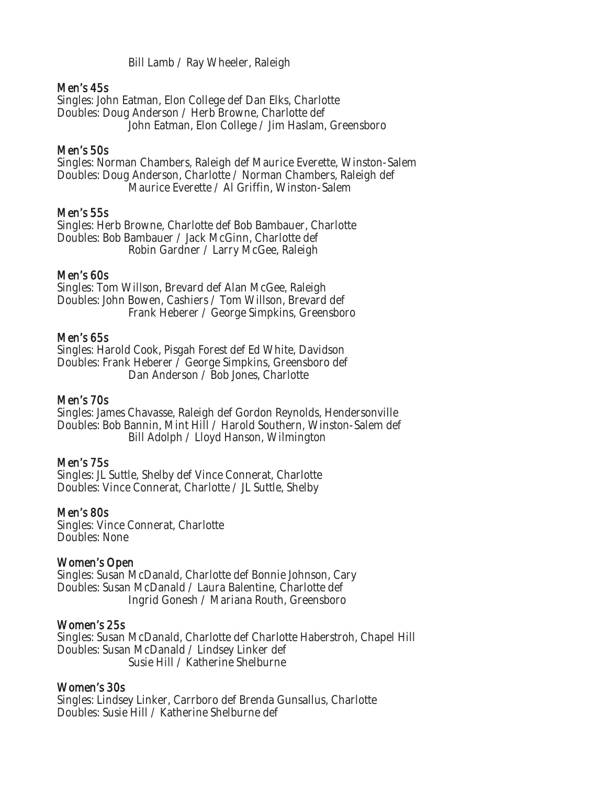Bill Lamb / Ray Wheeler, Raleigh

# Men's 45s

Singles: John Eatman, Elon College def Dan Elks, Charlotte Doubles: Doug Anderson / Herb Browne, Charlotte def John Eatman, Elon College / Jim Haslam, Greensboro

# Men's 50s

Singles: Norman Chambers, Raleigh def Maurice Everette, Winston-Salem Doubles: Doug Anderson, Charlotte / Norman Chambers, Raleigh def Maurice Everette / Al Griffin, Winston-Salem

#### Men's 55s

Singles: Herb Browne, Charlotte def Bob Bambauer, Charlotte Doubles: Bob Bambauer / Jack McGinn, Charlotte def Robin Gardner / Larry McGee, Raleigh

#### Men's 60s

Singles: Tom Willson, Brevard def Alan McGee, Raleigh Doubles: John Bowen, Cashiers / Tom Willson, Brevard def Frank Heberer / George Simpkins, Greensboro

#### Men's 65s

Singles: Harold Cook, Pisgah Forest def Ed White, Davidson Doubles: Frank Heberer / George Simpkins, Greensboro def Dan Anderson / Bob Jones, Charlotte

#### Men's 70s

Singles: James Chavasse, Raleigh def Gordon Reynolds, Hendersonville Doubles: Bob Bannin, Mint Hill / Harold Southern, Winston-Salem def Bill Adolph / Lloyd Hanson, Wilmington

#### Men's 75s

Singles: JL Suttle, Shelby def Vince Connerat, Charlotte Doubles: Vince Connerat, Charlotte / JL Suttle, Shelby

#### Men's 80s

Singles: Vince Connerat, Charlotte Doubles: None

#### Women's Open

Singles: Susan McDanald, Charlotte def Bonnie Johnson, Cary Doubles: Susan McDanald / Laura Balentine, Charlotte def Ingrid Gonesh / Mariana Routh, Greensboro

#### Women's 25s

Singles: Susan McDanald, Charlotte def Charlotte Haberstroh, Chapel Hill Doubles: Susan McDanald / Lindsey Linker def Susie Hill / Katherine Shelburne

#### Women's 30s

Singles: Lindsey Linker, Carrboro def Brenda Gunsallus, Charlotte Doubles: Susie Hill / Katherine Shelburne def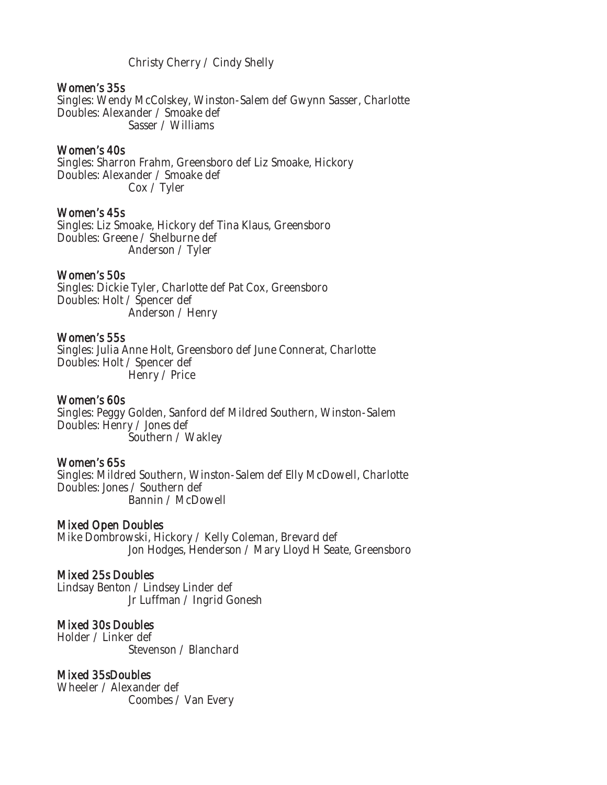Christy Cherry / Cindy Shelly

#### Women's 35s

Singles: Wendy McColskey, Winston-Salem def Gwynn Sasser, Charlotte Doubles: Alexander / Smoake def Sasser / Williams

#### Women's 40s

Singles: Sharron Frahm, Greensboro def Liz Smoake, Hickory Doubles: Alexander / Smoake def Cox / Tyler

#### Women's 45s

Singles: Liz Smoake, Hickory def Tina Klaus, Greensboro Doubles: Greene / Shelburne def Anderson / Tyler

#### Women's 50s

Singles: Dickie Tyler, Charlotte def Pat Cox, Greensboro Doubles: Holt / Spencer def Anderson / Henry

#### Women's 55s

Singles: Julia Anne Holt, Greensboro def June Connerat, Charlotte Doubles: Holt / Spencer def Henry / Price

#### Women's 60s

Singles: Peggy Golden, Sanford def Mildred Southern, Winston-Salem Doubles: Henry / Jones def Southern / Wakley

#### Women's 65s

Singles: Mildred Southern, Winston-Salem def Elly McDowell, Charlotte Doubles: Jones / Southern def Bannin / McDowell

#### Mixed Open Doubles

Mike Dombrowski, Hickory / Kelly Coleman, Brevard def Jon Hodges, Henderson / Mary Lloyd H Seate, Greensboro

#### Mixed 25s Doubles

Lindsay Benton / Lindsey Linder def Jr Luffman / Ingrid Gonesh

# Mixed 30s Doubles

Holder / Linker def Stevenson / Blanchard

# Mixed 35sDoubles

Wheeler / Alexander def Coombes / Van Every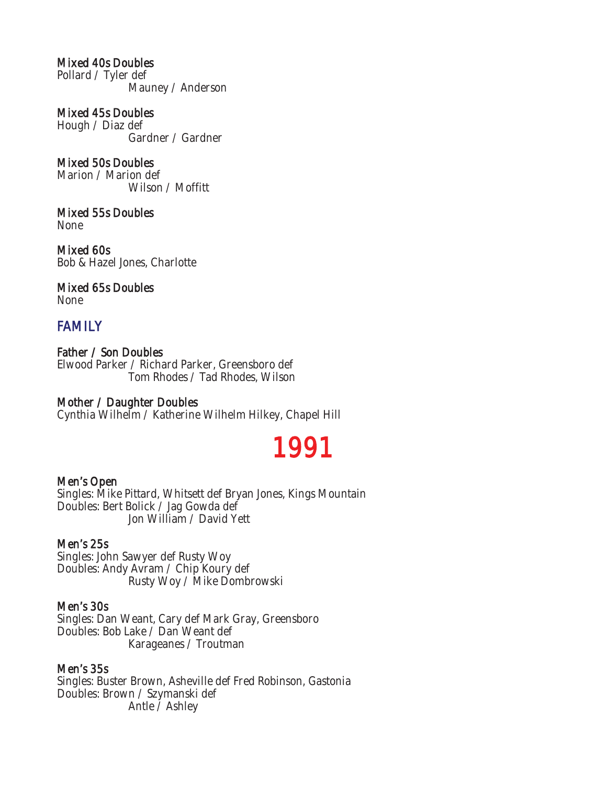# Mixed 40s Doubles

Pollard / Tyler def Mauney / Anderson

Mixed 45s Doubles Hough / Diaz def Gardner / Gardner

Mixed 50s Doubles Marion / Marion def Wilson / Moffitt

Mixed 55s Doubles None

Mixed 60s Bob & Hazel Jones, Charlotte

Mixed 65s Doubles None

# FAMILY

Father / Son Doubles Elwood Parker / Richard Parker, Greensboro def Tom Rhodes / Tad Rhodes, Wilson

# Mother / Daughter Doubles

Cynthia Wilhelm / Katherine Wilhelm Hilkey, Chapel Hill

# 1991

# Men's Open

Singles: Mike Pittard, Whitsett def Bryan Jones, Kings Mountain Doubles: Bert Bolick / Jag Gowda def Jon William / David Yett

# Men's 25s

Singles: John Sawyer def Rusty Woy Doubles: Andy Avram / Chip Koury def Rusty Woy / Mike Dombrowski

# Men's 30s

Singles: Dan Weant, Cary def Mark Gray, Greensboro Doubles: Bob Lake / Dan Weant def Karageanes / Troutman

# Men's 35s

Singles: Buster Brown, Asheville def Fred Robinson, Gastonia Doubles: Brown / Szymanski def Antle / Ashley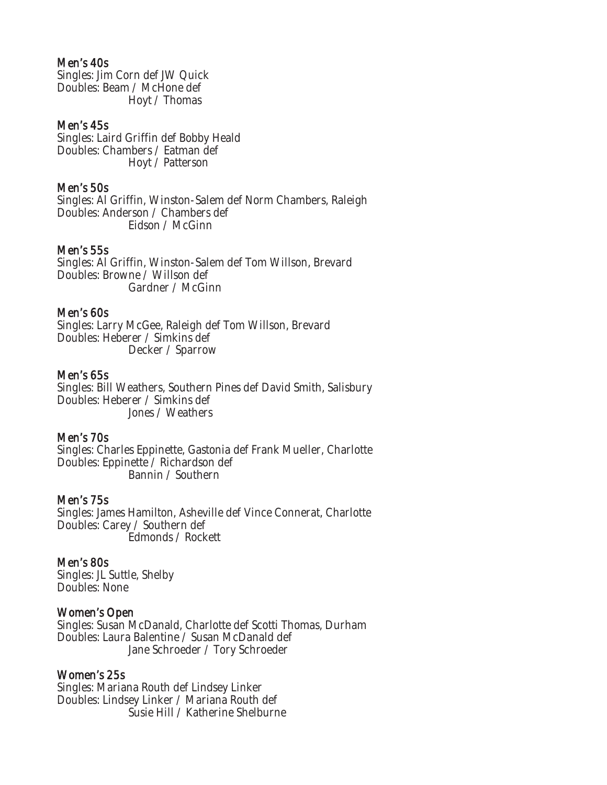#### Men's 40s

Singles: Jim Corn def JW Quick Doubles: Beam / McHone def Hoyt / Thomas

#### Men's 45s

Singles: Laird Griffin def Bobby Heald Doubles: Chambers / Eatman def Hoyt / Patterson

#### Men's 50s

Singles: Al Griffin, Winston-Salem def Norm Chambers, Raleigh Doubles: Anderson / Chambers def Eidson / McGinn

#### Men's 55s

Singles: Al Griffin, Winston-Salem def Tom Willson, Brevard Doubles: Browne / Willson def Gardner / McGinn

#### Men's 60s

Singles: Larry McGee, Raleigh def Tom Willson, Brevard Doubles: Heberer / Simkins def Decker / Sparrow

#### Men's 65s

Singles: Bill Weathers, Southern Pines def David Smith, Salisbury Doubles: Heberer / Simkins def Jones / Weathers

#### Men's 70s

Singles: Charles Eppinette, Gastonia def Frank Mueller, Charlotte Doubles: Eppinette / Richardson def Bannin / Southern

#### Men's 75s

Singles: James Hamilton, Asheville def Vince Connerat, Charlotte Doubles: Carey / Southern def Edmonds / Rockett

#### Men's 80s

Singles: JL Suttle, Shelby Doubles: None

#### Women's Open

Singles: Susan McDanald, Charlotte def Scotti Thomas, Durham Doubles: Laura Balentine / Susan McDanald def Jane Schroeder / Tory Schroeder

#### Women's 25s

Singles: Mariana Routh def Lindsey Linker Doubles: Lindsey Linker / Mariana Routh def Susie Hill / Katherine Shelburne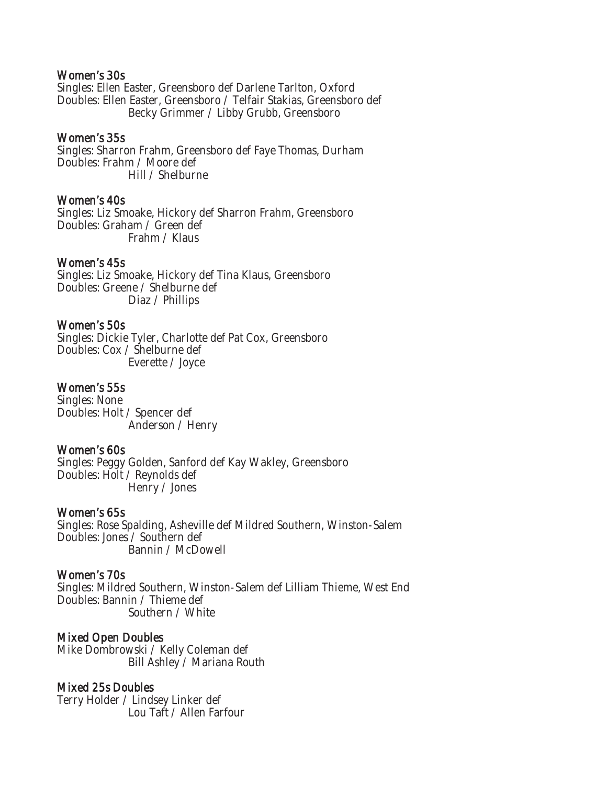#### Women's 30s

Singles: Ellen Easter, Greensboro def Darlene Tarlton, Oxford Doubles: Ellen Easter, Greensboro / Telfair Stakias, Greensboro def Becky Grimmer / Libby Grubb, Greensboro

#### Women's 35s

Singles: Sharron Frahm, Greensboro def Faye Thomas, Durham Doubles: Frahm / Moore def Hill / Shelburne

#### Women's 40s

Singles: Liz Smoake, Hickory def Sharron Frahm, Greensboro Doubles: Graham / Green def Frahm / Klaus

#### Women's 45s

Singles: Liz Smoake, Hickory def Tina Klaus, Greensboro Doubles: Greene / Shelburne def Diaz / Phillips

#### Women's 50s

Singles: Dickie Tyler, Charlotte def Pat Cox, Greensboro Doubles: Cox / Shelburne def Everette / Joyce

#### Women's 55s

Singles: None Doubles: Holt / Spencer def Anderson / Henry

#### Women's 60s

Singles: Peggy Golden, Sanford def Kay Wakley, Greensboro Doubles: Holt / Reynolds def Henry / Jones

#### Women's 65s

Singles: Rose Spalding, Asheville def Mildred Southern, Winston-Salem Doubles: Jones / Southern def Bannin / McDowell

#### Women's 70s

Singles: Mildred Southern, Winston-Salem def Lilliam Thieme, West End Doubles: Bannin / Thieme def Southern / White

#### Mixed Open Doubles

Mike Dombrowski / Kelly Coleman def Bill Ashley / Mariana Routh

#### Mixed 25s Doubles

Terry Holder / Lindsey Linker def Lou Taft / Allen Farfour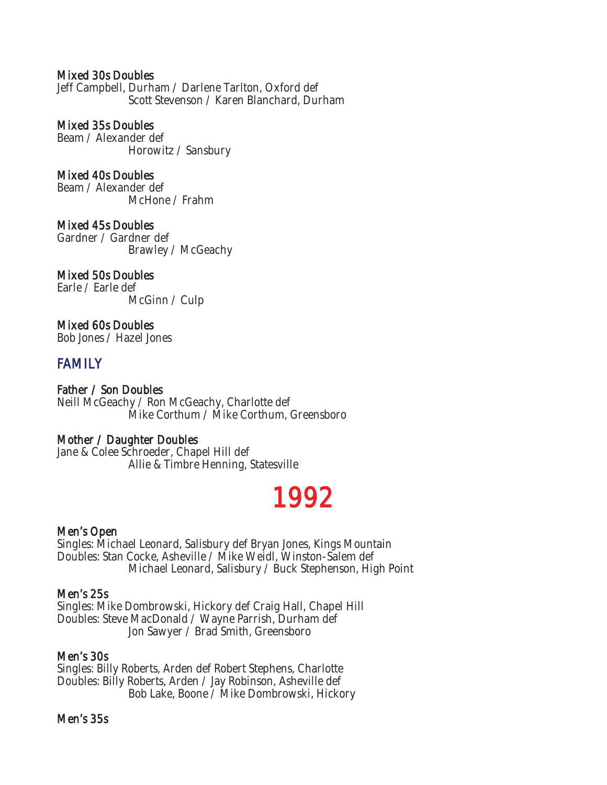# Mixed 30s Doubles

Jeff Campbell, Durham / Darlene Tarlton, Oxford def Scott Stevenson / Karen Blanchard, Durham

#### Mixed 35s Doubles

Beam / Alexander def Horowitz / Sansbury

# Mixed 40s Doubles

Beam / Alexander def McHone / Frahm

Mixed 45s Doubles Gardner / Gardner def Brawley / McGeachy

# Mixed 50s Doubles

Earle / Earle def McGinn / Culp

# Mixed 60s Doubles

Bob Jones / Hazel Jones

# FAMILY

Father / Son Doubles Neill McGeachy / Ron McGeachy, Charlotte def Mike Corthum / Mike Corthum, Greensboro

#### Mother / Daughter Doubles

Jane & Colee Schroeder, Chapel Hill def Allie & Timbre Henning, Statesville

# 1992

#### Men's Open

Singles: Michael Leonard, Salisbury def Bryan Jones, Kings Mountain Doubles: Stan Cocke, Asheville / Mike Weidl, Winston-Salem def Michael Leonard, Salisbury / Buck Stephenson, High Point

#### Men's 25s

Singles: Mike Dombrowski, Hickory def Craig Hall, Chapel Hill Doubles: Steve MacDonald / Wayne Parrish, Durham def Jon Sawyer / Brad Smith, Greensboro

# Men's 30s

Singles: Billy Roberts, Arden def Robert Stephens, Charlotte Doubles: Billy Roberts, Arden / Jay Robinson, Asheville def Bob Lake, Boone / Mike Dombrowski, Hickory

#### Men's 35s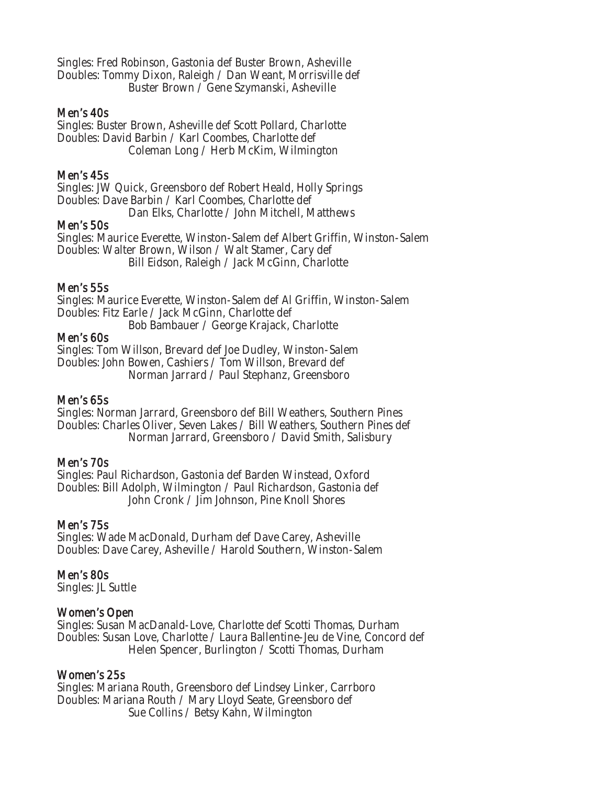Singles: Fred Robinson, Gastonia def Buster Brown, Asheville Doubles: Tommy Dixon, Raleigh / Dan Weant, Morrisville def Buster Brown / Gene Szymanski, Asheville

#### Men's 40s

Singles: Buster Brown, Asheville def Scott Pollard, Charlotte Doubles: David Barbin / Karl Coombes, Charlotte def Coleman Long / Herb McKim, Wilmington

# Men's 45s

Singles: JW Quick, Greensboro def Robert Heald, Holly Springs Doubles: Dave Barbin / Karl Coombes, Charlotte def

Dan Elks, Charlotte / John Mitchell, Matthews

# Men's 50s

Singles: Maurice Everette, Winston-Salem def Albert Griffin, Winston-Salem Doubles: Walter Brown, Wilson / Walt Stamer, Cary def Bill Eidson, Raleigh / Jack McGinn, Charlotte

#### Men's 55s

Singles: Maurice Everette, Winston-Salem def Al Griffin, Winston-Salem Doubles: Fitz Earle / Jack McGinn, Charlotte def Bob Bambauer / George Krajack, Charlotte

#### Men's 60s

Singles: Tom Willson, Brevard def Joe Dudley, Winston-Salem Doubles: John Bowen, Cashiers / Tom Willson, Brevard def Norman Jarrard / Paul Stephanz, Greensboro

#### Men's 65s

Singles: Norman Jarrard, Greensboro def Bill Weathers, Southern Pines Doubles: Charles Oliver, Seven Lakes / Bill Weathers, Southern Pines def Norman Jarrard, Greensboro / David Smith, Salisbury

#### Men's 70s

Singles: Paul Richardson, Gastonia def Barden Winstead, Oxford Doubles: Bill Adolph, Wilmington / Paul Richardson, Gastonia def John Cronk / Jim Johnson, Pine Knoll Shores

#### Men's 75s

Singles: Wade MacDonald, Durham def Dave Carey, Asheville Doubles: Dave Carey, Asheville / Harold Southern, Winston-Salem

#### Men's 80s

Singles: JL Suttle

#### Women's Open

Singles: Susan MacDanald-Love, Charlotte def Scotti Thomas, Durham Doubles: Susan Love, Charlotte / Laura Ballentine-Jeu de Vine, Concord def Helen Spencer, Burlington / Scotti Thomas, Durham

#### Women's 25s

Singles: Mariana Routh, Greensboro def Lindsey Linker, Carrboro Doubles: Mariana Routh / Mary Lloyd Seate, Greensboro def Sue Collins / Betsy Kahn, Wilmington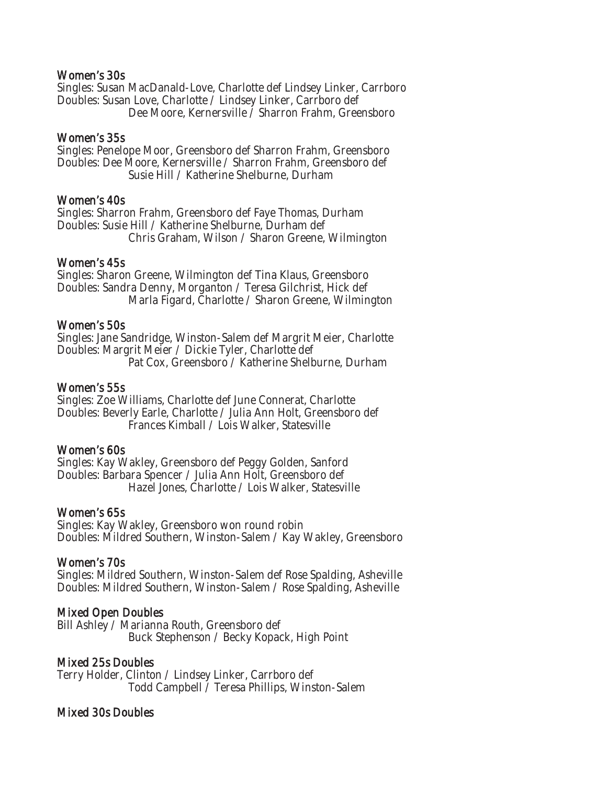#### Women's 30s

Singles: Susan MacDanald-Love, Charlotte def Lindsey Linker, Carrboro Doubles: Susan Love, Charlotte / Lindsey Linker, Carrboro def Dee Moore, Kernersville / Sharron Frahm, Greensboro

#### Women's 35s

Singles: Penelope Moor, Greensboro def Sharron Frahm, Greensboro Doubles: Dee Moore, Kernersville / Sharron Frahm, Greensboro def Susie Hill / Katherine Shelburne, Durham

#### Women's 40s

Singles: Sharron Frahm, Greensboro def Faye Thomas, Durham Doubles: Susie Hill / Katherine Shelburne, Durham def Chris Graham, Wilson / Sharon Greene, Wilmington

# Women's 45s

Singles: Sharon Greene, Wilmington def Tina Klaus, Greensboro Doubles: Sandra Denny, Morganton / Teresa Gilchrist, Hick def Marla Figard, Charlotte / Sharon Greene, Wilmington

#### Women's 50s

Singles: Jane Sandridge, Winston-Salem def Margrit Meier, Charlotte Doubles: Margrit Meier / Dickie Tyler, Charlotte def Pat Cox, Greensboro / Katherine Shelburne, Durham

# Women's 55s

Singles: Zoe Williams, Charlotte def June Connerat, Charlotte Doubles: Beverly Earle, Charlotte / Julia Ann Holt, Greensboro def Frances Kimball / Lois Walker, Statesville

#### Women's 60s

Singles: Kay Wakley, Greensboro def Peggy Golden, Sanford Doubles: Barbara Spencer / Julia Ann Holt, Greensboro def Hazel Jones, Charlotte / Lois Walker, Statesville

#### Women's 65s

Singles: Kay Wakley, Greensboro won round robin Doubles: Mildred Southern, Winston-Salem / Kay Wakley, Greensboro

# Women's 70s

Singles: Mildred Southern, Winston-Salem def Rose Spalding, Asheville Doubles: Mildred Southern, Winston-Salem / Rose Spalding, Asheville

# Mixed Open Doubles

Bill Ashley / Marianna Routh, Greensboro def Buck Stephenson / Becky Kopack, High Point

# Mixed 25s Doubles

Terry Holder, Clinton / Lindsey Linker, Carrboro def Todd Campbell / Teresa Phillips, Winston-Salem

# Mixed 30s Doubles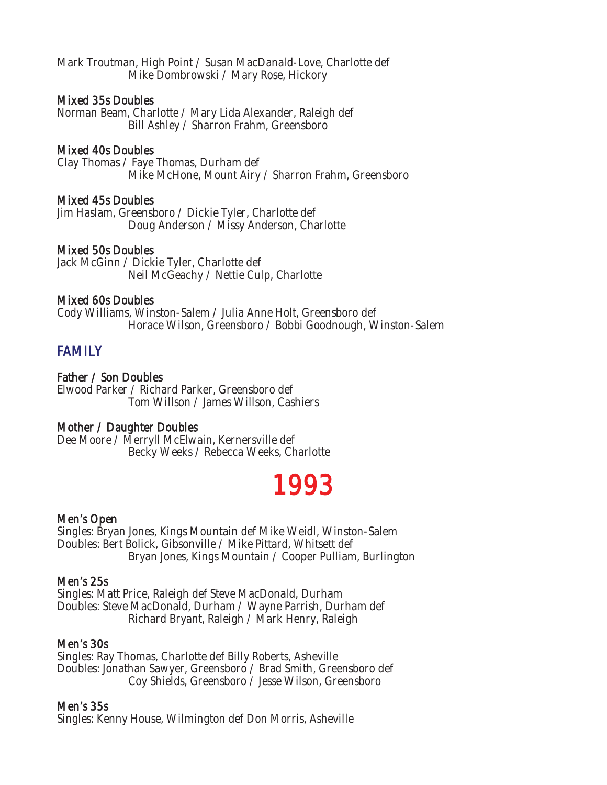Mark Troutman, High Point / Susan MacDanald-Love, Charlotte def Mike Dombrowski / Mary Rose, Hickory

### Mixed 35s Doubles

Norman Beam, Charlotte / Mary Lida Alexander, Raleigh def Bill Ashley / Sharron Frahm, Greensboro

#### Mixed 40s Doubles

Clay Thomas / Faye Thomas, Durham def Mike McHone, Mount Airy / Sharron Frahm, Greensboro

#### Mixed 45s Doubles

Jim Haslam, Greensboro / Dickie Tyler, Charlotte def Doug Anderson / Missy Anderson, Charlotte

#### Mixed 50s Doubles

Jack McGinn / Dickie Tyler, Charlotte def Neil McGeachy / Nettie Culp, Charlotte

#### Mixed 60s Doubles

Cody Williams, Winston-Salem / Julia Anne Holt, Greensboro def Horace Wilson, Greensboro / Bobbi Goodnough, Winston-Salem

# **FAMILY**

# Father / Son Doubles

Elwood Parker / Richard Parker, Greensboro def Tom Willson / James Willson, Cashiers

#### Mother / Daughter Doubles

Dee Moore / Merryll McElwain, Kernersville def Becky Weeks / Rebecca Weeks, Charlotte

# 1993

# Men's Open

Singles: Bryan Jones, Kings Mountain def Mike Weidl, Winston-Salem Doubles: Bert Bolick, Gibsonville / Mike Pittard, Whitsett def Bryan Jones, Kings Mountain / Cooper Pulliam, Burlington

#### Men's 25s

Singles: Matt Price, Raleigh def Steve MacDonald, Durham Doubles: Steve MacDonald, Durham / Wayne Parrish, Durham def Richard Bryant, Raleigh / Mark Henry, Raleigh

#### Men's 30s

Singles: Ray Thomas, Charlotte def Billy Roberts, Asheville Doubles: Jonathan Sawyer, Greensboro / Brad Smith, Greensboro def Coy Shields, Greensboro / Jesse Wilson, Greensboro

#### Men's 35s

Singles: Kenny House, Wilmington def Don Morris, Asheville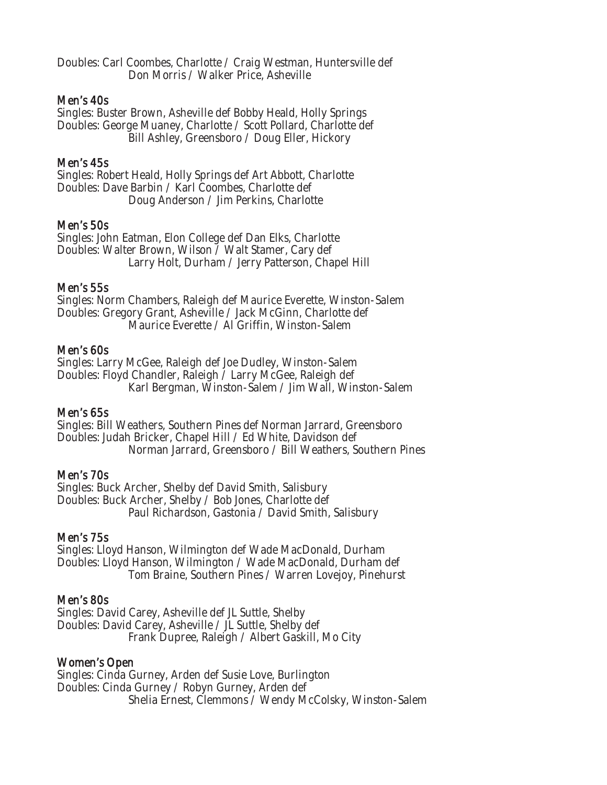Doubles: Carl Coombes, Charlotte / Craig Westman, Huntersville def Don Morris / Walker Price, Asheville

#### Men's 40s

Singles: Buster Brown, Asheville def Bobby Heald, Holly Springs Doubles: George Muaney, Charlotte / Scott Pollard, Charlotte def Bill Ashley, Greensboro / Doug Eller, Hickory

# Men's 45s

Singles: Robert Heald, Holly Springs def Art Abbott, Charlotte Doubles: Dave Barbin / Karl Coombes, Charlotte def Doug Anderson / Jim Perkins, Charlotte

# Men's 50s

Singles: John Eatman, Elon College def Dan Elks, Charlotte Doubles: Walter Brown, Wilson / Walt Stamer, Cary def Larry Holt, Durham / Jerry Patterson, Chapel Hill

# Men's 55s

Singles: Norm Chambers, Raleigh def Maurice Everette, Winston-Salem Doubles: Gregory Grant, Asheville / Jack McGinn, Charlotte def Maurice Everette / Al Griffin, Winston-Salem

# Men's 60s

Singles: Larry McGee, Raleigh def Joe Dudley, Winston-Salem Doubles: Floyd Chandler, Raleigh / Larry McGee, Raleigh def Karl Bergman, Winston-Salem / Jim Wall, Winston-Salem

# Men's 65s

Singles: Bill Weathers, Southern Pines def Norman Jarrard, Greensboro Doubles: Judah Bricker, Chapel Hill / Ed White, Davidson def Norman Jarrard, Greensboro / Bill Weathers, Southern Pines

# Men's 70s

Singles: Buck Archer, Shelby def David Smith, Salisbury Doubles: Buck Archer, Shelby / Bob Jones, Charlotte def Paul Richardson, Gastonia / David Smith, Salisbury

# Men's 75s

Singles: Lloyd Hanson, Wilmington def Wade MacDonald, Durham Doubles: Lloyd Hanson, Wilmington / Wade MacDonald, Durham def Tom Braine, Southern Pines / Warren Lovejoy, Pinehurst

# Men's 80s

Singles: David Carey, Asheville def JL Suttle, Shelby Doubles: David Carey, Asheville / JL Suttle, Shelby def Frank Dupree, Raleigh / Albert Gaskill, Mo City

# Women's Open

Singles: Cinda Gurney, Arden def Susie Love, Burlington Doubles: Cinda Gurney / Robyn Gurney, Arden def Shelia Ernest, Clemmons / Wendy McColsky, Winston-Salem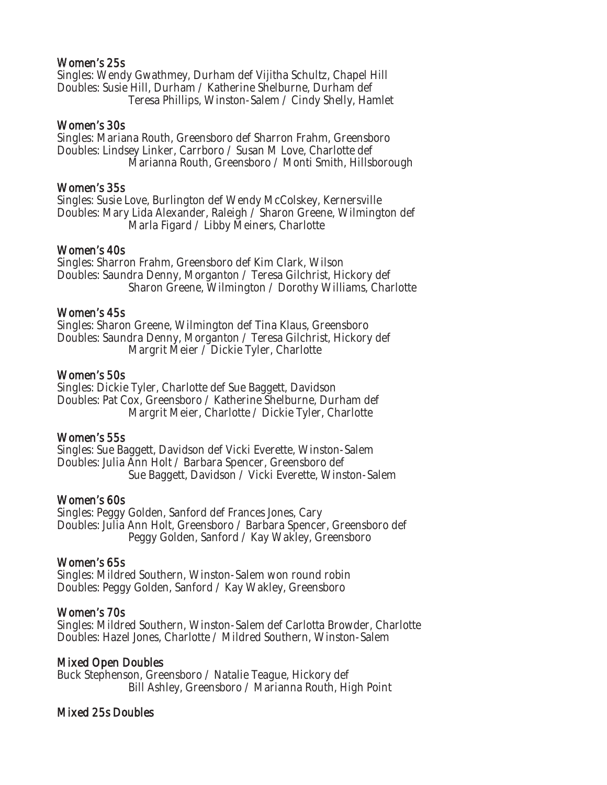#### Women's 25s

Singles: Wendy Gwathmey, Durham def Vijitha Schultz, Chapel Hill Doubles: Susie Hill, Durham / Katherine Shelburne, Durham def Teresa Phillips, Winston-Salem / Cindy Shelly, Hamlet

#### Women's 30s

Singles: Mariana Routh, Greensboro def Sharron Frahm, Greensboro Doubles: Lindsey Linker, Carrboro / Susan M Love, Charlotte def Marianna Routh, Greensboro / Monti Smith, Hillsborough

#### Women's 35s

Singles: Susie Love, Burlington def Wendy McColskey, Kernersville Doubles: Mary Lida Alexander, Raleigh / Sharon Greene, Wilmington def Marla Figard / Libby Meiners, Charlotte

#### Women's 40s

Singles: Sharron Frahm, Greensboro def Kim Clark, Wilson Doubles: Saundra Denny, Morganton / Teresa Gilchrist, Hickory def Sharon Greene, Wilmington / Dorothy Williams, Charlotte

#### Women's 45s

Singles: Sharon Greene, Wilmington def Tina Klaus, Greensboro Doubles: Saundra Denny, Morganton / Teresa Gilchrist, Hickory def Margrit Meier / Dickie Tyler, Charlotte

#### Women's 50s

Singles: Dickie Tyler, Charlotte def Sue Baggett, Davidson Doubles: Pat Cox, Greensboro / Katherine Shelburne, Durham def Margrit Meier, Charlotte / Dickie Tyler, Charlotte

# Women's 55s

Singles: Sue Baggett, Davidson def Vicki Everette, Winston-Salem Doubles: Julia Ann Holt / Barbara Spencer, Greensboro def Sue Baggett, Davidson / Vicki Everette, Winston-Salem

# Women's 60s

Singles: Peggy Golden, Sanford def Frances Jones, Cary Doubles: Julia Ann Holt, Greensboro / Barbara Spencer, Greensboro def Peggy Golden, Sanford / Kay Wakley, Greensboro

# Women's 65s

Singles: Mildred Southern, Winston-Salem won round robin Doubles: Peggy Golden, Sanford / Kay Wakley, Greensboro

# Women's 70s

Singles: Mildred Southern, Winston-Salem def Carlotta Browder, Charlotte Doubles: Hazel Jones, Charlotte / Mildred Southern, Winston-Salem

# Mixed Open Doubles

Buck Stephenson, Greensboro / Natalie Teague, Hickory def Bill Ashley, Greensboro / Marianna Routh, High Point

# Mixed 25s Doubles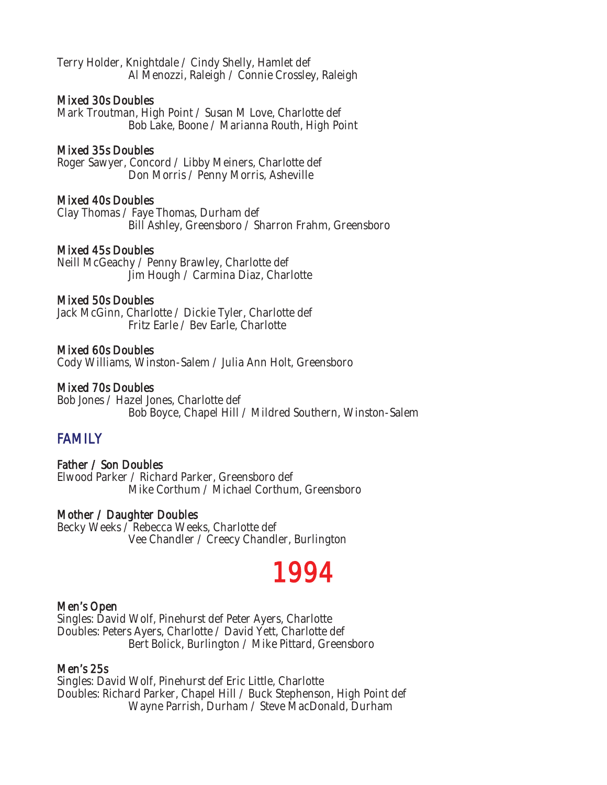Terry Holder, Knightdale / Cindy Shelly, Hamlet def Al Menozzi, Raleigh / Connie Crossley, Raleigh

#### Mixed 30s Doubles

Mark Troutman, High Point / Susan M Love, Charlotte def Bob Lake, Boone / Marianna Routh, High Point

#### Mixed 35s Doubles

Roger Sawyer, Concord / Libby Meiners, Charlotte def Don Morris / Penny Morris, Asheville

# Mixed 40s Doubles

Clay Thomas / Faye Thomas, Durham def Bill Ashley, Greensboro / Sharron Frahm, Greensboro

#### Mixed 45s Doubles

Neill McGeachy / Penny Brawley, Charlotte def Jim Hough / Carmina Diaz, Charlotte

#### Mixed 50s Doubles

Jack McGinn, Charlotte / Dickie Tyler, Charlotte def Fritz Earle / Bev Earle, Charlotte

#### Mixed 60s Doubles

Cody Williams, Winston-Salem / Julia Ann Holt, Greensboro

# Mixed 70s Doubles

Bob Jones / Hazel Jones, Charlotte def Bob Boyce, Chapel Hill / Mildred Southern, Winston-Salem

# **FAMILY**

# Father / Son Doubles

Elwood Parker / Richard Parker, Greensboro def Mike Corthum / Michael Corthum, Greensboro

#### Mother / Daughter Doubles

Becky Weeks / Rebecca Weeks, Charlotte def Vee Chandler / Creecy Chandler, Burlington

# 1994

#### Men's Open

Singles: David Wolf, Pinehurst def Peter Ayers, Charlotte Doubles: Peters Ayers, Charlotte / David Yett, Charlotte def Bert Bolick, Burlington / Mike Pittard, Greensboro

#### Men's 25s

Singles: David Wolf, Pinehurst def Eric Little, Charlotte Doubles: Richard Parker, Chapel Hill / Buck Stephenson, High Point def Wayne Parrish, Durham / Steve MacDonald, Durham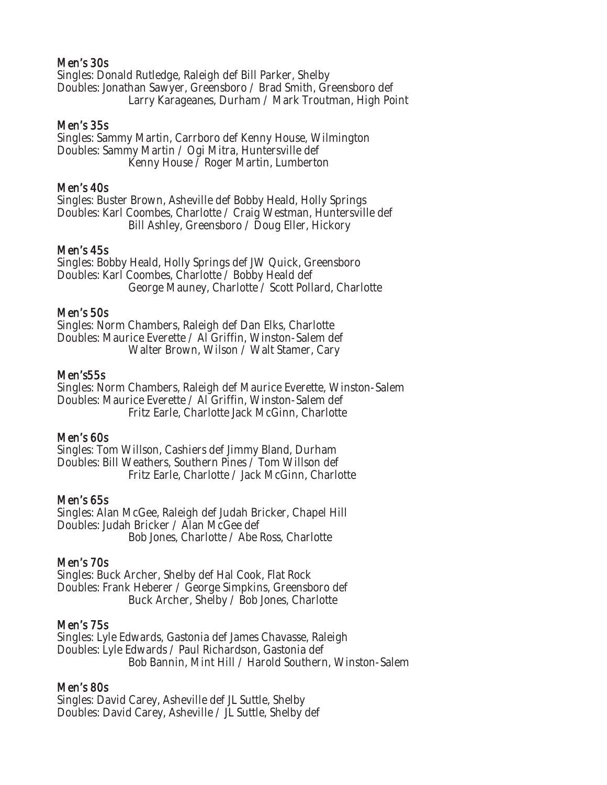# Men's 30s

Singles: Donald Rutledge, Raleigh def Bill Parker, Shelby Doubles: Jonathan Sawyer, Greensboro / Brad Smith, Greensboro def Larry Karageanes, Durham / Mark Troutman, High Point

#### Men's 35s

Singles: Sammy Martin, Carrboro def Kenny House, Wilmington Doubles: Sammy Martin / Ogi Mitra, Huntersville def Kenny House / Roger Martin, Lumberton

#### Men's 40s

Singles: Buster Brown, Asheville def Bobby Heald, Holly Springs Doubles: Karl Coombes, Charlotte / Craig Westman, Huntersville def Bill Ashley, Greensboro / Doug Eller, Hickory

#### Men's 45s

Singles: Bobby Heald, Holly Springs def JW Quick, Greensboro Doubles: Karl Coombes, Charlotte / Bobby Heald def George Mauney, Charlotte / Scott Pollard, Charlotte

#### Men's 50s

Singles: Norm Chambers, Raleigh def Dan Elks, Charlotte Doubles: Maurice Everette / Al Griffin, Winston-Salem def Walter Brown, Wilson / Walt Stamer, Cary

#### Men's55s

Singles: Norm Chambers, Raleigh def Maurice Everette, Winston-Salem Doubles: Maurice Everette / Al Griffin, Winston-Salem def Fritz Earle, Charlotte Jack McGinn, Charlotte

#### Men's 60s

Singles: Tom Willson, Cashiers def Jimmy Bland, Durham Doubles: Bill Weathers, Southern Pines / Tom Willson def Fritz Earle, Charlotte / Jack McGinn, Charlotte

# Men's 65s

Singles: Alan McGee, Raleigh def Judah Bricker, Chapel Hill Doubles: Judah Bricker / Alan McGee def Bob Jones, Charlotte / Abe Ross, Charlotte

#### Men's 70s

Singles: Buck Archer, Shelby def Hal Cook, Flat Rock Doubles: Frank Heberer / George Simpkins, Greensboro def Buck Archer, Shelby / Bob Jones, Charlotte

#### Men's 75s

Singles: Lyle Edwards, Gastonia def James Chavasse, Raleigh Doubles: Lyle Edwards / Paul Richardson, Gastonia def Bob Bannin, Mint Hill / Harold Southern, Winston-Salem

# Men's 80s

Singles: David Carey, Asheville def JL Suttle, Shelby Doubles: David Carey, Asheville / JL Suttle, Shelby def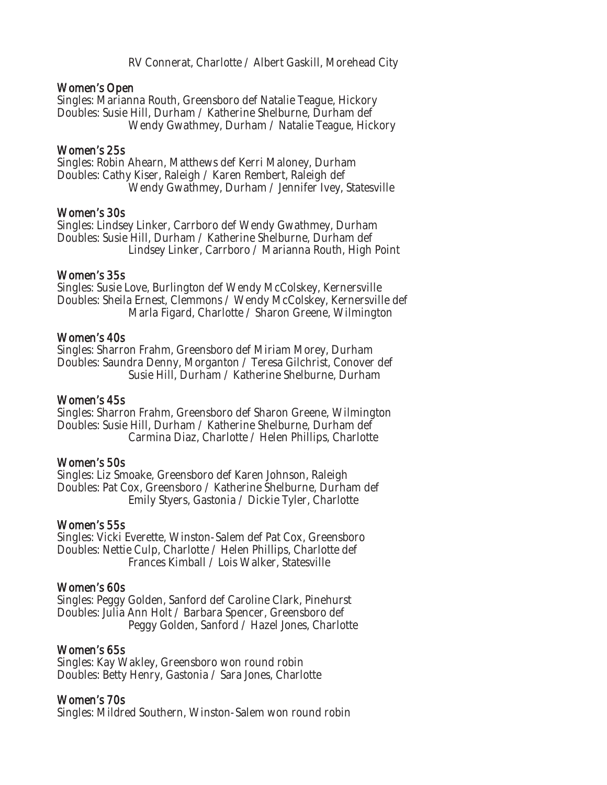RV Connerat, Charlotte / Albert Gaskill, Morehead City

#### Women's Open

Singles: Marianna Routh, Greensboro def Natalie Teague, Hickory Doubles: Susie Hill, Durham / Katherine Shelburne, Durham def Wendy Gwathmey, Durham / Natalie Teague, Hickory

#### Women's 25s

Singles: Robin Ahearn, Matthews def Kerri Maloney, Durham Doubles: Cathy Kiser, Raleigh / Karen Rembert, Raleigh def Wendy Gwathmey, Durham / Jennifer Ivey, Statesville

#### Women's 30s

Singles: Lindsey Linker, Carrboro def Wendy Gwathmey, Durham Doubles: Susie Hill, Durham / Katherine Shelburne, Durham def Lindsey Linker, Carrboro / Marianna Routh, High Point

#### Women's 35s

Singles: Susie Love, Burlington def Wendy McColskey, Kernersville Doubles: Sheila Ernest, Clemmons / Wendy McColskey, Kernersville def Marla Figard, Charlotte / Sharon Greene, Wilmington

#### Women's 40s

Singles: Sharron Frahm, Greensboro def Miriam Morey, Durham Doubles: Saundra Denny, Morganton / Teresa Gilchrist, Conover def Susie Hill, Durham / Katherine Shelburne, Durham

#### Women's 45s

Singles: Sharron Frahm, Greensboro def Sharon Greene, Wilmington Doubles: Susie Hill, Durham / Katherine Shelburne, Durham def Carmina Diaz, Charlotte / Helen Phillips, Charlotte

# Women's 50s

Singles: Liz Smoake, Greensboro def Karen Johnson, Raleigh Doubles: Pat Cox, Greensboro / Katherine Shelburne, Durham def Emily Styers, Gastonia / Dickie Tyler, Charlotte

#### Women's 55s

Singles: Vicki Everette, Winston-Salem def Pat Cox, Greensboro Doubles: Nettie Culp, Charlotte / Helen Phillips, Charlotte def Frances Kimball / Lois Walker, Statesville

# Women's 60s

Singles: Peggy Golden, Sanford def Caroline Clark, Pinehurst Doubles: Julia Ann Holt / Barbara Spencer, Greensboro def Peggy Golden, Sanford / Hazel Jones, Charlotte

# Women's 65s

Singles: Kay Wakley, Greensboro won round robin Doubles: Betty Henry, Gastonia / Sara Jones, Charlotte

# Women's 70s

Singles: Mildred Southern, Winston-Salem won round robin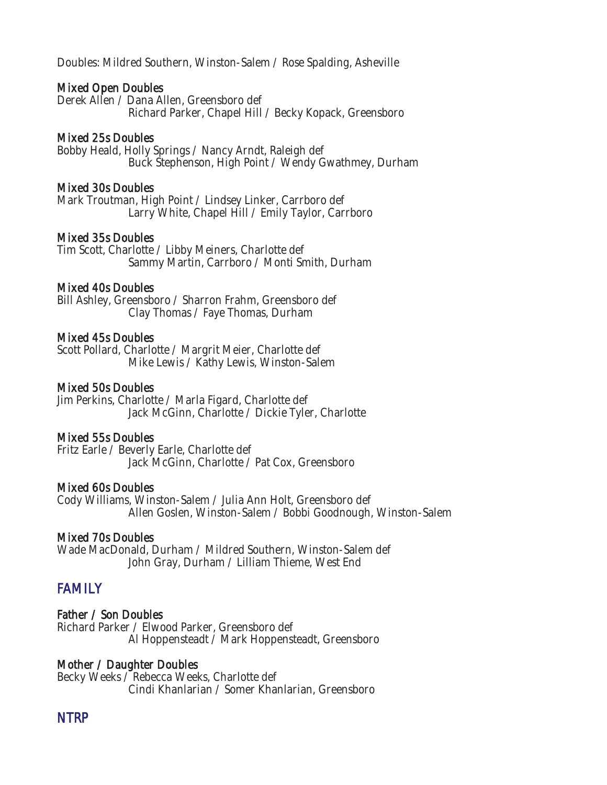Doubles: Mildred Southern, Winston-Salem / Rose Spalding, Asheville

#### Mixed Open Doubles

Derek Allen / Dana Allen, Greensboro def Richard Parker, Chapel Hill / Becky Kopack, Greensboro

#### Mixed 25s Doubles

Bobby Heald, Holly Springs / Nancy Arndt, Raleigh def Buck Stephenson, High Point / Wendy Gwathmey, Durham

#### Mixed 30s Doubles

Mark Troutman, High Point / Lindsey Linker, Carrboro def Larry White, Chapel Hill / Emily Taylor, Carrboro

#### Mixed 35s Doubles

Tim Scott, Charlotte / Libby Meiners, Charlotte def Sammy Martin, Carrboro / Monti Smith, Durham

#### Mixed 40s Doubles

Bill Ashley, Greensboro / Sharron Frahm, Greensboro def Clay Thomas / Faye Thomas, Durham

#### Mixed 45s Doubles

Scott Pollard, Charlotte / Margrit Meier, Charlotte def Mike Lewis / Kathy Lewis, Winston-Salem

# Mixed 50s Doubles

Jim Perkins, Charlotte / Marla Figard, Charlotte def Jack McGinn, Charlotte / Dickie Tyler, Charlotte

#### Mixed 55s Doubles

Fritz Earle / Beverly Earle, Charlotte def Jack McGinn, Charlotte / Pat Cox, Greensboro

#### Mixed 60s Doubles

Cody Williams, Winston-Salem / Julia Ann Holt, Greensboro def Allen Goslen, Winston-Salem / Bobbi Goodnough, Winston-Salem

#### Mixed 70s Doubles

Wade MacDonald, Durham / Mildred Southern, Winston-Salem def John Gray, Durham / Lilliam Thieme, West End

# **FAMILY**

Father / Son Doubles Richard Parker / Elwood Parker, Greensboro def Al Hoppensteadt / Mark Hoppensteadt, Greensboro

# Mother / Daughter Doubles

Becky Weeks / Rebecca Weeks, Charlotte def Cindi Khanlarian / Somer Khanlarian, Greensboro

# NTRP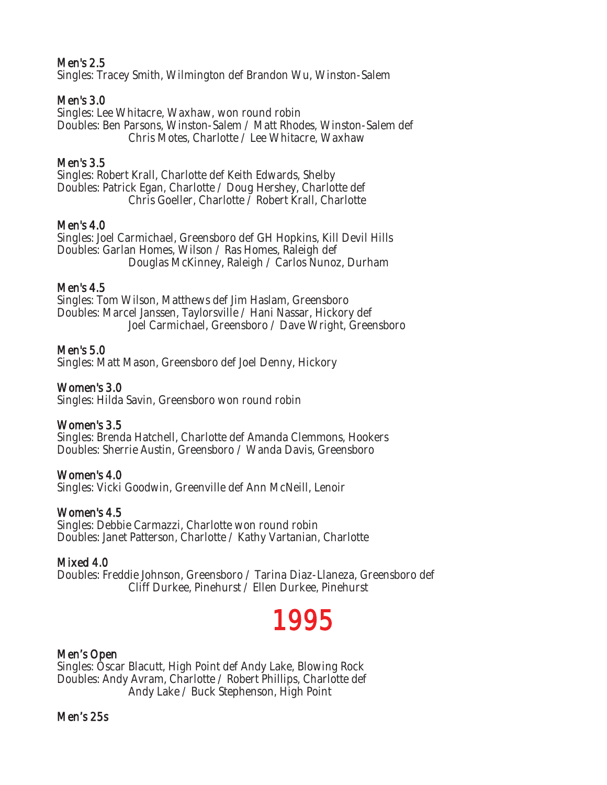# Men's 2.5

Singles: Tracey Smith, Wilmington def Brandon Wu, Winston-Salem

# Men's 3.0

Singles: Lee Whitacre, Waxhaw, won round robin Doubles: Ben Parsons, Winston-Salem / Matt Rhodes, Winston-Salem def Chris Motes, Charlotte / Lee Whitacre, Waxhaw

# Men's 3.5

Singles: Robert Krall, Charlotte def Keith Edwards, Shelby Doubles: Patrick Egan, Charlotte / Doug Hershey, Charlotte def Chris Goeller, Charlotte / Robert Krall, Charlotte

# Men's 4.0

Singles: Joel Carmichael, Greensboro def GH Hopkins, Kill Devil Hills Doubles: Garlan Homes, Wilson / Ras Homes, Raleigh def Douglas McKinney, Raleigh / Carlos Nunoz, Durham

# Men's 4.5

Singles: Tom Wilson, Matthews def Jim Haslam, Greensboro Doubles: Marcel Janssen, Taylorsville / Hani Nassar, Hickory def Joel Carmichael, Greensboro / Dave Wright, Greensboro

# Men's 5.0

Singles: Matt Mason, Greensboro def Joel Denny, Hickory

# Women's 3.0

Singles: Hilda Savin, Greensboro won round robin

# Women's 3.5

Singles: Brenda Hatchell, Charlotte def Amanda Clemmons, Hookers Doubles: Sherrie Austin, Greensboro / Wanda Davis, Greensboro

# Women's 4.0

Singles: Vicki Goodwin, Greenville def Ann McNeill, Lenoir

# Women's 4.5

Singles: Debbie Carmazzi, Charlotte won round robin Doubles: Janet Patterson, Charlotte / Kathy Vartanian, Charlotte

# Mixed 4.0

Doubles: Freddie Johnson, Greensboro / Tarina Diaz-Llaneza, Greensboro def Cliff Durkee, Pinehurst / Ellen Durkee, Pinehurst

# 1995

# Men's Open

Singles: Oscar Blacutt, High Point def Andy Lake, Blowing Rock Doubles: Andy Avram, Charlotte / Robert Phillips, Charlotte def Andy Lake / Buck Stephenson, High Point

#### Men's 25s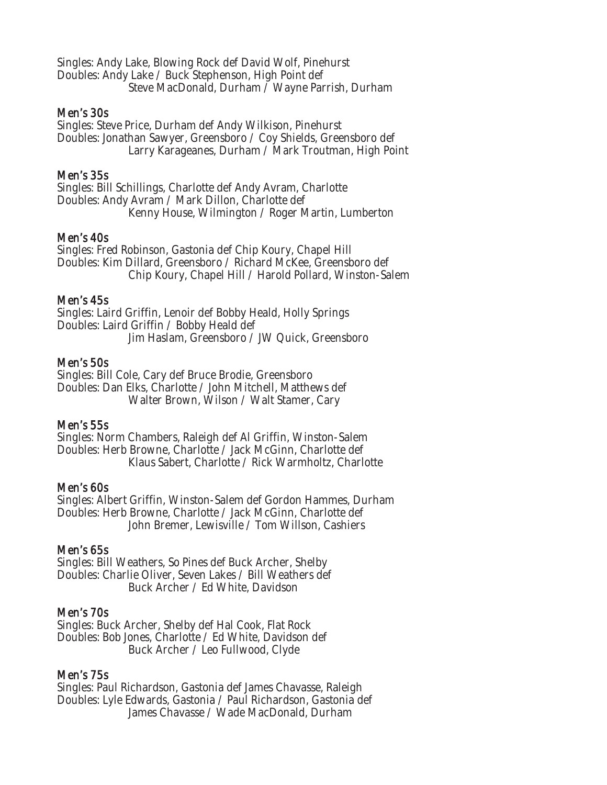Singles: Andy Lake, Blowing Rock def David Wolf, Pinehurst Doubles: Andy Lake / Buck Stephenson, High Point def Steve MacDonald, Durham / Wayne Parrish, Durham

#### Men's 30s

Singles: Steve Price, Durham def Andy Wilkison, Pinehurst Doubles: Jonathan Sawyer, Greensboro / Coy Shields, Greensboro def Larry Karageanes, Durham / Mark Troutman, High Point

# Men's 35s

Singles: Bill Schillings, Charlotte def Andy Avram, Charlotte Doubles: Andy Avram / Mark Dillon, Charlotte def Kenny House, Wilmington / Roger Martin, Lumberton

#### Men's 40s

Singles: Fred Robinson, Gastonia def Chip Koury, Chapel Hill Doubles: Kim Dillard, Greensboro / Richard McKee, Greensboro def Chip Koury, Chapel Hill / Harold Pollard, Winston-Salem

#### Men's 45s

Singles: Laird Griffin, Lenoir def Bobby Heald, Holly Springs Doubles: Laird Griffin / Bobby Heald def Jim Haslam, Greensboro / JW Quick, Greensboro

#### Men's 50s

Singles: Bill Cole, Cary def Bruce Brodie, Greensboro Doubles: Dan Elks, Charlotte / John Mitchell, Matthews def Walter Brown, Wilson / Walt Stamer, Cary

# Men's 55s

Singles: Norm Chambers, Raleigh def Al Griffin, Winston-Salem Doubles: Herb Browne, Charlotte / Jack McGinn, Charlotte def Klaus Sabert, Charlotte / Rick Warmholtz, Charlotte

# Men's 60s

Singles: Albert Griffin, Winston-Salem def Gordon Hammes, Durham Doubles: Herb Browne, Charlotte / Jack McGinn, Charlotte def John Bremer, Lewisville / Tom Willson, Cashiers

#### Men's 65s

Singles: Bill Weathers, So Pines def Buck Archer, Shelby Doubles: Charlie Oliver, Seven Lakes / Bill Weathers def Buck Archer / Ed White, Davidson

# Men's 70s

Singles: Buck Archer, Shelby def Hal Cook, Flat Rock Doubles: Bob Jones, Charlotte / Ed White, Davidson def Buck Archer / Leo Fullwood, Clyde

# Men's 75s

Singles: Paul Richardson, Gastonia def James Chavasse, Raleigh Doubles: Lyle Edwards, Gastonia / Paul Richardson, Gastonia def James Chavasse / Wade MacDonald, Durham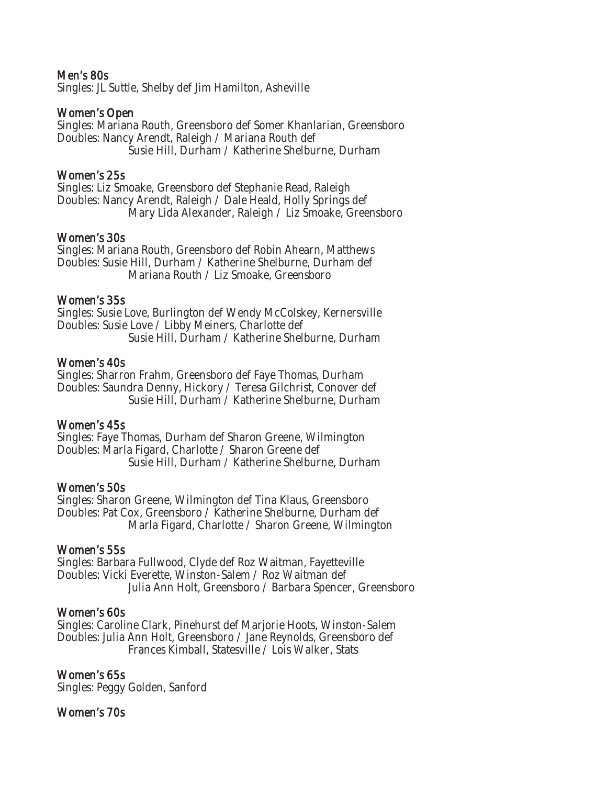#### Men's 80s

Singles: JL Suttle, Shelby def Jim Hamilton, Asheville

#### Women's Open

Singles: Mariana Routh, Greensboro def Somer Khanlarian, Greensboro Doubles: Nancy Arendt, Raleigh / Mariana Routh def Susie Hill, Durham / Katherine Shelburne, Durham

#### Women's 25s

Singles: Liz Smoake, Greensboro def Stephanie Read, Raleigh Doubles: Nancy Arendt, Raleigh / Dale Heald, Holly Springs def Mary Lida Alexander, Raleigh / Liz Smoake, Greensboro

#### Women's 30s

Singles: Mariana Routh, Greensboro def Robin Ahearn, Matthews Doubles: Susie Hill, Durham / Katherine Shelburne, Durham def Mariana Routh / Liz Smoake, Greensboro

#### Women's 35s

Singles: Susie Love, Burlington def Wendy McColskey, Kernersville Doubles: Susie Love / Libby Meiners, Charlotte def Susie Hill, Durham / Katherine Shelburne, Durham

#### Women's 40s

Singles: Sharron Frahm, Greensboro def Faye Thomas, Durham Doubles: Saundra Denny, Hickory / Teresa Gilchrist, Conover def Susie Hill, Durham / Katherine Shelburne, Durham

# Women's 45s

Singles: Faye Thomas, Durham def Sharon Greene, Wilmington Doubles: Marla Figard, Charlotte / Sharon Greene def Susie Hill, Durham / Katherine Shelburne, Durham

#### Women's 50s

Singles: Sharon Greene, Wilmington def Tina Klaus, Greensboro Doubles: Pat Cox, Greensboro / Katherine Shelburne, Durham def Marla Figard, Charlotte / Sharon Greene, Wilmington

#### Women's 55s

Singles: Barbara Fullwood, Clyde def Roz Waitman, Fayetteville Doubles: Vicki Everette, Winston-Salem / Roz Waitman def Julia Ann Holt, Greensboro / Barbara Spencer, Greensboro

# Women's 60s

Singles: Caroline Clark, Pinehurst def Marjorie Hoots, Winston-Salem Doubles: Julia Ann Holt, Greensboro / Jane Reynolds, Greensboro def Frances Kimball, Statesville / Lois Walker, Stats

# Women's 65s

Singles: Peggy Golden, Sanford

# Women's 70s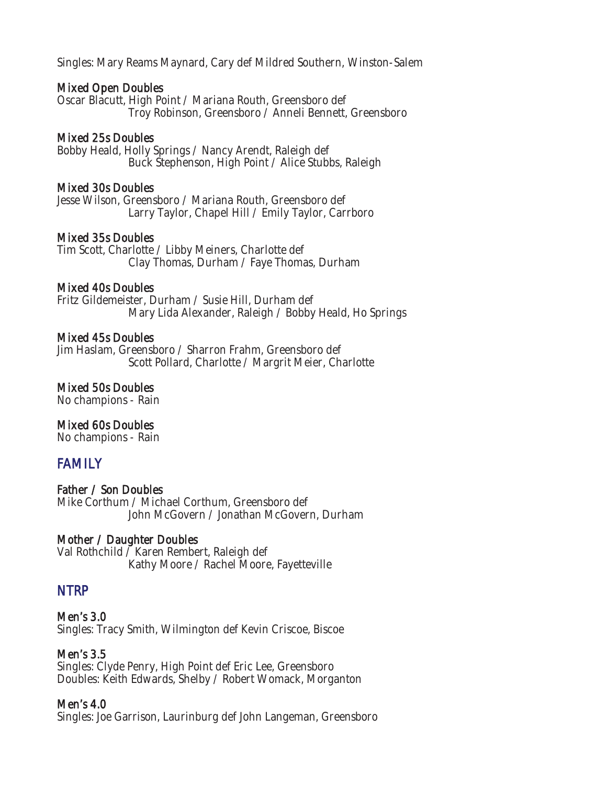Singles: Mary Reams Maynard, Cary def Mildred Southern, Winston-Salem

# Mixed Open Doubles

Oscar Blacutt, High Point / Mariana Routh, Greensboro def Troy Robinson, Greensboro / Anneli Bennett, Greensboro

# Mixed 25s Doubles

Bobby Heald, Holly Springs / Nancy Arendt, Raleigh def Buck Stephenson, High Point / Alice Stubbs, Raleigh

# Mixed 30s Doubles

Jesse Wilson, Greensboro / Mariana Routh, Greensboro def Larry Taylor, Chapel Hill / Emily Taylor, Carrboro

# Mixed 35s Doubles

Tim Scott, Charlotte / Libby Meiners, Charlotte def Clay Thomas, Durham / Faye Thomas, Durham

# Mixed 40s Doubles

Fritz Gildemeister, Durham / Susie Hill, Durham def Mary Lida Alexander, Raleigh / Bobby Heald, Ho Springs

# Mixed 45s Doubles

Jim Haslam, Greensboro / Sharron Frahm, Greensboro def Scott Pollard, Charlotte / Margrit Meier, Charlotte

# Mixed 50s Doubles

No champions - Rain

# Mixed 60s Doubles

No champions - Rain

# FAMILY

Father / Son Doubles Mike Corthum / Michael Corthum, Greensboro def John McGovern / Jonathan McGovern, Durham

# Mother / Daughter Doubles

Val Rothchild / Karen Rembert, Raleigh def Kathy Moore / Rachel Moore, Fayetteville

# NTRP

Men's 3.0 Singles: Tracy Smith, Wilmington def Kevin Criscoe, Biscoe

Men's 3.5 Singles: Clyde Penry, High Point def Eric Lee, Greensboro Doubles: Keith Edwards, Shelby / Robert Womack, Morganton

# Men's 4.0

Singles: Joe Garrison, Laurinburg def John Langeman, Greensboro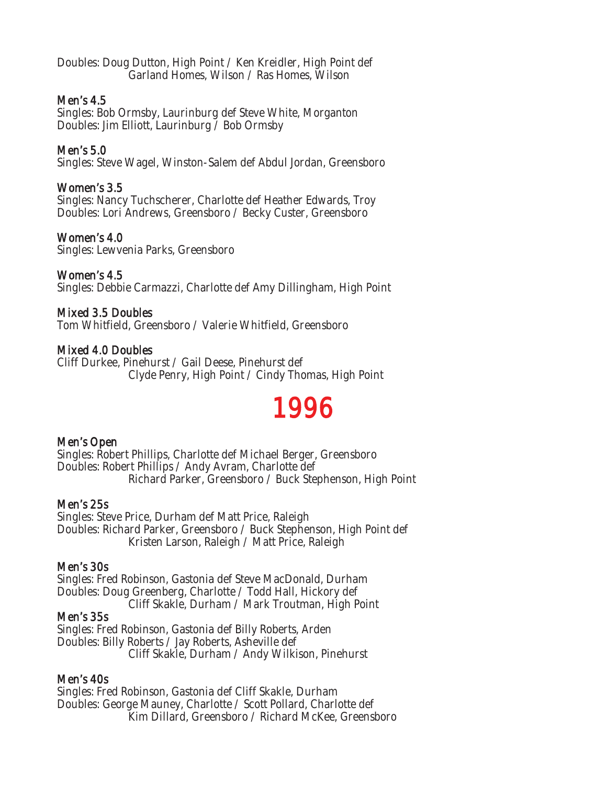Doubles: Doug Dutton, High Point / Ken Kreidler, High Point def Garland Homes, Wilson / Ras Homes, Wilson

### Men's 4.5

Singles: Bob Ormsby, Laurinburg def Steve White, Morganton Doubles: Jim Elliott, Laurinburg / Bob Ormsby

# Men's 5.0

Singles: Steve Wagel, Winston-Salem def Abdul Jordan, Greensboro

# Women's 3.5

Singles: Nancy Tuchscherer, Charlotte def Heather Edwards, Troy Doubles: Lori Andrews, Greensboro / Becky Custer, Greensboro

# Women's 4.0

Singles: Lewvenia Parks, Greensboro

# Women's 4.5

Singles: Debbie Carmazzi, Charlotte def Amy Dillingham, High Point

# Mixed 3.5 Doubles

Tom Whitfield, Greensboro / Valerie Whitfield, Greensboro

# Mixed 4.0 Doubles

Cliff Durkee, Pinehurst / Gail Deese, Pinehurst def Clyde Penry, High Point / Cindy Thomas, High Point

# 1996

# Men's Open

Singles: Robert Phillips, Charlotte def Michael Berger, Greensboro Doubles: Robert Phillips / Andy Avram, Charlotte def Richard Parker, Greensboro / Buck Stephenson, High Point

# Men's 25s

Singles: Steve Price, Durham def Matt Price, Raleigh Doubles: Richard Parker, Greensboro / Buck Stephenson, High Point def Kristen Larson, Raleigh / Matt Price, Raleigh

# Men's 30s

Singles: Fred Robinson, Gastonia def Steve MacDonald, Durham Doubles: Doug Greenberg, Charlotte / Todd Hall, Hickory def Cliff Skakle, Durham / Mark Troutman, High Point

# Men's 35s

Singles: Fred Robinson, Gastonia def Billy Roberts, Arden Doubles: Billy Roberts / Jay Roberts, Asheville def Cliff Skakle, Durham / Andy Wilkison, Pinehurst

# Men's 40s

Singles: Fred Robinson, Gastonia def Cliff Skakle, Durham Doubles: George Mauney, Charlotte / Scott Pollard, Charlotte def Kim Dillard, Greensboro / Richard McKee, Greensboro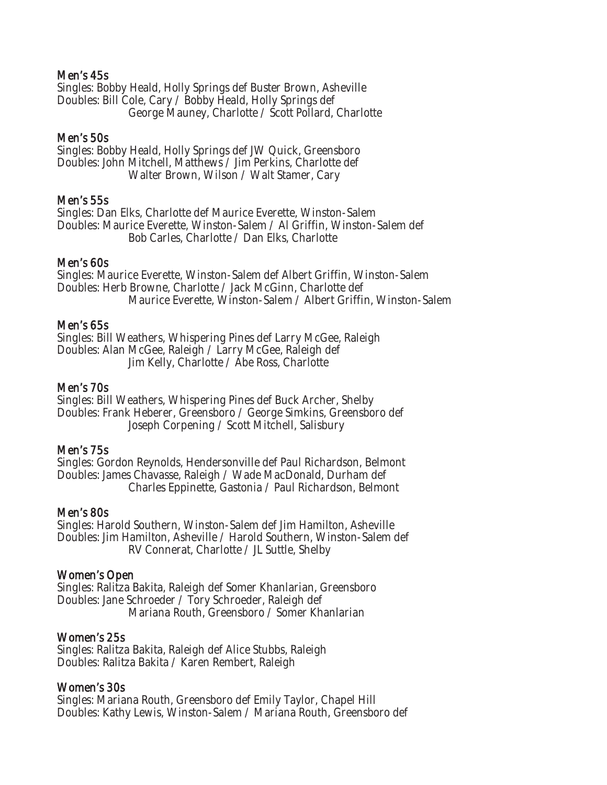#### Men's 45s

Singles: Bobby Heald, Holly Springs def Buster Brown, Asheville Doubles: Bill Cole, Cary / Bobby Heald, Holly Springs def George Mauney, Charlotte / Scott Pollard, Charlotte

#### Men's 50s

Singles: Bobby Heald, Holly Springs def JW Quick, Greensboro Doubles: John Mitchell, Matthews / Jim Perkins, Charlotte def Walter Brown, Wilson / Walt Stamer, Cary

#### Men's 55s

Singles: Dan Elks, Charlotte def Maurice Everette, Winston-Salem Doubles: Maurice Everette, Winston-Salem / Al Griffin, Winston-Salem def Bob Carles, Charlotte / Dan Elks, Charlotte

#### Men's 60s

Singles: Maurice Everette, Winston-Salem def Albert Griffin, Winston-Salem Doubles: Herb Browne, Charlotte / Jack McGinn, Charlotte def Maurice Everette, Winston-Salem / Albert Griffin, Winston-Salem

#### Men's 65s

Singles: Bill Weathers, Whispering Pines def Larry McGee, Raleigh Doubles: Alan McGee, Raleigh / Larry McGee, Raleigh def Jim Kelly, Charlotte / Abe Ross, Charlotte

# Men's 70s

Singles: Bill Weathers, Whispering Pines def Buck Archer, Shelby Doubles: Frank Heberer, Greensboro / George Simkins, Greensboro def Joseph Corpening / Scott Mitchell, Salisbury

#### Men's 75s

Singles: Gordon Reynolds, Hendersonville def Paul Richardson, Belmont Doubles: James Chavasse, Raleigh / Wade MacDonald, Durham def Charles Eppinette, Gastonia / Paul Richardson, Belmont

#### Men's 80s

Singles: Harold Southern, Winston-Salem def Jim Hamilton, Asheville Doubles: Jim Hamilton, Asheville / Harold Southern, Winston-Salem def RV Connerat, Charlotte / JL Suttle, Shelby

#### Women's Open

Singles: Ralitza Bakita, Raleigh def Somer Khanlarian, Greensboro Doubles: Jane Schroeder / Tory Schroeder, Raleigh def Mariana Routh, Greensboro / Somer Khanlarian

#### Women's 25s

Singles: Ralitza Bakita, Raleigh def Alice Stubbs, Raleigh Doubles: Ralitza Bakita / Karen Rembert, Raleigh

# Women's 30s

Singles: Mariana Routh, Greensboro def Emily Taylor, Chapel Hill Doubles: Kathy Lewis, Winston-Salem / Mariana Routh, Greensboro def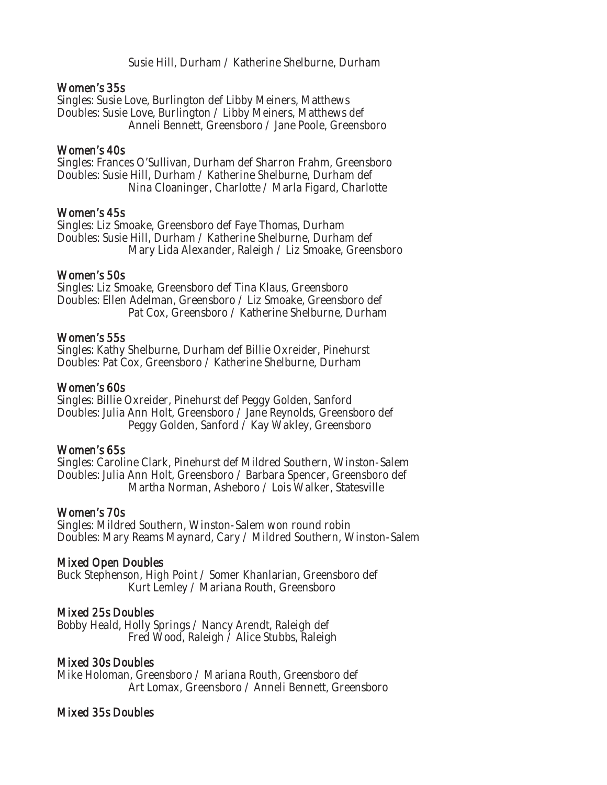Susie Hill, Durham / Katherine Shelburne, Durham

#### Women's 35s

Singles: Susie Love, Burlington def Libby Meiners, Matthews Doubles: Susie Love, Burlington / Libby Meiners, Matthews def Anneli Bennett, Greensboro / Jane Poole, Greensboro

#### Women's 40s

Singles: Frances O'Sullivan, Durham def Sharron Frahm, Greensboro Doubles: Susie Hill, Durham / Katherine Shelburne, Durham def Nina Cloaninger, Charlotte / Marla Figard, Charlotte

#### Women's 45s

Singles: Liz Smoake, Greensboro def Faye Thomas, Durham Doubles: Susie Hill, Durham / Katherine Shelburne, Durham def Mary Lida Alexander, Raleigh / Liz Smoake, Greensboro

#### Women's 50s

Singles: Liz Smoake, Greensboro def Tina Klaus, Greensboro Doubles: Ellen Adelman, Greensboro / Liz Smoake, Greensboro def Pat Cox, Greensboro / Katherine Shelburne, Durham

#### Women's 55s

Singles: Kathy Shelburne, Durham def Billie Oxreider, Pinehurst Doubles: Pat Cox, Greensboro / Katherine Shelburne, Durham

### Women's 60s

Singles: Billie Oxreider, Pinehurst def Peggy Golden, Sanford Doubles: Julia Ann Holt, Greensboro / Jane Reynolds, Greensboro def Peggy Golden, Sanford / Kay Wakley, Greensboro

# Women's 65s

Singles: Caroline Clark, Pinehurst def Mildred Southern, Winston-Salem Doubles: Julia Ann Holt, Greensboro / Barbara Spencer, Greensboro def Martha Norman, Asheboro / Lois Walker, Statesville

# Women's 70s

Singles: Mildred Southern, Winston-Salem won round robin Doubles: Mary Reams Maynard, Cary / Mildred Southern, Winston-Salem

# Mixed Open Doubles

Buck Stephenson, High Point / Somer Khanlarian, Greensboro def Kurt Lemley / Mariana Routh, Greensboro

# Mixed 25s Doubles

Bobby Heald, Holly Springs / Nancy Arendt, Raleigh def Fred Wood, Raleigh / Alice Stubbs, Raleigh

# Mixed 30s Doubles

Mike Holoman, Greensboro / Mariana Routh, Greensboro def Art Lomax, Greensboro / Anneli Bennett, Greensboro

# Mixed 35s Doubles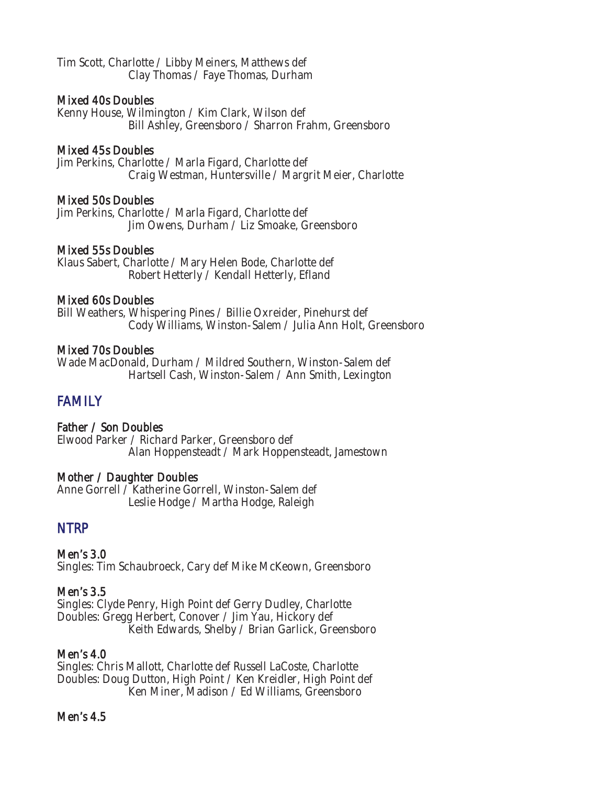Tim Scott, Charlotte / Libby Meiners, Matthews def Clay Thomas / Faye Thomas, Durham

### Mixed 40s Doubles

Kenny House, Wilmington / Kim Clark, Wilson def Bill Ashley, Greensboro / Sharron Frahm, Greensboro

#### Mixed 45s Doubles

Jim Perkins, Charlotte / Marla Figard, Charlotte def Craig Westman, Huntersville / Margrit Meier, Charlotte

#### Mixed 50s Doubles

Jim Perkins, Charlotte / Marla Figard, Charlotte def Jim Owens, Durham / Liz Smoake, Greensboro

#### Mixed 55s Doubles

Klaus Sabert, Charlotte / Mary Helen Bode, Charlotte def Robert Hetterly / Kendall Hetterly, Efland

#### Mixed 60s Doubles

Bill Weathers, Whispering Pines / Billie Oxreider, Pinehurst def Cody Williams, Winston-Salem / Julia Ann Holt, Greensboro

#### Mixed 70s Doubles

Wade MacDonald, Durham / Mildred Southern, Winston-Salem def Hartsell Cash, Winston-Salem / Ann Smith, Lexington

# **FAMILY**

# Father / Son Doubles

Elwood Parker / Richard Parker, Greensboro def Alan Hoppensteadt / Mark Hoppensteadt, Jamestown

# Mother / Daughter Doubles

Anne Gorrell / Katherine Gorrell, Winston-Salem def Leslie Hodge / Martha Hodge, Raleigh

# NTRP

Men's 3.0 Singles: Tim Schaubroeck, Cary def Mike McKeown, Greensboro

# Men's 3.5

Singles: Clyde Penry, High Point def Gerry Dudley, Charlotte Doubles: Gregg Herbert, Conover / Jim Yau, Hickory def Keith Edwards, Shelby / Brian Garlick, Greensboro

# Men's 4.0

Singles: Chris Mallott, Charlotte def Russell LaCoste, Charlotte Doubles: Doug Dutton, High Point / Ken Kreidler, High Point def Ken Miner, Madison / Ed Williams, Greensboro

#### Men's 4.5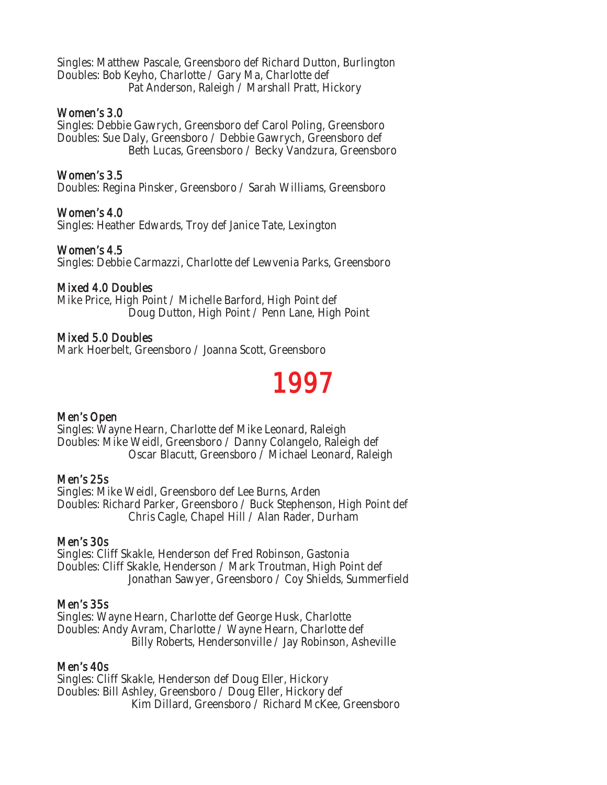Singles: Matthew Pascale, Greensboro def Richard Dutton, Burlington Doubles: Bob Keyho, Charlotte / Gary Ma, Charlotte def Pat Anderson, Raleigh / Marshall Pratt, Hickory

#### Women's 3.0

Singles: Debbie Gawrych, Greensboro def Carol Poling, Greensboro Doubles: Sue Daly, Greensboro / Debbie Gawrych, Greensboro def Beth Lucas, Greensboro / Becky Vandzura, Greensboro

# Women's 3.5

Doubles: Regina Pinsker, Greensboro / Sarah Williams, Greensboro

# Women's 4.0

Singles: Heather Edwards, Troy def Janice Tate, Lexington

# Women's 4.5

Singles: Debbie Carmazzi, Charlotte def Lewvenia Parks, Greensboro

# Mixed 4.0 Doubles

Mike Price, High Point / Michelle Barford, High Point def Doug Dutton, High Point / Penn Lane, High Point

# Mixed 5.0 Doubles

Mark Hoerbelt, Greensboro / Joanna Scott, Greensboro

# 1997

# Men's Open

Singles: Wayne Hearn, Charlotte def Mike Leonard, Raleigh Doubles: Mike Weidl, Greensboro / Danny Colangelo, Raleigh def Oscar Blacutt, Greensboro / Michael Leonard, Raleigh

# Men's 25s

Singles: Mike Weidl, Greensboro def Lee Burns, Arden Doubles: Richard Parker, Greensboro / Buck Stephenson, High Point def Chris Cagle, Chapel Hill / Alan Rader, Durham

# Men's 30s

Singles: Cliff Skakle, Henderson def Fred Robinson, Gastonia Doubles: Cliff Skakle, Henderson / Mark Troutman, High Point def Jonathan Sawyer, Greensboro / Coy Shields, Summerfield

# Men's 35s

Singles: Wayne Hearn, Charlotte def George Husk, Charlotte Doubles: Andy Avram, Charlotte / Wayne Hearn, Charlotte def Billy Roberts, Hendersonville / Jay Robinson, Asheville

#### Men's 40s

Singles: Cliff Skakle, Henderson def Doug Eller, Hickory Doubles: Bill Ashley, Greensboro / Doug Eller, Hickory def Kim Dillard, Greensboro / Richard McKee, Greensboro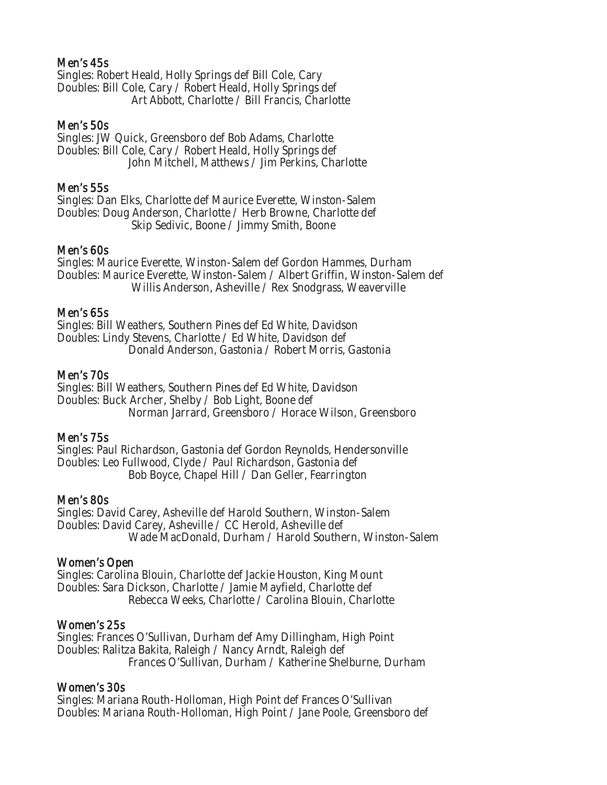# Men's 45s

Singles: Robert Heald, Holly Springs def Bill Cole, Cary Doubles: Bill Cole, Cary / Robert Heald, Holly Springs def Art Abbott, Charlotte / Bill Francis, Charlotte

#### Men's 50s

Singles: JW Quick, Greensboro def Bob Adams, Charlotte Doubles: Bill Cole, Cary / Robert Heald, Holly Springs def John Mitchell, Matthews / Jim Perkins, Charlotte

#### Men's 55s

Singles: Dan Elks, Charlotte def Maurice Everette, Winston-Salem Doubles: Doug Anderson, Charlotte / Herb Browne, Charlotte def Skip Sedivic, Boone / Jimmy Smith, Boone

#### Men's 60s

Singles: Maurice Everette, Winston-Salem def Gordon Hammes, Durham Doubles: Maurice Everette, Winston-Salem / Albert Griffin, Winston-Salem def Willis Anderson, Asheville / Rex Snodgrass, Weaverville

#### Men's 65s

Singles: Bill Weathers, Southern Pines def Ed White, Davidson Doubles: Lindy Stevens, Charlotte / Ed White, Davidson def Donald Anderson, Gastonia / Robert Morris, Gastonia

#### Men's 70s

Singles: Bill Weathers, Southern Pines def Ed White, Davidson Doubles: Buck Archer, Shelby / Bob Light, Boone def Norman Jarrard, Greensboro / Horace Wilson, Greensboro

#### Men's 75s

Singles: Paul Richardson, Gastonia def Gordon Reynolds, Hendersonville Doubles: Leo Fullwood, Clyde / Paul Richardson, Gastonia def Bob Boyce, Chapel Hill / Dan Geller, Fearrington

#### Men's 80s

Singles: David Carey, Asheville def Harold Southern, Winston-Salem Doubles: David Carey, Asheville / CC Herold, Asheville def Wade MacDonald, Durham / Harold Southern, Winston-Salem

#### Women's Open

Singles: Carolina Blouin, Charlotte def Jackie Houston, King Mount Doubles: Sara Dickson, Charlotte / Jamie Mayfield, Charlotte def Rebecca Weeks, Charlotte / Carolina Blouin, Charlotte

#### Women's 25s

Singles: Frances O'Sullivan, Durham def Amy Dillingham, High Point Doubles: Ralitza Bakita, Raleigh / Nancy Arndt, Raleigh def Frances O'Sullivan, Durham / Katherine Shelburne, Durham

#### Women's 30s

Singles: Mariana Routh-Holloman, High Point def Frances O'Sullivan Doubles: Mariana Routh-Holloman, High Point / Jane Poole, Greensboro def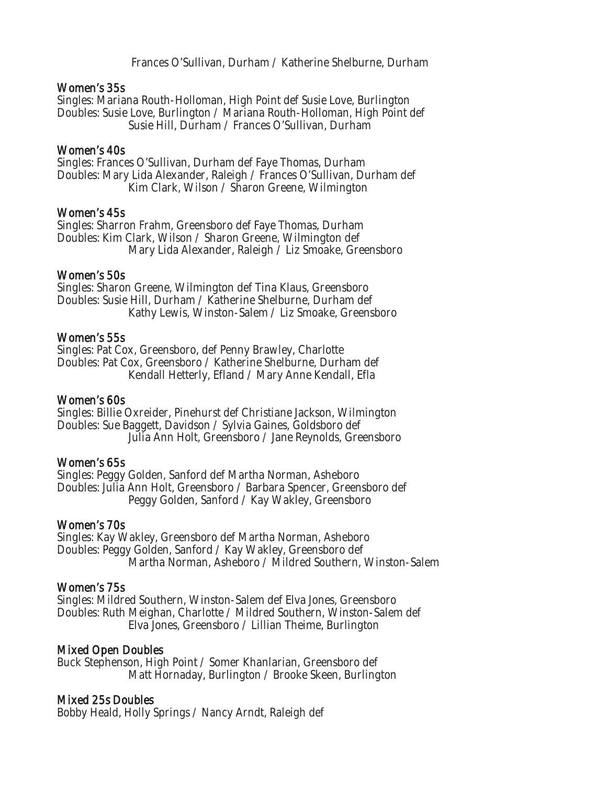Frances O'Sullivan, Durham / Katherine Shelburne, Durham

#### Women's 35s

Singles: Mariana Routh-Holloman, High Point def Susie Love, Burlington Doubles: Susie Love, Burlington / Mariana Routh-Holloman, High Point def Susie Hill, Durham / Frances O'Sullivan, Durham

#### Women's 40s

Singles: Frances O'Sullivan, Durham def Faye Thomas, Durham Doubles: Mary Lida Alexander, Raleigh / Frances O'Sullivan, Durham def Kim Clark, Wilson / Sharon Greene, Wilmington

#### Women's 45s

Singles: Sharron Frahm, Greensboro def Faye Thomas, Durham Doubles: Kim Clark, Wilson / Sharon Greene, Wilmington def Mary Lida Alexander, Raleigh / Liz Smoake, Greensboro

#### Women's 50s

Singles: Sharon Greene, Wilmington def Tina Klaus, Greensboro Doubles: Susie Hill, Durham / Katherine Shelburne, Durham def Kathy Lewis, Winston-Salem / Liz Smoake, Greensboro

#### Women's 55s

Singles: Pat Cox, Greensboro, def Penny Brawley, Charlotte Doubles: Pat Cox, Greensboro / Katherine Shelburne, Durham def Kendall Hetterly, Efland / Mary Anne Kendall, Efla

#### Women's 60s

Singles: Billie Oxreider, Pinehurst def Christiane Jackson, Wilmington Doubles: Sue Baggett, Davidson / Sylvia Gaines, Goldsboro def Julia Ann Holt, Greensboro / Jane Reynolds, Greensboro

# Women's 65s

Singles: Peggy Golden, Sanford def Martha Norman, Asheboro Doubles: Julia Ann Holt, Greensboro / Barbara Spencer, Greensboro def Peggy Golden, Sanford / Kay Wakley, Greensboro

#### Women's 70s

Singles: Kay Wakley, Greensboro def Martha Norman, Asheboro Doubles: Peggy Golden, Sanford / Kay Wakley, Greensboro def Martha Norman, Asheboro / Mildred Southern, Winston-Salem

# Women's 75s

Singles: Mildred Southern, Winston-Salem def Elva Jones, Greensboro Doubles: Ruth Meighan, Charlotte / Mildred Southern, Winston-Salem def Elva Jones, Greensboro / Lillian Theime, Burlington

# Mixed Open Doubles

Buck Stephenson, High Point / Somer Khanlarian, Greensboro def Matt Hornaday, Burlington / Brooke Skeen, Burlington

#### Mixed 25s Doubles

Bobby Heald, Holly Springs / Nancy Arndt, Raleigh def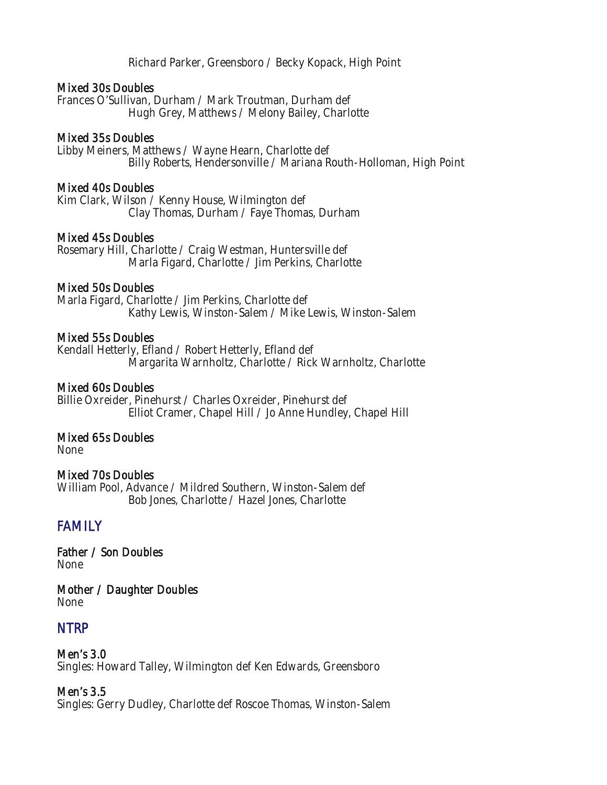Richard Parker, Greensboro / Becky Kopack, High Point

#### Mixed 30s Doubles

Frances O'Sullivan, Durham / Mark Troutman, Durham def Hugh Grey, Matthews / Melony Bailey, Charlotte

#### Mixed 35s Doubles

Libby Meiners, Matthews / Wayne Hearn, Charlotte def Billy Roberts, Hendersonville / Mariana Routh-Holloman, High Point

#### Mixed 40s Doubles

Kim Clark, Wilson / Kenny House, Wilmington def Clay Thomas, Durham / Faye Thomas, Durham

#### Mixed 45s Doubles

Rosemary Hill, Charlotte / Craig Westman, Huntersville def Marla Figard, Charlotte / Jim Perkins, Charlotte

#### Mixed 50s Doubles

Marla Figard, Charlotte / Jim Perkins, Charlotte def Kathy Lewis, Winston-Salem / Mike Lewis, Winston-Salem

#### Mixed 55s Doubles

Kendall Hetterly, Efland / Robert Hetterly, Efland def Margarita Warnholtz, Charlotte / Rick Warnholtz, Charlotte

#### Mixed 60s Doubles

Billie Oxreider, Pinehurst / Charles Oxreider, Pinehurst def Elliot Cramer, Chapel Hill / Jo Anne Hundley, Chapel Hill

#### Mixed 65s Doubles

None

#### Mixed 70s Doubles

William Pool, Advance / Mildred Southern, Winston-Salem def Bob Jones, Charlotte / Hazel Jones, Charlotte

# **FAMILY**

Father / Son Doubles None

Mother / Daughter Doubles None

# **NTRP**

Men's 3.0 Singles: Howard Talley, Wilmington def Ken Edwards, Greensboro

#### Men's 3.5

Singles: Gerry Dudley, Charlotte def Roscoe Thomas, Winston-Salem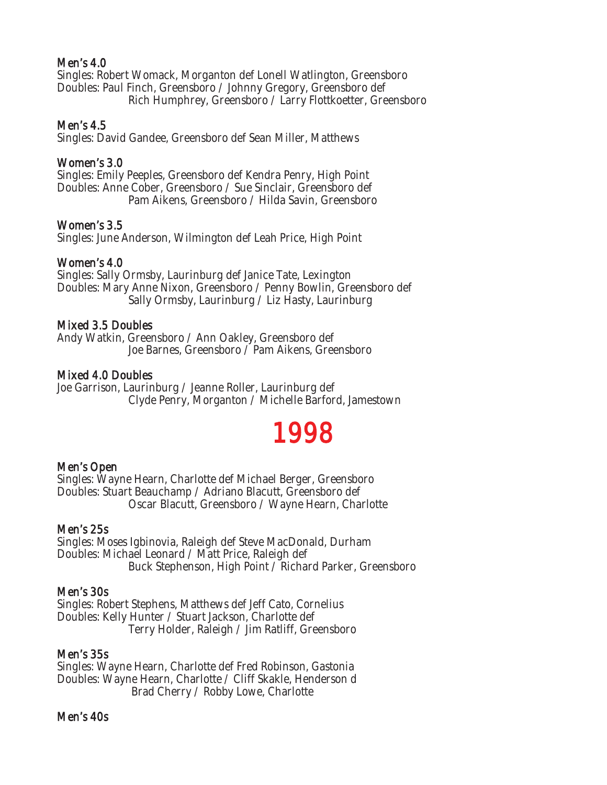# Men's 4.0

Singles: Robert Womack, Morganton def Lonell Watlington, Greensboro Doubles: Paul Finch, Greensboro / Johnny Gregory, Greensboro def Rich Humphrey, Greensboro / Larry Flottkoetter, Greensboro

### Men's 4.5

Singles: David Gandee, Greensboro def Sean Miller, Matthews

#### Women's 3.0

Singles: Emily Peeples, Greensboro def Kendra Penry, High Point Doubles: Anne Cober, Greensboro / Sue Sinclair, Greensboro def Pam Aikens, Greensboro / Hilda Savin, Greensboro

#### Women's 3.5

Singles: June Anderson, Wilmington def Leah Price, High Point

### Women's 4.0

Singles: Sally Ormsby, Laurinburg def Janice Tate, Lexington Doubles: Mary Anne Nixon, Greensboro / Penny Bowlin, Greensboro def Sally Ormsby, Laurinburg / Liz Hasty, Laurinburg

#### Mixed 3.5 Doubles

Andy Watkin, Greensboro / Ann Oakley, Greensboro def Joe Barnes, Greensboro / Pam Aikens, Greensboro

#### Mixed 4.0 Doubles

Joe Garrison, Laurinburg / Jeanne Roller, Laurinburg def Clyde Penry, Morganton / Michelle Barford, Jamestown

# 1998

# Men's Open

Singles: Wayne Hearn, Charlotte def Michael Berger, Greensboro Doubles: Stuart Beauchamp / Adriano Blacutt, Greensboro def Oscar Blacutt, Greensboro / Wayne Hearn, Charlotte

#### Men's 25s

Singles: Moses Igbinovia, Raleigh def Steve MacDonald, Durham Doubles: Michael Leonard / Matt Price, Raleigh def Buck Stephenson, High Point / Richard Parker, Greensboro

#### Men's 30s

Singles: Robert Stephens, Matthews def Jeff Cato, Cornelius Doubles: Kelly Hunter / Stuart Jackson, Charlotte def Terry Holder, Raleigh / Jim Ratliff, Greensboro

#### Men's 35s

Singles: Wayne Hearn, Charlotte def Fred Robinson, Gastonia Doubles: Wayne Hearn, Charlotte / Cliff Skakle, Henderson d Brad Cherry / Robby Lowe, Charlotte

#### Men's 40s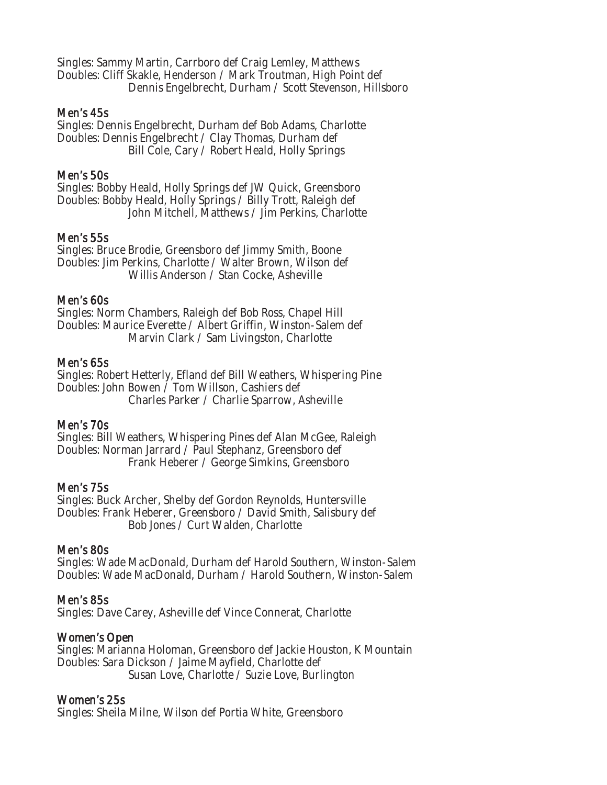Singles: Sammy Martin, Carrboro def Craig Lemley, Matthews Doubles: Cliff Skakle, Henderson / Mark Troutman, High Point def Dennis Engelbrecht, Durham / Scott Stevenson, Hillsboro

#### Men's 45s

Singles: Dennis Engelbrecht, Durham def Bob Adams, Charlotte Doubles: Dennis Engelbrecht / Clay Thomas, Durham def Bill Cole, Cary / Robert Heald, Holly Springs

### Men's 50s

Singles: Bobby Heald, Holly Springs def JW Quick, Greensboro Doubles: Bobby Heald, Holly Springs / Billy Trott, Raleigh def John Mitchell, Matthews / Jim Perkins, Charlotte

#### Men's 55s

Singles: Bruce Brodie, Greensboro def Jimmy Smith, Boone Doubles: Jim Perkins, Charlotte / Walter Brown, Wilson def Willis Anderson / Stan Cocke, Asheville

#### Men's 60s

Singles: Norm Chambers, Raleigh def Bob Ross, Chapel Hill Doubles: Maurice Everette / Albert Griffin, Winston-Salem def Marvin Clark / Sam Livingston, Charlotte

#### Men's 65s

Singles: Robert Hetterly, Efland def Bill Weathers, Whispering Pine Doubles: John Bowen / Tom Willson, Cashiers def Charles Parker / Charlie Sparrow, Asheville

# Men's 70s

Singles: Bill Weathers, Whispering Pines def Alan McGee, Raleigh Doubles: Norman Jarrard / Paul Stephanz, Greensboro def Frank Heberer / George Simkins, Greensboro

# Men's 75s

Singles: Buck Archer, Shelby def Gordon Reynolds, Huntersville Doubles: Frank Heberer, Greensboro / David Smith, Salisbury def Bob Jones / Curt Walden, Charlotte

# Men's 80s

Singles: Wade MacDonald, Durham def Harold Southern, Winston-Salem Doubles: Wade MacDonald, Durham / Harold Southern, Winston-Salem

# Men's 85s

Singles: Dave Carey, Asheville def Vince Connerat, Charlotte

# Women's Open

Singles: Marianna Holoman, Greensboro def Jackie Houston, K Mountain Doubles: Sara Dickson / Jaime Mayfield, Charlotte def Susan Love, Charlotte / Suzie Love, Burlington

# Women's 25s

Singles: Sheila Milne, Wilson def Portia White, Greensboro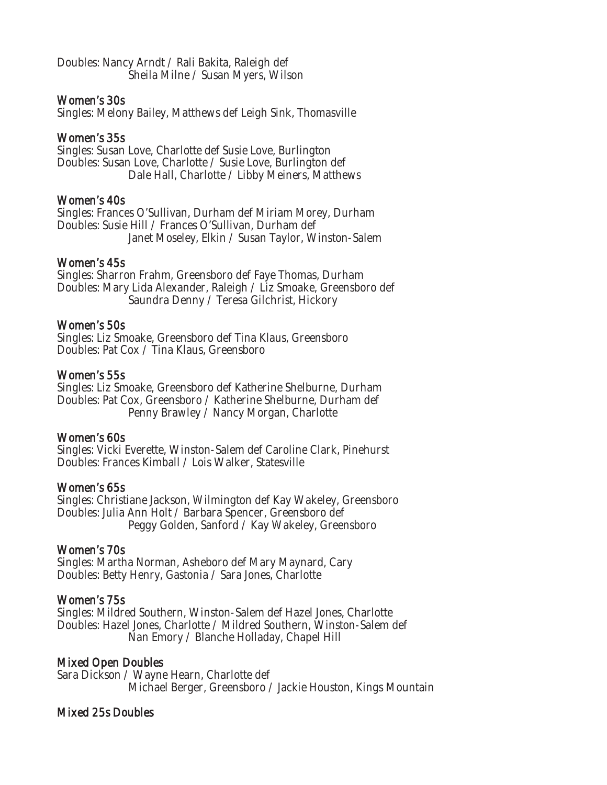Doubles: Nancy Arndt / Rali Bakita, Raleigh def Sheila Milne / Susan Myers, Wilson

### Women's 30s

Singles: Melony Bailey, Matthews def Leigh Sink, Thomasville

# Women's 35s

Singles: Susan Love, Charlotte def Susie Love, Burlington Doubles: Susan Love, Charlotte / Susie Love, Burlington def Dale Hall, Charlotte / Libby Meiners, Matthews

# Women's 40s

Singles: Frances O'Sullivan, Durham def Miriam Morey, Durham Doubles: Susie Hill / Frances O'Sullivan, Durham def Janet Moseley, Elkin / Susan Taylor, Winston-Salem

#### Women's 45s

Singles: Sharron Frahm, Greensboro def Faye Thomas, Durham Doubles: Mary Lida Alexander, Raleigh / Liz Smoake, Greensboro def Saundra Denny / Teresa Gilchrist, Hickory

#### Women's 50s

Singles: Liz Smoake, Greensboro def Tina Klaus, Greensboro Doubles: Pat Cox / Tina Klaus, Greensboro

#### Women's 55s

Singles: Liz Smoake, Greensboro def Katherine Shelburne, Durham Doubles: Pat Cox, Greensboro / Katherine Shelburne, Durham def Penny Brawley / Nancy Morgan, Charlotte

#### Women's 60s

Singles: Vicki Everette, Winston-Salem def Caroline Clark, Pinehurst Doubles: Frances Kimball / Lois Walker, Statesville

#### Women's 65s

Singles: Christiane Jackson, Wilmington def Kay Wakeley, Greensboro Doubles: Julia Ann Holt / Barbara Spencer, Greensboro def Peggy Golden, Sanford / Kay Wakeley, Greensboro

# Women's 70s

Singles: Martha Norman, Asheboro def Mary Maynard, Cary Doubles: Betty Henry, Gastonia / Sara Jones, Charlotte

# Women's 75s

Singles: Mildred Southern, Winston-Salem def Hazel Jones, Charlotte Doubles: Hazel Jones, Charlotte / Mildred Southern, Winston-Salem def Nan Emory / Blanche Holladay, Chapel Hill

# Mixed Open Doubles

Sara Dickson / Wayne Hearn, Charlotte def Michael Berger, Greensboro / Jackie Houston, Kings Mountain

# Mixed 25s Doubles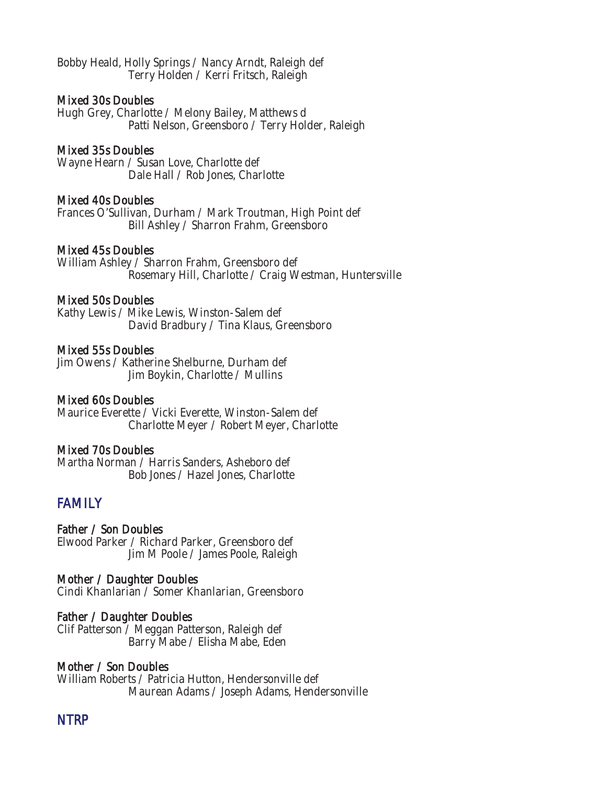Bobby Heald, Holly Springs / Nancy Arndt, Raleigh def Terry Holden / Kerri Fritsch, Raleigh

#### Mixed 30s Doubles

Hugh Grey, Charlotte / Melony Bailey, Matthews d Patti Nelson, Greensboro / Terry Holder, Raleigh

#### Mixed 35s Doubles

Wayne Hearn / Susan Love, Charlotte def Dale Hall / Rob Jones, Charlotte

#### Mixed 40s Doubles

Frances O'Sullivan, Durham / Mark Troutman, High Point def Bill Ashley / Sharron Frahm, Greensboro

#### Mixed 45s Doubles

William Ashley / Sharron Frahm, Greensboro def Rosemary Hill, Charlotte / Craig Westman, Huntersville

#### Mixed 50s Doubles

Kathy Lewis / Mike Lewis, Winston-Salem def David Bradbury / Tina Klaus, Greensboro

#### Mixed 55s Doubles

Jim Owens / Katherine Shelburne, Durham def Jim Boykin, Charlotte / Mullins

#### Mixed 60s Doubles

Maurice Everette / Vicki Everette, Winston-Salem def Charlotte Meyer / Robert Meyer, Charlotte

#### Mixed 70s Doubles

Martha Norman / Harris Sanders, Asheboro def Bob Jones / Hazel Jones, Charlotte

# FAMILY

### Father / Son Doubles

Elwood Parker / Richard Parker, Greensboro def Jim M Poole / James Poole, Raleigh

#### Mother / Daughter Doubles

Cindi Khanlarian / Somer Khanlarian, Greensboro

#### Father / Daughter Doubles

Clif Patterson / Meggan Patterson, Raleigh def Barry Mabe / Elisha Mabe, Eden

#### Mother / Son Doubles

William Roberts / Patricia Hutton, Hendersonville def Maurean Adams / Joseph Adams, Hendersonville

# NTRP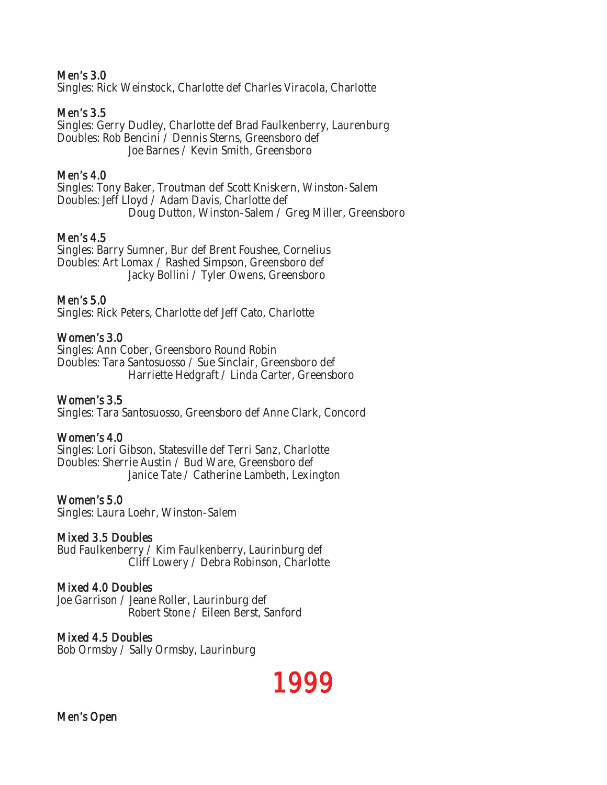### Men's 3.0

Singles: Rick Weinstock, Charlotte def Charles Viracola, Charlotte

### Men's 3.5

Singles: Gerry Dudley, Charlotte def Brad Faulkenberry, Laurenburg Doubles: Rob Bencini / Dennis Sterns, Greensboro def Joe Barnes / Kevin Smith, Greensboro

### Men's 4.0

Singles: Tony Baker, Troutman def Scott Kniskern, Winston-Salem Doubles: Jeff Lloyd / Adam Davis, Charlotte def Doug Dutton, Winston-Salem / Greg Miller, Greensboro

#### Men's 4.5

Singles: Barry Sumner, Bur def Brent Foushee, Cornelius Doubles: Art Lomax / Rashed Simpson, Greensboro def Jacky Bollini / Tyler Owens, Greensboro

#### Men's 5.0

Singles: Rick Peters, Charlotte def Jeff Cato, Charlotte

#### Women's 3.0

Singles: Ann Cober, Greensboro Round Robin Doubles: Tara Santosuosso / Sue Sinclair, Greensboro def Harriette Hedgraft / Linda Carter, Greensboro

#### Women's 3.5

Singles: Tara Santosuosso, Greensboro def Anne Clark, Concord

#### Women's 4.0

Singles: Lori Gibson, Statesville def Terri Sanz, Charlotte Doubles: Sherrie Austin / Bud Ware, Greensboro def Janice Tate / Catherine Lambeth, Lexington

#### Women's 5.0

Singles: Laura Loehr, Winston-Salem

#### Mixed 3.5 Doubles

Bud Faulkenberry / Kim Faulkenberry, Laurinburg def Cliff Lowery / Debra Robinson, Charlotte

#### Mixed 4.0 Doubles

Joe Garrison / Jeane Roller, Laurinburg def Robert Stone / Eileen Berst, Sanford

#### Mixed 4.5 Doubles

Bob Ormsby / Sally Ormsby, Laurinburg

1999

Men's Open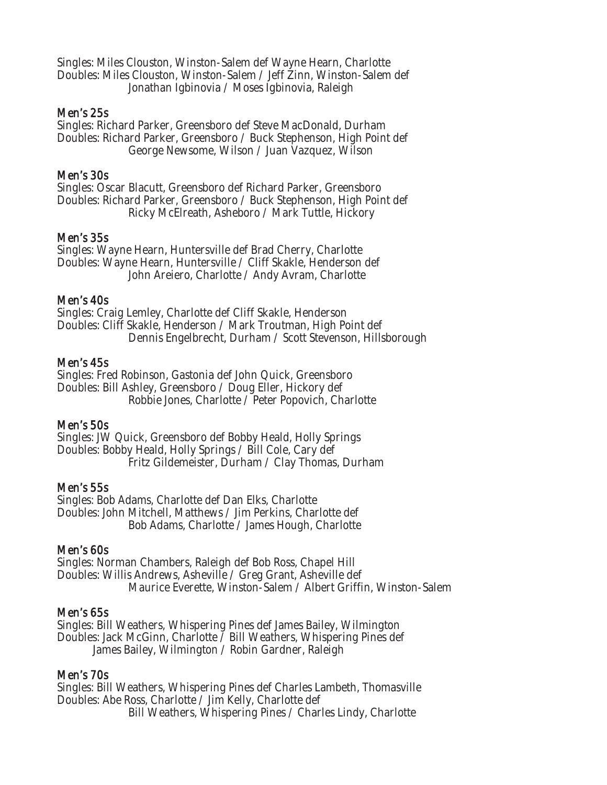Singles: Miles Clouston, Winston-Salem def Wayne Hearn, Charlotte Doubles: Miles Clouston, Winston-Salem / Jeff Zinn, Winston-Salem def Jonathan Igbinovia / Moses Igbinovia, Raleigh

#### Men's 25s

Singles: Richard Parker, Greensboro def Steve MacDonald, Durham Doubles: Richard Parker, Greensboro / Buck Stephenson, High Point def George Newsome, Wilson / Juan Vazquez, Wilson

### Men's 30s

Singles: Oscar Blacutt, Greensboro def Richard Parker, Greensboro Doubles: Richard Parker, Greensboro / Buck Stephenson, High Point def Ricky McElreath, Asheboro / Mark Tuttle, Hickory

#### Men's 35s

Singles: Wayne Hearn, Huntersville def Brad Cherry, Charlotte Doubles: Wayne Hearn, Huntersville / Cliff Skakle, Henderson def John Areiero, Charlotte / Andy Avram, Charlotte

#### Men's 40s

Singles: Craig Lemley, Charlotte def Cliff Skakle, Henderson Doubles: Cliff Skakle, Henderson / Mark Troutman, High Point def Dennis Engelbrecht, Durham / Scott Stevenson, Hillsborough

#### Men's 45s

Singles: Fred Robinson, Gastonia def John Quick, Greensboro Doubles: Bill Ashley, Greensboro / Doug Eller, Hickory def Robbie Jones, Charlotte / Peter Popovich, Charlotte

# Men's 50s

Singles: JW Quick, Greensboro def Bobby Heald, Holly Springs Doubles: Bobby Heald, Holly Springs / Bill Cole, Cary def Fritz Gildemeister, Durham / Clay Thomas, Durham

# Men's 55s

Singles: Bob Adams, Charlotte def Dan Elks, Charlotte Doubles: John Mitchell, Matthews / Jim Perkins, Charlotte def Bob Adams, Charlotte / James Hough, Charlotte

# Men's 60s

Singles: Norman Chambers, Raleigh def Bob Ross, Chapel Hill Doubles: Willis Andrews, Asheville / Greg Grant, Asheville def Maurice Everette, Winston-Salem / Albert Griffin, Winston-Salem

# Men's 65s

Singles: Bill Weathers, Whispering Pines def James Bailey, Wilmington Doubles: Jack McGinn, Charlotte / Bill Weathers, Whispering Pines def James Bailey, Wilmington / Robin Gardner, Raleigh

# Men's 70s

Singles: Bill Weathers, Whispering Pines def Charles Lambeth, Thomasville Doubles: Abe Ross, Charlotte / Jim Kelly, Charlotte def Bill Weathers, Whispering Pines / Charles Lindy, Charlotte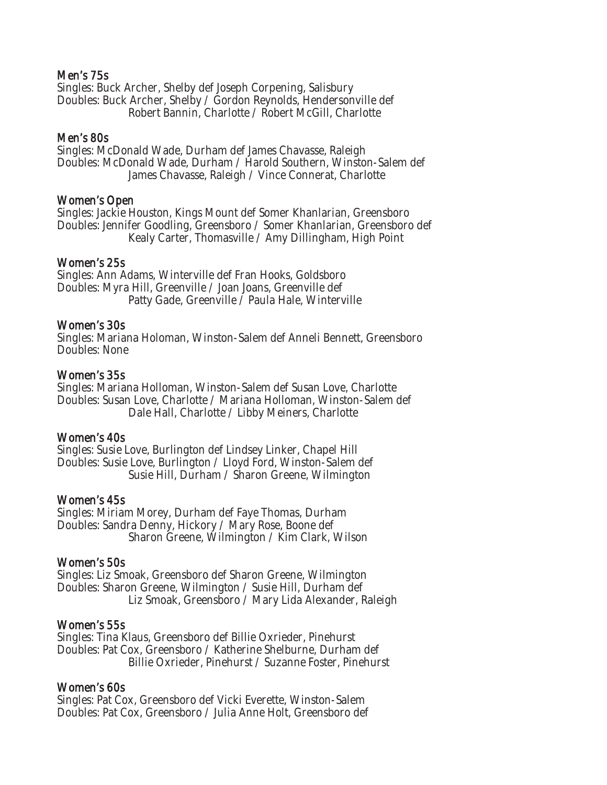#### Men's 75s

Singles: Buck Archer, Shelby def Joseph Corpening, Salisbury Doubles: Buck Archer, Shelby / Gordon Reynolds, Hendersonville def Robert Bannin, Charlotte / Robert McGill, Charlotte

#### Men's 80s

Singles: McDonald Wade, Durham def James Chavasse, Raleigh Doubles: McDonald Wade, Durham / Harold Southern, Winston-Salem def James Chavasse, Raleigh / Vince Connerat, Charlotte

#### Women's Open

Singles: Jackie Houston, Kings Mount def Somer Khanlarian, Greensboro Doubles: Jennifer Goodling, Greensboro / Somer Khanlarian, Greensboro def Kealy Carter, Thomasville / Amy Dillingham, High Point

#### Women's 25s

Singles: Ann Adams, Winterville def Fran Hooks, Goldsboro Doubles: Myra Hill, Greenville / Joan Joans, Greenville def Patty Gade, Greenville / Paula Hale, Winterville

#### Women's 30s

Singles: Mariana Holoman, Winston-Salem def Anneli Bennett, Greensboro Doubles: None

#### Women's 35s

Singles: Mariana Holloman, Winston-Salem def Susan Love, Charlotte Doubles: Susan Love, Charlotte / Mariana Holloman, Winston-Salem def Dale Hall, Charlotte / Libby Meiners, Charlotte

#### Women's 40s

Singles: Susie Love, Burlington def Lindsey Linker, Chapel Hill Doubles: Susie Love, Burlington / Lloyd Ford, Winston-Salem def Susie Hill, Durham / Sharon Greene, Wilmington

# Women's 45s

Singles: Miriam Morey, Durham def Faye Thomas, Durham Doubles: Sandra Denny, Hickory / Mary Rose, Boone def Sharon Greene, Wilmington / Kim Clark, Wilson

# Women's 50s

Singles: Liz Smoak, Greensboro def Sharon Greene, Wilmington Doubles: Sharon Greene, Wilmington / Susie Hill, Durham def Liz Smoak, Greensboro / Mary Lida Alexander, Raleigh

#### Women's 55s

Singles: Tina Klaus, Greensboro def Billie Oxrieder, Pinehurst Doubles: Pat Cox, Greensboro / Katherine Shelburne, Durham def Billie Oxrieder, Pinehurst / Suzanne Foster, Pinehurst

#### Women's 60s

Singles: Pat Cox, Greensboro def Vicki Everette, Winston-Salem Doubles: Pat Cox, Greensboro / Julia Anne Holt, Greensboro def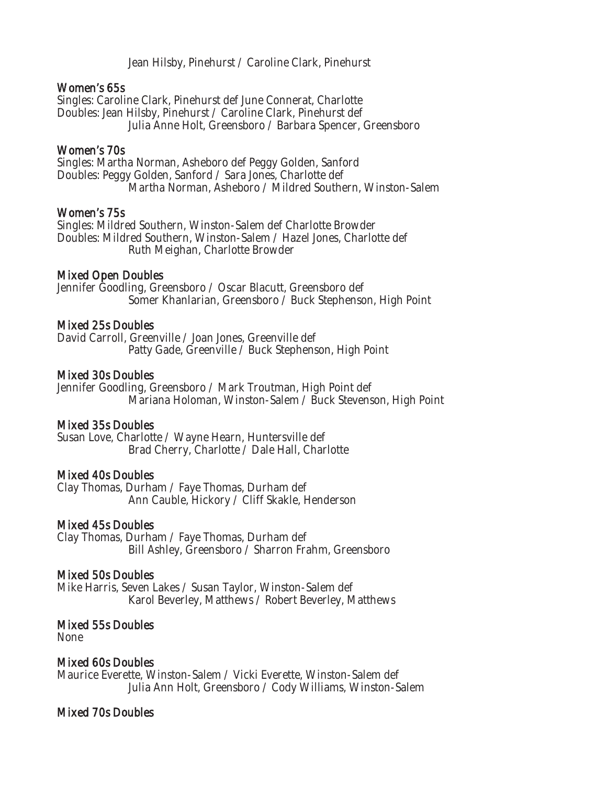Jean Hilsby, Pinehurst / Caroline Clark, Pinehurst

#### Women's 65s

Singles: Caroline Clark, Pinehurst def June Connerat, Charlotte Doubles: Jean Hilsby, Pinehurst / Caroline Clark, Pinehurst def Julia Anne Holt, Greensboro / Barbara Spencer, Greensboro

#### Women's 70s

Singles: Martha Norman, Asheboro def Peggy Golden, Sanford Doubles: Peggy Golden, Sanford / Sara Jones, Charlotte def Martha Norman, Asheboro / Mildred Southern, Winston-Salem

#### Women's 75s

Singles: Mildred Southern, Winston-Salem def Charlotte Browder Doubles: Mildred Southern, Winston-Salem / Hazel Jones, Charlotte def Ruth Meighan, Charlotte Browder

#### Mixed Open Doubles

Jennifer Goodling, Greensboro / Oscar Blacutt, Greensboro def Somer Khanlarian, Greensboro / Buck Stephenson, High Point

#### Mixed 25s Doubles

David Carroll, Greenville / Joan Jones, Greenville def Patty Gade, Greenville / Buck Stephenson, High Point

#### Mixed 30s Doubles

Jennifer Goodling, Greensboro / Mark Troutman, High Point def Mariana Holoman, Winston-Salem / Buck Stevenson, High Point

#### Mixed 35s Doubles

Susan Love, Charlotte / Wayne Hearn, Huntersville def Brad Cherry, Charlotte / Dale Hall, Charlotte

#### Mixed 40s Doubles

Clay Thomas, Durham / Faye Thomas, Durham def Ann Cauble, Hickory / Cliff Skakle, Henderson

#### Mixed 45s Doubles

Clay Thomas, Durham / Faye Thomas, Durham def Bill Ashley, Greensboro / Sharron Frahm, Greensboro

# Mixed 50s Doubles

Mike Harris, Seven Lakes / Susan Taylor, Winston-Salem def Karol Beverley, Matthews / Robert Beverley, Matthews

# Mixed 55s Doubles

None

# Mixed 60s Doubles

Maurice Everette, Winston-Salem / Vicki Everette, Winston-Salem def Julia Ann Holt, Greensboro / Cody Williams, Winston-Salem

# Mixed 70s Doubles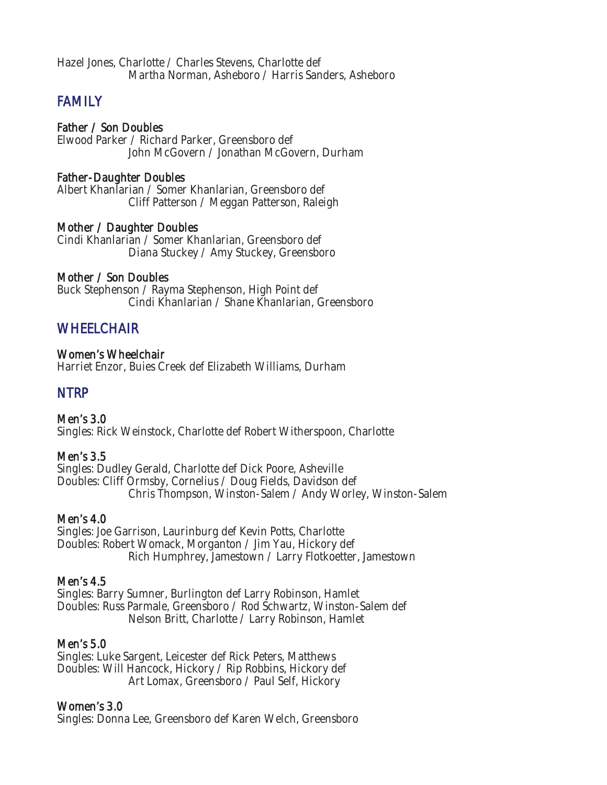Hazel Jones, Charlotte / Charles Stevens, Charlotte def Martha Norman, Asheboro / Harris Sanders, Asheboro

# **FAMILY**

### Father / Son Doubles

Elwood Parker / Richard Parker, Greensboro def John McGovern / Jonathan McGovern, Durham

#### Father-Daughter Doubles

Albert Khanlarian / Somer Khanlarian, Greensboro def Cliff Patterson / Meggan Patterson, Raleigh

#### Mother / Daughter Doubles

Cindi Khanlarian / Somer Khanlarian, Greensboro def Diana Stuckey / Amy Stuckey, Greensboro

#### Mother / Son Doubles

Buck Stephenson / Rayma Stephenson, High Point def Cindi Khanlarian / Shane Khanlarian, Greensboro

# **WHEELCHAIR**

#### Women's Wheelchair

Harriet Enzor, Buies Creek def Elizabeth Williams, Durham

# NTRP

Men's 3.0 Singles: Rick Weinstock, Charlotte def Robert Witherspoon, Charlotte

#### Men's 3.5

Singles: Dudley Gerald, Charlotte def Dick Poore, Asheville Doubles: Cliff Ormsby, Cornelius / Doug Fields, Davidson def Chris Thompson, Winston-Salem / Andy Worley, Winston-Salem

# Men's 4.0

Singles: Joe Garrison, Laurinburg def Kevin Potts, Charlotte Doubles: Robert Womack, Morganton / Jim Yau, Hickory def Rich Humphrey, Jamestown / Larry Flotkoetter, Jamestown

#### Men's 4.5

Singles: Barry Sumner, Burlington def Larry Robinson, Hamlet Doubles: Russ Parmale, Greensboro / Rod Schwartz, Winston-Salem def Nelson Britt, Charlotte / Larry Robinson, Hamlet

#### Men's 5.0

Singles: Luke Sargent, Leicester def Rick Peters, Matthews Doubles: Will Hancock, Hickory / Rip Robbins, Hickory def Art Lomax, Greensboro / Paul Self, Hickory

#### Women's 3.0

Singles: Donna Lee, Greensboro def Karen Welch, Greensboro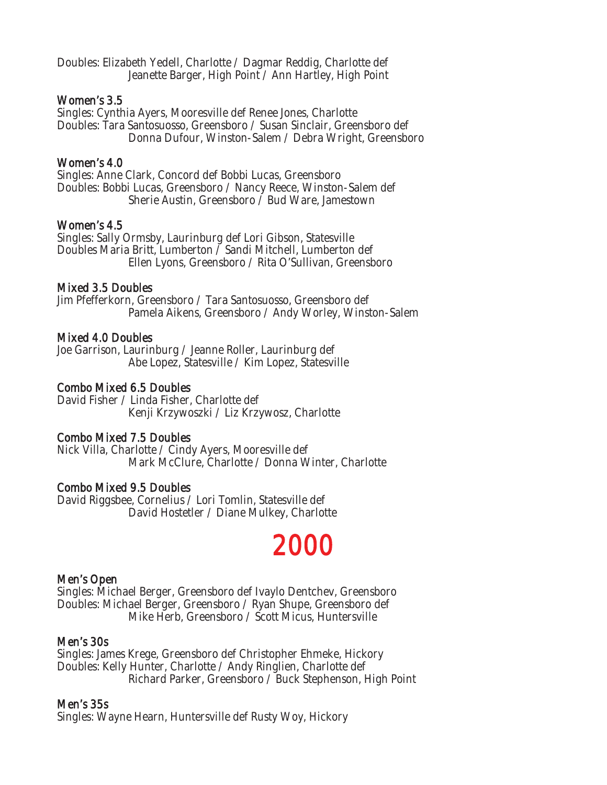Doubles: Elizabeth Yedell, Charlotte / Dagmar Reddig, Charlotte def Jeanette Barger, High Point / Ann Hartley, High Point

### Women's 3.5

Singles: Cynthia Ayers, Mooresville def Renee Jones, Charlotte Doubles: Tara Santosuosso, Greensboro / Susan Sinclair, Greensboro def Donna Dufour, Winston-Salem / Debra Wright, Greensboro

# Women's 4.0

Singles: Anne Clark, Concord def Bobbi Lucas, Greensboro Doubles: Bobbi Lucas, Greensboro / Nancy Reece, Winston-Salem def Sherie Austin, Greensboro / Bud Ware, Jamestown

# Women's 4.5

Singles: Sally Ormsby, Laurinburg def Lori Gibson, Statesville Doubles Maria Britt, Lumberton / Sandi Mitchell, Lumberton def Ellen Lyons, Greensboro / Rita O'Sullivan, Greensboro

# Mixed 3.5 Doubles

Jim Pfefferkorn, Greensboro / Tara Santosuosso, Greensboro def Pamela Aikens, Greensboro / Andy Worley, Winston-Salem

# Mixed 4.0 Doubles

Joe Garrison, Laurinburg / Jeanne Roller, Laurinburg def Abe Lopez, Statesville / Kim Lopez, Statesville

# Combo Mixed 6.5 Doubles

David Fisher / Linda Fisher, Charlotte def Kenji Krzywoszki / Liz Krzywosz, Charlotte

# Combo Mixed 7.5 Doubles

Nick Villa, Charlotte / Cindy Ayers, Mooresville def Mark McClure, Charlotte / Donna Winter, Charlotte

# Combo Mixed 9.5 Doubles

David Riggsbee, Cornelius / Lori Tomlin, Statesville def David Hostetler / Diane Mulkey, Charlotte

# 2000

# Men's Open

Singles: Michael Berger, Greensboro def Ivaylo Dentchev, Greensboro Doubles: Michael Berger, Greensboro / Ryan Shupe, Greensboro def Mike Herb, Greensboro / Scott Micus, Huntersville

# Men's 30s

Singles: James Krege, Greensboro def Christopher Ehmeke, Hickory Doubles: Kelly Hunter, Charlotte / Andy Ringlien, Charlotte def Richard Parker, Greensboro / Buck Stephenson, High Point

# Men's 35s

Singles: Wayne Hearn, Huntersville def Rusty Woy, Hickory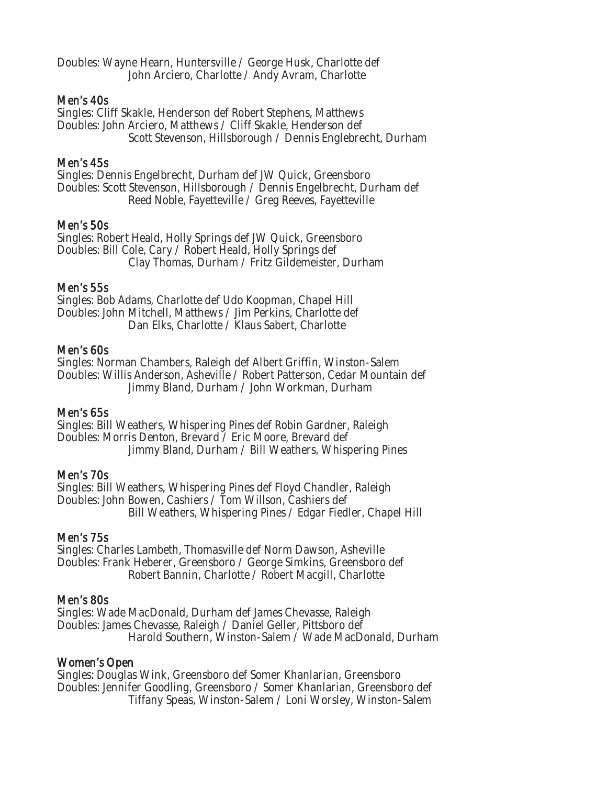Doubles: Wayne Hearn, Huntersville / George Husk, Charlotte def John Arciero, Charlotte / Andy Avram, Charlotte

#### Men's 40s

Singles: Cliff Skakle, Henderson def Robert Stephens, Matthews Doubles: John Arciero, Matthews / Cliff Skakle, Henderson def Scott Stevenson, Hillsborough / Dennis Englebrecht, Durham

### Men's 45s

Singles: Dennis Engelbrecht, Durham def JW Quick, Greensboro Doubles: Scott Stevenson, Hillsborough / Dennis Engelbrecht, Durham def Reed Noble, Fayetteville / Greg Reeves, Fayetteville

#### Men's 50s

Singles: Robert Heald, Holly Springs def JW Quick, Greensboro Doubles: Bill Cole, Cary / Robert Heald, Holly Springs def Clay Thomas, Durham / Fritz Gildemeister, Durham

#### Men's 55s

Singles: Bob Adams, Charlotte def Udo Koopman, Chapel Hill Doubles: John Mitchell, Matthews / Jim Perkins, Charlotte def Dan Elks, Charlotte / Klaus Sabert, Charlotte

#### Men's 60s

Singles: Norman Chambers, Raleigh def Albert Griffin, Winston-Salem Doubles: Willis Anderson, Asheville / Robert Patterson, Cedar Mountain def Jimmy Bland, Durham / John Workman, Durham

#### Men's 65s

Singles: Bill Weathers, Whispering Pines def Robin Gardner, Raleigh Doubles: Morris Denton, Brevard / Eric Moore, Brevard def Jimmy Bland, Durham / Bill Weathers, Whispering Pines

# Men's 70s

Singles: Bill Weathers, Whispering Pines def Floyd Chandler, Raleigh Doubles: John Bowen, Cashiers / Tom Willson, Cashiers def Bill Weathers, Whispering Pines / Edgar Fiedler, Chapel Hill

#### Men's 75s

Singles: Charles Lambeth, Thomasville def Norm Dawson, Asheville Doubles: Frank Heberer, Greensboro / George Simkins, Greensboro def Robert Bannin, Charlotte / Robert Macgill, Charlotte

#### Men's 80s

Singles: Wade MacDonald, Durham def James Chevasse, Raleigh Doubles: James Chevasse, Raleigh / Daniel Geller, Pittsboro def Harold Southern, Winston-Salem / Wade MacDonald, Durham

#### Women's Open

Singles: Douglas Wink, Greensboro def Somer Khanlarian, Greensboro Doubles: Jennifer Goodling, Greensboro / Somer Khanlarian, Greensboro def Tiffany Speas, Winston-Salem / Loni Worsley, Winston-Salem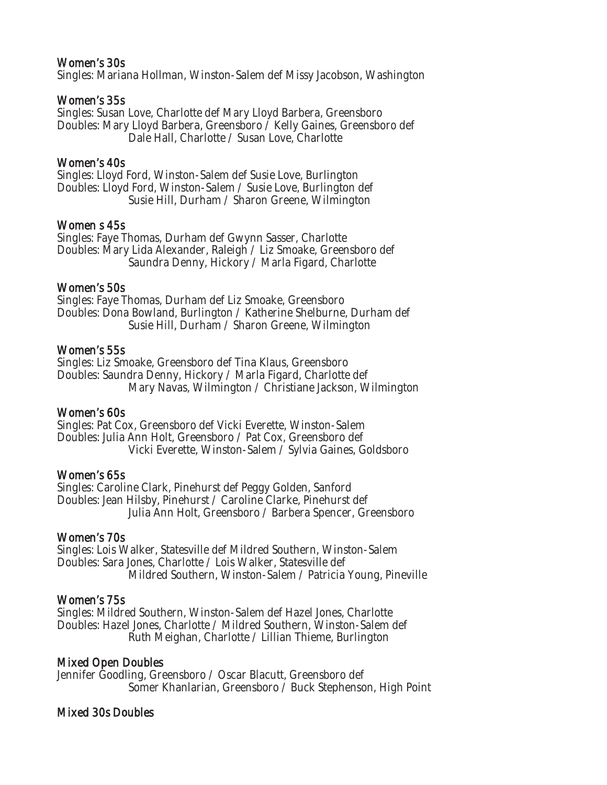### Women's 30s

Singles: Mariana Hollman, Winston-Salem def Missy Jacobson, Washington

#### Women's 35s

Singles: Susan Love, Charlotte def Mary Lloyd Barbera, Greensboro Doubles: Mary Lloyd Barbera, Greensboro / Kelly Gaines, Greensboro def Dale Hall, Charlotte / Susan Love, Charlotte

#### Women's 40s

Singles: Lloyd Ford, Winston-Salem def Susie Love, Burlington Doubles: Lloyd Ford, Winston-Salem / Susie Love, Burlington def Susie Hill, Durham / Sharon Greene, Wilmington

#### Women s 45s

Singles: Faye Thomas, Durham def Gwynn Sasser, Charlotte Doubles: Mary Lida Alexander, Raleigh / Liz Smoake, Greensboro def Saundra Denny, Hickory / Marla Figard, Charlotte

#### Women's 50s

Singles: Faye Thomas, Durham def Liz Smoake, Greensboro Doubles: Dona Bowland, Burlington / Katherine Shelburne, Durham def Susie Hill, Durham / Sharon Greene, Wilmington

#### Women's 55s

Singles: Liz Smoake, Greensboro def Tina Klaus, Greensboro Doubles: Saundra Denny, Hickory / Marla Figard, Charlotte def Mary Navas, Wilmington / Christiane Jackson, Wilmington

#### Women's 60s

Singles: Pat Cox, Greensboro def Vicki Everette, Winston-Salem Doubles: Julia Ann Holt, Greensboro / Pat Cox, Greensboro def Vicki Everette, Winston-Salem / Sylvia Gaines, Goldsboro

#### Women's 65s

Singles: Caroline Clark, Pinehurst def Peggy Golden, Sanford Doubles: Jean Hilsby, Pinehurst / Caroline Clarke, Pinehurst def Julia Ann Holt, Greensboro / Barbera Spencer, Greensboro

#### Women's 70s

Singles: Lois Walker, Statesville def Mildred Southern, Winston-Salem Doubles: Sara Jones, Charlotte / Lois Walker, Statesville def Mildred Southern, Winston-Salem / Patricia Young, Pineville

# Women's 75s

Singles: Mildred Southern, Winston-Salem def Hazel Jones, Charlotte Doubles: Hazel Jones, Charlotte / Mildred Southern, Winston-Salem def Ruth Meighan, Charlotte / Lillian Thieme, Burlington

# Mixed Open Doubles

Jennifer Goodling, Greensboro / Oscar Blacutt, Greensboro def Somer Khanlarian, Greensboro / Buck Stephenson, High Point

# Mixed 30s Doubles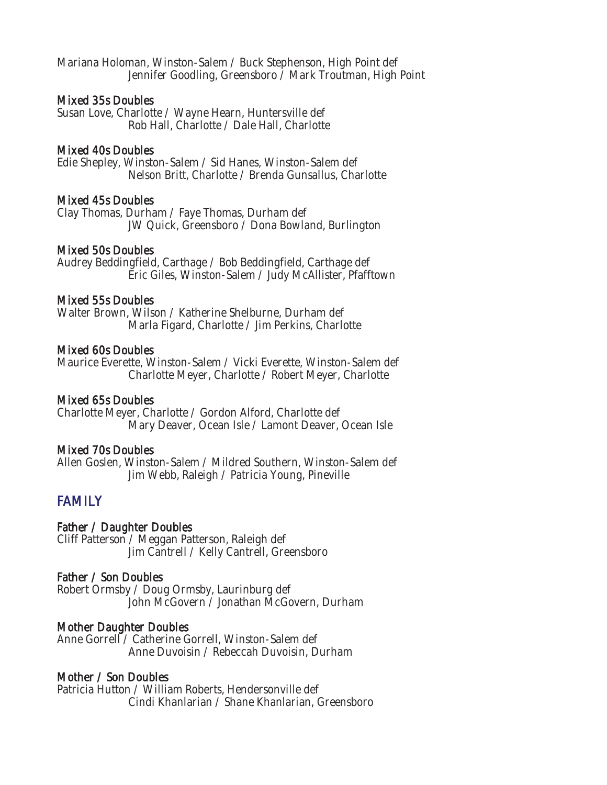Mariana Holoman, Winston-Salem / Buck Stephenson, High Point def Jennifer Goodling, Greensboro / Mark Troutman, High Point

#### Mixed 35s Doubles

Susan Love, Charlotte / Wayne Hearn, Huntersville def Rob Hall, Charlotte / Dale Hall, Charlotte

#### Mixed 40s Doubles

Edie Shepley, Winston-Salem / Sid Hanes, Winston-Salem def Nelson Britt, Charlotte / Brenda Gunsallus, Charlotte

# Mixed 45s Doubles

Clay Thomas, Durham / Faye Thomas, Durham def JW Quick, Greensboro / Dona Bowland, Burlington

#### Mixed 50s Doubles

Audrey Beddingfield, Carthage / Bob Beddingfield, Carthage def Eric Giles, Winston-Salem / Judy McAllister, Pfafftown

#### Mixed 55s Doubles

Walter Brown, Wilson / Katherine Shelburne, Durham def Marla Figard, Charlotte / Jim Perkins, Charlotte

#### Mixed 60s Doubles

Maurice Everette, Winston-Salem / Vicki Everette, Winston-Salem def Charlotte Meyer, Charlotte / Robert Meyer, Charlotte

# Mixed 65s Doubles

Charlotte Meyer, Charlotte / Gordon Alford, Charlotte def Mary Deaver, Ocean Isle / Lamont Deaver, Ocean Isle

#### Mixed 70s Doubles

Allen Goslen, Winston-Salem / Mildred Southern, Winston-Salem def Jim Webb, Raleigh / Patricia Young, Pineville

# **FAMILY**

# Father / Daughter Doubles

Cliff Patterson / Meggan Patterson, Raleigh def Jim Cantrell / Kelly Cantrell, Greensboro

# Father / Son Doubles

Robert Ormsby / Doug Ormsby, Laurinburg def John McGovern / Jonathan McGovern, Durham

# Mother Daughter Doubles

Anne Gorrell / Catherine Gorrell, Winston-Salem def Anne Duvoisin / Rebeccah Duvoisin, Durham

# Mother / Son Doubles

Patricia Hutton / William Roberts, Hendersonville def Cindi Khanlarian / Shane Khanlarian, Greensboro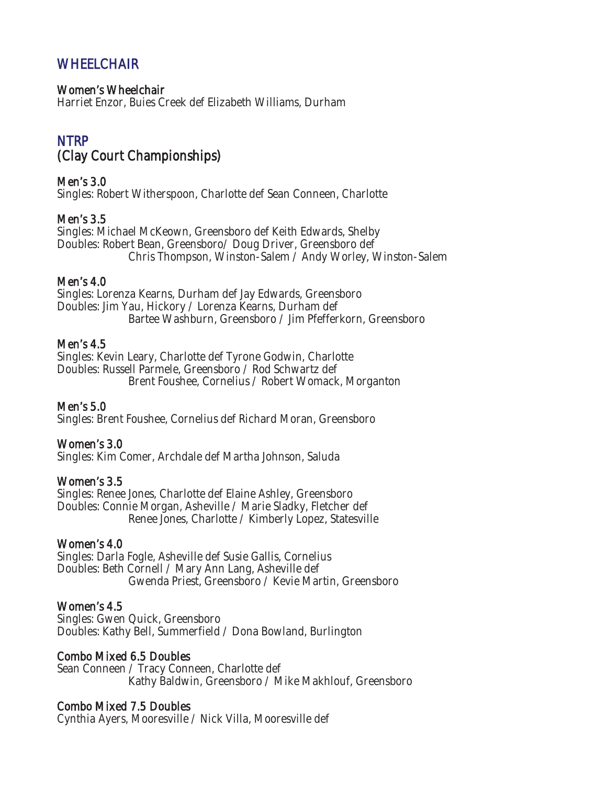# **WHEELCHAIR**

#### Women's Wheelchair

Harriet Enzor, Buies Creek def Elizabeth Williams, Durham

# NTRP (Clay Court Championships)

Men's 3.0 Singles: Robert Witherspoon, Charlotte def Sean Conneen, Charlotte

# Men's 3.5

Singles: Michael McKeown, Greensboro def Keith Edwards, Shelby Doubles: Robert Bean, Greensboro/ Doug Driver, Greensboro def Chris Thompson, Winston-Salem / Andy Worley, Winston-Salem

# Men's 4.0

Singles: Lorenza Kearns, Durham def Jay Edwards, Greensboro Doubles: Jim Yau, Hickory / Lorenza Kearns, Durham def Bartee Washburn, Greensboro / Jim Pfefferkorn, Greensboro

# Men's 4.5

Singles: Kevin Leary, Charlotte def Tyrone Godwin, Charlotte Doubles: Russell Parmele, Greensboro / Rod Schwartz def Brent Foushee, Cornelius / Robert Womack, Morganton

# Men's 5.0

Singles: Brent Foushee, Cornelius def Richard Moran, Greensboro

# Women's 3.0

Singles: Kim Comer, Archdale def Martha Johnson, Saluda

# Women's 3.5

Singles: Renee Jones, Charlotte def Elaine Ashley, Greensboro Doubles: Connie Morgan, Asheville / Marie Sladky, Fletcher def Renee Jones, Charlotte / Kimberly Lopez, Statesville

# Women's 4.0

Singles: Darla Fogle, Asheville def Susie Gallis, Cornelius Doubles: Beth Cornell / Mary Ann Lang, Asheville def Gwenda Priest, Greensboro / Kevie Martin, Greensboro

# Women's 4.5

Singles: Gwen Quick, Greensboro Doubles: Kathy Bell, Summerfield / Dona Bowland, Burlington

# Combo Mixed 6.5 Doubles

Sean Conneen / Tracy Conneen, Charlotte def Kathy Baldwin, Greensboro / Mike Makhlouf, Greensboro

# Combo Mixed 7.5 Doubles

Cynthia Ayers, Mooresville / Nick Villa, Mooresville def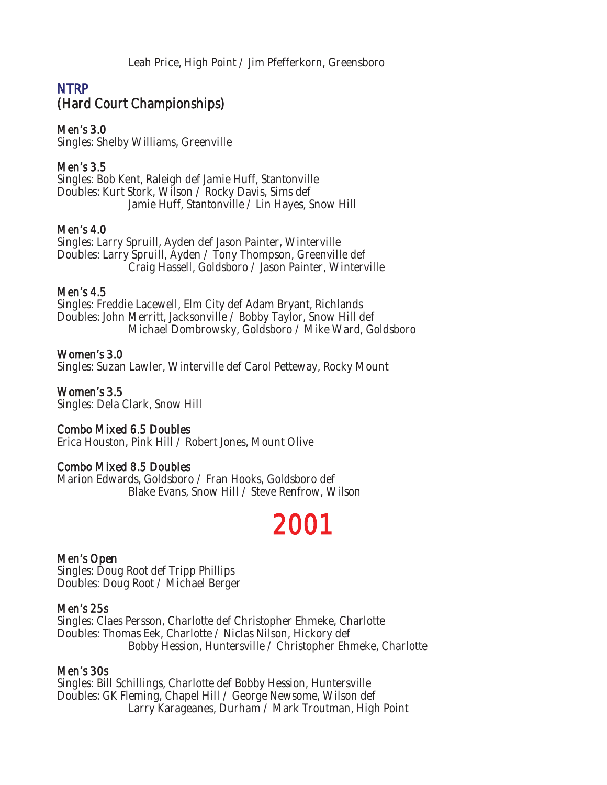Leah Price, High Point / Jim Pfefferkorn, Greensboro

# NTRP (Hard Court Championships)

Men's 3.0

Singles: Shelby Williams, Greenville

# Men's 3.5

Singles: Bob Kent, Raleigh def Jamie Huff, Stantonville Doubles: Kurt Stork, Wilson / Rocky Davis, Sims def Jamie Huff, Stantonville / Lin Hayes, Snow Hill

# Men's 4.0

Singles: Larry Spruill, Ayden def Jason Painter, Winterville Doubles: Larry Spruill, Ayden / Tony Thompson, Greenville def Craig Hassell, Goldsboro / Jason Painter, Winterville

# Men's 4.5

Singles: Freddie Lacewell, Elm City def Adam Bryant, Richlands Doubles: John Merritt, Jacksonville / Bobby Taylor, Snow Hill def Michael Dombrowsky, Goldsboro / Mike Ward, Goldsboro

# Women's 3.0

Singles: Suzan Lawler, Winterville def Carol Petteway, Rocky Mount

Women's 3.5 Singles: Dela Clark, Snow Hill

# Combo Mixed 6.5 Doubles

Erica Houston, Pink Hill / Robert Jones, Mount Olive

# Combo Mixed 8.5 Doubles

Marion Edwards, Goldsboro / Fran Hooks, Goldsboro def Blake Evans, Snow Hill / Steve Renfrow, Wilson

# 2001

# Men's Open

Singles: Doug Root def Tripp Phillips Doubles: Doug Root / Michael Berger

# Men's 25s

Singles: Claes Persson, Charlotte def Christopher Ehmeke, Charlotte Doubles: Thomas Eek, Charlotte / Niclas Nilson, Hickory def Bobby Hession, Huntersville / Christopher Ehmeke, Charlotte

# Men's 30s

Singles: Bill Schillings, Charlotte def Bobby Hession, Huntersville Doubles: GK Fleming, Chapel Hill / George Newsome, Wilson def Larry Karageanes, Durham / Mark Troutman, High Point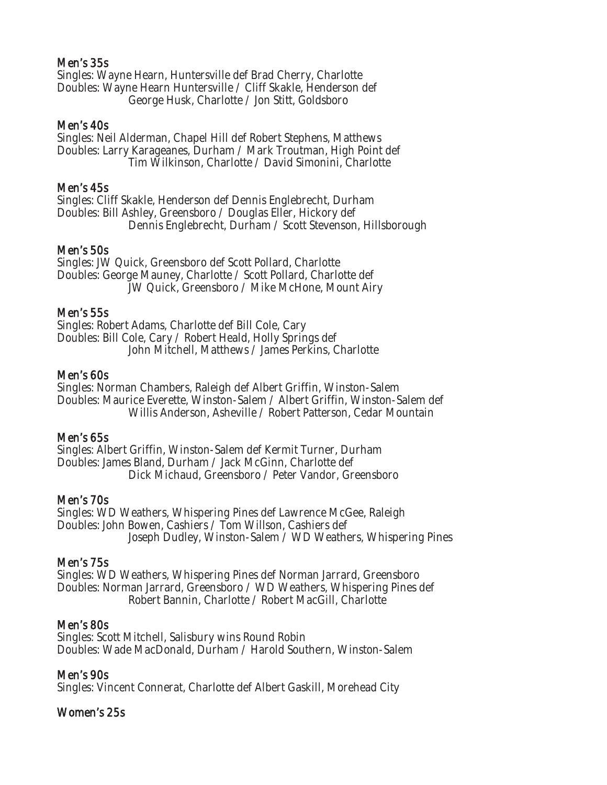### Men's 35s

Singles: Wayne Hearn, Huntersville def Brad Cherry, Charlotte Doubles: Wayne Hearn Huntersville / Cliff Skakle, Henderson def George Husk, Charlotte / Jon Stitt, Goldsboro

#### Men's 40s

Singles: Neil Alderman, Chapel Hill def Robert Stephens, Matthews Doubles: Larry Karageanes, Durham / Mark Troutman, High Point def Tim Wilkinson, Charlotte / David Simonini, Charlotte

#### Men's 45s

Singles: Cliff Skakle, Henderson def Dennis Englebrecht, Durham Doubles: Bill Ashley, Greensboro / Douglas Eller, Hickory def Dennis Englebrecht, Durham / Scott Stevenson, Hillsborough

#### Men's 50s

Singles: JW Quick, Greensboro def Scott Pollard, Charlotte Doubles: George Mauney, Charlotte / Scott Pollard, Charlotte def JW Quick, Greensboro / Mike McHone, Mount Airy

#### Men's 55s

Singles: Robert Adams, Charlotte def Bill Cole, Cary Doubles: Bill Cole, Cary / Robert Heald, Holly Springs def John Mitchell, Matthews / James Perkins, Charlotte

#### Men's 60s

Singles: Norman Chambers, Raleigh def Albert Griffin, Winston-Salem Doubles: Maurice Everette, Winston-Salem / Albert Griffin, Winston-Salem def Willis Anderson, Asheville / Robert Patterson, Cedar Mountain

#### Men's 65s

Singles: Albert Griffin, Winston-Salem def Kermit Turner, Durham Doubles: James Bland, Durham / Jack McGinn, Charlotte def Dick Michaud, Greensboro / Peter Vandor, Greensboro

#### Men's 70s

Singles: WD Weathers, Whispering Pines def Lawrence McGee, Raleigh Doubles: John Bowen, Cashiers / Tom Willson, Cashiers def Joseph Dudley, Winston-Salem / WD Weathers, Whispering Pines

#### Men's 75s

Singles: WD Weathers, Whispering Pines def Norman Jarrard, Greensboro Doubles: Norman Jarrard, Greensboro / WD Weathers, Whispering Pines def Robert Bannin, Charlotte / Robert MacGill, Charlotte

#### Men's 80s

Singles: Scott Mitchell, Salisbury wins Round Robin Doubles: Wade MacDonald, Durham / Harold Southern, Winston-Salem

# Men's 90s

Singles: Vincent Connerat, Charlotte def Albert Gaskill, Morehead City

# Women's 25s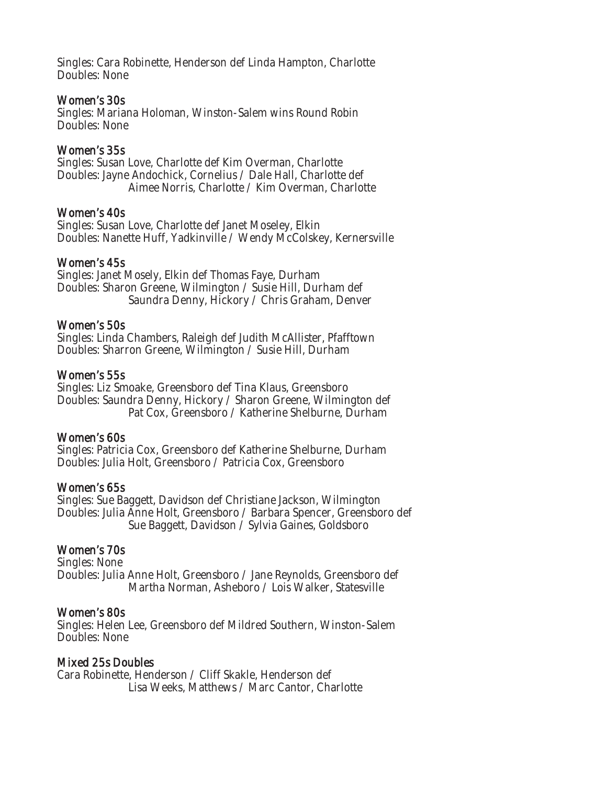Singles: Cara Robinette, Henderson def Linda Hampton, Charlotte Doubles: None

#### Women's 30s

Singles: Mariana Holoman, Winston-Salem wins Round Robin Doubles: None

### Women's 35s

Singles: Susan Love, Charlotte def Kim Overman, Charlotte Doubles: Jayne Andochick, Cornelius / Dale Hall, Charlotte def Aimee Norris, Charlotte / Kim Overman, Charlotte

#### Women's 40s

Singles: Susan Love, Charlotte def Janet Moseley, Elkin Doubles: Nanette Huff, Yadkinville / Wendy McColskey, Kernersville

#### Women's 45s

Singles: Janet Mosely, Elkin def Thomas Faye, Durham Doubles: Sharon Greene, Wilmington / Susie Hill, Durham def Saundra Denny, Hickory / Chris Graham, Denver

#### Women's 50s

Singles: Linda Chambers, Raleigh def Judith McAllister, Pfafftown Doubles: Sharron Greene, Wilmington / Susie Hill, Durham

#### Women's 55s

Singles: Liz Smoake, Greensboro def Tina Klaus, Greensboro Doubles: Saundra Denny, Hickory / Sharon Greene, Wilmington def Pat Cox, Greensboro / Katherine Shelburne, Durham

# Women's 60s

Singles: Patricia Cox, Greensboro def Katherine Shelburne, Durham Doubles: Julia Holt, Greensboro / Patricia Cox, Greensboro

# Women's 65s

Singles: Sue Baggett, Davidson def Christiane Jackson, Wilmington Doubles: Julia Anne Holt, Greensboro / Barbara Spencer, Greensboro def Sue Baggett, Davidson / Sylvia Gaines, Goldsboro

# Women's 70s

Singles: None Doubles: Julia Anne Holt, Greensboro / Jane Reynolds, Greensboro def Martha Norman, Asheboro / Lois Walker, Statesville

# Women's 80s

Singles: Helen Lee, Greensboro def Mildred Southern, Winston-Salem Doubles: None

# Mixed 25s Doubles

Cara Robinette, Henderson / Cliff Skakle, Henderson def Lisa Weeks, Matthews / Marc Cantor, Charlotte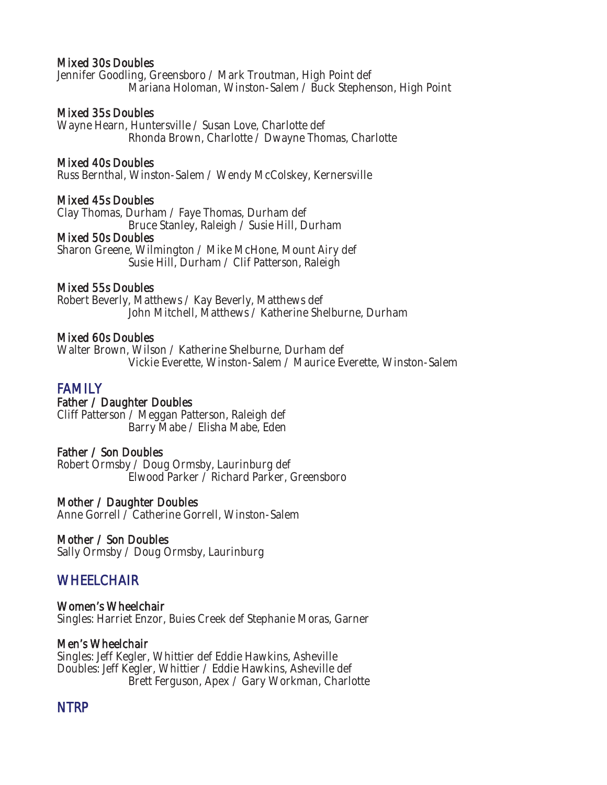#### Mixed 30s Doubles

Jennifer Goodling, Greensboro / Mark Troutman, High Point def Mariana Holoman, Winston-Salem / Buck Stephenson, High Point

#### Mixed 35s Doubles

Wayne Hearn, Huntersville / Susan Love, Charlotte def Rhonda Brown, Charlotte / Dwayne Thomas, Charlotte

#### Mixed 40s Doubles

Russ Bernthal, Winston-Salem / Wendy McColskey, Kernersville

#### Mixed 45s Doubles

Clay Thomas, Durham / Faye Thomas, Durham def Bruce Stanley, Raleigh / Susie Hill, Durham

#### Mixed 50s Doubles

Sharon Greene, Wilmington / Mike McHone, Mount Airy def Susie Hill, Durham / Clif Patterson, Raleigh

#### Mixed 55s Doubles

Robert Beverly, Matthews / Kay Beverly, Matthews def John Mitchell, Matthews / Katherine Shelburne, Durham

#### Mixed 60s Doubles

Walter Brown, Wilson / Katherine Shelburne, Durham def Vickie Everette, Winston-Salem / Maurice Everette, Winston-Salem

# FAMILY<br>Father / Daughter Doubles

Cliff Patterson / Meggan Patterson, Raleigh def Barry Mabe / Elisha Mabe, Eden

#### Father / Son Doubles

Robert Ormsby / Doug Ormsby, Laurinburg def Elwood Parker / Richard Parker, Greensboro

#### Mother / Daughter Doubles

Anne Gorrell / Catherine Gorrell, Winston-Salem

#### Mother / Son Doubles

Sally Ormsby / Doug Ormsby, Laurinburg

# **WHEELCHAIR**

Women's Wheelchair Singles: Harriet Enzor, Buies Creek def Stephanie Moras, Garner

#### Men's Wheelchair

Singles: Jeff Kegler, Whittier def Eddie Hawkins, Asheville Doubles: Jeff Kegler, Whittier / Eddie Hawkins, Asheville def Brett Ferguson, Apex / Gary Workman, Charlotte

# NTRP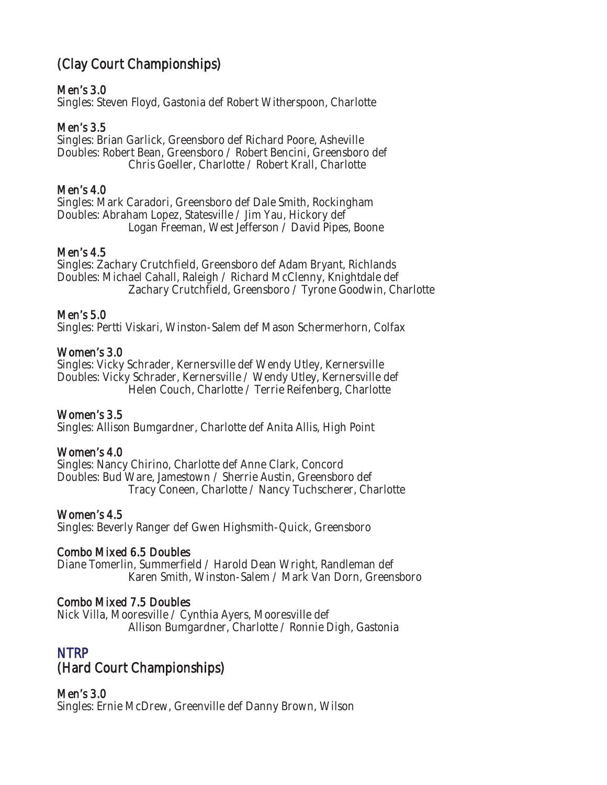# (Clay Court Championships)

# Men's 3.0

Singles: Steven Floyd, Gastonia def Robert Witherspoon, Charlotte

# Men's 3.5

Singles: Brian Garlick, Greensboro def Richard Poore, Asheville Doubles: Robert Bean, Greensboro / Robert Bencini, Greensboro def Chris Goeller, Charlotte / Robert Krall, Charlotte

# Men's 4.0

Singles: Mark Caradori, Greensboro def Dale Smith, Rockingham Doubles: Abraham Lopez, Statesville / Jim Yau, Hickory def Logan Freeman, West Jefferson / David Pipes, Boone

# Men's 4.5

Singles: Zachary Crutchfield, Greensboro def Adam Bryant, Richlands Doubles: Michael Cahall, Raleigh / Richard McClenny, Knightdale def Zachary Crutchfield, Greensboro / Tyrone Goodwin, Charlotte

# Men's 5.0

Singles: Pertti Viskari, Winston-Salem def Mason Schermerhorn, Colfax

# Women's 3.0

Singles: Vicky Schrader, Kernersville def Wendy Utley, Kernersville Doubles: Vicky Schrader, Kernersville / Wendy Utley, Kernersville def Helen Couch, Charlotte / Terrie Reifenberg, Charlotte

# Women's 3.5

Singles: Allison Bumgardner, Charlotte def Anita Allis, High Point

# Women's 4.0

Singles: Nancy Chirino, Charlotte def Anne Clark, Concord Doubles: Bud Ware, Jamestown / Sherrie Austin, Greensboro def Tracy Coneen, Charlotte / Nancy Tuchscherer, Charlotte

# Women's 4.5

Singles: Beverly Ranger def Gwen Highsmith-Quick, Greensboro

# Combo Mixed 6.5 Doubles

Diane Tomerlin, Summerfield / Harold Dean Wright, Randleman def Karen Smith, Winston-Salem / Mark Van Dorn, Greensboro

# Combo Mixed 7.5 Doubles

Nick Villa, Mooresville / Cynthia Ayers, Mooresville def Allison Bumgardner, Charlotte / Ronnie Digh, Gastonia

# NTRP (Hard Court Championships)

# Men's 3.0

Singles: Ernie McDrew, Greenville def Danny Brown, Wilson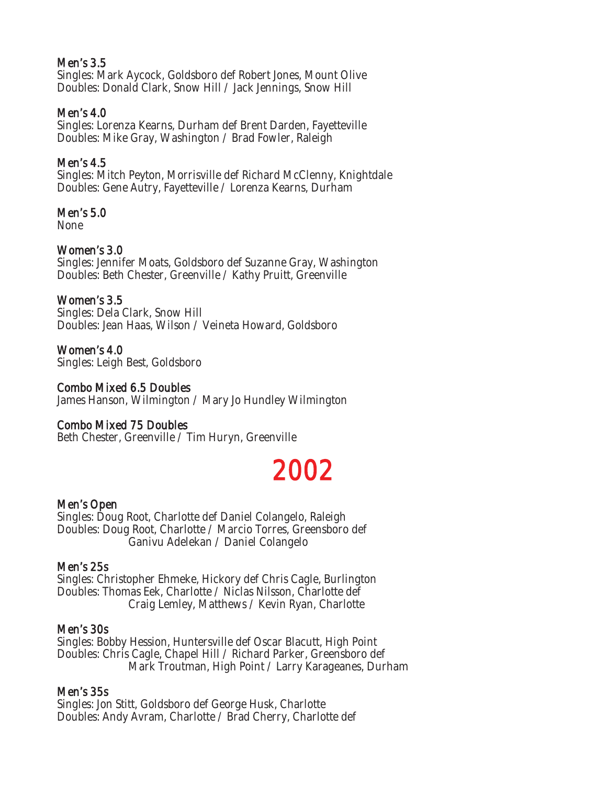# Men's 3.5

Singles: Mark Aycock, Goldsboro def Robert Jones, Mount Olive Doubles: Donald Clark, Snow Hill / Jack Jennings, Snow Hill

# Men's 4.0

Singles: Lorenza Kearns, Durham def Brent Darden, Fayetteville Doubles: Mike Gray, Washington / Brad Fowler, Raleigh

# Men's 4.5

Singles: Mitch Peyton, Morrisville def Richard McClenny, Knightdale Doubles: Gene Autry, Fayetteville / Lorenza Kearns, Durham

# Men's 5.0

None

# Women's 3.0

Singles: Jennifer Moats, Goldsboro def Suzanne Gray, Washington Doubles: Beth Chester, Greenville / Kathy Pruitt, Greenville

# Women's 3.5

Singles: Dela Clark, Snow Hill Doubles: Jean Haas, Wilson / Veineta Howard, Goldsboro

Women's 4.0 Singles: Leigh Best, Goldsboro

### Combo Mixed 6.5 Doubles

James Hanson, Wilmington / Mary Jo Hundley Wilmington

# Combo Mixed 75 Doubles

Beth Chester, Greenville / Tim Huryn, Greenville

# 2002

# Men's Open

Singles: Doug Root, Charlotte def Daniel Colangelo, Raleigh Doubles: Doug Root, Charlotte / Marcio Torres, Greensboro def Ganivu Adelekan / Daniel Colangelo

#### Men's 25s

Singles: Christopher Ehmeke, Hickory def Chris Cagle, Burlington Doubles: Thomas Eek, Charlotte / Niclas Nilsson, Charlotte def Craig Lemley, Matthews / Kevin Ryan, Charlotte

#### Men's 30s

Singles: Bobby Hession, Huntersville def Oscar Blacutt, High Point Doubles: Chris Cagle, Chapel Hill / Richard Parker, Greensboro def Mark Troutman, High Point / Larry Karageanes, Durham

# Men's 35s

Singles: Jon Stitt, Goldsboro def George Husk, Charlotte Doubles: Andy Avram, Charlotte / Brad Cherry, Charlotte def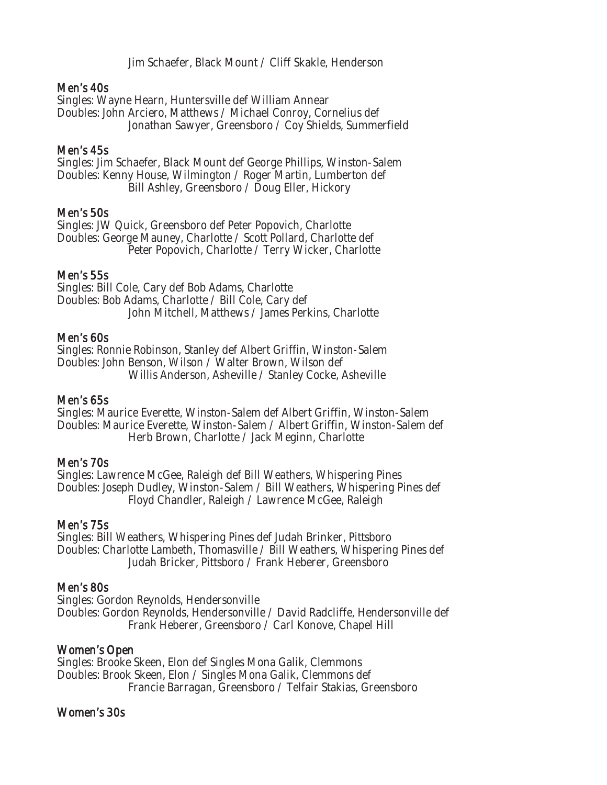Jim Schaefer, Black Mount / Cliff Skakle, Henderson

#### Men's 40s

Singles: Wayne Hearn, Huntersville def William Annear Doubles: John Arciero, Matthews / Michael Conroy, Cornelius def Jonathan Sawyer, Greensboro / Coy Shields, Summerfield

#### Men's 45s

Singles: Jim Schaefer, Black Mount def George Phillips, Winston-Salem Doubles: Kenny House, Wilmington / Roger Martin, Lumberton def Bill Ashley, Greensboro / Doug Eller, Hickory

#### Men's 50s

Singles: JW Quick, Greensboro def Peter Popovich, Charlotte Doubles: George Mauney, Charlotte / Scott Pollard, Charlotte def Peter Popovich, Charlotte / Terry Wicker, Charlotte

#### Men's 55s

Singles: Bill Cole, Cary def Bob Adams, Charlotte Doubles: Bob Adams, Charlotte / Bill Cole, Cary def John Mitchell, Matthews / James Perkins, Charlotte

#### Men's 60s

Singles: Ronnie Robinson, Stanley def Albert Griffin, Winston-Salem Doubles: John Benson, Wilson / Walter Brown, Wilson def Willis Anderson, Asheville / Stanley Cocke, Asheville

#### Men's 65s

Singles: Maurice Everette, Winston-Salem def Albert Griffin, Winston-Salem Doubles: Maurice Everette, Winston-Salem / Albert Griffin, Winston-Salem def Herb Brown, Charlotte / Jack Meginn, Charlotte

#### Men's 70s

Singles: Lawrence McGee, Raleigh def Bill Weathers, Whispering Pines Doubles: Joseph Dudley, Winston-Salem / Bill Weathers, Whispering Pines def Floyd Chandler, Raleigh / Lawrence McGee, Raleigh

#### Men's 75s

Singles: Bill Weathers, Whispering Pines def Judah Brinker, Pittsboro Doubles: Charlotte Lambeth, Thomasville / Bill Weathers, Whispering Pines def Judah Bricker, Pittsboro / Frank Heberer, Greensboro

#### Men's 80s

Singles: Gordon Reynolds, Hendersonville Doubles: Gordon Reynolds, Hendersonville / David Radcliffe, Hendersonville def Frank Heberer, Greensboro / Carl Konove, Chapel Hill

#### Women's Open

Singles: Brooke Skeen, Elon def Singles Mona Galik, Clemmons Doubles: Brook Skeen, Elon / Singles Mona Galik, Clemmons def Francie Barragan, Greensboro / Telfair Stakias, Greensboro

#### Women's 30s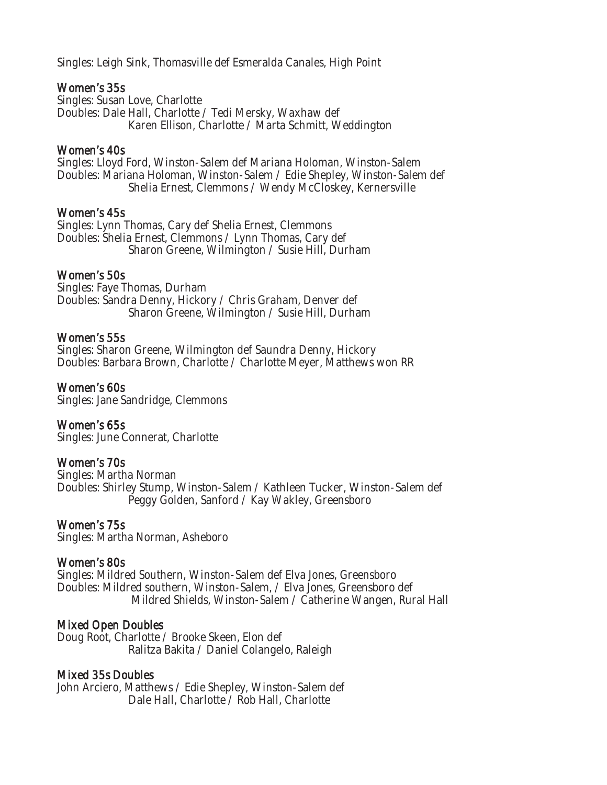Singles: Leigh Sink, Thomasville def Esmeralda Canales, High Point

#### Women's 35s

Singles: Susan Love, Charlotte Doubles: Dale Hall, Charlotte / Tedi Mersky, Waxhaw def Karen Ellison, Charlotte / Marta Schmitt, Weddington

#### Women's 40s

Singles: Lloyd Ford, Winston-Salem def Mariana Holoman, Winston-Salem Doubles: Mariana Holoman, Winston-Salem / Edie Shepley, Winston-Salem def Shelia Ernest, Clemmons / Wendy McCloskey, Kernersville

#### Women's 45s

Singles: Lynn Thomas, Cary def Shelia Ernest, Clemmons Doubles: Shelia Ernest, Clemmons / Lynn Thomas, Cary def Sharon Greene, Wilmington / Susie Hill, Durham

#### Women's 50s

Singles: Faye Thomas, Durham Doubles: Sandra Denny, Hickory / Chris Graham, Denver def Sharon Greene, Wilmington / Susie Hill, Durham

#### Women's 55s

Singles: Sharon Greene, Wilmington def Saundra Denny, Hickory Doubles: Barbara Brown, Charlotte / Charlotte Meyer, Matthews won RR

# Women's 60s

Singles: Jane Sandridge, Clemmons

# Women's 65s

Singles: June Connerat, Charlotte

# Women's 70s

Singles: Martha Norman Doubles: Shirley Stump, Winston-Salem / Kathleen Tucker, Winston-Salem def Peggy Golden, Sanford / Kay Wakley, Greensboro

#### Women's 75s

Singles: Martha Norman, Asheboro

#### Women's 80s

Singles: Mildred Southern, Winston-Salem def Elva Jones, Greensboro Doubles: Mildred southern, Winston-Salem, / Elva Jones, Greensboro def Mildred Shields, Winston-Salem / Catherine Wangen, Rural Hall

#### Mixed Open Doubles

Doug Root, Charlotte / Brooke Skeen, Elon def Ralitza Bakita / Daniel Colangelo, Raleigh

#### Mixed 35s Doubles

John Arciero, Matthews / Edie Shepley, Winston-Salem def Dale Hall, Charlotte / Rob Hall, Charlotte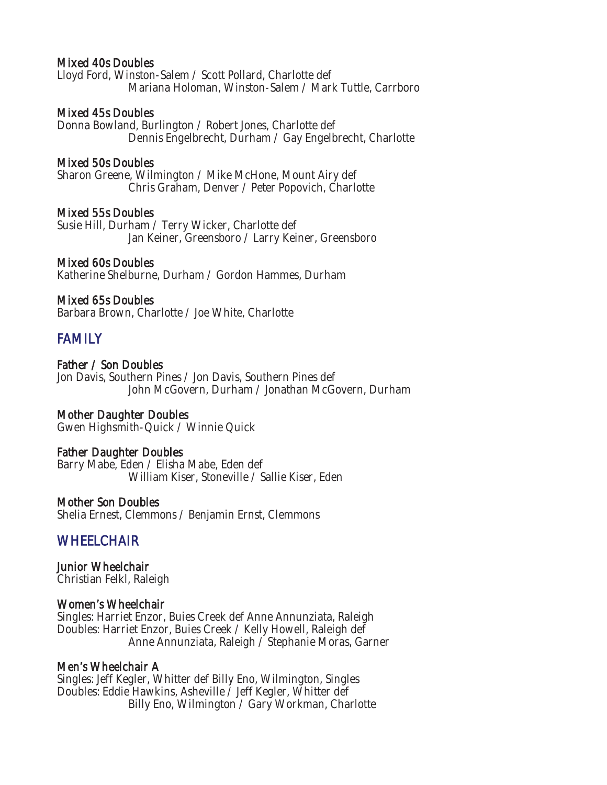#### Mixed 40s Doubles

Lloyd Ford, Winston-Salem / Scott Pollard, Charlotte def Mariana Holoman, Winston-Salem / Mark Tuttle, Carrboro

#### Mixed 45s Doubles

Donna Bowland, Burlington / Robert Jones, Charlotte def Dennis Engelbrecht, Durham / Gay Engelbrecht, Charlotte

#### Mixed 50s Doubles

Sharon Greene, Wilmington / Mike McHone, Mount Airy def Chris Graham, Denver / Peter Popovich, Charlotte

#### Mixed 55s Doubles

Susie Hill, Durham / Terry Wicker, Charlotte def Jan Keiner, Greensboro / Larry Keiner, Greensboro

#### Mixed 60s Doubles

Katherine Shelburne, Durham / Gordon Hammes, Durham

#### Mixed 65s Doubles

Barbara Brown, Charlotte / Joe White, Charlotte

# FAMILY

Father / Son Doubles Jon Davis, Southern Pines / Jon Davis, Southern Pines def John McGovern, Durham / Jonathan McGovern, Durham

# Mother Daughter Doubles

Gwen Highsmith-Quick / Winnie Quick

#### Father Daughter Doubles

Barry Mabe, Eden / Elisha Mabe, Eden def William Kiser, Stoneville / Sallie Kiser, Eden

#### Mother Son Doubles

Shelia Ernest, Clemmons / Benjamin Ernst, Clemmons

# **WHEELCHAIR**

Junior Wheelchair Christian Felkl, Raleigh

#### Women's Wheelchair

Singles: Harriet Enzor, Buies Creek def Anne Annunziata, Raleigh Doubles: Harriet Enzor, Buies Creek / Kelly Howell, Raleigh def Anne Annunziata, Raleigh / Stephanie Moras, Garner

#### Men's Wheelchair A

Singles: Jeff Kegler, Whitter def Billy Eno, Wilmington, Singles Doubles: Eddie Hawkins, Asheville / Jeff Kegler, Whitter def Billy Eno, Wilmington / Gary Workman, Charlotte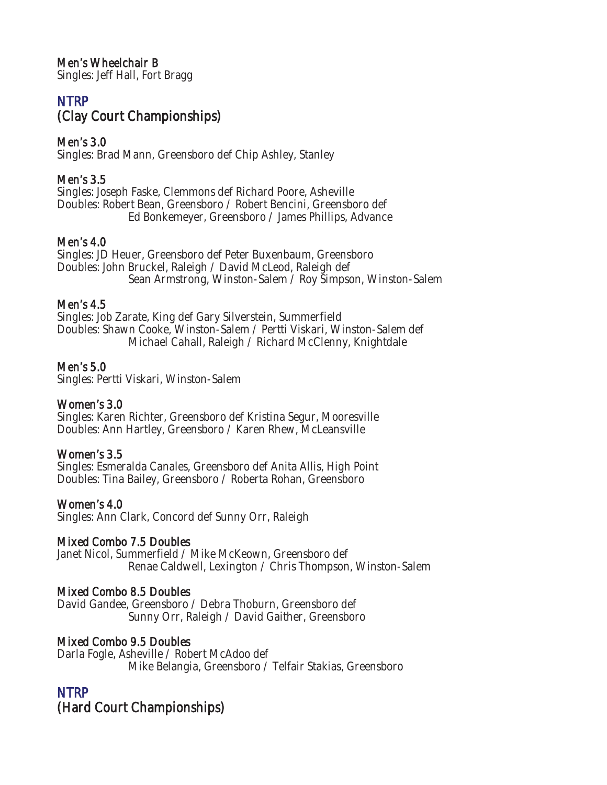Men's Wheelchair B

Singles: Jeff Hall, Fort Bragg

# **NTRP** (Clay Court Championships)

# Men's 3.0

Singles: Brad Mann, Greensboro def Chip Ashley, Stanley

# Men's 3.5

Singles: Joseph Faske, Clemmons def Richard Poore, Asheville Doubles: Robert Bean, Greensboro / Robert Bencini, Greensboro def Ed Bonkemeyer, Greensboro / James Phillips, Advance

# Men's 4.0

Singles: JD Heuer, Greensboro def Peter Buxenbaum, Greensboro Doubles: John Bruckel, Raleigh / David McLeod, Raleigh def Sean Armstrong, Winston-Salem / Roy Simpson, Winston-Salem

# Men's 4.5

Singles: Job Zarate, King def Gary Silverstein, Summerfield Doubles: Shawn Cooke, Winston-Salem / Pertti Viskari, Winston-Salem def Michael Cahall, Raleigh / Richard McClenny, Knightdale

# Men's 5.0

Singles: Pertti Viskari, Winston-Salem

# Women's 3.0

Singles: Karen Richter, Greensboro def Kristina Segur, Mooresville Doubles: Ann Hartley, Greensboro / Karen Rhew, McLeansville

# Women's 3.5

Singles: Esmeralda Canales, Greensboro def Anita Allis, High Point Doubles: Tina Bailey, Greensboro / Roberta Rohan, Greensboro

# Women's 4.0

Singles: Ann Clark, Concord def Sunny Orr, Raleigh

# Mixed Combo 7.5 Doubles

Janet Nicol, Summerfield / Mike McKeown, Greensboro def Renae Caldwell, Lexington / Chris Thompson, Winston-Salem

# Mixed Combo 8.5 Doubles

David Gandee, Greensboro / Debra Thoburn, Greensboro def Sunny Orr, Raleigh / David Gaither, Greensboro

# Mixed Combo 9.5 Doubles

Darla Fogle, Asheville / Robert McAdoo def Mike Belangia, Greensboro / Telfair Stakias, Greensboro

# NTRP

(Hard Court Championships)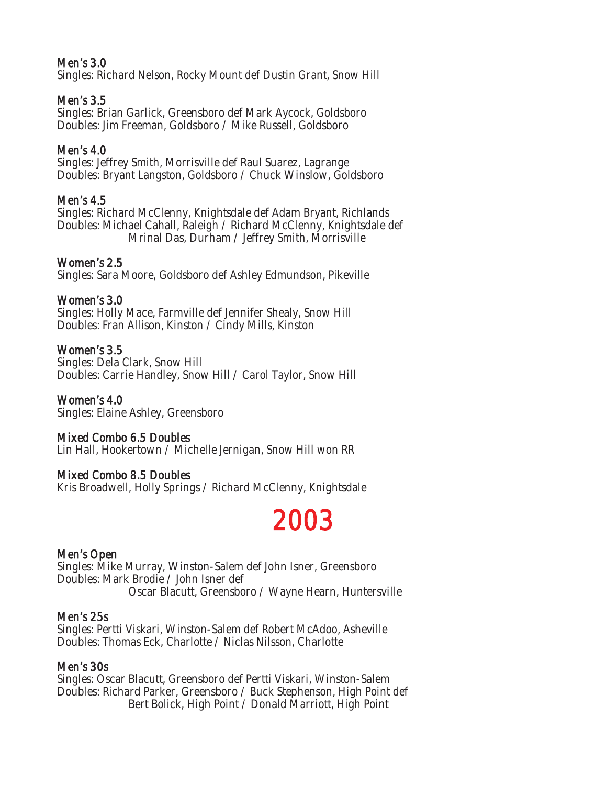# Men's 3.0

Singles: Richard Nelson, Rocky Mount def Dustin Grant, Snow Hill

# Men's 3.5

Singles: Brian Garlick, Greensboro def Mark Aycock, Goldsboro Doubles: Jim Freeman, Goldsboro / Mike Russell, Goldsboro

# Men's 4.0

Singles: Jeffrey Smith, Morrisville def Raul Suarez, Lagrange Doubles: Bryant Langston, Goldsboro / Chuck Winslow, Goldsboro

# Men's 4.5

Singles: Richard McClenny, Knightsdale def Adam Bryant, Richlands Doubles: Michael Cahall, Raleigh / Richard McClenny, Knightsdale def Mrinal Das, Durham / Jeffrey Smith, Morrisville

# Women's 2.5

Singles: Sara Moore, Goldsboro def Ashley Edmundson, Pikeville

# Women's 3.0

Singles: Holly Mace, Farmville def Jennifer Shealy, Snow Hill Doubles: Fran Allison, Kinston / Cindy Mills, Kinston

# Women's 3.5

Singles: Dela Clark, Snow Hill Doubles: Carrie Handley, Snow Hill / Carol Taylor, Snow Hill

Women's 4.0 Singles: Elaine Ashley, Greensboro

# Mixed Combo 6.5 Doubles

Lin Hall, Hookertown / Michelle Jernigan, Snow Hill won RR

# Mixed Combo 8.5 Doubles

Kris Broadwell, Holly Springs / Richard McClenny, Knightsdale

# 2003

# Men's Open

Singles: Mike Murray, Winston-Salem def John Isner, Greensboro Doubles: Mark Brodie / John Isner def Oscar Blacutt, Greensboro / Wayne Hearn, Huntersville

# Men's 25s

Singles: Pertti Viskari, Winston-Salem def Robert McAdoo, Asheville Doubles: Thomas Eck, Charlotte / Niclas Nilsson, Charlotte

# Men's 30s

Singles: Oscar Blacutt, Greensboro def Pertti Viskari, Winston-Salem Doubles: Richard Parker, Greensboro / Buck Stephenson, High Point def Bert Bolick, High Point / Donald Marriott, High Point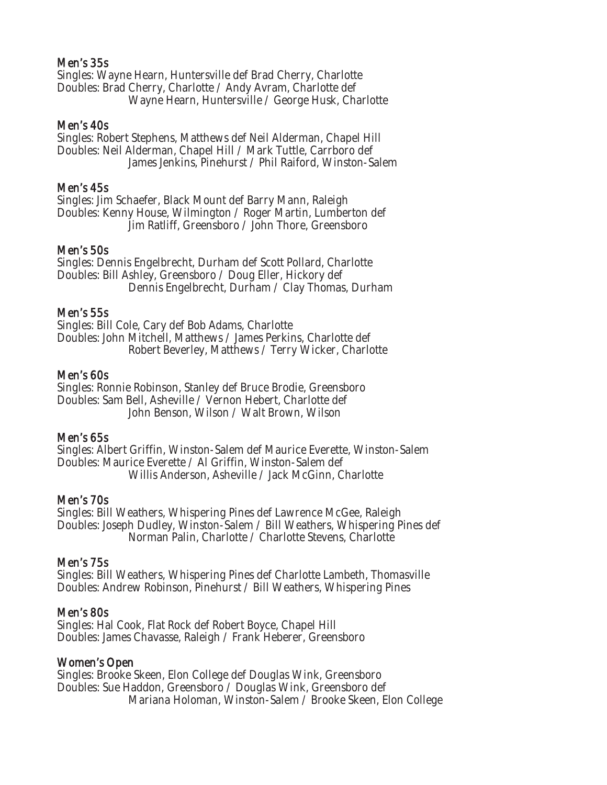#### Men's 35s

Singles: Wayne Hearn, Huntersville def Brad Cherry, Charlotte Doubles: Brad Cherry, Charlotte / Andy Avram, Charlotte def Wayne Hearn, Huntersville / George Husk, Charlotte

#### Men's 40s

Singles: Robert Stephens, Matthews def Neil Alderman, Chapel Hill Doubles: Neil Alderman, Chapel Hill / Mark Tuttle, Carrboro def James Jenkins, Pinehurst / Phil Raiford, Winston-Salem

#### Men's 45s

Singles: Jim Schaefer, Black Mount def Barry Mann, Raleigh Doubles: Kenny House, Wilmington / Roger Martin, Lumberton def Jim Ratliff, Greensboro / John Thore, Greensboro

#### Men's 50s

Singles: Dennis Engelbrecht, Durham def Scott Pollard, Charlotte Doubles: Bill Ashley, Greensboro / Doug Eller, Hickory def Dennis Engelbrecht, Durham / Clay Thomas, Durham

#### Men's 55s

Singles: Bill Cole, Cary def Bob Adams, Charlotte Doubles: John Mitchell, Matthews / James Perkins, Charlotte def Robert Beverley, Matthews / Terry Wicker, Charlotte

#### Men's 60s

Singles: Ronnie Robinson, Stanley def Bruce Brodie, Greensboro Doubles: Sam Bell, Asheville / Vernon Hebert, Charlotte def John Benson, Wilson / Walt Brown, Wilson

#### Men's 65s

Singles: Albert Griffin, Winston-Salem def Maurice Everette, Winston-Salem Doubles: Maurice Everette / Al Griffin, Winston-Salem def Willis Anderson, Asheville / Jack McGinn, Charlotte

#### Men's 70s

Singles: Bill Weathers, Whispering Pines def Lawrence McGee, Raleigh Doubles: Joseph Dudley, Winston-Salem / Bill Weathers, Whispering Pines def Norman Palin, Charlotte / Charlotte Stevens, Charlotte

#### Men's 75s

Singles: Bill Weathers, Whispering Pines def Charlotte Lambeth, Thomasville Doubles: Andrew Robinson, Pinehurst / Bill Weathers, Whispering Pines

#### Men's 80s

Singles: Hal Cook, Flat Rock def Robert Boyce, Chapel Hill Doubles: James Chavasse, Raleigh / Frank Heberer, Greensboro

#### Women's Open

Singles: Brooke Skeen, Elon College def Douglas Wink, Greensboro Doubles: Sue Haddon, Greensboro / Douglas Wink, Greensboro def Mariana Holoman, Winston-Salem / Brooke Skeen, Elon College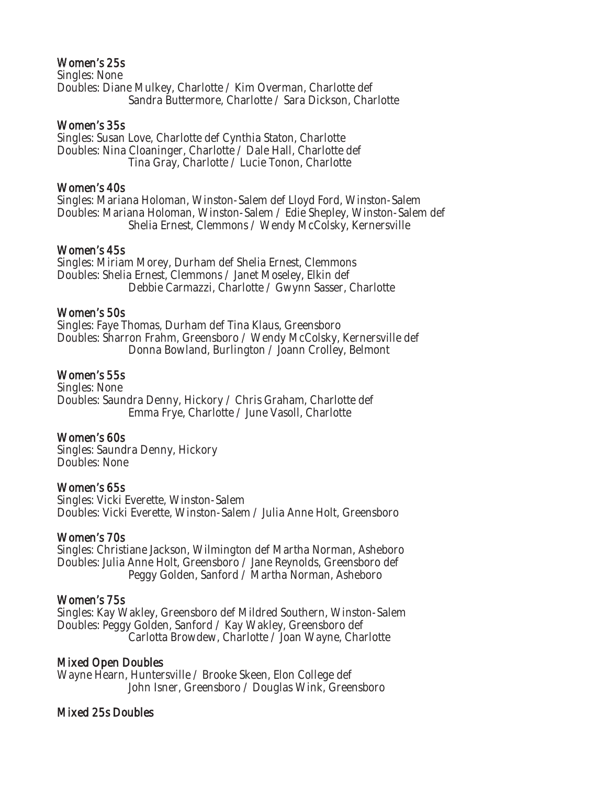#### Women's 25s

Singles: None Doubles: Diane Mulkey, Charlotte / Kim Overman, Charlotte def Sandra Buttermore, Charlotte / Sara Dickson, Charlotte

#### Women's 35s

Singles: Susan Love, Charlotte def Cynthia Staton, Charlotte Doubles: Nina Cloaninger, Charlotte / Dale Hall, Charlotte def Tina Gray, Charlotte / Lucie Tonon, Charlotte

#### Women's 40s

Singles: Mariana Holoman, Winston-Salem def Lloyd Ford, Winston-Salem Doubles: Mariana Holoman, Winston-Salem / Edie Shepley, Winston-Salem def Shelia Ernest, Clemmons / Wendy McColsky, Kernersville

#### Women's 45s

Singles: Miriam Morey, Durham def Shelia Ernest, Clemmons Doubles: Shelia Ernest, Clemmons / Janet Moseley, Elkin def Debbie Carmazzi, Charlotte / Gwynn Sasser, Charlotte

#### Women's 50s

Singles: Faye Thomas, Durham def Tina Klaus, Greensboro Doubles: Sharron Frahm, Greensboro / Wendy McColsky, Kernersville def Donna Bowland, Burlington / Joann Crolley, Belmont

# Women's 55s

Singles: None Doubles: Saundra Denny, Hickory / Chris Graham, Charlotte def Emma Frye, Charlotte / June Vasoll, Charlotte

# Women's 60s

Singles: Saundra Denny, Hickory Doubles: None

# Women's 65s

Singles: Vicki Everette, Winston-Salem Doubles: Vicki Everette, Winston-Salem / Julia Anne Holt, Greensboro

# Women's 70s

Singles: Christiane Jackson, Wilmington def Martha Norman, Asheboro Doubles: Julia Anne Holt, Greensboro / Jane Reynolds, Greensboro def Peggy Golden, Sanford / Martha Norman, Asheboro

# Women's 75s

Singles: Kay Wakley, Greensboro def Mildred Southern, Winston-Salem Doubles: Peggy Golden, Sanford / Kay Wakley, Greensboro def Carlotta Browdew, Charlotte / Joan Wayne, Charlotte

# Mixed Open Doubles

Wayne Hearn, Huntersville / Brooke Skeen, Elon College def John Isner, Greensboro / Douglas Wink, Greensboro

# Mixed 25s Doubles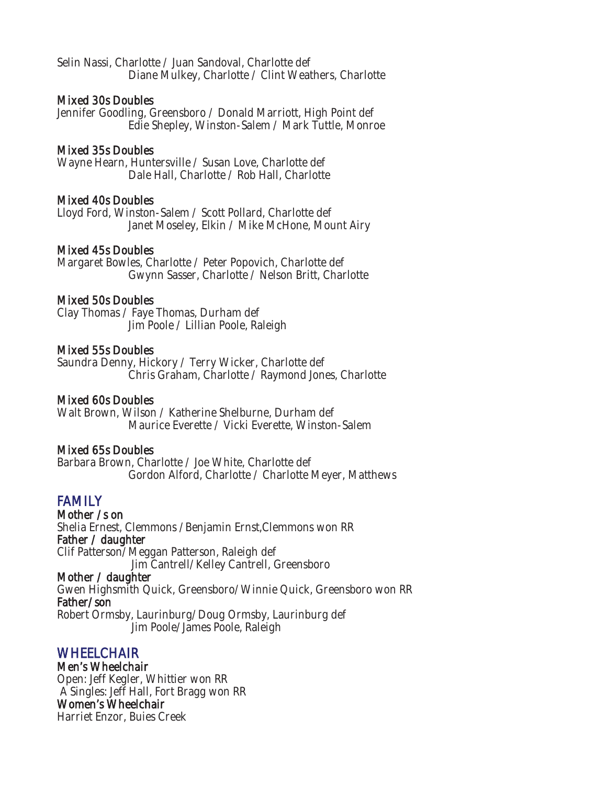Selin Nassi, Charlotte / Juan Sandoval, Charlotte def Diane Mulkey, Charlotte / Clint Weathers, Charlotte

#### Mixed 30s Doubles

Jennifer Goodling, Greensboro / Donald Marriott, High Point def Edie Shepley, Winston-Salem / Mark Tuttle, Monroe

#### Mixed 35s Doubles

Wayne Hearn, Huntersville / Susan Love, Charlotte def Dale Hall, Charlotte / Rob Hall, Charlotte

#### Mixed 40s Doubles

Lloyd Ford, Winston-Salem / Scott Pollard, Charlotte def Janet Moseley, Elkin / Mike McHone, Mount Airy

#### Mixed 45s Doubles

Margaret Bowles, Charlotte / Peter Popovich, Charlotte def Gwynn Sasser, Charlotte / Nelson Britt, Charlotte

#### Mixed 50s Doubles

Clay Thomas / Faye Thomas, Durham def Jim Poole / Lillian Poole, Raleigh

#### Mixed 55s Doubles

Saundra Denny, Hickory / Terry Wicker, Charlotte def Chris Graham, Charlotte / Raymond Jones, Charlotte

#### Mixed 60s Doubles

Walt Brown, Wilson / Katherine Shelburne, Durham def Maurice Everette / Vicki Everette, Winston-Salem

#### Mixed 65s Doubles

Barbara Brown, Charlotte / Joe White, Charlotte def Gordon Alford, Charlotte / Charlotte Meyer, Matthews

# FAMILY<br>Mother /s on

Shelia Ernest, Clemmons /Benjamin Ernst,Clemmons won RR Father / daughter Clif Patterson/Meggan Patterson, Raleigh def Jim Cantrell/Kelley Cantrell, Greensboro Mother / daughter

Gwen Highsmith Quick, Greensboro/Winnie Quick, Greensboro won RR Father/son Robert Ormsby, Laurinburg/Doug Ormsby, Laurinburg def

Jim Poole/James Poole, Raleigh

# WHEELCHAIR<br>Men's Wheelchair

Open: Jeff Kegler, Whittier won RR A Singles: Jeff Hall, Fort Bragg won RR Women's Wheelchair Harriet Enzor, Buies Creek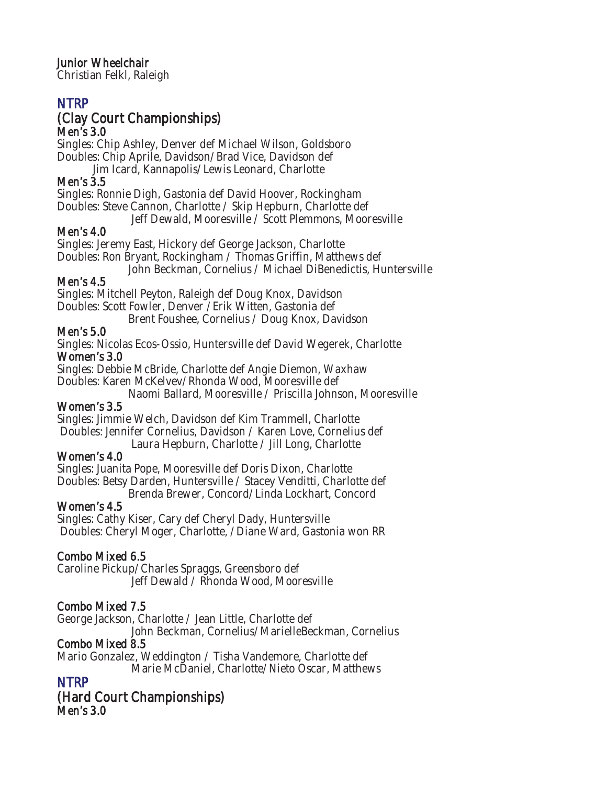Junior Wheelchair

Christian Felkl, Raleigh

# NTRP

# (Clay Court Championships) Men's 3.0

Singles: Chip Ashley, Denver def Michael Wilson, Goldsboro Doubles: Chip Aprile, Davidson/Brad Vice, Davidson def Jim Icard, Kannapolis/Lewis Leonard, Charlotte

# Men's 3.5

Singles: Ronnie Digh, Gastonia def David Hoover, Rockingham Doubles: Steve Cannon, Charlotte / Skip Hepburn, Charlotte def Jeff Dewald, Mooresville / Scott Plemmons, Mooresville

# Men's 4.0

Singles: Jeremy East, Hickory def George Jackson, Charlotte Doubles: Ron Bryant, Rockingham / Thomas Griffin, Matthews def John Beckman, Cornelius / Michael DiBenedictis, Huntersville

# Men's 4.5

Singles: Mitchell Peyton, Raleigh def Doug Knox, Davidson Doubles: Scott Fowler, Denver /Erik Witten, Gastonia def Brent Foushee, Cornelius / Doug Knox, Davidson

# Men's 5.0

Singles: Nicolas Ecos-Ossio, Huntersville def David Wegerek, Charlotte Women's 3.0

Singles: Debbie McBride, Charlotte def Angie Diemon, Waxhaw Doubles: Karen McKelvev/Rhonda Wood, Mooresville def

Naomi Ballard, Mooresville / Priscilla Johnson, Mooresville

# Women's 3.5

Singles: Jimmie Welch, Davidson def Kim Trammell, Charlotte Doubles: Jennifer Cornelius, Davidson / Karen Love, Cornelius def Laura Hepburn, Charlotte / Jill Long, Charlotte

# Women's 4.0

Singles: Juanita Pope, Mooresville def Doris Dixon, Charlotte Doubles: Betsy Darden, Huntersville / Stacey Venditti, Charlotte def Brenda Brewer, Concord/Linda Lockhart, Concord

# Women's 4.5

Singles: Cathy Kiser, Cary def Cheryl Dady, Huntersville Doubles: Cheryl Moger, Charlotte, /Diane Ward, Gastonia won RR

# Combo Mixed 6.5

Caroline Pickup/Charles Spraggs, Greensboro def Jeff Dewald / Rhonda Wood, Mooresville

# Combo Mixed 7.5

George Jackson, Charlotte / Jean Little, Charlotte def

John Beckman, Cornelius/MarielleBeckman, Cornelius

# Combo Mixed 8.5

Mario Gonzalez, Weddington / Tisha Vandemore, Charlotte def Marie McDaniel, Charlotte/Nieto Oscar, Matthews

# NTRP

# (Hard Court Championships) Men's 3.0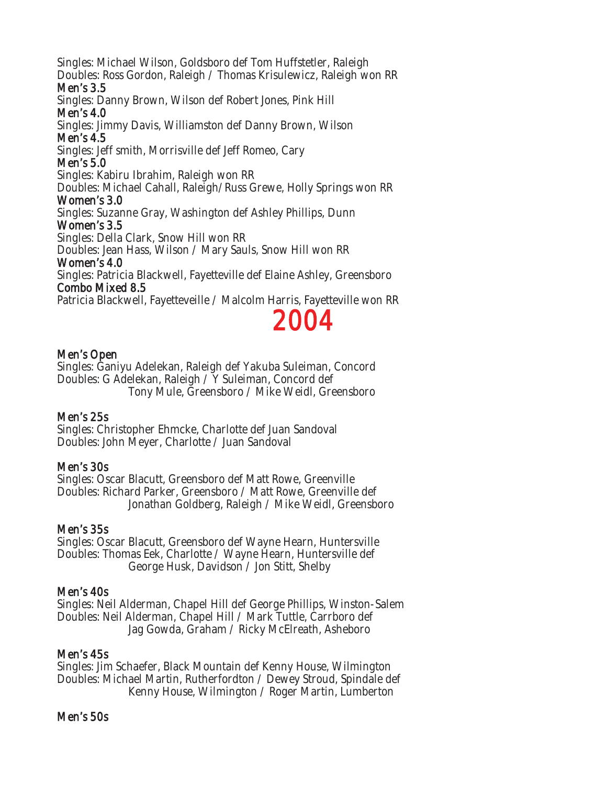Singles: Michael Wilson, Goldsboro def Tom Huffstetler, Raleigh Doubles: Ross Gordon, Raleigh / Thomas Krisulewicz, Raleigh won RR

#### Men's 3.5

Singles: Danny Brown, Wilson def Robert Jones, Pink Hill Men's 4.0

Singles: Jimmy Davis, Williamston def Danny Brown, Wilson

### Men's 4.5

Singles: Jeff smith, Morrisville def Jeff Romeo, Cary

# Men's 5.0

Singles: Kabiru Ibrahim, Raleigh won RR

Doubles: Michael Cahall, Raleigh/Russ Grewe, Holly Springs won RR

### Women's 3.0

Singles: Suzanne Gray, Washington def Ashley Phillips, Dunn

### Women's 3.5

Singles: Della Clark, Snow Hill won RR

Doubles: Jean Hass, Wilson / Mary Sauls, Snow Hill won RR

# Women's 4.0

Singles: Patricia Blackwell, Fayetteville def Elaine Ashley, Greensboro Combo Mixed 8.5

Patricia Blackwell, Fayetteveille / Malcolm Harris, Fayetteville won RR

# 2004

# Men's Open

Singles: Ganiyu Adelekan, Raleigh def Yakuba Suleiman, Concord Doubles: G Adelekan, Raleigh / Y Suleiman, Concord def Tony Mule, Greensboro / Mike Weidl, Greensboro

# Men's 25s

Singles: Christopher Ehmcke, Charlotte def Juan Sandoval Doubles: John Meyer, Charlotte / Juan Sandoval

# Men's 30s

Singles: Oscar Blacutt, Greensboro def Matt Rowe, Greenville Doubles: Richard Parker, Greensboro / Matt Rowe, Greenville def Jonathan Goldberg, Raleigh / Mike Weidl, Greensboro

# Men's 35s

Singles: Oscar Blacutt, Greensboro def Wayne Hearn, Huntersville Doubles: Thomas Eek, Charlotte / Wayne Hearn, Huntersville def George Husk, Davidson / Jon Stitt, Shelby

# Men's 40s

Singles: Neil Alderman, Chapel Hill def George Phillips, Winston-Salem Doubles: Neil Alderman, Chapel Hill / Mark Tuttle, Carrboro def Jag Gowda, Graham / Ricky McElreath, Asheboro

# Men's 45s

Singles: Jim Schaefer, Black Mountain def Kenny House, Wilmington Doubles: Michael Martin, Rutherfordton / Dewey Stroud, Spindale def Kenny House, Wilmington / Roger Martin, Lumberton

#### Men's 50s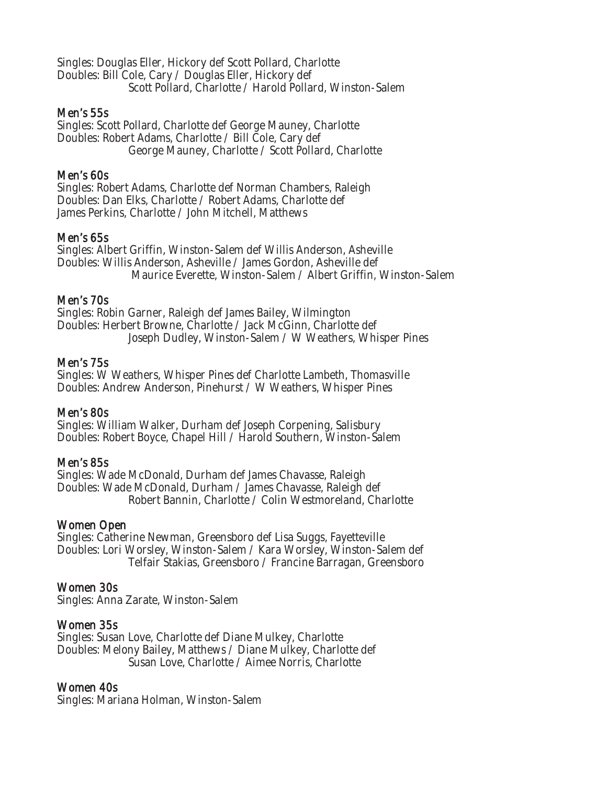Singles: Douglas Eller, Hickory def Scott Pollard, Charlotte Doubles: Bill Cole, Cary / Douglas Eller, Hickory def Scott Pollard, Charlotte / Harold Pollard, Winston-Salem

#### Men's 55s

Singles: Scott Pollard, Charlotte def George Mauney, Charlotte Doubles: Robert Adams, Charlotte / Bill Cole, Cary def George Mauney, Charlotte / Scott Pollard, Charlotte

#### Men's 60s

Singles: Robert Adams, Charlotte def Norman Chambers, Raleigh Doubles: Dan Elks, Charlotte / Robert Adams, Charlotte def James Perkins, Charlotte / John Mitchell, Matthews

#### Men's 65s

Singles: Albert Griffin, Winston-Salem def Willis Anderson, Asheville Doubles: Willis Anderson, Asheville / James Gordon, Asheville def Maurice Everette, Winston-Salem / Albert Griffin, Winston-Salem

#### Men's 70s

Singles: Robin Garner, Raleigh def James Bailey, Wilmington Doubles: Herbert Browne, Charlotte / Jack McGinn, Charlotte def Joseph Dudley, Winston-Salem / W Weathers, Whisper Pines

#### Men's 75s

Singles: W Weathers, Whisper Pines def Charlotte Lambeth, Thomasville Doubles: Andrew Anderson, Pinehurst / W Weathers, Whisper Pines

#### Men's 80s

Singles: William Walker, Durham def Joseph Corpening, Salisbury Doubles: Robert Boyce, Chapel Hill / Harold Southern, Winston-Salem

#### Men's 85s

Singles: Wade McDonald, Durham def James Chavasse, Raleigh Doubles: Wade McDonald, Durham / James Chavasse, Raleigh def Robert Bannin, Charlotte / Colin Westmoreland, Charlotte

#### Women Open

Singles: Catherine Newman, Greensboro def Lisa Suggs, Fayetteville Doubles: Lori Worsley, Winston-Salem / Kara Worsley, Winston-Salem def Telfair Stakias, Greensboro / Francine Barragan, Greensboro

#### Women 30s

Singles: Anna Zarate, Winston-Salem

#### Women 35s

Singles: Susan Love, Charlotte def Diane Mulkey, Charlotte Doubles: Melony Bailey, Matthews / Diane Mulkey, Charlotte def Susan Love, Charlotte / Aimee Norris, Charlotte

#### Women 40s

Singles: Mariana Holman, Winston-Salem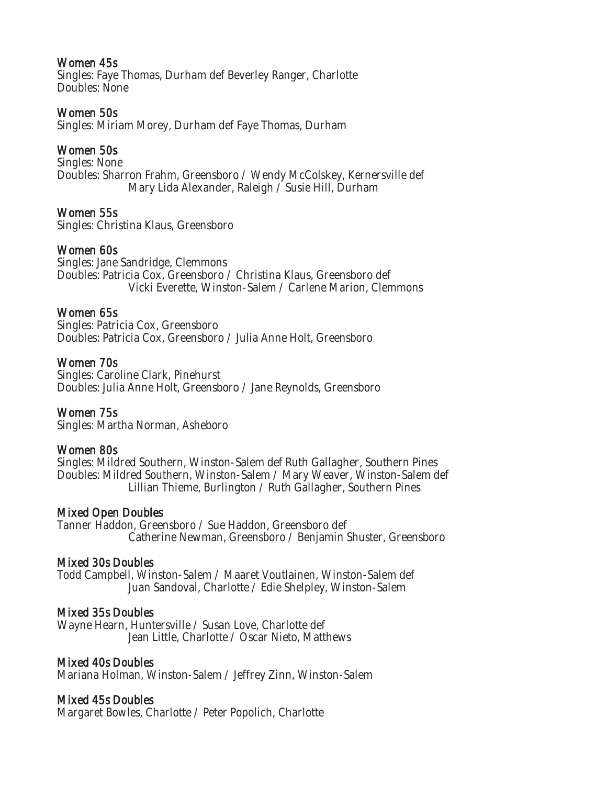#### Women 45s

Singles: Faye Thomas, Durham def Beverley Ranger, Charlotte Doubles: None

#### Women 50s

Singles: Miriam Morey, Durham def Faye Thomas, Durham

#### Women 50s

Singles: None Doubles: Sharron Frahm, Greensboro / Wendy McColskey, Kernersville def Mary Lida Alexander, Raleigh / Susie Hill, Durham

#### Women 55s

Singles: Christina Klaus, Greensboro

#### Women 60s

Singles: Jane Sandridge, Clemmons Doubles: Patricia Cox, Greensboro / Christina Klaus, Greensboro def Vicki Everette, Winston-Salem / Carlene Marion, Clemmons

#### Women 65s

Singles: Patricia Cox, Greensboro Doubles: Patricia Cox, Greensboro / Julia Anne Holt, Greensboro

#### Women 70s

Singles: Caroline Clark, Pinehurst Doubles: Julia Anne Holt, Greensboro / Jane Reynolds, Greensboro

#### Women 75s

Singles: Martha Norman, Asheboro

#### Women 80s

Singles: Mildred Southern, Winston-Salem def Ruth Gallagher, Southern Pines Doubles: Mildred Southern, Winston-Salem / Mary Weaver, Winston-Salem def Lillian Thieme, Burlington / Ruth Gallagher, Southern Pines

#### Mixed Open Doubles

Tanner Haddon, Greensboro / Sue Haddon, Greensboro def Catherine Newman, Greensboro / Benjamin Shuster, Greensboro

#### Mixed 30s Doubles

Todd Campbell, Winston-Salem / Maaret Voutlainen, Winston-Salem def Juan Sandoval, Charlotte / Edie Shelpley, Winston-Salem

#### Mixed 35s Doubles

Wayne Hearn, Huntersville / Susan Love, Charlotte def Jean Little, Charlotte / Oscar Nieto, Matthews

#### Mixed 40s Doubles

Mariana Holman, Winston-Salem / Jeffrey Zinn, Winston-Salem

#### Mixed 45s Doubles

Margaret Bowles, Charlotte / Peter Popolich, Charlotte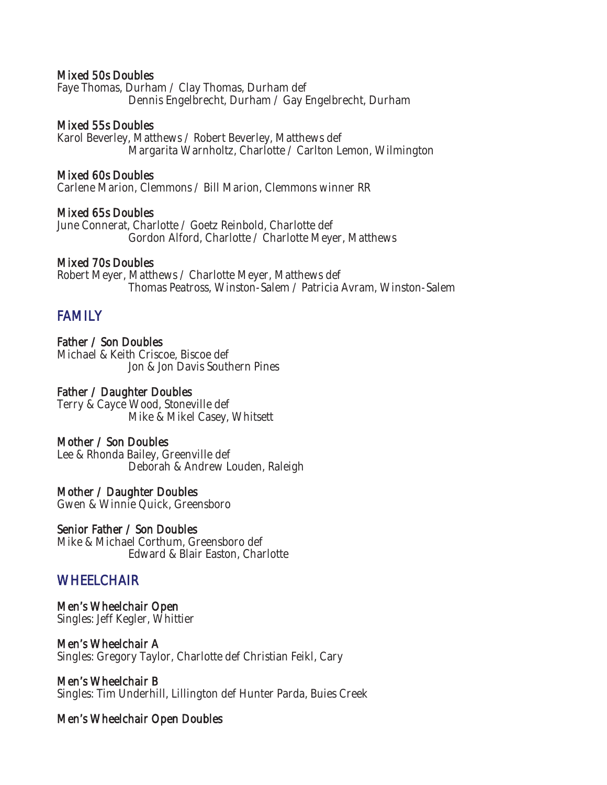#### Mixed 50s Doubles

Faye Thomas, Durham / Clay Thomas, Durham def Dennis Engelbrecht, Durham / Gay Engelbrecht, Durham

#### Mixed 55s Doubles

Karol Beverley, Matthews / Robert Beverley, Matthews def Margarita Warnholtz, Charlotte / Carlton Lemon, Wilmington

#### Mixed 60s Doubles

Carlene Marion, Clemmons / Bill Marion, Clemmons winner RR

#### Mixed 65s Doubles

June Connerat, Charlotte / Goetz Reinbold, Charlotte def Gordon Alford, Charlotte / Charlotte Meyer, Matthews

#### Mixed 70s Doubles

Robert Meyer, Matthews / Charlotte Meyer, Matthews def Thomas Peatross, Winston-Salem / Patricia Avram, Winston-Salem

# FAMILY

Father / Son Doubles Michael & Keith Criscoe, Biscoe def Jon & Jon Davis Southern Pines

#### Father / Daughter Doubles

Terry & Cayce Wood, Stoneville def Mike & Mikel Casey, Whitsett

#### Mother / Son Doubles

Lee & Rhonda Bailey, Greenville def Deborah & Andrew Louden, Raleigh

#### Mother / Daughter Doubles

Gwen & Winnie Quick, Greensboro

#### Senior Father / Son Doubles

Mike & Michael Corthum, Greensboro def Edward & Blair Easton, Charlotte

# **WHEELCHAIR**

Men's Wheelchair Open Singles: Jeff Kegler, Whittier

#### Men's Wheelchair A Singles: Gregory Taylor, Charlotte def Christian Feikl, Cary

Men's Wheelchair B Singles: Tim Underhill, Lillington def Hunter Parda, Buies Creek

# Men's Wheelchair Open Doubles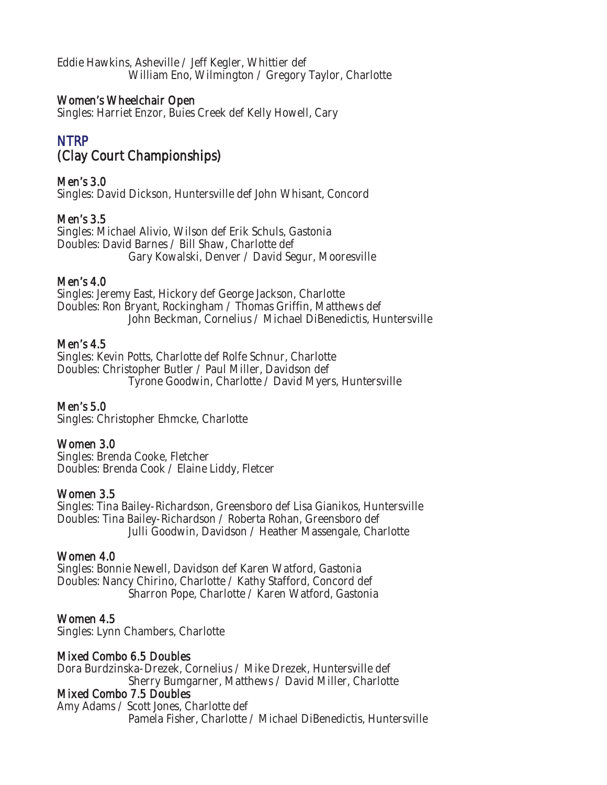Eddie Hawkins, Asheville / Jeff Kegler, Whittier def William Eno, Wilmington / Gregory Taylor, Charlotte

### Women's Wheelchair Open

Singles: Harriet Enzor, Buies Creek def Kelly Howell, Cary

# NTRP (Clay Court Championships)

# Men's 3.0

Singles: David Dickson, Huntersville def John Whisant, Concord

### Men's 3.5

Singles: Michael Alivio, Wilson def Erik Schuls, Gastonia Doubles: David Barnes / Bill Shaw, Charlotte def Gary Kowalski, Denver / David Segur, Mooresville

### Men's 4.0

Singles: Jeremy East, Hickory def George Jackson, Charlotte Doubles: Ron Bryant, Rockingham / Thomas Griffin, Matthews def John Beckman, Cornelius / Michael DiBenedictis, Huntersville

#### Men's 4.5

Singles: Kevin Potts, Charlotte def Rolfe Schnur, Charlotte Doubles: Christopher Butler / Paul Miller, Davidson def Tyrone Goodwin, Charlotte / David Myers, Huntersville

#### Men's 5.0

Singles: Christopher Ehmcke, Charlotte

# Women 3.0

Singles: Brenda Cooke, Fletcher Doubles: Brenda Cook / Elaine Liddy, Fletcer

#### Women 3.5

Singles: Tina Bailey-Richardson, Greensboro def Lisa Gianikos, Huntersville Doubles: Tina Bailey-Richardson / Roberta Rohan, Greensboro def Julli Goodwin, Davidson / Heather Massengale, Charlotte

#### Women 4.0

Singles: Bonnie Newell, Davidson def Karen Watford, Gastonia Doubles: Nancy Chirino, Charlotte / Kathy Stafford, Concord def Sharron Pope, Charlotte / Karen Watford, Gastonia

#### Women 4.5

Singles: Lynn Chambers, Charlotte

#### Mixed Combo 6.5 Doubles

Dora Burdzinska-Drezek, Cornelius / Mike Drezek, Huntersville def Sherry Bumgarner, Matthews / David Miller, Charlotte

#### Mixed Combo 7.5 Doubles

Amy Adams / Scott Jones, Charlotte def Pamela Fisher, Charlotte / Michael DiBenedictis, Huntersville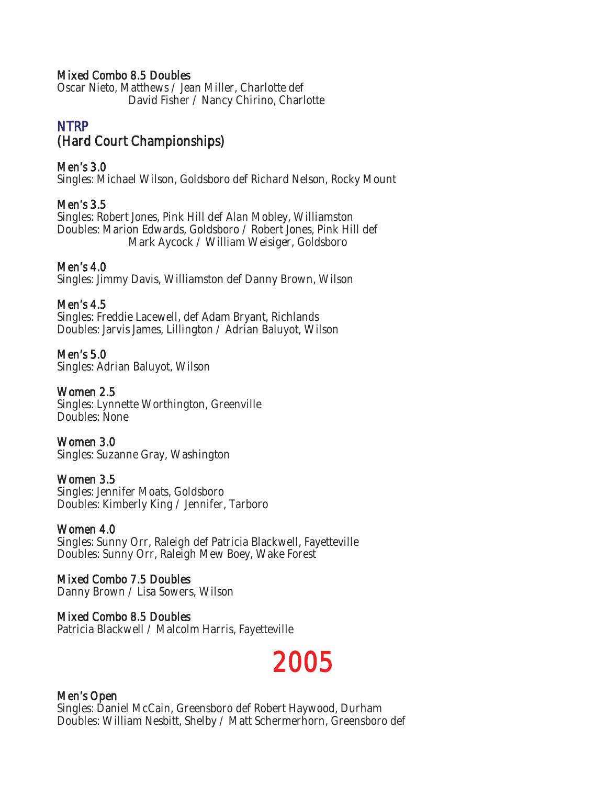#### Mixed Combo 8.5 Doubles

Oscar Nieto, Matthews / Jean Miller, Charlotte def David Fisher / Nancy Chirino, Charlotte

# NTRP (Hard Court Championships)

#### Men's 3.0

Singles: Michael Wilson, Goldsboro def Richard Nelson, Rocky Mount

# Men's 3.5

Singles: Robert Jones, Pink Hill def Alan Mobley, Williamston Doubles: Marion Edwards, Goldsboro / Robert Jones, Pink Hill def Mark Aycock / William Weisiger, Goldsboro

### Men's 4.0

Singles: Jimmy Davis, Williamston def Danny Brown, Wilson

### Men's 4.5

Singles: Freddie Lacewell, def Adam Bryant, Richlands Doubles: Jarvis James, Lillington / Adrian Baluyot, Wilson

# Men's 5.0

Singles: Adrian Baluyot, Wilson

### Women 2.5

Singles: Lynnette Worthington, Greenville Doubles: None

#### Women 3.0

Singles: Suzanne Gray, Washington

#### Women 3.5

Singles: Jennifer Moats, Goldsboro Doubles: Kimberly King / Jennifer, Tarboro

#### Women 4.0

Singles: Sunny Orr, Raleigh def Patricia Blackwell, Fayetteville Doubles: Sunny Orr, Raleigh Mew Boey, Wake Forest

# Mixed Combo 7.5 Doubles

Danny Brown / Lisa Sowers, Wilson

#### Mixed Combo 8.5 Doubles Patricia Blackwell / Malcolm Harris, Fayetteville

# 2005

# Men's Open

Singles: Daniel McCain, Greensboro def Robert Haywood, Durham Doubles: William Nesbitt, Shelby / Matt Schermerhorn, Greensboro def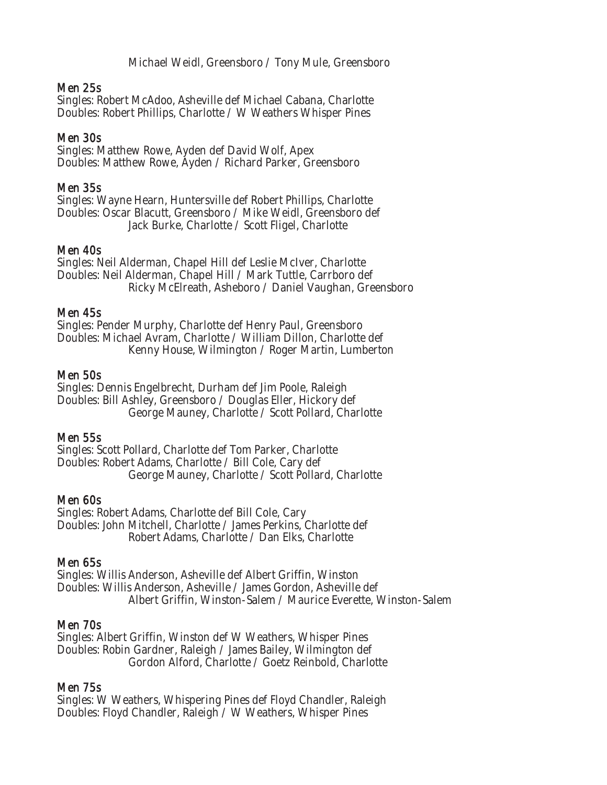Michael Weidl, Greensboro / Tony Mule, Greensboro

#### Men 25s

Singles: Robert McAdoo, Asheville def Michael Cabana, Charlotte Doubles: Robert Phillips, Charlotte / W Weathers Whisper Pines

#### Men 30s

Singles: Matthew Rowe, Ayden def David Wolf, Apex Doubles: Matthew Rowe, Ayden / Richard Parker, Greensboro

#### Men 35s

Singles: Wayne Hearn, Huntersville def Robert Phillips, Charlotte Doubles: Oscar Blacutt, Greensboro / Mike Weidl, Greensboro def Jack Burke, Charlotte / Scott Fligel, Charlotte

#### Men 40s

Singles: Neil Alderman, Chapel Hill def Leslie McIver, Charlotte Doubles: Neil Alderman, Chapel Hill / Mark Tuttle, Carrboro def Ricky McElreath, Asheboro / Daniel Vaughan, Greensboro

#### Men 45s

Singles: Pender Murphy, Charlotte def Henry Paul, Greensboro Doubles: Michael Avram, Charlotte / William Dillon, Charlotte def Kenny House, Wilmington / Roger Martin, Lumberton

#### Men 50s

Singles: Dennis Engelbrecht, Durham def Jim Poole, Raleigh Doubles: Bill Ashley, Greensboro / Douglas Eller, Hickory def George Mauney, Charlotte / Scott Pollard, Charlotte

#### Men 55s

Singles: Scott Pollard, Charlotte def Tom Parker, Charlotte Doubles: Robert Adams, Charlotte / Bill Cole, Cary def George Mauney, Charlotte / Scott Pollard, Charlotte

#### Men 60s

Singles: Robert Adams, Charlotte def Bill Cole, Cary Doubles: John Mitchell, Charlotte / James Perkins, Charlotte def Robert Adams, Charlotte / Dan Elks, Charlotte

#### Men 65s

Singles: Willis Anderson, Asheville def Albert Griffin, Winston Doubles: Willis Anderson, Asheville / James Gordon, Asheville def Albert Griffin, Winston-Salem / Maurice Everette, Winston-Salem

#### Men 70s

Singles: Albert Griffin, Winston def W Weathers, Whisper Pines Doubles: Robin Gardner, Raleigh / James Bailey, Wilmington def Gordon Alford, Charlotte / Goetz Reinbold, Charlotte

#### Men 75s

Singles: W Weathers, Whispering Pines def Floyd Chandler, Raleigh Doubles: Floyd Chandler, Raleigh / W Weathers, Whisper Pines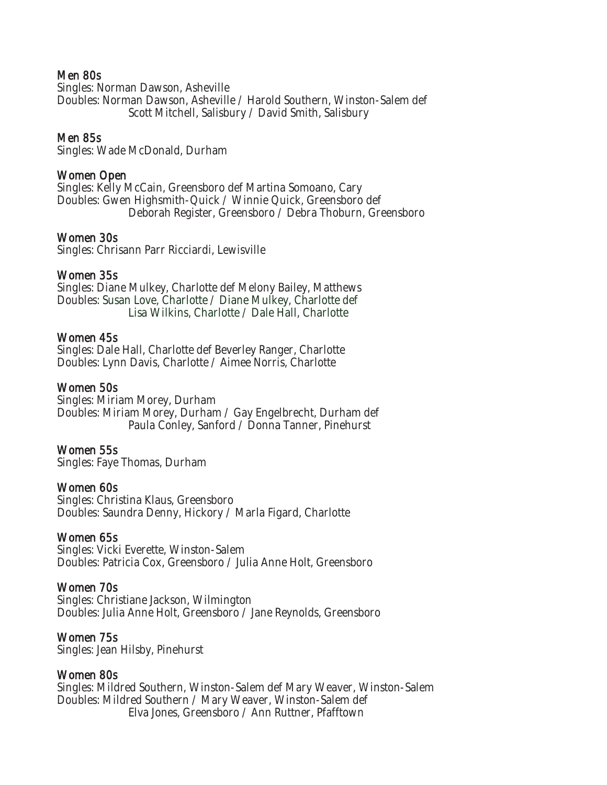#### Men 80s

Singles: Norman Dawson, Asheville Doubles: Norman Dawson, Asheville / Harold Southern, Winston-Salem def Scott Mitchell, Salisbury / David Smith, Salisbury

#### Men 85s

Singles: Wade McDonald, Durham

#### Women Open

Singles: Kelly McCain, Greensboro def Martina Somoano, Cary Doubles: Gwen Highsmith-Quick / Winnie Quick, Greensboro def Deborah Register, Greensboro / Debra Thoburn, Greensboro

#### Women 30s

Singles: Chrisann Parr Ricciardi, Lewisville

#### Women 35s

Singles: Diane Mulkey, Charlotte def Melony Bailey, Matthews Doubles: Susan Love, Charlotte / Diane Mulkey, Charlotte def Lisa Wilkins, Charlotte / Dale Hall, Charlotte

#### Women 45s

Singles: Dale Hall, Charlotte def Beverley Ranger, Charlotte Doubles: Lynn Davis, Charlotte / Aimee Norris, Charlotte

#### Women 50s

Singles: Miriam Morey, Durham Doubles: Miriam Morey, Durham / Gay Engelbrecht, Durham def Paula Conley, Sanford / Donna Tanner, Pinehurst

#### Women 55s

Singles: Faye Thomas, Durham

#### Women 60s

Singles: Christina Klaus, Greensboro Doubles: Saundra Denny, Hickory / Marla Figard, Charlotte

#### Women 65s

Singles: Vicki Everette, Winston-Salem Doubles: Patricia Cox, Greensboro / Julia Anne Holt, Greensboro

#### Women 70s

Singles: Christiane Jackson, Wilmington Doubles: Julia Anne Holt, Greensboro / Jane Reynolds, Greensboro

#### Women 75s

Singles: Jean Hilsby, Pinehurst

#### Women 80s

Singles: Mildred Southern, Winston-Salem def Mary Weaver, Winston-Salem Doubles: Mildred Southern / Mary Weaver, Winston-Salem def Elva Jones, Greensboro / Ann Ruttner, Pfafftown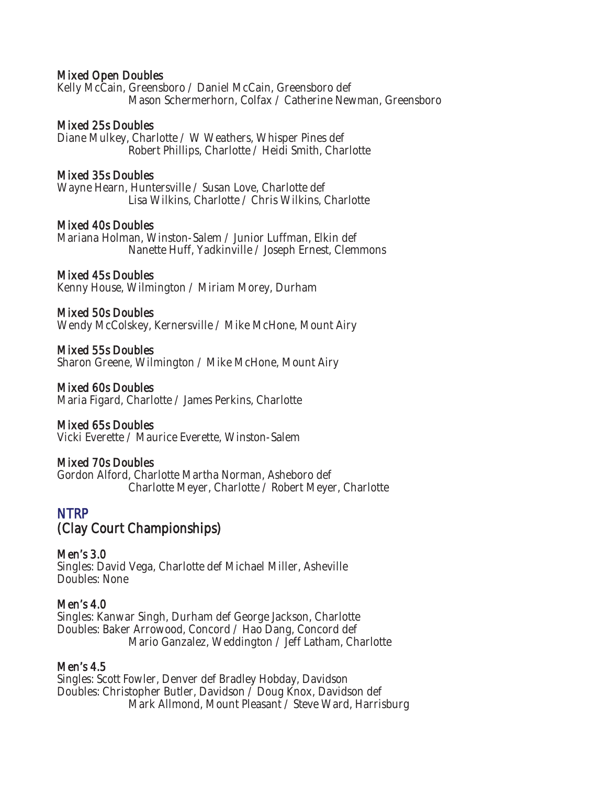#### Mixed Open Doubles

Kelly McCain, Greensboro / Daniel McCain, Greensboro def Mason Schermerhorn, Colfax / Catherine Newman, Greensboro

#### Mixed 25s Doubles

Diane Mulkey, Charlotte / W Weathers, Whisper Pines def Robert Phillips, Charlotte / Heidi Smith, Charlotte

#### Mixed 35s Doubles

Wayne Hearn, Huntersville / Susan Love, Charlotte def Lisa Wilkins, Charlotte / Chris Wilkins, Charlotte

#### Mixed 40s Doubles

Mariana Holman, Winston-Salem / Junior Luffman, Elkin def Nanette Huff, Yadkinville / Joseph Ernest, Clemmons

#### Mixed 45s Doubles

Kenny House, Wilmington / Miriam Morey, Durham

#### Mixed 50s Doubles

Wendy McColskey, Kernersville / Mike McHone, Mount Airy

#### Mixed 55s Doubles

Sharon Greene, Wilmington / Mike McHone, Mount Airy

#### Mixed 60s Doubles

Maria Figard, Charlotte / James Perkins, Charlotte

#### Mixed 65s Doubles

Vicki Everette / Maurice Everette, Winston-Salem

#### Mixed 70s Doubles

Gordon Alford, Charlotte Martha Norman, Asheboro def Charlotte Meyer, Charlotte / Robert Meyer, Charlotte

#### **NTRP**

# (Clay Court Championships)

Men's 3.0 Singles: David Vega, Charlotte def Michael Miller, Asheville Doubles: None

#### Men's 4.0

Singles: Kanwar Singh, Durham def George Jackson, Charlotte Doubles: Baker Arrowood, Concord / Hao Dang, Concord def Mario Ganzalez, Weddington / Jeff Latham, Charlotte

#### Men's 4.5

Singles: Scott Fowler, Denver def Bradley Hobday, Davidson Doubles: Christopher Butler, Davidson / Doug Knox, Davidson def Mark Allmond, Mount Pleasant / Steve Ward, Harrisburg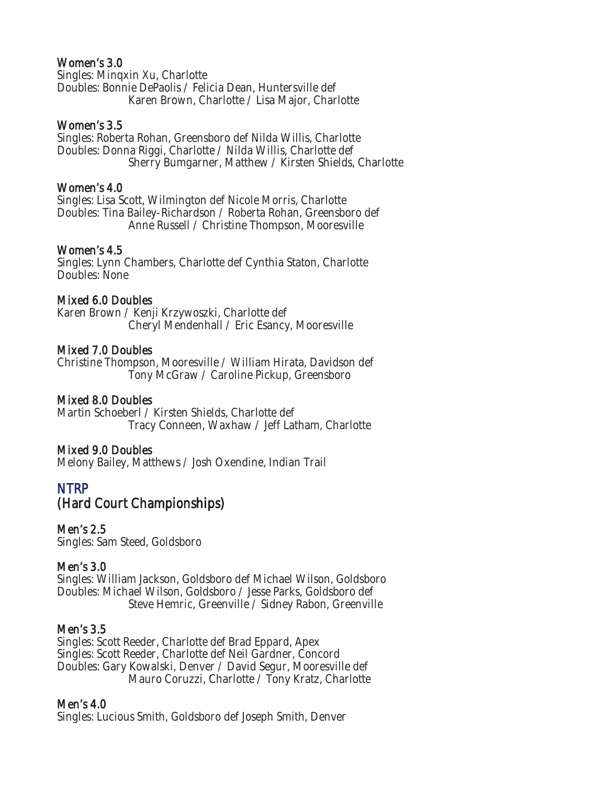#### Women's 3.0

Singles: Minqxin Xu, Charlotte Doubles: Bonnie DePaolis / Felicia Dean, Huntersville def Karen Brown, Charlotte / Lisa Major, Charlotte

### Women's 3.5

Singles: Roberta Rohan, Greensboro def Nilda Willis, Charlotte Doubles: Donna Riggi, Charlotte / Nilda Willis, Charlotte def Sherry Bumgarner, Matthew / Kirsten Shields, Charlotte

#### Women's 4.0

Singles: Lisa Scott, Wilmington def Nicole Morris, Charlotte Doubles: Tina Bailey-Richardson / Roberta Rohan, Greensboro def Anne Russell / Christine Thompson, Mooresville

### Women's 4.5

Singles: Lynn Chambers, Charlotte def Cynthia Staton, Charlotte Doubles: None

### Mixed 6.0 Doubles

Karen Brown / Kenji Krzywoszki, Charlotte def Cheryl Mendenhall / Eric Esancy, Mooresville

### Mixed 7.0 Doubles

Christine Thompson, Mooresville / William Hirata, Davidson def Tony McGraw / Caroline Pickup, Greensboro

# Mixed 8.0 Doubles

Martin Schoeberl / Kirsten Shields, Charlotte def Tracy Conneen, Waxhaw / Jeff Latham, Charlotte

# Mixed 9.0 Doubles

Melony Bailey, Matthews / Josh Oxendine, Indian Trail

# NTRP (Hard Court Championships)

# Men's 2.5

Singles: Sam Steed, Goldsboro

#### Men's 3.0

Singles: William Jackson, Goldsboro def Michael Wilson, Goldsboro Doubles: Michael Wilson, Goldsboro / Jesse Parks, Goldsboro def Steve Hemric, Greenville / Sidney Rabon, Greenville

#### Men's 3.5

Singles: Scott Reeder, Charlotte def Brad Eppard, Apex Singles: Scott Reeder, Charlotte def Neil Gardner, Concord Doubles: Gary Kowalski, Denver / David Segur, Mooresville def Mauro Coruzzi, Charlotte / Tony Kratz, Charlotte

#### Men's 4.0

Singles: Lucious Smith, Goldsboro def Joseph Smith, Denver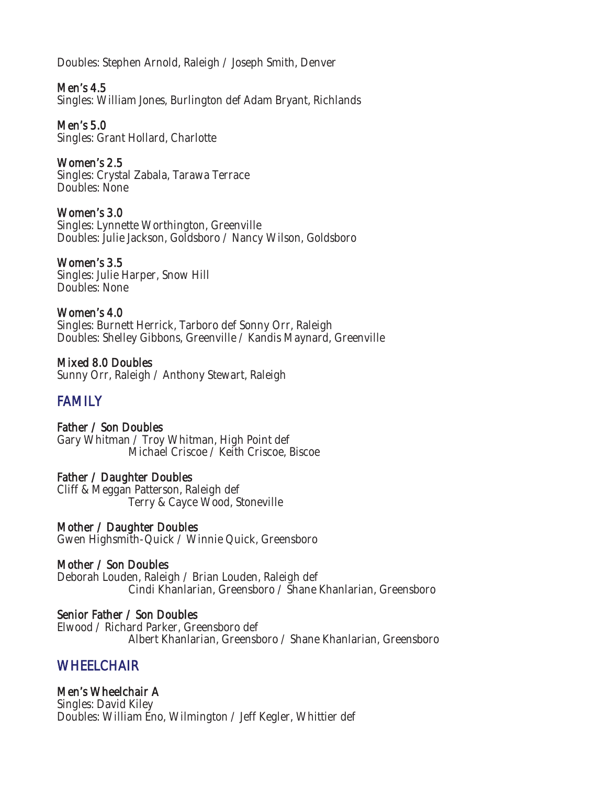Doubles: Stephen Arnold, Raleigh / Joseph Smith, Denver

Men's 4.5 Singles: William Jones, Burlington def Adam Bryant, Richlands

Men's 5.0 Singles: Grant Hollard, Charlotte

Women's 2.5 Singles: Crystal Zabala, Tarawa Terrace Doubles: None

Women's 3.0 Singles: Lynnette Worthington, Greenville Doubles: Julie Jackson, Goldsboro / Nancy Wilson, Goldsboro

Women's 3.5 Singles: Julie Harper, Snow Hill Doubles: None

Women's 4.0 Singles: Burnett Herrick, Tarboro def Sonny Orr, Raleigh Doubles: Shelley Gibbons, Greenville / Kandis Maynard, Greenville

Mixed 8.0 Doubles Sunny Orr, Raleigh / Anthony Stewart, Raleigh

# **FAMILY**

Father / Son Doubles Gary Whitman / Troy Whitman, High Point def Michael Criscoe / Keith Criscoe, Biscoe

Father / Daughter Doubles Cliff & Meggan Patterson, Raleigh def Terry & Cayce Wood, Stoneville

Mother / Daughter Doubles Gwen Highsmith-Quick / Winnie Quick, Greensboro

Mother / Son Doubles Deborah Louden, Raleigh / Brian Louden, Raleigh def Cindi Khanlarian, Greensboro / Shane Khanlarian, Greensboro

Senior Father / Son Doubles Elwood / Richard Parker, Greensboro def Albert Khanlarian, Greensboro / Shane Khanlarian, Greensboro

# **WHEELCHAIR**

Men's Wheelchair A

Singles: David Kiley Doubles: William Eno, Wilmington / Jeff Kegler, Whittier def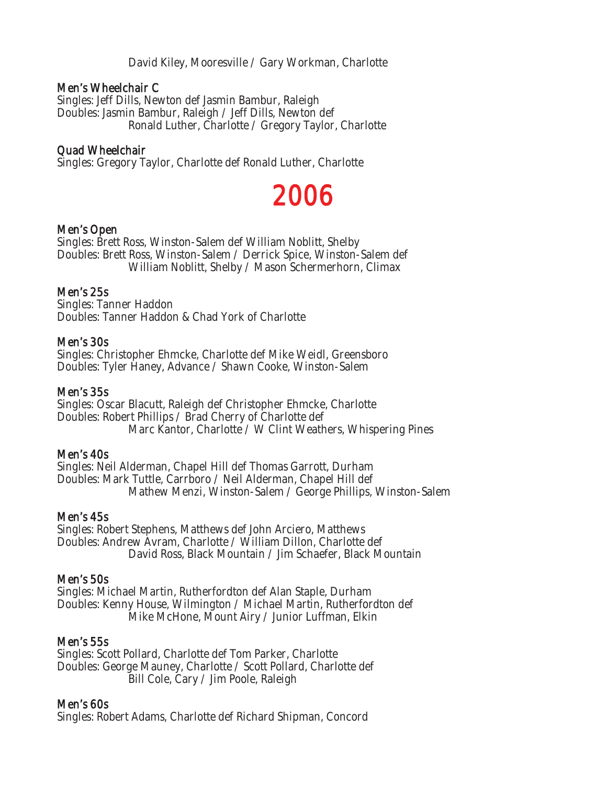David Kiley, Mooresville / Gary Workman, Charlotte

#### Men's Wheelchair C

Singles: Jeff Dills, Newton def Jasmin Bambur, Raleigh Doubles: Jasmin Bambur, Raleigh / Jeff Dills, Newton def Ronald Luther, Charlotte / Gregory Taylor, Charlotte

#### Quad Wheelchair

Singles: Gregory Taylor, Charlotte def Ronald Luther, Charlotte

# 2006

#### Men's Open

Singles: Brett Ross, Winston-Salem def William Noblitt, Shelby Doubles: Brett Ross, Winston-Salem / Derrick Spice, Winston-Salem def William Noblitt, Shelby / Mason Schermerhorn, Climax

#### Men's 25s

Singles: Tanner Haddon Doubles: Tanner Haddon & Chad York of Charlotte

#### Men's 30s

Singles: Christopher Ehmcke, Charlotte def Mike Weidl, Greensboro Doubles: Tyler Haney, Advance / Shawn Cooke, Winston-Salem

#### Men's 35s

Singles: Oscar Blacutt, Raleigh def Christopher Ehmcke, Charlotte Doubles: Robert Phillips / Brad Cherry of Charlotte def Marc Kantor, Charlotte / W Clint Weathers, Whispering Pines

#### Men's 40s

Singles: Neil Alderman, Chapel Hill def Thomas Garrott, Durham Doubles: Mark Tuttle, Carrboro / Neil Alderman, Chapel Hill def Mathew Menzi, Winston-Salem / George Phillips, Winston-Salem

#### Men's 45s

Singles: Robert Stephens, Matthews def John Arciero, Matthews Doubles: Andrew Avram, Charlotte / William Dillon, Charlotte def David Ross, Black Mountain / Jim Schaefer, Black Mountain

#### Men's 50s

Singles: Michael Martin, Rutherfordton def Alan Staple, Durham Doubles: Kenny House, Wilmington / Michael Martin, Rutherfordton def Mike McHone, Mount Airy / Junior Luffman, Elkin

#### Men's 55s

Singles: Scott Pollard, Charlotte def Tom Parker, Charlotte Doubles: George Mauney, Charlotte / Scott Pollard, Charlotte def Bill Cole, Cary / Jim Poole, Raleigh

#### Men's 60s

Singles: Robert Adams, Charlotte def Richard Shipman, Concord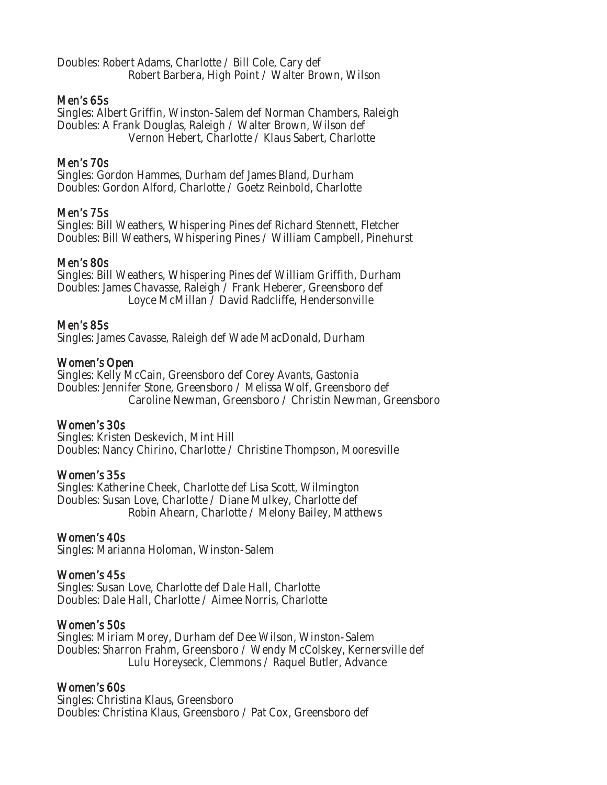Doubles: Robert Adams, Charlotte / Bill Cole, Cary def Robert Barbera, High Point / Walter Brown, Wilson

#### Men's 65s

Singles: Albert Griffin, Winston-Salem def Norman Chambers, Raleigh Doubles: A Frank Douglas, Raleigh / Walter Brown, Wilson def Vernon Hebert, Charlotte / Klaus Sabert, Charlotte

#### Men's 70s

Singles: Gordon Hammes, Durham def James Bland, Durham Doubles: Gordon Alford, Charlotte / Goetz Reinbold, Charlotte

#### Men's 75s

Singles: Bill Weathers, Whispering Pines def Richard Stennett, Fletcher Doubles: Bill Weathers, Whispering Pines / William Campbell, Pinehurst

#### Men's 80s

Singles: Bill Weathers, Whispering Pines def William Griffith, Durham Doubles: James Chavasse, Raleigh / Frank Heberer, Greensboro def Loyce McMillan / David Radcliffe, Hendersonville

#### Men's 85s

Singles: James Cavasse, Raleigh def Wade MacDonald, Durham

#### Women's Open

Singles: Kelly McCain, Greensboro def Corey Avants, Gastonia Doubles: Jennifer Stone, Greensboro / Melissa Wolf, Greensboro def Caroline Newman, Greensboro / Christin Newman, Greensboro

#### Women's 30s

Singles: Kristen Deskevich, Mint Hill Doubles: Nancy Chirino, Charlotte / Christine Thompson, Mooresville

#### Women's 35s

Singles: Katherine Cheek, Charlotte def Lisa Scott, Wilmington Doubles: Susan Love, Charlotte / Diane Mulkey, Charlotte def Robin Ahearn, Charlotte / Melony Bailey, Matthews

#### Women's 40s

Singles: Marianna Holoman, Winston-Salem

#### Women's 45s

Singles: Susan Love, Charlotte def Dale Hall, Charlotte Doubles: Dale Hall, Charlotte / Aimee Norris, Charlotte

#### Women's 50s

Singles: Miriam Morey, Durham def Dee Wilson, Winston-Salem Doubles: Sharron Frahm, Greensboro / Wendy McColskey, Kernersville def Lulu Horeyseck, Clemmons / Raquel Butler, Advance

#### Women's 60s

Singles: Christina Klaus, Greensboro Doubles: Christina Klaus, Greensboro / Pat Cox, Greensboro def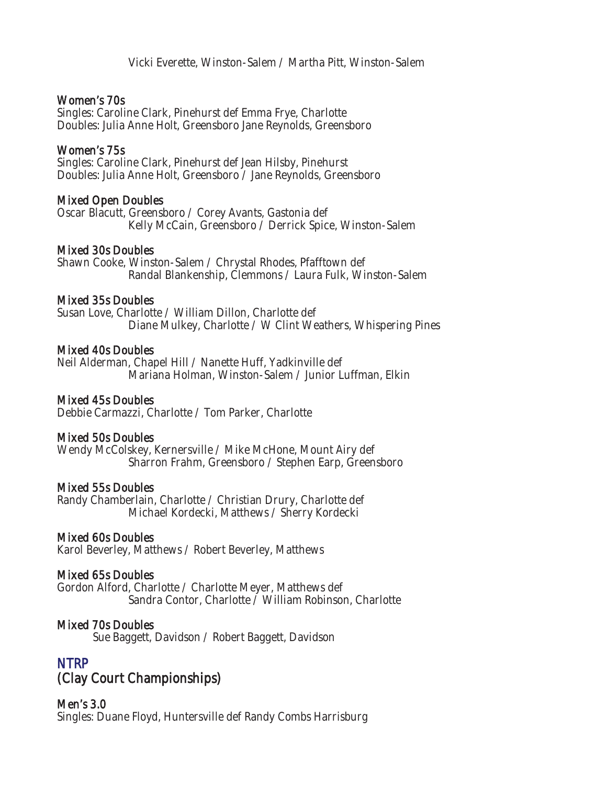#### Women's 70s

Singles: Caroline Clark, Pinehurst def Emma Frye, Charlotte Doubles: Julia Anne Holt, Greensboro Jane Reynolds, Greensboro

#### Women's 75s

Singles: Caroline Clark, Pinehurst def Jean Hilsby, Pinehurst Doubles: Julia Anne Holt, Greensboro / Jane Reynolds, Greensboro

#### Mixed Open Doubles

Oscar Blacutt, Greensboro / Corey Avants, Gastonia def Kelly McCain, Greensboro / Derrick Spice, Winston-Salem

#### Mixed 30s Doubles

Shawn Cooke, Winston-Salem / Chrystal Rhodes, Pfafftown def Randal Blankenship, Clemmons / Laura Fulk, Winston-Salem

#### Mixed 35s Doubles

Susan Love, Charlotte / William Dillon, Charlotte def Diane Mulkey, Charlotte / W Clint Weathers, Whispering Pines

#### Mixed 40s Doubles

Neil Alderman, Chapel Hill / Nanette Huff, Yadkinville def Mariana Holman, Winston-Salem / Junior Luffman, Elkin

#### Mixed 45s Doubles

Debbie Carmazzi, Charlotte / Tom Parker, Charlotte

#### Mixed 50s Doubles

Wendy McColskey, Kernersville / Mike McHone, Mount Airy def Sharron Frahm, Greensboro / Stephen Earp, Greensboro

#### Mixed 55s Doubles

Randy Chamberlain, Charlotte / Christian Drury, Charlotte def Michael Kordecki, Matthews / Sherry Kordecki

#### Mixed 60s Doubles

Karol Beverley, Matthews / Robert Beverley, Matthews

#### Mixed 65s Doubles

Gordon Alford, Charlotte / Charlotte Meyer, Matthews def Sandra Contor, Charlotte / William Robinson, Charlotte

#### Mixed 70s Doubles

Sue Baggett, Davidson / Robert Baggett, Davidson

# NTRP (Clay Court Championships)

# Men's 3.0

Singles: Duane Floyd, Huntersville def Randy Combs Harrisburg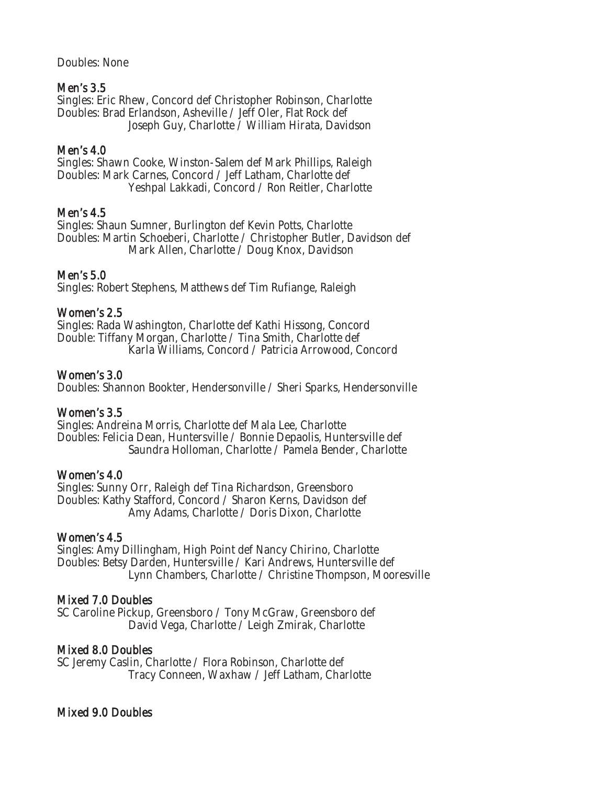Doubles: None

#### Men's 3.5

Singles: Eric Rhew, Concord def Christopher Robinson, Charlotte Doubles: Brad Erlandson, Asheville / Jeff Oler, Flat Rock def Joseph Guy, Charlotte / William Hirata, Davidson

#### Men's 4.0

Singles: Shawn Cooke, Winston-Salem def Mark Phillips, Raleigh Doubles: Mark Carnes, Concord / Jeff Latham, Charlotte def Yeshpal Lakkadi, Concord / Ron Reitler, Charlotte

### Men's 4.5

Singles: Shaun Sumner, Burlington def Kevin Potts, Charlotte Doubles: Martin Schoeberi, Charlotte / Christopher Butler, Davidson def Mark Allen, Charlotte / Doug Knox, Davidson

#### Men's 5.0

Singles: Robert Stephens, Matthews def Tim Rufiange, Raleigh

### Women's 2.5

Singles: Rada Washington, Charlotte def Kathi Hissong, Concord Double: Tiffany Morgan, Charlotte / Tina Smith, Charlotte def Karla Williams, Concord / Patricia Arrowood, Concord

#### Women's 3.0

Doubles: Shannon Bookter, Hendersonville / Sheri Sparks, Hendersonville

#### Women's 3.5

Singles: Andreina Morris, Charlotte def Mala Lee, Charlotte Doubles: Felicia Dean, Huntersville / Bonnie Depaolis, Huntersville def Saundra Holloman, Charlotte / Pamela Bender, Charlotte

#### Women's 4.0

Singles: Sunny Orr, Raleigh def Tina Richardson, Greensboro Doubles: Kathy Stafford, Concord / Sharon Kerns, Davidson def Amy Adams, Charlotte / Doris Dixon, Charlotte

#### Women's 4.5

Singles: Amy Dillingham, High Point def Nancy Chirino, Charlotte Doubles: Betsy Darden, Huntersville / Kari Andrews, Huntersville def Lynn Chambers, Charlotte / Christine Thompson, Mooresville

#### Mixed 7.0 Doubles

SC Caroline Pickup, Greensboro / Tony McGraw, Greensboro def David Vega, Charlotte / Leigh Zmirak, Charlotte

#### Mixed 8.0 Doubles

SC Jeremy Caslin, Charlotte / Flora Robinson, Charlotte def Tracy Conneen, Waxhaw / Jeff Latham, Charlotte

#### Mixed 9.0 Doubles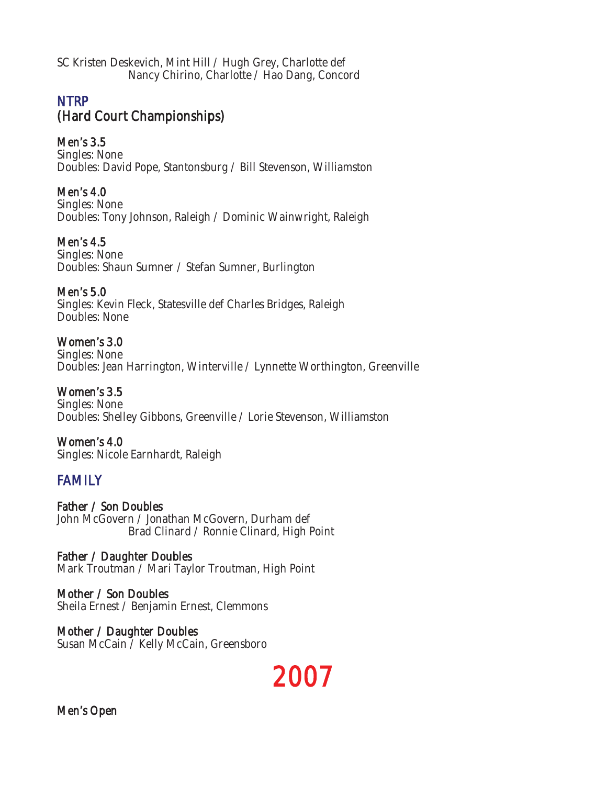SC Kristen Deskevich, Mint Hill / Hugh Grey, Charlotte def Nancy Chirino, Charlotte / Hao Dang, Concord

# **NTRP** (Hard Court Championships)

Men's 3.5 Singles: None Doubles: David Pope, Stantonsburg / Bill Stevenson, Williamston

Men's 4.0 Singles: None Doubles: Tony Johnson, Raleigh / Dominic Wainwright, Raleigh

Men's 4.5 Singles: None Doubles: Shaun Sumner / Stefan Sumner, Burlington

Men's 5.0 Singles: Kevin Fleck, Statesville def Charles Bridges, Raleigh Doubles: None

Women's 3.0 Singles: None Doubles: Jean Harrington, Winterville / Lynnette Worthington, Greenville

Women's 3.5 Singles: None Doubles: Shelley Gibbons, Greenville / Lorie Stevenson, Williamston

Women's 4.0 Singles: Nicole Earnhardt, Raleigh

# FAMILY

Father / Son Doubles John McGovern / Jonathan McGovern, Durham def Brad Clinard / Ronnie Clinard, High Point

Father / Daughter Doubles Mark Troutman / Mari Taylor Troutman, High Point

Mother / Son Doubles Sheila Ernest / Benjamin Ernest, Clemmons

Mother / Daughter Doubles Susan McCain / Kelly McCain, Greensboro



Men's Open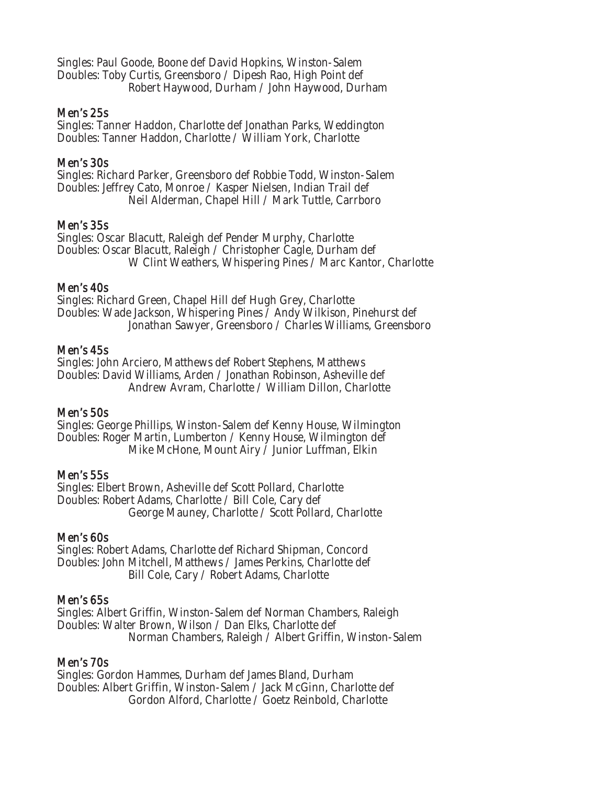Singles: Paul Goode, Boone def David Hopkins, Winston-Salem Doubles: Toby Curtis, Greensboro / Dipesh Rao, High Point def Robert Haywood, Durham / John Haywood, Durham

#### Men's 25s

Singles: Tanner Haddon, Charlotte def Jonathan Parks, Weddington Doubles: Tanner Haddon, Charlotte / William York, Charlotte

#### Men's 30s

Singles: Richard Parker, Greensboro def Robbie Todd, Winston-Salem Doubles: Jeffrey Cato, Monroe / Kasper Nielsen, Indian Trail def Neil Alderman, Chapel Hill / Mark Tuttle, Carrboro

#### Men's 35s

Singles: Oscar Blacutt, Raleigh def Pender Murphy, Charlotte Doubles: Oscar Blacutt, Raleigh / Christopher Cagle, Durham def W Clint Weathers, Whispering Pines / Marc Kantor, Charlotte

#### Men's 40s

Singles: Richard Green, Chapel Hill def Hugh Grey, Charlotte Doubles: Wade Jackson, Whispering Pines / Andy Wilkison, Pinehurst def Jonathan Sawyer, Greensboro / Charles Williams, Greensboro

#### Men's 45s

Singles: John Arciero, Matthews def Robert Stephens, Matthews Doubles: David Williams, Arden / Jonathan Robinson, Asheville def Andrew Avram, Charlotte / William Dillon, Charlotte

#### Men's 50s

Singles: George Phillips, Winston-Salem def Kenny House, Wilmington Doubles: Roger Martin, Lumberton / Kenny House, Wilmington def Mike McHone, Mount Airy / Junior Luffman, Elkin

#### Men's 55s

Singles: Elbert Brown, Asheville def Scott Pollard, Charlotte Doubles: Robert Adams, Charlotte / Bill Cole, Cary def George Mauney, Charlotte / Scott Pollard, Charlotte

#### Men's 60s

Singles: Robert Adams, Charlotte def Richard Shipman, Concord Doubles: John Mitchell, Matthews / James Perkins, Charlotte def Bill Cole, Cary / Robert Adams, Charlotte

#### Men's 65s

Singles: Albert Griffin, Winston-Salem def Norman Chambers, Raleigh Doubles: Walter Brown, Wilson / Dan Elks, Charlotte def Norman Chambers, Raleigh / Albert Griffin, Winston-Salem

# Men's 70s

Singles: Gordon Hammes, Durham def James Bland, Durham Doubles: Albert Griffin, Winston-Salem / Jack McGinn, Charlotte def Gordon Alford, Charlotte / Goetz Reinbold, Charlotte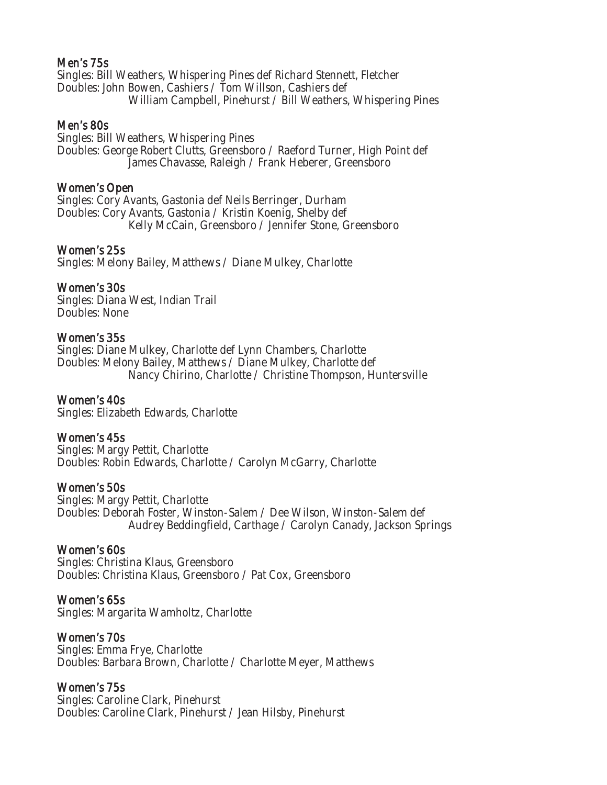#### Men's 75s

Singles: Bill Weathers, Whispering Pines def Richard Stennett, Fletcher Doubles: John Bowen, Cashiers / Tom Willson, Cashiers def William Campbell, Pinehurst / Bill Weathers, Whispering Pines

#### Men's 80s

Singles: Bill Weathers, Whispering Pines Doubles: George Robert Clutts, Greensboro / Raeford Turner, High Point def James Chavasse, Raleigh / Frank Heberer, Greensboro

#### Women's Open

Singles: Cory Avants, Gastonia def Neils Berringer, Durham Doubles: Cory Avants, Gastonia / Kristin Koenig, Shelby def Kelly McCain, Greensboro / Jennifer Stone, Greensboro

#### Women's 25s

Singles: Melony Bailey, Matthews / Diane Mulkey, Charlotte

#### Women's 30s

Singles: Diana West, Indian Trail Doubles: None

#### Women's 35s

Singles: Diane Mulkey, Charlotte def Lynn Chambers, Charlotte Doubles: Melony Bailey, Matthews / Diane Mulkey, Charlotte def Nancy Chirino, Charlotte / Christine Thompson, Huntersville

#### Women's 40s

Singles: Elizabeth Edwards, Charlotte

#### Women's 45s

Singles: Margy Pettit, Charlotte Doubles: Robin Edwards, Charlotte / Carolyn McGarry, Charlotte

#### Women's 50s

Singles: Margy Pettit, Charlotte Doubles: Deborah Foster, Winston-Salem / Dee Wilson, Winston-Salem def Audrey Beddingfield, Carthage / Carolyn Canady, Jackson Springs

#### Women's 60s

Singles: Christina Klaus, Greensboro Doubles: Christina Klaus, Greensboro / Pat Cox, Greensboro

#### Women's 65s

Singles: Margarita Wamholtz, Charlotte

#### Women's 70s

Singles: Emma Frye, Charlotte Doubles: Barbara Brown, Charlotte / Charlotte Meyer, Matthews

#### Women's 75s

Singles: Caroline Clark, Pinehurst Doubles: Caroline Clark, Pinehurst / Jean Hilsby, Pinehurst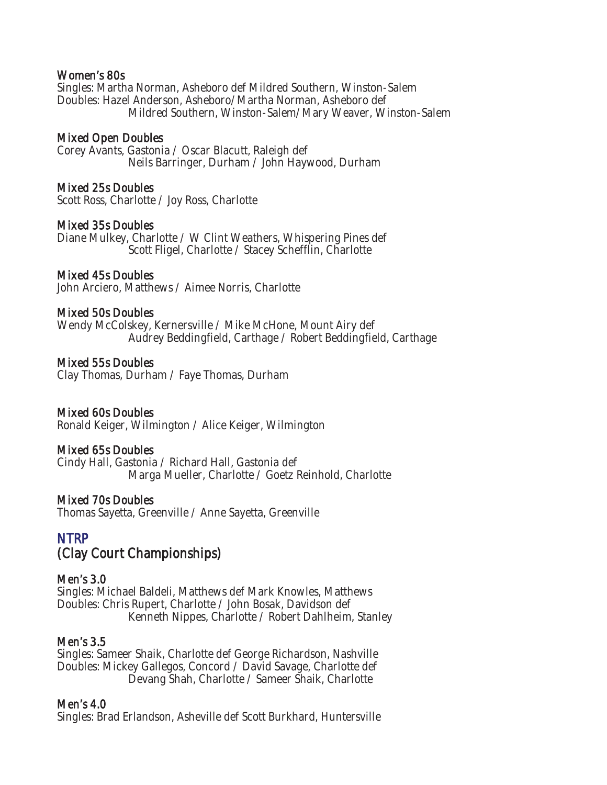#### Women's 80s

Singles: Martha Norman, Asheboro def Mildred Southern, Winston-Salem Doubles: Hazel Anderson, Asheboro/Martha Norman, Asheboro def Mildred Southern, Winston-Salem/Mary Weaver, Winston-Salem

#### Mixed Open Doubles

Corey Avants, Gastonia / Oscar Blacutt, Raleigh def Neils Barringer, Durham / John Haywood, Durham

#### Mixed 25s Doubles

Scott Ross, Charlotte / Joy Ross, Charlotte

#### Mixed 35s Doubles

Diane Mulkey, Charlotte / W Clint Weathers, Whispering Pines def Scott Fligel, Charlotte / Stacey Schefflin, Charlotte

#### Mixed 45s Doubles

John Arciero, Matthews / Aimee Norris, Charlotte

#### Mixed 50s Doubles

Wendy McColskey, Kernersville / Mike McHone, Mount Airy def Audrey Beddingfield, Carthage / Robert Beddingfield, Carthage

#### Mixed 55s Doubles

Clay Thomas, Durham / Faye Thomas, Durham

#### Mixed 60s Doubles

Ronald Keiger, Wilmington / Alice Keiger, Wilmington

#### Mixed 65s Doubles

Cindy Hall, Gastonia / Richard Hall, Gastonia def Marga Mueller, Charlotte / Goetz Reinhold, Charlotte

#### Mixed 70s Doubles

Thomas Sayetta, Greenville / Anne Sayetta, Greenville

# NTRP (Clay Court Championships)

#### Men's 3.0

Singles: Michael Baldeli, Matthews def Mark Knowles, Matthews Doubles: Chris Rupert, Charlotte / John Bosak, Davidson def Kenneth Nippes, Charlotte / Robert Dahlheim, Stanley

#### Men's 3.5

Singles: Sameer Shaik, Charlotte def George Richardson, Nashville Doubles: Mickey Gallegos, Concord / David Savage, Charlotte def Devang Shah, Charlotte / Sameer Shaik, Charlotte

#### Men's 4.0

Singles: Brad Erlandson, Asheville def Scott Burkhard, Huntersville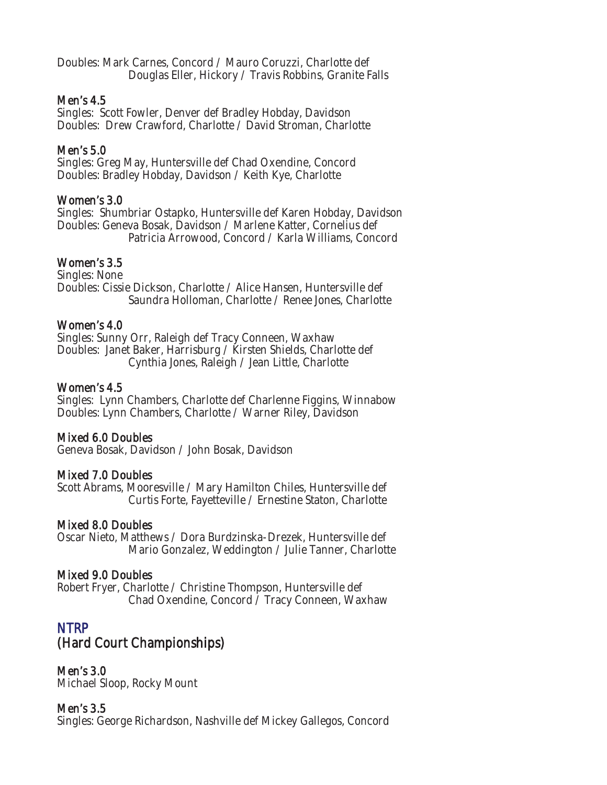Doubles: Mark Carnes, Concord / Mauro Coruzzi, Charlotte def Douglas Eller, Hickory / Travis Robbins, Granite Falls

#### Men's 4.5

Singles: Scott Fowler, Denver def Bradley Hobday, Davidson Doubles: Drew Crawford, Charlotte / David Stroman, Charlotte

### Men's 5.0

Singles: Greg May, Huntersville def Chad Oxendine, Concord Doubles: Bradley Hobday, Davidson / Keith Kye, Charlotte

#### Women's 3.0

Singles: Shumbriar Ostapko, Huntersville def Karen Hobday, Davidson Doubles: Geneva Bosak, Davidson / Marlene Katter, Cornelius def Patricia Arrowood, Concord / Karla Williams, Concord

### Women's 3.5

Singles: None Doubles: Cissie Dickson, Charlotte / Alice Hansen, Huntersville def Saundra Holloman, Charlotte / Renee Jones, Charlotte

#### Women's 4.0

Singles: Sunny Orr, Raleigh def Tracy Conneen, Waxhaw Doubles: Janet Baker, Harrisburg / Kirsten Shields, Charlotte def Cynthia Jones, Raleigh / Jean Little, Charlotte

#### Women's 4.5

Singles: Lynn Chambers, Charlotte def Charlenne Figgins, Winnabow Doubles: Lynn Chambers, Charlotte / Warner Riley, Davidson

#### Mixed 6.0 Doubles

Geneva Bosak, Davidson / John Bosak, Davidson

#### Mixed 7.0 Doubles

Scott Abrams, Mooresville / Mary Hamilton Chiles, Huntersville def Curtis Forte, Fayetteville / Ernestine Staton, Charlotte

#### Mixed 8.0 Doubles

Oscar Nieto, Matthews / Dora Burdzinska-Drezek, Huntersville def Mario Gonzalez, Weddington / Julie Tanner, Charlotte

#### Mixed 9.0 Doubles

Robert Fryer, Charlotte / Christine Thompson, Huntersville def Chad Oxendine, Concord / Tracy Conneen, Waxhaw

# NTRP (Hard Court Championships)

Men's 3.0 Michael Sloop, Rocky Mount

#### Men's 3.5

Singles: George Richardson, Nashville def Mickey Gallegos, Concord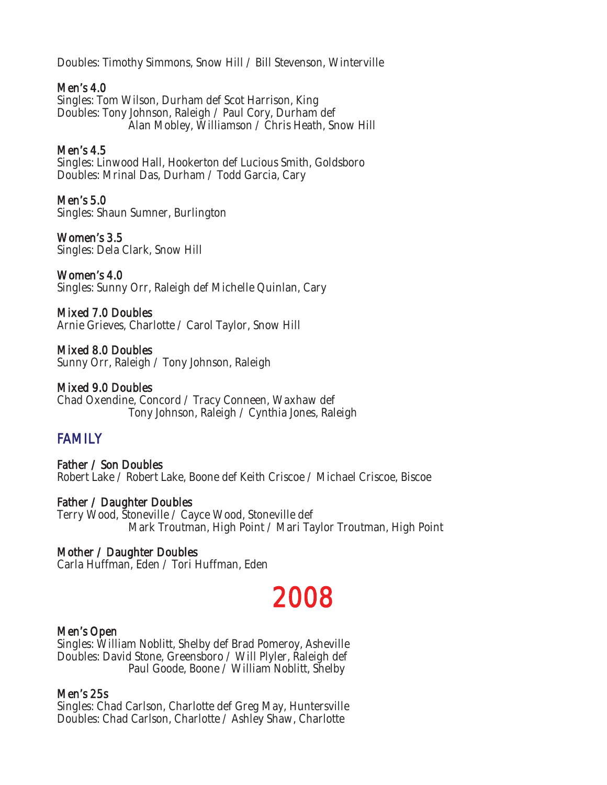Doubles: Timothy Simmons, Snow Hill / Bill Stevenson, Winterville

#### Men's 4.0

Singles: Tom Wilson, Durham def Scot Harrison, King Doubles: Tony Johnson, Raleigh / Paul Cory, Durham def Alan Mobley, Williamson / Chris Heath, Snow Hill

#### Men's 4.5

Singles: Linwood Hall, Hookerton def Lucious Smith, Goldsboro Doubles: Mrinal Das, Durham / Todd Garcia, Cary

#### Men's 5.0

Singles: Shaun Sumner, Burlington

### Women's 3.5

Singles: Dela Clark, Snow Hill

# Women's 4.0

Singles: Sunny Orr, Raleigh def Michelle Quinlan, Cary

# Mixed 7.0 Doubles

Arnie Grieves, Charlotte / Carol Taylor, Snow Hill

# Mixed 8.0 Doubles

Sunny Orr, Raleigh / Tony Johnson, Raleigh

# Mixed 9.0 Doubles

Chad Oxendine, Concord / Tracy Conneen, Waxhaw def Tony Johnson, Raleigh / Cynthia Jones, Raleigh

# **FAMILY**

Father / Son Doubles Robert Lake / Robert Lake, Boone def Keith Criscoe / Michael Criscoe, Biscoe

#### Father / Daughter Doubles Terry Wood, Stoneville / Cayce Wood, Stoneville def Mark Troutman, High Point / Mari Taylor Troutman, High Point

# Mother / Daughter Doubles

Carla Huffman, Eden / Tori Huffman, Eden

# 2008

#### Men's Open

Singles: William Noblitt, Shelby def Brad Pomeroy, Asheville Doubles: David Stone, Greensboro / Will Plyler, Raleigh def Paul Goode, Boone / William Noblitt, Shelby

#### Men's 25s

Singles: Chad Carlson, Charlotte def Greg May, Huntersville Doubles: Chad Carlson, Charlotte / Ashley Shaw, Charlotte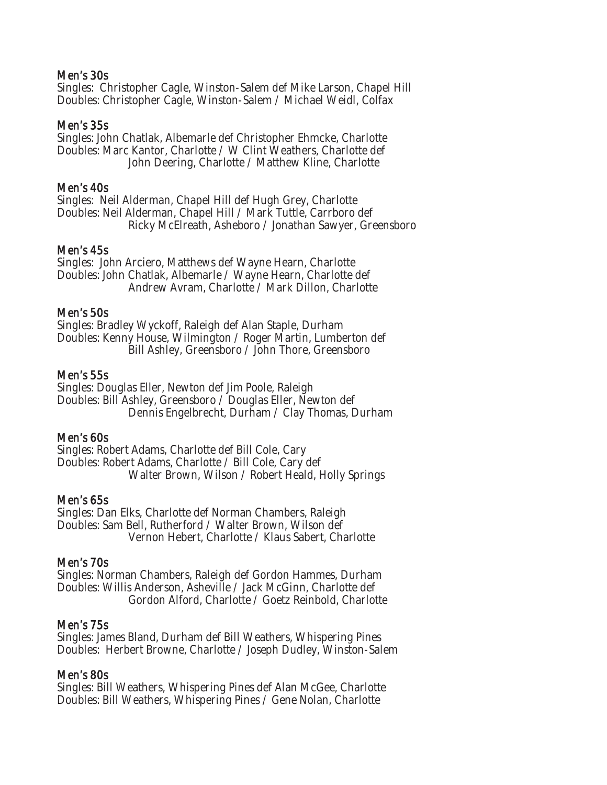#### Men's 30s

Singles: Christopher Cagle, Winston-Salem def Mike Larson, Chapel Hill Doubles: Christopher Cagle, Winston-Salem / Michael Weidl, Colfax

#### Men's 35s

Singles: John Chatlak, Albemarle def Christopher Ehmcke, Charlotte Doubles: Marc Kantor, Charlotte / W Clint Weathers, Charlotte def John Deering, Charlotte / Matthew Kline, Charlotte

#### Men's 40s

Singles: Neil Alderman, Chapel Hill def Hugh Grey, Charlotte Doubles: Neil Alderman, Chapel Hill / Mark Tuttle, Carrboro def Ricky McElreath, Asheboro / Jonathan Sawyer, Greensboro

#### Men's 45s

Singles: John Arciero, Matthews def Wayne Hearn, Charlotte Doubles: John Chatlak, Albemarle / Wayne Hearn, Charlotte def Andrew Avram, Charlotte / Mark Dillon, Charlotte

#### Men's 50s

Singles: Bradley Wyckoff, Raleigh def Alan Staple, Durham Doubles: Kenny House, Wilmington / Roger Martin, Lumberton def Bill Ashley, Greensboro / John Thore, Greensboro

#### Men's 55s

Singles: Douglas Eller, Newton def Jim Poole, Raleigh Doubles: Bill Ashley, Greensboro / Douglas Eller, Newton def Dennis Engelbrecht, Durham / Clay Thomas, Durham

#### Men's 60s

Singles: Robert Adams, Charlotte def Bill Cole, Cary Doubles: Robert Adams, Charlotte / Bill Cole, Cary def Walter Brown, Wilson / Robert Heald, Holly Springs

#### Men's 65s

Singles: Dan Elks, Charlotte def Norman Chambers, Raleigh Doubles: Sam Bell, Rutherford / Walter Brown, Wilson def Vernon Hebert, Charlotte / Klaus Sabert, Charlotte

#### Men's 70s

Singles: Norman Chambers, Raleigh def Gordon Hammes, Durham Doubles: Willis Anderson, Asheville / Jack McGinn, Charlotte def Gordon Alford, Charlotte / Goetz Reinbold, Charlotte

#### Men's 75s

Singles: James Bland, Durham def Bill Weathers, Whispering Pines Doubles: Herbert Browne, Charlotte / Joseph Dudley, Winston-Salem

#### Men's 80s

Singles: Bill Weathers, Whispering Pines def Alan McGee, Charlotte Doubles: Bill Weathers, Whispering Pines / Gene Nolan, Charlotte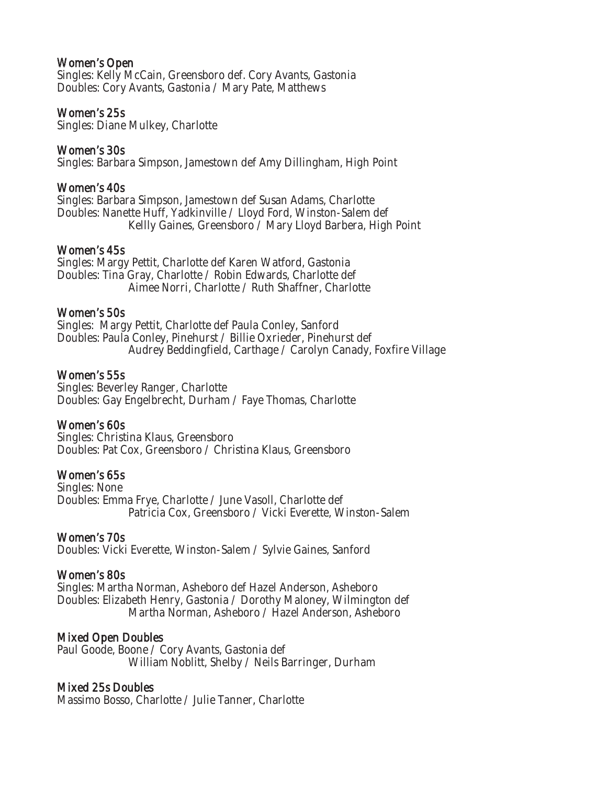#### Women's Open

Singles: Kelly McCain, Greensboro def. Cory Avants, Gastonia Doubles: Cory Avants, Gastonia / Mary Pate, Matthews

#### Women's 25s

Singles: Diane Mulkey, Charlotte

#### Women's 30s

Singles: Barbara Simpson, Jamestown def Amy Dillingham, High Point

#### Women's 40s

Singles: Barbara Simpson, Jamestown def Susan Adams, Charlotte Doubles: Nanette Huff, Yadkinville / Lloyd Ford, Winston-Salem def Kellly Gaines, Greensboro / Mary Lloyd Barbera, High Point

#### Women's 45s

Singles: Margy Pettit, Charlotte def Karen Watford, Gastonia Doubles: Tina Gray, Charlotte / Robin Edwards, Charlotte def Aimee Norri, Charlotte / Ruth Shaffner, Charlotte

#### Women's 50s

Singles: Margy Pettit, Charlotte def Paula Conley, Sanford Doubles: Paula Conley, Pinehurst / Billie Oxrieder, Pinehurst def Audrey Beddingfield, Carthage / Carolyn Canady, Foxfire Village

#### Women's 55s

Singles: Beverley Ranger, Charlotte Doubles: Gay Engelbrecht, Durham / Faye Thomas, Charlotte

#### Women's 60s

Singles: Christina Klaus, Greensboro Doubles: Pat Cox, Greensboro / Christina Klaus, Greensboro

#### Women's 65s

Singles: None Doubles: Emma Frye, Charlotte / June Vasoll, Charlotte def Patricia Cox, Greensboro / Vicki Everette, Winston-Salem

#### Women's 70s

Doubles: Vicki Everette, Winston-Salem / Sylvie Gaines, Sanford

#### Women's 80s

Singles: Martha Norman, Asheboro def Hazel Anderson, Asheboro Doubles: Elizabeth Henry, Gastonia / Dorothy Maloney, Wilmington def Martha Norman, Asheboro / Hazel Anderson, Asheboro

#### Mixed Open Doubles

Paul Goode, Boone / Cory Avants, Gastonia def William Noblitt, Shelby / Neils Barringer, Durham

#### Mixed 25s Doubles

Massimo Bosso, Charlotte / Julie Tanner, Charlotte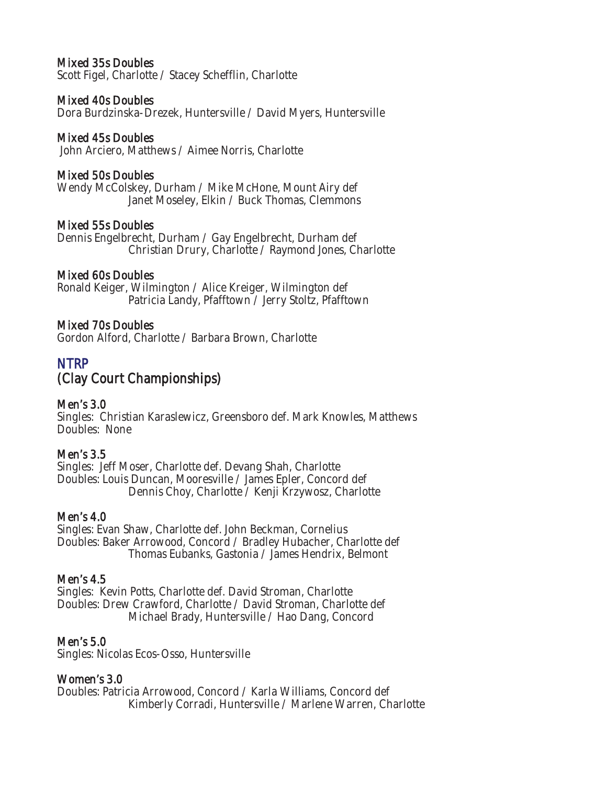### Mixed 35s Doubles

Scott Figel, Charlotte / Stacey Schefflin, Charlotte

#### Mixed 40s Doubles

Dora Burdzinska-Drezek, Huntersville / David Myers, Huntersville

#### Mixed 45s Doubles

John Arciero, Matthews / Aimee Norris, Charlotte

#### Mixed 50s Doubles

Wendy McColskey, Durham / Mike McHone, Mount Airy def Janet Moseley, Elkin / Buck Thomas, Clemmons

#### Mixed 55s Doubles

Dennis Engelbrecht, Durham / Gay Engelbrecht, Durham def Christian Drury, Charlotte / Raymond Jones, Charlotte

#### Mixed 60s Doubles

Ronald Keiger, Wilmington / Alice Kreiger, Wilmington def Patricia Landy, Pfafftown / Jerry Stoltz, Pfafftown

#### Mixed 70s Doubles

Gordon Alford, Charlotte / Barbara Brown, Charlotte

# **NTRP**

# (Clay Court Championships)

#### Men's 3.0

Singles: Christian Karaslewicz, Greensboro def. Mark Knowles, Matthews Doubles: None

#### Men's 3.5

Singles: Jeff Moser, Charlotte def. Devang Shah, Charlotte Doubles: Louis Duncan, Mooresville / James Epler, Concord def Dennis Choy, Charlotte / Kenji Krzywosz, Charlotte

#### Men's 4.0

Singles: Evan Shaw, Charlotte def. John Beckman, Cornelius Doubles: Baker Arrowood, Concord / Bradley Hubacher, Charlotte def Thomas Eubanks, Gastonia / James Hendrix, Belmont

#### Men's 4.5

Singles: Kevin Potts, Charlotte def. David Stroman, Charlotte Doubles: Drew Crawford, Charlotte / David Stroman, Charlotte def Michael Brady, Huntersville / Hao Dang, Concord

#### Men's 5.0

Singles: Nicolas Ecos-Osso, Huntersville

#### Women's 3.0

Doubles: Patricia Arrowood, Concord / Karla Williams, Concord def Kimberly Corradi, Huntersville / Marlene Warren, Charlotte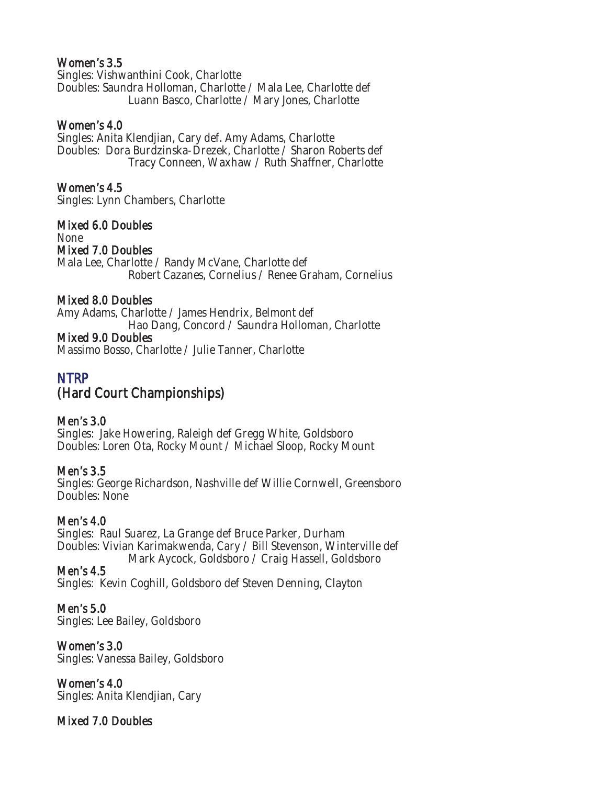### Women's 3.5

Singles: Vishwanthini Cook, Charlotte Doubles: Saundra Holloman, Charlotte / Mala Lee, Charlotte def Luann Basco, Charlotte / Mary Jones, Charlotte

### Women's 4.0

Singles: Anita Klendjian, Cary def. Amy Adams, Charlotte Doubles: Dora Burdzinska-Drezek, Charlotte / Sharon Roberts def Tracy Conneen, Waxhaw / Ruth Shaffner, Charlotte

### Women's 4.5

Singles: Lynn Chambers, Charlotte

### Mixed 6.0 Doubles

None Mixed 7.0 Doubles Mala Lee, Charlotte / Randy McVane, Charlotte def Robert Cazanes, Cornelius / Renee Graham, Cornelius

#### Mixed 8.0 Doubles

Amy Adams, Charlotte / James Hendrix, Belmont def Hao Dang, Concord / Saundra Holloman, Charlotte

### Mixed 9.0 Doubles

Massimo Bosso, Charlotte / Julie Tanner, Charlotte

# NTRP (Hard Court Championships)

# Men's 3.0

Singles: Jake Howering, Raleigh def Gregg White, Goldsboro Doubles: Loren Ota, Rocky Mount / Michael Sloop, Rocky Mount

#### Men's 3.5

Singles: George Richardson, Nashville def Willie Cornwell, Greensboro Doubles: None

# Men's 4.0

Singles: Raul Suarez, La Grange def Bruce Parker, Durham Doubles: Vivian Karimakwenda, Cary / Bill Stevenson, Winterville def Mark Aycock, Goldsboro / Craig Hassell, Goldsboro

Men's 4.5 Singles: Kevin Coghill, Goldsboro def Steven Denning, Clayton

Men's 5.0 Singles: Lee Bailey, Goldsboro

Women's 3.0 Singles: Vanessa Bailey, Goldsboro

Women's 4.0 Singles: Anita Klendjian, Cary

Mixed 7.0 Doubles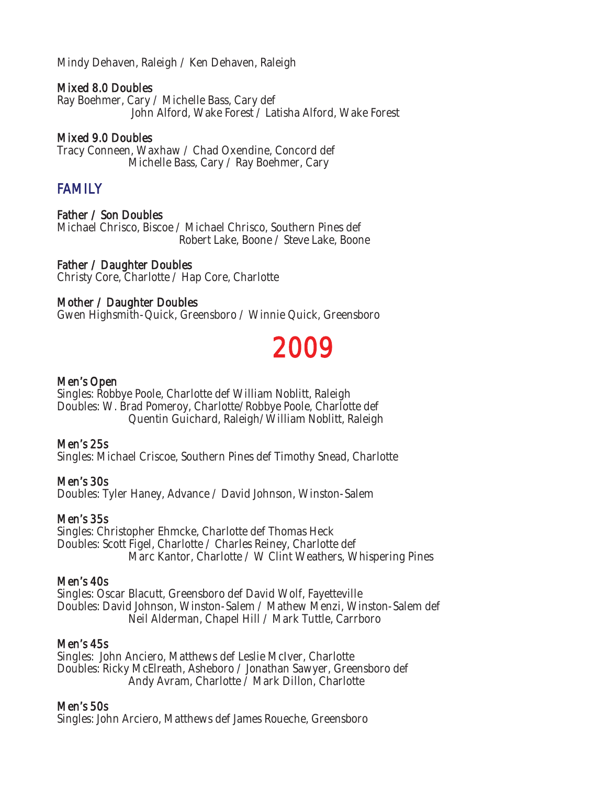Mindy Dehaven, Raleigh / Ken Dehaven, Raleigh

#### Mixed 8.0 Doubles

Ray Boehmer, Cary / Michelle Bass, Cary def John Alford, Wake Forest / Latisha Alford, Wake Forest

### Mixed 9.0 Doubles

Tracy Conneen, Waxhaw / Chad Oxendine, Concord def Michelle Bass, Cary / Ray Boehmer, Cary

# FAMILY

#### Father / Son Doubles

Michael Chrisco, Biscoe / Michael Chrisco, Southern Pines def Robert Lake, Boone / Steve Lake, Boone

Father / Daughter Doubles Christy Core, Charlotte / Hap Core, Charlotte

#### Mother / Daughter Doubles

Gwen Highsmith-Quick, Greensboro / Winnie Quick, Greensboro

# 2009

#### Men's Open

Singles: Robbye Poole, Charlotte def William Noblitt, Raleigh Doubles: W. Brad Pomeroy, Charlotte/Robbye Poole, Charlotte def Quentin Guichard, Raleigh/William Noblitt, Raleigh

#### Men's 25s

Singles: Michael Criscoe, Southern Pines def Timothy Snead, Charlotte

#### Men's 30s

Doubles: Tyler Haney, Advance / David Johnson, Winston-Salem

#### Men's 35s

Singles: Christopher Ehmcke, Charlotte def Thomas Heck Doubles: Scott Figel, Charlotte / Charles Reiney, Charlotte def Marc Kantor, Charlotte / W Clint Weathers, Whispering Pines

#### Men's 40s

Singles: Oscar Blacutt, Greensboro def David Wolf, Fayetteville Doubles: David Johnson, Winston-Salem / Mathew Menzi, Winston-Salem def Neil Alderman, Chapel Hill / Mark Tuttle, Carrboro

#### Men's 45s

Singles: John Anciero, Matthews def Leslie McIver, Charlotte Doubles: Ricky McElreath, Asheboro / Jonathan Sawyer, Greensboro def Andy Avram, Charlotte / Mark Dillon, Charlotte

#### Men's 50s

Singles: John Arciero, Matthews def James Roueche, Greensboro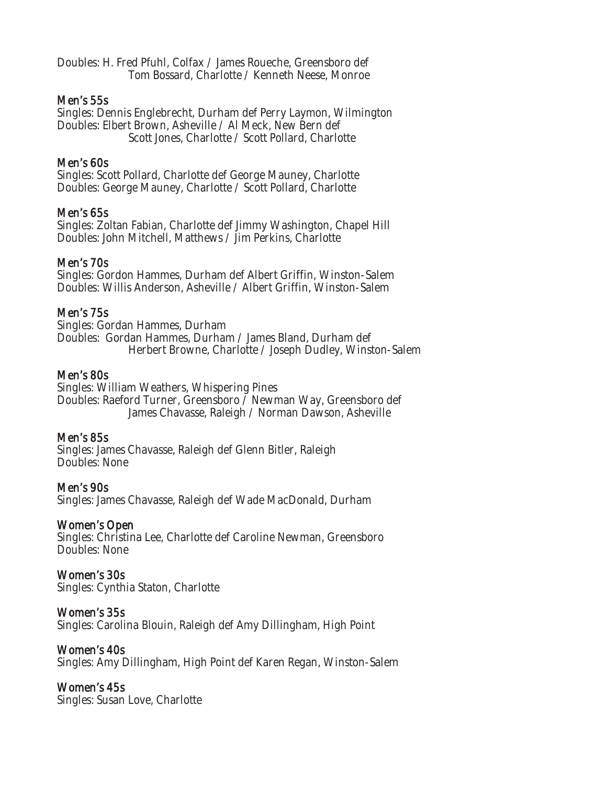Doubles: H. Fred Pfuhl, Colfax / James Roueche, Greensboro def Tom Bossard, Charlotte / Kenneth Neese, Monroe

#### Men's 55s

Singles: Dennis Englebrecht, Durham def Perry Laymon, Wilmington Doubles: Elbert Brown, Asheville / Al Meck, New Bern def Scott Jones, Charlotte / Scott Pollard, Charlotte

#### Men's 60s

Singles: Scott Pollard, Charlotte def George Mauney, Charlotte Doubles: George Mauney, Charlotte / Scott Pollard, Charlotte

#### Men's 65s

Singles: Zoltan Fabian, Charlotte def Jimmy Washington, Chapel Hill Doubles: John Mitchell, Matthews / Jim Perkins, Charlotte

#### Men's 70s

Singles: Gordon Hammes, Durham def Albert Griffin, Winston-Salem Doubles: Willis Anderson, Asheville / Albert Griffin, Winston-Salem

### Men's 75s

Singles: Gordan Hammes, Durham Doubles: Gordan Hammes, Durham / James Bland, Durham def Herbert Browne, Charlotte / Joseph Dudley, Winston-Salem

#### Men's 80s

Singles: William Weathers, Whispering Pines Doubles: Raeford Turner, Greensboro / Newman Way, Greensboro def James Chavasse, Raleigh / Norman Dawson, Asheville

#### Men's 85s

Singles: James Chavasse, Raleigh def Glenn Bitler, Raleigh Doubles: None

Men's 90s

Singles: James Chavasse, Raleigh def Wade MacDonald, Durham

#### Women's Open

Singles: Christina Lee, Charlotte def Caroline Newman, Greensboro Doubles: None

# Women's 30s

Singles: Cynthia Staton, Charlotte

Women's 35s Singles: Carolina Blouin, Raleigh def Amy Dillingham, High Point

#### Women's 40s

Singles: Amy Dillingham, High Point def Karen Regan, Winston-Salem

#### Women's 45s

Singles: Susan Love, Charlotte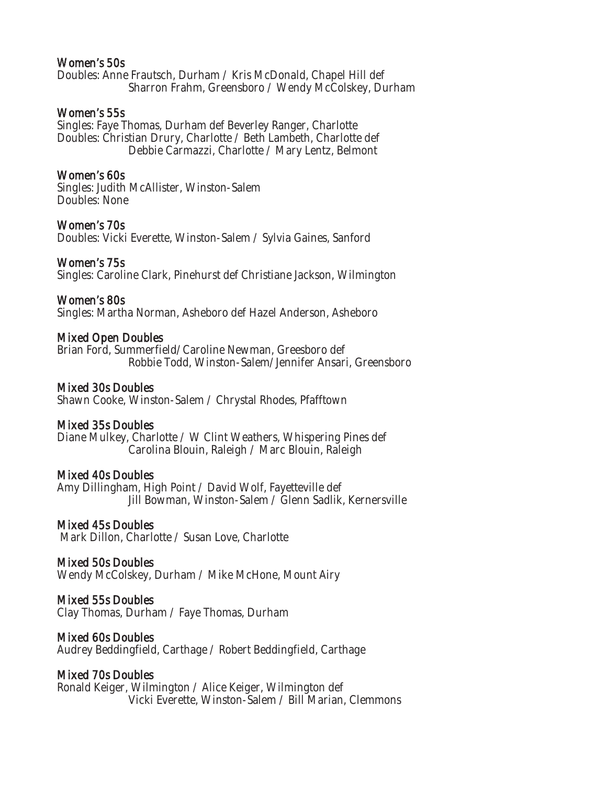#### Women's 50s

Doubles: Anne Frautsch, Durham / Kris McDonald, Chapel Hill def Sharron Frahm, Greensboro / Wendy McColskey, Durham

#### Women's 55s

Singles: Faye Thomas, Durham def Beverley Ranger, Charlotte Doubles: Christian Drury, Charlotte / Beth Lambeth, Charlotte def Debbie Carmazzi, Charlotte / Mary Lentz, Belmont

#### Women's 60s

Singles: Judith McAllister, Winston-Salem Doubles: None

#### Women's 70s

Doubles: Vicki Everette, Winston-Salem / Sylvia Gaines, Sanford

#### Women's 75s

Singles: Caroline Clark, Pinehurst def Christiane Jackson, Wilmington

#### Women's 80s

Singles: Martha Norman, Asheboro def Hazel Anderson, Asheboro

#### Mixed Open Doubles

Brian Ford, Summerfield/Caroline Newman, Greesboro def Robbie Todd, Winston-Salem/Jennifer Ansari, Greensboro

#### Mixed 30s Doubles

Shawn Cooke, Winston-Salem / Chrystal Rhodes, Pfafftown

#### Mixed 35s Doubles

Diane Mulkey, Charlotte / W Clint Weathers, Whispering Pines def Carolina Blouin, Raleigh / Marc Blouin, Raleigh

#### Mixed 40s Doubles

Amy Dillingham, High Point / David Wolf, Fayetteville def Jill Bowman, Winston-Salem / Glenn Sadlik, Kernersville

#### Mixed 45s Doubles

Mark Dillon, Charlotte / Susan Love, Charlotte

#### Mixed 50s Doubles

Wendy McColskey, Durham / Mike McHone, Mount Airy

#### Mixed 55s Doubles

Clay Thomas, Durham / Faye Thomas, Durham

#### Mixed 60s Doubles

Audrey Beddingfield, Carthage / Robert Beddingfield, Carthage

#### Mixed 70s Doubles

Ronald Keiger, Wilmington / Alice Keiger, Wilmington def Vicki Everette, Winston-Salem / Bill Marian, Clemmons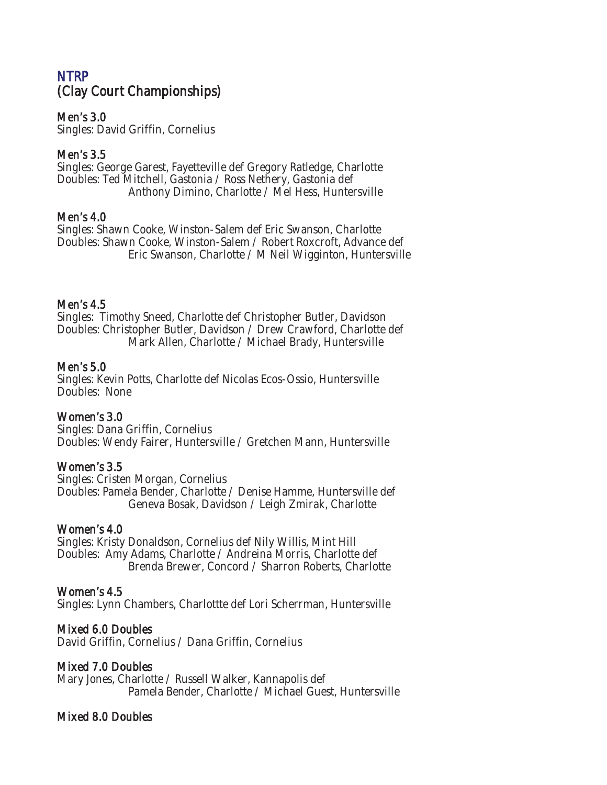# NTRP (Clay Court Championships)

### Men's 3.0

Singles: David Griffin, Cornelius

### Men's 3.5

Singles: George Garest, Fayetteville def Gregory Ratledge, Charlotte Doubles: Ted Mitchell, Gastonia / Ross Nethery, Gastonia def Anthony Dimino, Charlotte / Mel Hess, Huntersville

#### Men's 4.0

Singles: Shawn Cooke, Winston-Salem def Eric Swanson, Charlotte Doubles: Shawn Cooke, Winston-Salem / Robert Roxcroft, Advance def Eric Swanson, Charlotte / M Neil Wigginton, Huntersville

#### Men's 4.5

Singles: Timothy Sneed, Charlotte def Christopher Butler, Davidson Doubles: Christopher Butler, Davidson / Drew Crawford, Charlotte def Mark Allen, Charlotte / Michael Brady, Huntersville

#### Men's 5.0

Singles: Kevin Potts, Charlotte def Nicolas Ecos-Ossio, Huntersville Doubles: None

#### Women's 3.0

Singles: Dana Griffin, Cornelius Doubles: Wendy Fairer, Huntersville / Gretchen Mann, Huntersville

#### Women's 3.5

Singles: Cristen Morgan, Cornelius Doubles: Pamela Bender, Charlotte / Denise Hamme, Huntersville def Geneva Bosak, Davidson / Leigh Zmirak, Charlotte

#### Women's 4.0

Singles: Kristy Donaldson, Cornelius def Nily Willis, Mint Hill Doubles: Amy Adams, Charlotte / Andreina Morris, Charlotte def Brenda Brewer, Concord / Sharron Roberts, Charlotte

#### Women's 4.5

Singles: Lynn Chambers, Charlottte def Lori Scherrman, Huntersville

#### Mixed 6.0 Doubles

David Griffin, Cornelius / Dana Griffin, Cornelius

# Mixed 7.0 Doubles

Mary Jones, Charlotte / Russell Walker, Kannapolis def Pamela Bender, Charlotte / Michael Guest, Huntersville

# Mixed 8.0 Doubles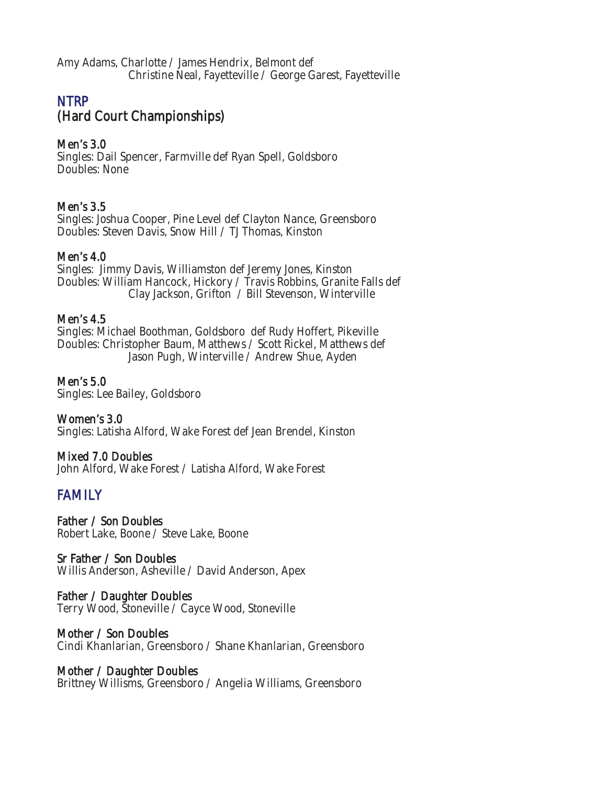Amy Adams, Charlotte / James Hendrix, Belmont def Christine Neal, Fayetteville / George Garest, Fayetteville

# **NTRP** (Hard Court Championships)

### Men's 3.0

Singles: Dail Spencer, Farmville def Ryan Spell, Goldsboro Doubles: None

### Men's 3.5

Singles: Joshua Cooper, Pine Level def Clayton Nance, Greensboro Doubles: Steven Davis, Snow Hill / TJ Thomas, Kinston

### Men's 4.0

Singles: Jimmy Davis, Williamston def Jeremy Jones, Kinston Doubles: William Hancock, Hickory / Travis Robbins, Granite Falls def Clay Jackson, Grifton / Bill Stevenson, Winterville

#### Men's 4.5

Singles: Michael Boothman, Goldsboro def Rudy Hoffert, Pikeville Doubles: Christopher Baum, Matthews / Scott Rickel, Matthews def Jason Pugh, Winterville / Andrew Shue, Ayden

Men's 5.0 Singles: Lee Bailey, Goldsboro

Women's 3.0 Singles: Latisha Alford, Wake Forest def Jean Brendel, Kinston

#### Mixed 7.0 Doubles

John Alford, Wake Forest / Latisha Alford, Wake Forest

# FAMILY

Father / Son Doubles Robert Lake, Boone / Steve Lake, Boone

#### Sr Father / Son Doubles

Willis Anderson, Asheville / David Anderson, Apex

#### Father / Daughter Doubles

Terry Wood, Stoneville / Cayce Wood, Stoneville

#### Mother / Son Doubles

Cindi Khanlarian, Greensboro / Shane Khanlarian, Greensboro

#### Mother / Daughter Doubles

Brittney Willisms, Greensboro / Angelia Williams, Greensboro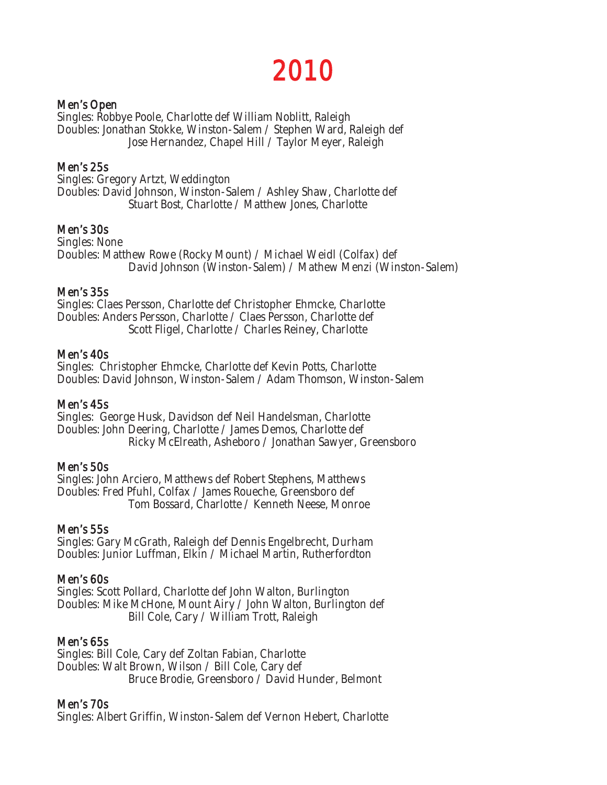# 2010

#### Men's Open

Singles: Robbye Poole, Charlotte def William Noblitt, Raleigh Doubles: Jonathan Stokke, Winston-Salem / Stephen Ward, Raleigh def Jose Hernandez, Chapel Hill / Taylor Meyer, Raleigh

#### Men's 25s

Singles: Gregory Artzt, Weddington Doubles: David Johnson, Winston-Salem / Ashley Shaw, Charlotte def Stuart Bost, Charlotte / Matthew Jones, Charlotte

#### Men's 30s

Singles: None Doubles: Matthew Rowe (Rocky Mount) / Michael Weidl (Colfax) def David Johnson (Winston-Salem) / Mathew Menzi (Winston-Salem)

#### Men's 35s

Singles: Claes Persson, Charlotte def Christopher Ehmcke, Charlotte Doubles: Anders Persson, Charlotte / Claes Persson, Charlotte def Scott Fligel, Charlotte / Charles Reiney, Charlotte

#### Men's 40s

Singles: Christopher Ehmcke, Charlotte def Kevin Potts, Charlotte Doubles: David Johnson, Winston-Salem / Adam Thomson, Winston-Salem

#### Men's 45s

Singles: George Husk, Davidson def Neil Handelsman, Charlotte Doubles: John Deering, Charlotte / James Demos, Charlotte def Ricky McElreath, Asheboro / Jonathan Sawyer, Greensboro

#### Men's 50s

Singles: John Arciero, Matthews def Robert Stephens, Matthews Doubles: Fred Pfuhl, Colfax / James Roueche, Greensboro def Tom Bossard, Charlotte / Kenneth Neese, Monroe

#### Men's 55s

Singles: Gary McGrath, Raleigh def Dennis Engelbrecht, Durham Doubles: Junior Luffman, Elkin / Michael Martin, Rutherfordton

#### Men's 60s

Singles: Scott Pollard, Charlotte def John Walton, Burlington Doubles: Mike McHone, Mount Airy / John Walton, Burlington def Bill Cole, Cary / William Trott, Raleigh

#### Men's 65s

Singles: Bill Cole, Cary def Zoltan Fabian, Charlotte Doubles: Walt Brown, Wilson / Bill Cole, Cary def Bruce Brodie, Greensboro / David Hunder, Belmont

#### Men's 70s

Singles: Albert Griffin, Winston-Salem def Vernon Hebert, Charlotte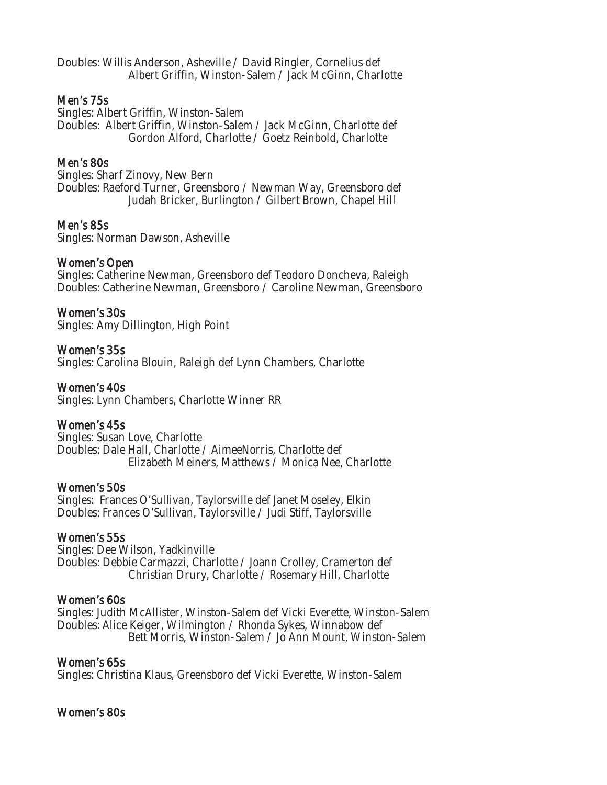Doubles: Willis Anderson, Asheville / David Ringler, Cornelius def Albert Griffin, Winston-Salem / Jack McGinn, Charlotte

#### Men's 75s

Singles: Albert Griffin, Winston-Salem Doubles: Albert Griffin, Winston-Salem / Jack McGinn, Charlotte def Gordon Alford, Charlotte / Goetz Reinbold, Charlotte

#### Men's 80s

Singles: Sharf Zinovy, New Bern Doubles: Raeford Turner, Greensboro / Newman Way, Greensboro def Judah Bricker, Burlington / Gilbert Brown, Chapel Hill

#### Men's 85s

Singles: Norman Dawson, Asheville

#### Women's Open

Singles: Catherine Newman, Greensboro def Teodoro Doncheva, Raleigh Doubles: Catherine Newman, Greensboro / Caroline Newman, Greensboro

#### Women's 30s

Singles: Amy Dillington, High Point

#### Women's 35s

Singles: Carolina Blouin, Raleigh def Lynn Chambers, Charlotte

#### Women's 40s

Singles: Lynn Chambers, Charlotte Winner RR

#### Women's 45s

Singles: Susan Love, Charlotte Doubles: Dale Hall, Charlotte / AimeeNorris, Charlotte def Elizabeth Meiners, Matthews / Monica Nee, Charlotte

#### Women's 50s

Singles: Frances O'Sullivan, Taylorsville def Janet Moseley, Elkin Doubles: Frances O'Sullivan, Taylorsville / Judi Stiff, Taylorsville

#### Women's 55s

Singles: Dee Wilson, Yadkinville Doubles: Debbie Carmazzi, Charlotte / Joann Crolley, Cramerton def Christian Drury, Charlotte / Rosemary Hill, Charlotte

#### Women's 60s

Singles: Judith McAllister, Winston-Salem def Vicki Everette, Winston-Salem Doubles: Alice Keiger, Wilmington / Rhonda Sykes, Winnabow def Bett Morris, Winston-Salem / Jo Ann Mount, Winston-Salem

#### Women's 65s

Singles: Christina Klaus, Greensboro def Vicki Everette, Winston-Salem

#### Women's 80s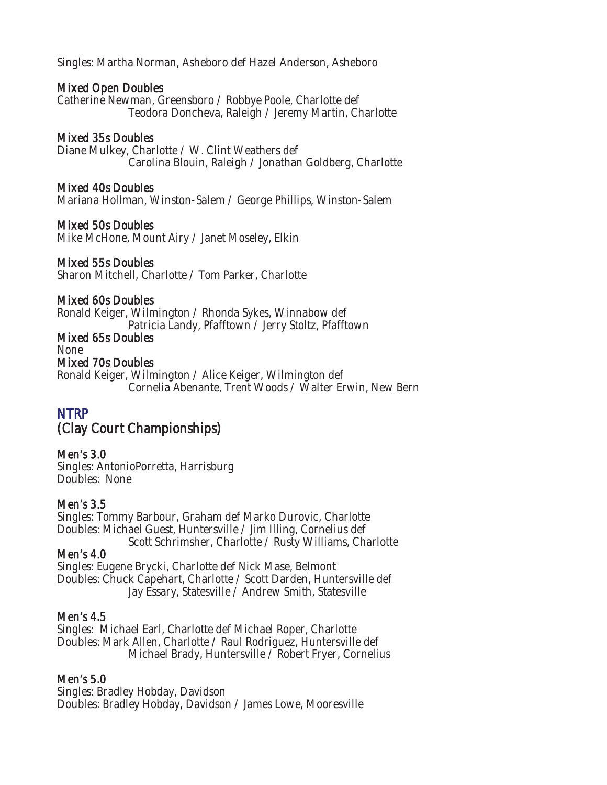Singles: Martha Norman, Asheboro def Hazel Anderson, Asheboro

#### Mixed Open Doubles

Catherine Newman, Greensboro / Robbye Poole, Charlotte def Teodora Doncheva, Raleigh / Jeremy Martin, Charlotte

### Mixed 35s Doubles

Diane Mulkey, Charlotte / W. Clint Weathers def Carolina Blouin, Raleigh / Jonathan Goldberg, Charlotte

### Mixed 40s Doubles

Mariana Hollman, Winston-Salem / George Phillips, Winston-Salem

### Mixed 50s Doubles

Mike McHone, Mount Airy / Janet Moseley, Elkin

#### Mixed 55s Doubles

Sharon Mitchell, Charlotte / Tom Parker, Charlotte

#### Mixed 60s Doubles

Ronald Keiger, Wilmington / Rhonda Sykes, Winnabow def Patricia Landy, Pfafftown / Jerry Stoltz, Pfafftown

# Mixed 65s Doubles

None

#### Mixed 70s Doubles

Ronald Keiger, Wilmington / Alice Keiger, Wilmington def Cornelia Abenante, Trent Woods / Walter Erwin, New Bern

# NTRP

# (Clay Court Championships)

Men's 3.0 Singles: AntonioPorretta, Harrisburg Doubles: None

# Men's 3.5

Singles: Tommy Barbour, Graham def Marko Durovic, Charlotte Doubles: Michael Guest, Huntersville / Jim Illing, Cornelius def Scott Schrimsher, Charlotte / Rusty Williams, Charlotte

#### Men's 4.0

Singles: Eugene Brycki, Charlotte def Nick Mase, Belmont Doubles: Chuck Capehart, Charlotte / Scott Darden, Huntersville def Jay Essary, Statesville / Andrew Smith, Statesville

#### Men's 4.5

Singles: Michael Earl, Charlotte def Michael Roper, Charlotte Doubles: Mark Allen, Charlotte / Raul Rodriguez, Huntersville def Michael Brady, Huntersville / Robert Fryer, Cornelius

# Men's 5.0

Singles: Bradley Hobday, Davidson Doubles: Bradley Hobday, Davidson / James Lowe, Mooresville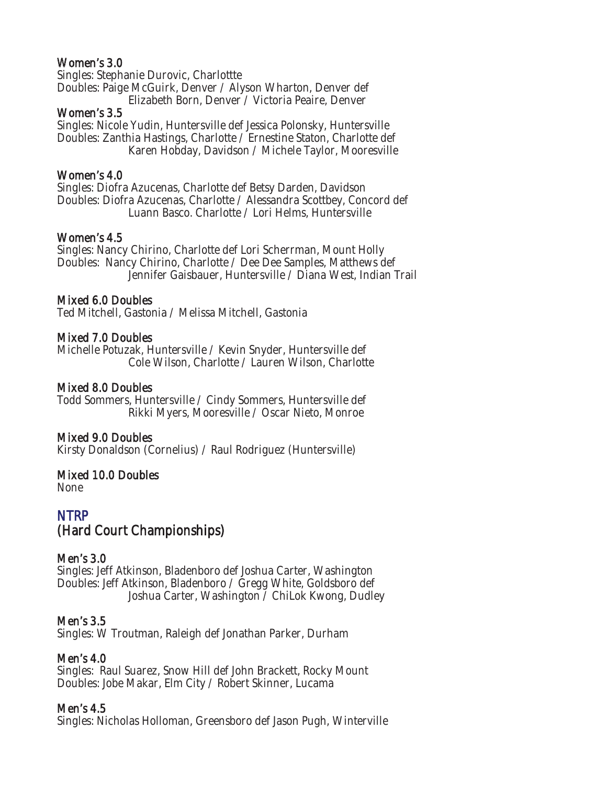### Women's 3.0

Singles: Stephanie Durovic, Charlottte Doubles: Paige McGuirk, Denver / Alyson Wharton, Denver def Elizabeth Born, Denver / Victoria Peaire, Denver

#### Women's 3.5

Singles: Nicole Yudin, Huntersville def Jessica Polonsky, Huntersville Doubles: Zanthia Hastings, Charlotte / Ernestine Staton, Charlotte def Karen Hobday, Davidson / Michele Taylor, Mooresville

### Women's 4.0

Singles: Diofra Azucenas, Charlotte def Betsy Darden, Davidson Doubles: Diofra Azucenas, Charlotte / Alessandra Scottbey, Concord def Luann Basco. Charlotte / Lori Helms, Huntersville

### Women's 4.5

Singles: Nancy Chirino, Charlotte def Lori Scherrman, Mount Holly Doubles: Nancy Chirino, Charlotte / Dee Dee Samples, Matthews def Jennifer Gaisbauer, Huntersville / Diana West, Indian Trail

# Mixed 6.0 Doubles

Ted Mitchell, Gastonia / Melissa Mitchell, Gastonia

### Mixed 7.0 Doubles

Michelle Potuzak, Huntersville / Kevin Snyder, Huntersville def Cole Wilson, Charlotte / Lauren Wilson, Charlotte

### Mixed 8.0 Doubles

Todd Sommers, Huntersville / Cindy Sommers, Huntersville def Rikki Myers, Mooresville / Oscar Nieto, Monroe

#### Mixed 9.0 Doubles

Kirsty Donaldson (Cornelius) / Raul Rodriguez (Huntersville)

# Mixed 10.0 Doubles

None

# NTRP (Hard Court Championships)

#### Men's 3.0

Singles: Jeff Atkinson, Bladenboro def Joshua Carter, Washington Doubles: Jeff Atkinson, Bladenboro / Gregg White, Goldsboro def Joshua Carter, Washington / ChiLok Kwong, Dudley

# Men's 3.5

Singles: W Troutman, Raleigh def Jonathan Parker, Durham

#### Men's 4.0

Singles: Raul Suarez, Snow Hill def John Brackett, Rocky Mount Doubles: Jobe Makar, Elm City / Robert Skinner, Lucama

#### Men's 4.5

Singles: Nicholas Holloman, Greensboro def Jason Pugh, Winterville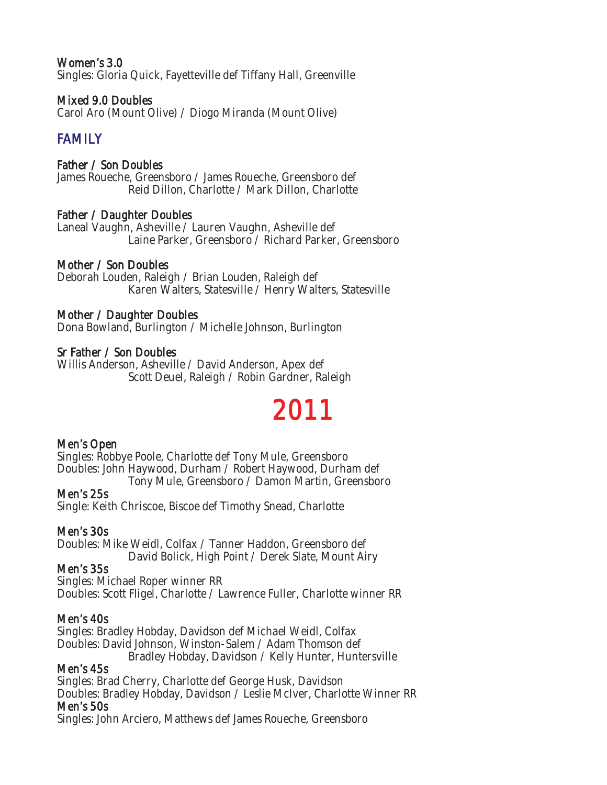#### Women's 3.0

Singles: Gloria Quick, Fayetteville def Tiffany Hall, Greenville

#### Mixed 9.0 Doubles

Carol Aro (Mount Olive) / Diogo Miranda (Mount Olive)

## FAMILY

#### Father / Son Doubles

James Roueche, Greensboro / James Roueche, Greensboro def Reid Dillon, Charlotte / Mark Dillon, Charlotte

#### Father / Daughter Doubles

Laneal Vaughn, Asheville / Lauren Vaughn, Asheville def Laine Parker, Greensboro / Richard Parker, Greensboro

#### Mother / Son Doubles

Deborah Louden, Raleigh / Brian Louden, Raleigh def Karen Walters, Statesville / Henry Walters, Statesville

#### Mother / Daughter Doubles

Dona Bowland, Burlington / Michelle Johnson, Burlington

#### Sr Father / Son Doubles

Willis Anderson, Asheville / David Anderson, Apex def Scott Deuel, Raleigh / Robin Gardner, Raleigh

# 2011

#### Men's Open

Singles: Robbye Poole, Charlotte def Tony Mule, Greensboro Doubles: John Haywood, Durham / Robert Haywood, Durham def Tony Mule, Greensboro / Damon Martin, Greensboro

#### Men's 25s

Single: Keith Chriscoe, Biscoe def Timothy Snead, Charlotte

#### Men's 30s

Doubles: Mike Weidl, Colfax / Tanner Haddon, Greensboro def David Bolick, High Point / Derek Slate, Mount Airy

#### Men's 35s

Singles: Michael Roper winner RR Doubles: Scott Fligel, Charlotte / Lawrence Fuller, Charlotte winner RR

#### Men's 40s

Singles: Bradley Hobday, Davidson def Michael Weidl, Colfax Doubles: David Johnson, Winston-Salem / Adam Thomson def Bradley Hobday, Davidson / Kelly Hunter, Huntersville

#### Men's 45s

Singles: Brad Cherry, Charlotte def George Husk, Davidson Doubles: Bradley Hobday, Davidson / Leslie McIver, Charlotte Winner RR Men's 50s

Singles: John Arciero, Matthews def James Roueche, Greensboro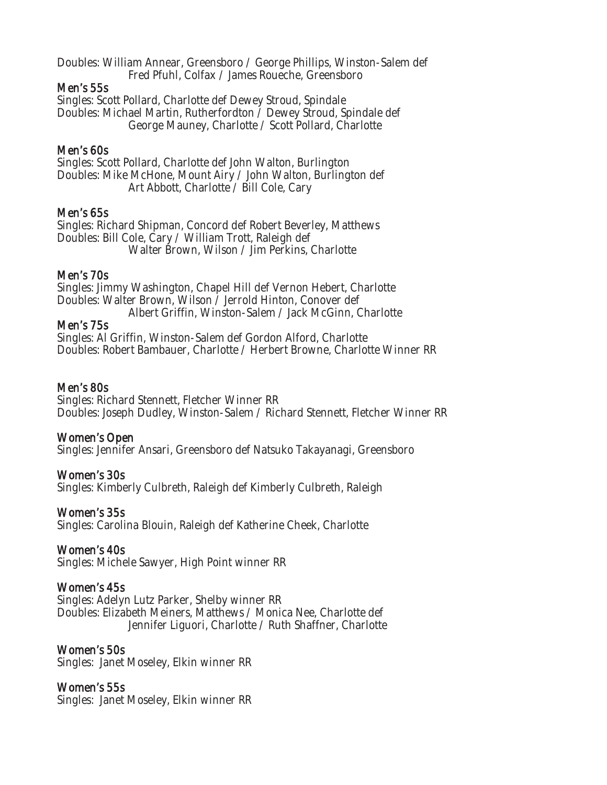Doubles: William Annear, Greensboro / George Phillips, Winston-Salem def Fred Pfuhl, Colfax / James Roueche, Greensboro

#### Men's 55s

Singles: Scott Pollard, Charlotte def Dewey Stroud, Spindale Doubles: Michael Martin, Rutherfordton / Dewey Stroud, Spindale def George Mauney, Charlotte / Scott Pollard, Charlotte

#### Men's 60s

Singles: Scott Pollard, Charlotte def John Walton, Burlington Doubles: Mike McHone, Mount Airy / John Walton, Burlington def Art Abbott, Charlotte / Bill Cole, Cary

#### Men's 65s

Singles: Richard Shipman, Concord def Robert Beverley, Matthews Doubles: Bill Cole, Cary / William Trott, Raleigh def Walter Brown, Wilson / Jim Perkins, Charlotte

#### Men's 70s

Singles: Jimmy Washington, Chapel Hill def Vernon Hebert, Charlotte Doubles: Walter Brown, Wilson / Jerrold Hinton, Conover def Albert Griffin, Winston-Salem / Jack McGinn, Charlotte

#### Men's 75s

Singles: Al Griffin, Winston-Salem def Gordon Alford, Charlotte Doubles: Robert Bambauer, Charlotte / Herbert Browne, Charlotte Winner RR

#### Men's 80s

Singles: Richard Stennett, Fletcher Winner RR Doubles: Joseph Dudley, Winston-Salem / Richard Stennett, Fletcher Winner RR

#### Women's Open

Singles: Jennifer Ansari, Greensboro def Natsuko Takayanagi, Greensboro

#### Women's 30s

Singles: Kimberly Culbreth, Raleigh def Kimberly Culbreth, Raleigh

#### Women's 35s

Singles: Carolina Blouin, Raleigh def Katherine Cheek, Charlotte

#### Women's 40s

Singles: Michele Sawyer, High Point winner RR

#### Women's 45s

Singles: Adelyn Lutz Parker, Shelby winner RR Doubles: Elizabeth Meiners, Matthews / Monica Nee, Charlotte def Jennifer Liguori, Charlotte / Ruth Shaffner, Charlotte

#### Women's 50s

Singles: Janet Moseley, Elkin winner RR

#### Women's 55s

Singles: Janet Moseley, Elkin winner RR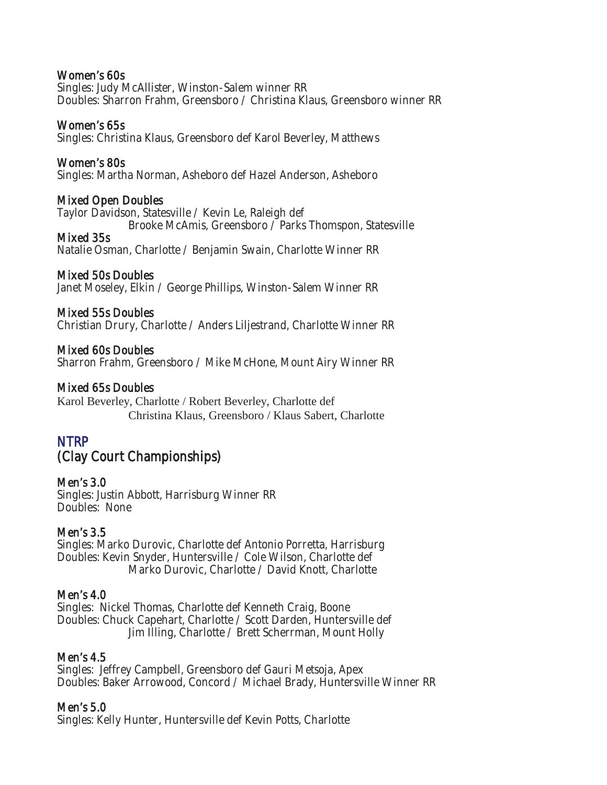#### Women's 60s

Singles: Judy McAllister, Winston-Salem winner RR Doubles: Sharron Frahm, Greensboro / Christina Klaus, Greensboro winner RR

#### Women's 65s

Singles: Christina Klaus, Greensboro def Karol Beverley, Matthews

#### Women's 80s

Singles: Martha Norman, Asheboro def Hazel Anderson, Asheboro

#### Mixed Open Doubles

Taylor Davidson, Statesville / Kevin Le, Raleigh def

Brooke McAmis, Greensboro / Parks Thomspon, Statesville

#### Mixed 35s

Natalie Osman, Charlotte / Benjamin Swain, Charlotte Winner RR

#### Mixed 50s Doubles

Janet Moseley, Elkin / George Phillips, Winston-Salem Winner RR

#### Mixed 55s Doubles

Christian Drury, Charlotte / Anders Liljestrand, Charlotte Winner RR

#### Mixed 60s Doubles

Sharron Frahm, Greensboro / Mike McHone, Mount Airy Winner RR

#### Mixed 65s Doubles

Karol Beverley, Charlotte / Robert Beverley, Charlotte def Christina Klaus, Greensboro / Klaus Sabert, Charlotte

### NTRP

# (Clay Court Championships)

#### Men's 3.0

Singles: Justin Abbott, Harrisburg Winner RR Doubles: None

#### Men's 3.5

Singles: Marko Durovic, Charlotte def Antonio Porretta, Harrisburg Doubles: Kevin Snyder, Huntersville / Cole Wilson, Charlotte def Marko Durovic, Charlotte / David Knott, Charlotte

#### Men's 4.0

Singles: Nickel Thomas, Charlotte def Kenneth Craig, Boone Doubles: Chuck Capehart, Charlotte / Scott Darden, Huntersville def Jim Illing, Charlotte / Brett Scherrman, Mount Holly

#### Men's 4.5

Singles: Jeffrey Campbell, Greensboro def Gauri Metsoja, Apex Doubles: Baker Arrowood, Concord / Michael Brady, Huntersville Winner RR

### Men's 5.0

Singles: Kelly Hunter, Huntersville def Kevin Potts, Charlotte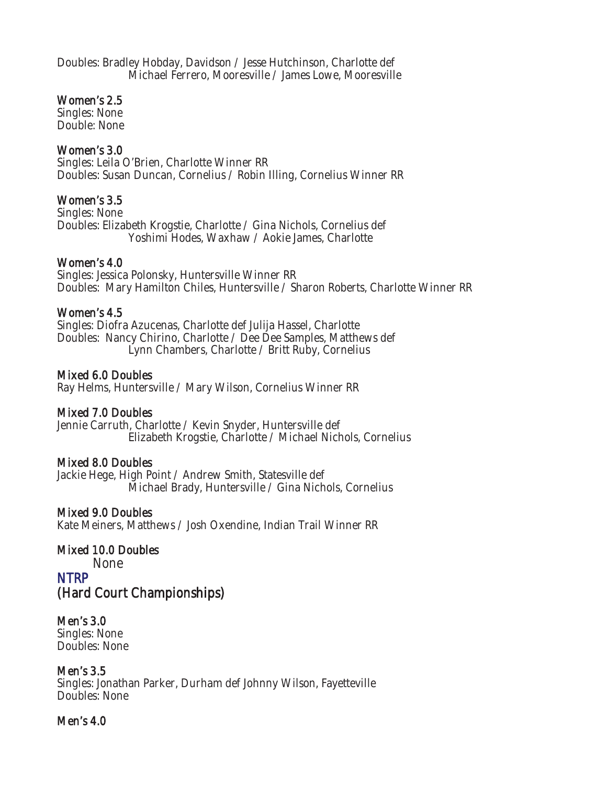Doubles: Bradley Hobday, Davidson / Jesse Hutchinson, Charlotte def Michael Ferrero, Mooresville / James Lowe, Mooresville

#### Women's 2.5

Singles: None Double: None

#### Women's 3.0

Singles: Leila O'Brien, Charlotte Winner RR Doubles: Susan Duncan, Cornelius / Robin Illing, Cornelius Winner RR

#### Women's 3.5

Singles: None Doubles: Elizabeth Krogstie, Charlotte / Gina Nichols, Cornelius def Yoshimi Hodes, Waxhaw / Aokie James, Charlotte

#### Women's 4.0

Singles: Jessica Polonsky, Huntersville Winner RR Doubles: Mary Hamilton Chiles, Huntersville / Sharon Roberts, Charlotte Winner RR

#### Women's 4.5

Singles: Diofra Azucenas, Charlotte def Julija Hassel, Charlotte Doubles: Nancy Chirino, Charlotte / Dee Dee Samples, Matthews def Lynn Chambers, Charlotte / Britt Ruby, Cornelius

#### Mixed 6.0 Doubles

Ray Helms, Huntersville / Mary Wilson, Cornelius Winner RR

#### Mixed 7.0 Doubles

Jennie Carruth, Charlotte / Kevin Snyder, Huntersville def Elizabeth Krogstie, Charlotte / Michael Nichols, Cornelius

#### Mixed 8.0 Doubles

Jackie Hege, High Point / Andrew Smith, Statesville def Michael Brady, Huntersville / Gina Nichols, Cornelius

#### Mixed 9.0 Doubles

Kate Meiners, Matthews / Josh Oxendine, Indian Trail Winner RR

#### Mixed 10.0 Doubles

None

#### NTRP (Hard Court Championships)

# Men's 3.0

Singles: None Doubles: None

#### Men's 3.5

Singles: Jonathan Parker, Durham def Johnny Wilson, Fayetteville Doubles: None

#### Men's 4.0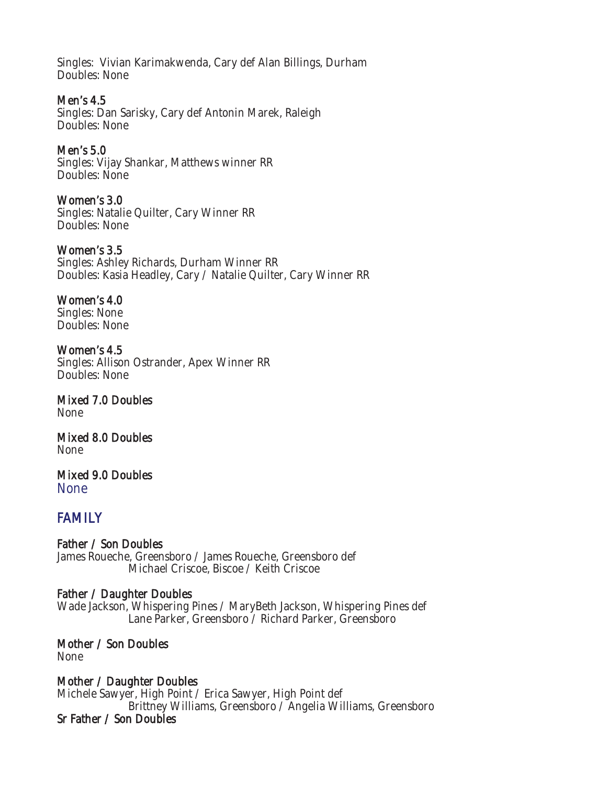Singles: Vivian Karimakwenda, Cary def Alan Billings, Durham Doubles: None

Men's 4.5 Singles: Dan Sarisky, Cary def Antonin Marek, Raleigh Doubles: None

Men's 5.0 Singles: Vijay Shankar, Matthews winner RR Doubles: None

Women's 3.0 Singles: Natalie Quilter, Cary Winner RR Doubles: None

Women's 3.5 Singles: Ashley Richards, Durham Winner RR Doubles: Kasia Headley, Cary / Natalie Quilter, Cary Winner RR

Women's 4.0 Singles: None Doubles: None

Women's 4.5 Singles: Allison Ostrander, Apex Winner RR Doubles: None

Mixed 7.0 Doubles None

Mixed 8.0 Doubles None

Mixed 9.0 Doubles **None** 

# FAMILY

Father / Son Doubles James Roueche, Greensboro / James Roueche, Greensboro def Michael Criscoe, Biscoe / Keith Criscoe

Father / Daughter Doubles Wade Jackson, Whispering Pines / MaryBeth Jackson, Whispering Pines def Lane Parker, Greensboro / Richard Parker, Greensboro

Mother / Son Doubles None

Mother / Daughter Doubles Michele Sawyer, High Point / Erica Sawyer, High Point def Brittney Williams, Greensboro / Angelia Williams, Greensboro Sr Father / Son Doubles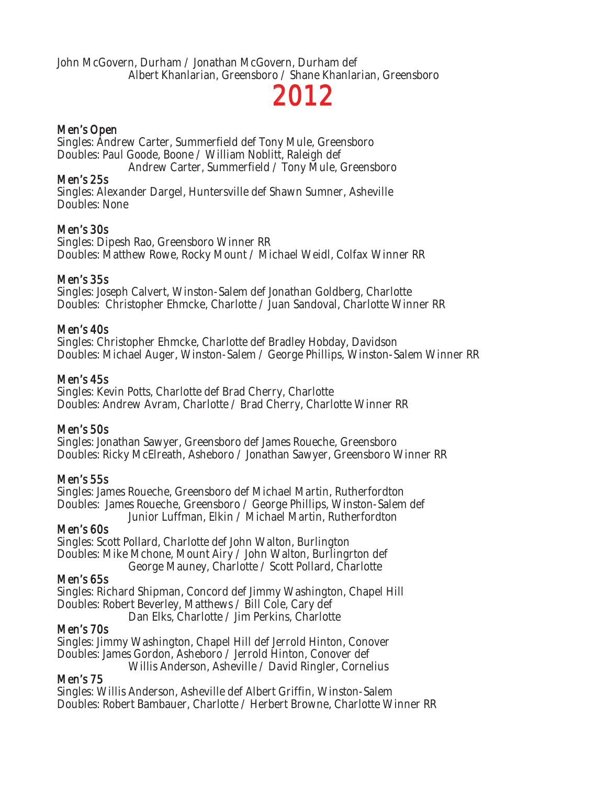John McGovern, Durham / Jonathan McGovern, Durham def Albert Khanlarian, Greensboro / Shane Khanlarian, Greensboro

# 2012

#### Men's Open

Singles: Andrew Carter, Summerfield def Tony Mule, Greensboro Doubles: Paul Goode, Boone / William Noblitt, Raleigh def

Andrew Carter, Summerfield / Tony Mule, Greensboro

#### Men's 25s

Singles: Alexander Dargel, Huntersville def Shawn Sumner, Asheville Doubles: None

#### Men's 30s

Singles: Dipesh Rao, Greensboro Winner RR Doubles: Matthew Rowe, Rocky Mount / Michael Weidl, Colfax Winner RR

#### Men's 35s

Singles: Joseph Calvert, Winston-Salem def Jonathan Goldberg, Charlotte Doubles: Christopher Ehmcke, Charlotte / Juan Sandoval, Charlotte Winner RR

#### Men's 40s

Singles: Christopher Ehmcke, Charlotte def Bradley Hobday, Davidson Doubles: Michael Auger, Winston-Salem / George Phillips, Winston-Salem Winner RR

#### Men's 45s

Singles: Kevin Potts, Charlotte def Brad Cherry, Charlotte Doubles: Andrew Avram, Charlotte / Brad Cherry, Charlotte Winner RR

#### Men's 50s

Singles: Jonathan Sawyer, Greensboro def James Roueche, Greensboro Doubles: Ricky McElreath, Asheboro / Jonathan Sawyer, Greensboro Winner RR

#### Men's 55s

Singles: James Roueche, Greensboro def Michael Martin, Rutherfordton Doubles: James Roueche, Greensboro / George Phillips, Winston-Salem def Junior Luffman, Elkin / Michael Martin, Rutherfordton

#### Men's 60s

Singles: Scott Pollard, Charlotte def John Walton, Burlington Doubles: Mike Mchone, Mount Airy / John Walton, Burlingrton def George Mauney, Charlotte / Scott Pollard, Charlotte

#### Men's 65s

Singles: Richard Shipman, Concord def Jimmy Washington, Chapel Hill Doubles: Robert Beverley, Matthews / Bill Cole, Cary def Dan Elks, Charlotte / Jim Perkins, Charlotte

#### Men's 70s

Singles: Jimmy Washington, Chapel Hill def Jerrold Hinton, Conover Doubles: James Gordon, Asheboro / Jerrold Hinton, Conover def Willis Anderson, Asheville / David Ringler, Cornelius

#### Men's 75

Singles: Willis Anderson, Asheville def Albert Griffin, Winston-Salem Doubles: Robert Bambauer, Charlotte / Herbert Browne, Charlotte Winner RR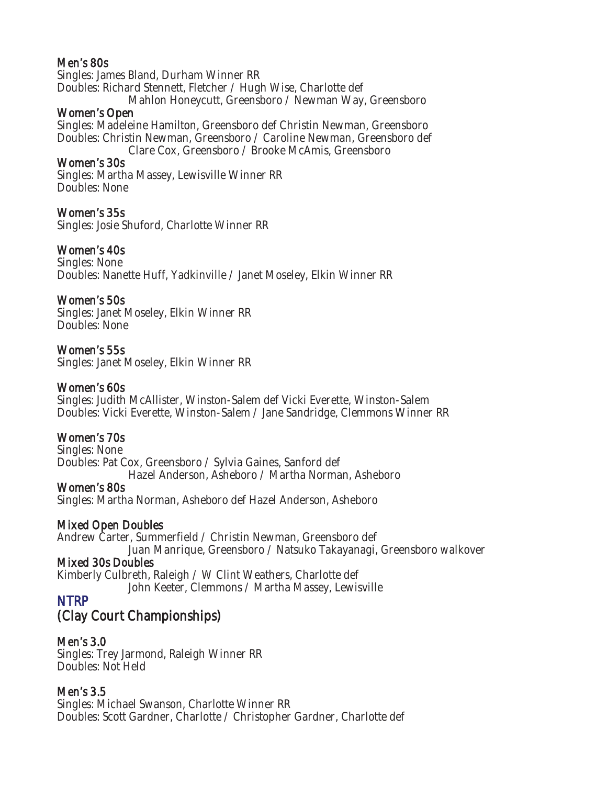#### Men's 80s

Singles: James Bland, Durham Winner RR Doubles: Richard Stennett, Fletcher / Hugh Wise, Charlotte def Mahlon Honeycutt, Greensboro / Newman Way, Greensboro

#### Women's Open

Singles: Madeleine Hamilton, Greensboro def Christin Newman, Greensboro Doubles: Christin Newman, Greensboro / Caroline Newman, Greensboro def Clare Cox, Greensboro / Brooke McAmis, Greensboro

#### Women's 30s

Singles: Martha Massey, Lewisville Winner RR Doubles: None

#### Women's 35s

Singles: Josie Shuford, Charlotte Winner RR

#### Women's 40s

Singles: None Doubles: Nanette Huff, Yadkinville / Janet Moseley, Elkin Winner RR

#### Women's 50s

Singles: Janet Moseley, Elkin Winner RR Doubles: None

#### Women's 55s

Singles: Janet Moseley, Elkin Winner RR

#### Women's 60s

Singles: Judith McAllister, Winston-Salem def Vicki Everette, Winston-Salem Doubles: Vicki Everette, Winston-Salem / Jane Sandridge, Clemmons Winner RR

#### Women's 70s

Singles: None Doubles: Pat Cox, Greensboro / Sylvia Gaines, Sanford def Hazel Anderson, Asheboro / Martha Norman, Asheboro

Women's 80s Singles: Martha Norman, Asheboro def Hazel Anderson, Asheboro

#### Mixed Open Doubles

Andrew Carter, Summerfield / Christin Newman, Greensboro def Juan Manrique, Greensboro / Natsuko Takayanagi, Greensboro walkover

#### Mixed 30s Doubles

Kimberly Culbreth, Raleigh / W Clint Weathers, Charlotte def John Keeter, Clemmons / Martha Massey, Lewisville

### NTRP

# (Clay Court Championships)

#### Men's 3.0

Singles: Trey Jarmond, Raleigh Winner RR Doubles: Not Held

#### Men's 3.5

Singles: Michael Swanson, Charlotte Winner RR Doubles: Scott Gardner, Charlotte / Christopher Gardner, Charlotte def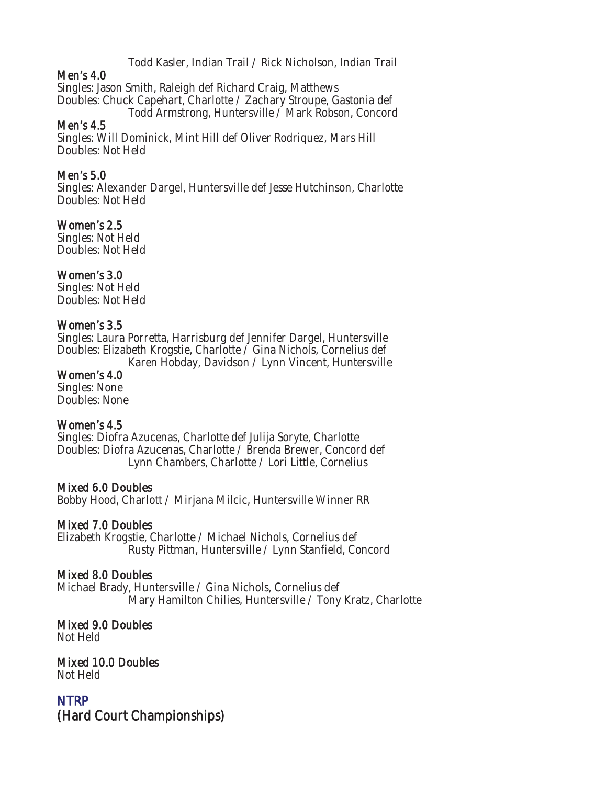Todd Kasler, Indian Trail / Rick Nicholson, Indian Trail

#### Men's 4.0

Singles: Jason Smith, Raleigh def Richard Craig, Matthews Doubles: Chuck Capehart, Charlotte / Zachary Stroupe, Gastonia def Todd Armstrong, Huntersville / Mark Robson, Concord

#### Men's 4.5

Singles: Will Dominick, Mint Hill def Oliver Rodriquez, Mars Hill Doubles: Not Held

#### Men's 5.0

Singles: Alexander Dargel, Huntersville def Jesse Hutchinson, Charlotte Doubles: Not Held

#### Women's 2.5

Singles: Not Held Doubles: Not Held

#### Women's 3.0

Singles: Not Held Doubles: Not Held

#### Women's 3.5

Singles: Laura Porretta, Harrisburg def Jennifer Dargel, Huntersville Doubles: Elizabeth Krogstie, Charlotte / Gina Nichols, Cornelius def Karen Hobday, Davidson / Lynn Vincent, Huntersville

# Women's 4.0

Singles: None Doubles: None

#### Women's 4.5

Singles: Diofra Azucenas, Charlotte def Julija Soryte, Charlotte Doubles: Diofra Azucenas, Charlotte / Brenda Brewer, Concord def Lynn Chambers, Charlotte / Lori Little, Cornelius

#### Mixed 6.0 Doubles

Bobby Hood, Charlott / Mirjana Milcic, Huntersville Winner RR

#### Mixed 7.0 Doubles

Elizabeth Krogstie, Charlotte / Michael Nichols, Cornelius def Rusty Pittman, Huntersville / Lynn Stanfield, Concord

#### Mixed 8.0 Doubles

Michael Brady, Huntersville / Gina Nichols, Cornelius def Mary Hamilton Chilies, Huntersville / Tony Kratz, Charlotte

#### Mixed 9.0 Doubles

Not Held

#### Mixed 10.0 Doubles Not Held

NTRP (Hard Court Championships)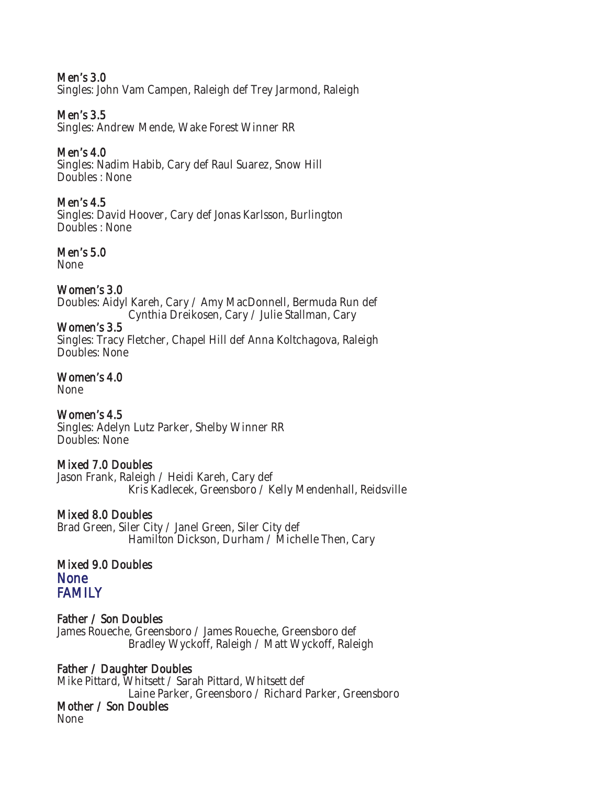#### Men's 3.0

Singles: John Vam Campen, Raleigh def Trey Jarmond, Raleigh

#### Men's 3.5

Singles: Andrew Mende, Wake Forest Winner RR

#### Men's 4.0

Singles: Nadim Habib, Cary def Raul Suarez, Snow Hill Doubles : None

#### Men's 4.5

Singles: David Hoover, Cary def Jonas Karlsson, Burlington Doubles : None

#### Men's 5.0

None

#### Women's 3.0

Doubles: Aidyl Kareh, Cary / Amy MacDonnell, Bermuda Run def Cynthia Dreikosen, Cary / Julie Stallman, Cary

#### Women's 3.5

Singles: Tracy Fletcher, Chapel Hill def Anna Koltchagova, Raleigh Doubles: None

#### Women's 4.0

None

#### Women's 4.5

Singles: Adelyn Lutz Parker, Shelby Winner RR Doubles: None

#### Mixed 7.0 Doubles

Jason Frank, Raleigh / Heidi Kareh, Cary def Kris Kadlecek, Greensboro / Kelly Mendenhall, Reidsville

#### Mixed 8.0 Doubles

Brad Green, Siler City / Janel Green, Siler City def Hamilton Dickson, Durham / Michelle Then, Cary

#### Mixed 9.0 Doubles **None** FAMILY

#### Father / Son Doubles

James Roueche, Greensboro / James Roueche, Greensboro def Bradley Wyckoff, Raleigh / Matt Wyckoff, Raleigh

#### Father / Daughter Doubles

Mike Pittard, Whitsett / Sarah Pittard, Whitsett def Laine Parker, Greensboro / Richard Parker, Greensboro

#### Mother / Son Doubles

None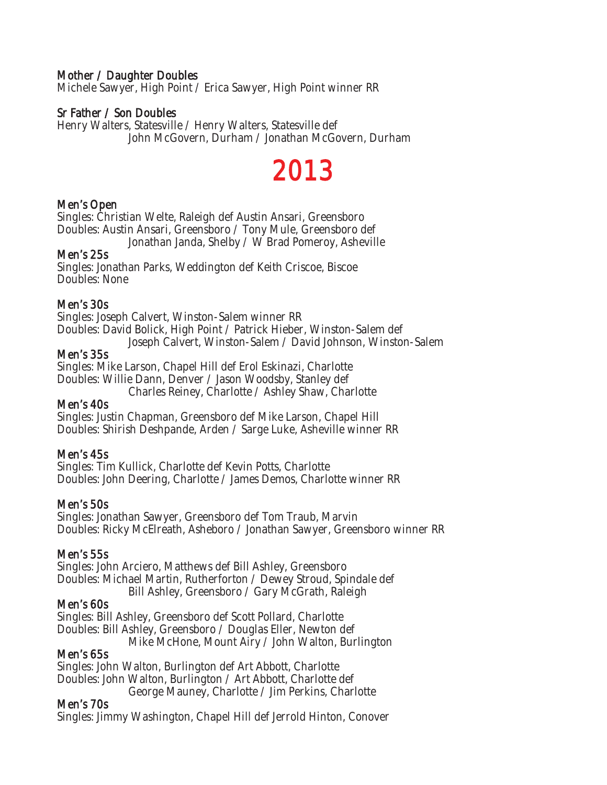#### Mother / Daughter Doubles

Michele Sawyer, High Point / Erica Sawyer, High Point winner RR

#### Sr Father / Son Doubles

Henry Walters, Statesville / Henry Walters, Statesville def John McGovern, Durham / Jonathan McGovern, Durham

# 2013

#### Men's Open

Singles: Christian Welte, Raleigh def Austin Ansari, Greensboro Doubles: Austin Ansari, Greensboro / Tony Mule, Greensboro def Jonathan Janda, Shelby / W Brad Pomeroy, Asheville

#### Men's 25s

Singles: Jonathan Parks, Weddington def Keith Criscoe, Biscoe Doubles: None

#### Men's 30s

Singles: Joseph Calvert, Winston-Salem winner RR Doubles: David Bolick, High Point / Patrick Hieber, Winston-Salem def

Joseph Calvert, Winston-Salem / David Johnson, Winston-Salem

#### Men's 35s

Singles: Mike Larson, Chapel Hill def Erol Eskinazi, Charlotte Doubles: Willie Dann, Denver / Jason Woodsby, Stanley def

Charles Reiney, Charlotte / Ashley Shaw, Charlotte

#### Men's 40s

Singles: Justin Chapman, Greensboro def Mike Larson, Chapel Hill Doubles: Shirish Deshpande, Arden / Sarge Luke, Asheville winner RR

#### Men's 45s

Singles: Tim Kullick, Charlotte def Kevin Potts, Charlotte Doubles: John Deering, Charlotte / James Demos, Charlotte winner RR

#### Men's 50s

Singles: Jonathan Sawyer, Greensboro def Tom Traub, Marvin Doubles: Ricky McElreath, Asheboro / Jonathan Sawyer, Greensboro winner RR

#### Men's 55s

Singles: John Arciero, Matthews def Bill Ashley, Greensboro Doubles: Michael Martin, Rutherforton / Dewey Stroud, Spindale def Bill Ashley, Greensboro / Gary McGrath, Raleigh

#### Men's 60s

Singles: Bill Ashley, Greensboro def Scott Pollard, Charlotte Doubles: Bill Ashley, Greensboro / Douglas Eller, Newton def Mike McHone, Mount Airy / John Walton, Burlington

#### Men's 65s

Singles: John Walton, Burlington def Art Abbott, Charlotte Doubles: John Walton, Burlington / Art Abbott, Charlotte def George Mauney, Charlotte / Jim Perkins, Charlotte

#### Men's 70s

Singles: Jimmy Washington, Chapel Hill def Jerrold Hinton, Conover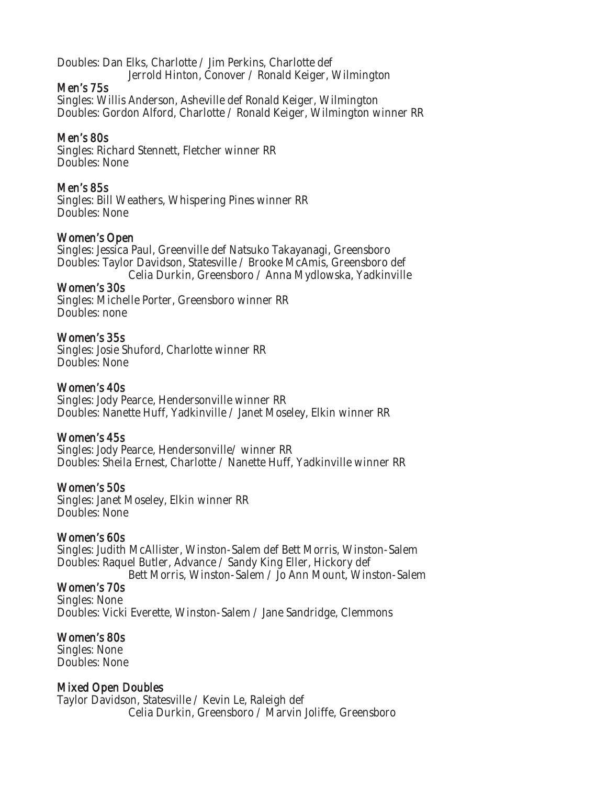Doubles: Dan Elks, Charlotte / Jim Perkins, Charlotte def Jerrold Hinton, Conover / Ronald Keiger, Wilmington

#### Men's 75s

Singles: Willis Anderson, Asheville def Ronald Keiger, Wilmington Doubles: Gordon Alford, Charlotte / Ronald Keiger, Wilmington winner RR

#### Men's 80s

Singles: Richard Stennett, Fletcher winner RR Doubles: None

#### Men's 85s

Singles: Bill Weathers, Whispering Pines winner RR Doubles: None

#### Women's Open

Singles: Jessica Paul, Greenville def Natsuko Takayanagi, Greensboro Doubles: Taylor Davidson, Statesville / Brooke McAmis, Greensboro def Celia Durkin, Greensboro / Anna Mydlowska, Yadkinville

#### Women's 30s

Singles: Michelle Porter, Greensboro winner RR Doubles: none

#### Women's 35s

Singles: Josie Shuford, Charlotte winner RR Doubles: None

#### Women's 40s

Singles: Jody Pearce, Hendersonville winner RR Doubles: Nanette Huff, Yadkinville / Janet Moseley, Elkin winner RR

#### Women's 45s

Singles: Jody Pearce, Hendersonville/ winner RR Doubles: Sheila Ernest, Charlotte / Nanette Huff, Yadkinville winner RR

#### Women's 50s

Singles: Janet Moseley, Elkin winner RR Doubles: None

#### Women's 60s

Singles: Judith McAllister, Winston-Salem def Bett Morris, Winston-Salem Doubles: Raquel Butler, Advance / Sandy King Eller, Hickory def

Bett Morris, Winston-Salem / Jo Ann Mount, Winston-Salem

# Women's 70s

Singles: None Doubles: Vicki Everette, Winston-Salem / Jane Sandridge, Clemmons

#### Women's 80s

Singles: None Doubles: None

#### Mixed Open Doubles

Taylor Davidson, Statesville / Kevin Le, Raleigh def Celia Durkin, Greensboro / Marvin Joliffe, Greensboro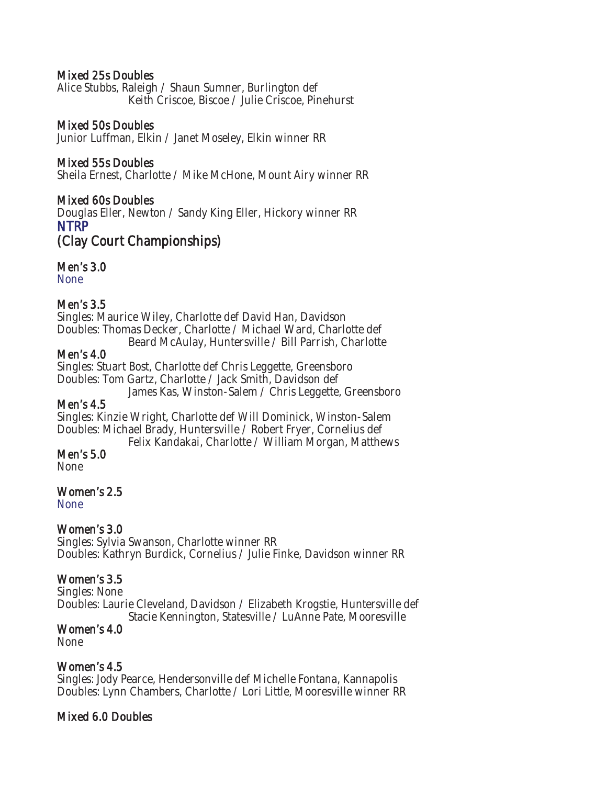#### Mixed 25s Doubles

Alice Stubbs, Raleigh / Shaun Sumner, Burlington def Keith Criscoe, Biscoe / Julie Criscoe, Pinehurst

#### Mixed 50s Doubles

Junior Luffman, Elkin / Janet Moseley, Elkin winner RR

#### Mixed 55s Doubles

Sheila Ernest, Charlotte / Mike McHone, Mount Airy winner RR

#### Mixed 60s Doubles

Douglas Eller, Newton / Sandy King Eller, Hickory winner RR NTRP

(Clay Court Championships)

#### Men's 3.0

None

#### Men's 3.5

Singles: Maurice Wiley, Charlotte def David Han, Davidson Doubles: Thomas Decker, Charlotte / Michael Ward, Charlotte def

Beard McAulay, Huntersville / Bill Parrish, Charlotte

#### Men's 4.0

Singles: Stuart Bost, Charlotte def Chris Leggette, Greensboro Doubles: Tom Gartz, Charlotte / Jack Smith, Davidson def

James Kas, Winston-Salem / Chris Leggette, Greensboro

#### Men's 4.5

Singles: Kinzie Wright, Charlotte def Will Dominick, Winston-Salem Doubles: Michael Brady, Huntersville / Robert Fryer, Cornelius def

Felix Kandakai, Charlotte / William Morgan, Matthews

#### Men's 5.0

None

#### Women's 2.5

None

#### Women's 3.0

Singles: Sylvia Swanson, Charlotte winner RR Doubles: Kathryn Burdick, Cornelius / Julie Finke, Davidson winner RR

#### Women's 3.5

Singles: None Doubles: Laurie Cleveland, Davidson / Elizabeth Krogstie, Huntersville def Stacie Kennington, Statesville / LuAnne Pate, Mooresville

#### Women's 4.0

None

#### Women's 4.5

Singles: Jody Pearce, Hendersonville def Michelle Fontana, Kannapolis Doubles: Lynn Chambers, Charlotte / Lori Little, Mooresville winner RR

#### Mixed 6.0 Doubles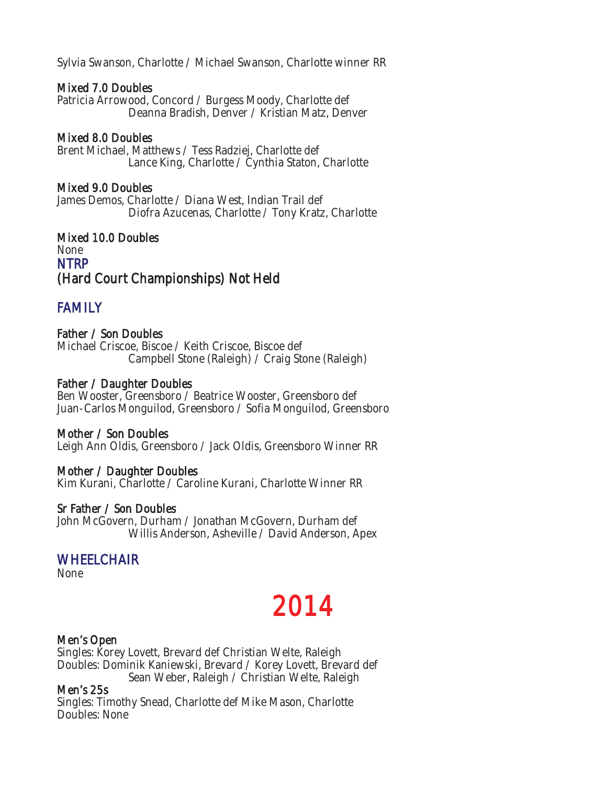Sylvia Swanson, Charlotte / Michael Swanson, Charlotte winner RR

#### Mixed 7.0 Doubles

Patricia Arrowood, Concord / Burgess Moody, Charlotte def Deanna Bradish, Denver / Kristian Matz, Denver

#### Mixed 8.0 Doubles

Brent Michael, Matthews / Tess Radziej, Charlotte def Lance King, Charlotte / Cynthia Staton, Charlotte

#### Mixed 9.0 Doubles

James Demos, Charlotte / Diana West, Indian Trail def Diofra Azucenas, Charlotte / Tony Kratz, Charlotte

#### Mixed 10.0 Doubles None **NTRP** (Hard Court Championships) Not Held

### **FAMILY**

#### Father / Son Doubles

Michael Criscoe, Biscoe / Keith Criscoe, Biscoe def Campbell Stone (Raleigh) / Craig Stone (Raleigh)

#### Father / Daughter Doubles

Ben Wooster, Greensboro / Beatrice Wooster, Greensboro def Juan-Carlos Monguilod, Greensboro / Sofia Monguilod, Greensboro

#### Mother / Son Doubles

Leigh Ann Oldis, Greensboro / Jack Oldis, Greensboro Winner RR

#### Mother / Daughter Doubles

Kim Kurani, Charlotte / Caroline Kurani, Charlotte Winner RR

#### Sr Father / Son Doubles

John McGovern, Durham / Jonathan McGovern, Durham def Willis Anderson, Asheville / David Anderson, Apex

# WHEELCHAIR<br>None

# 2014

#### Men's Open

Singles: Korey Lovett, Brevard def Christian Welte, Raleigh Doubles: Dominik Kaniewski, Brevard / Korey Lovett, Brevard def Sean Weber, Raleigh / Christian Welte, Raleigh

#### Men's 25s

Singles: Timothy Snead, Charlotte def Mike Mason, Charlotte Doubles: None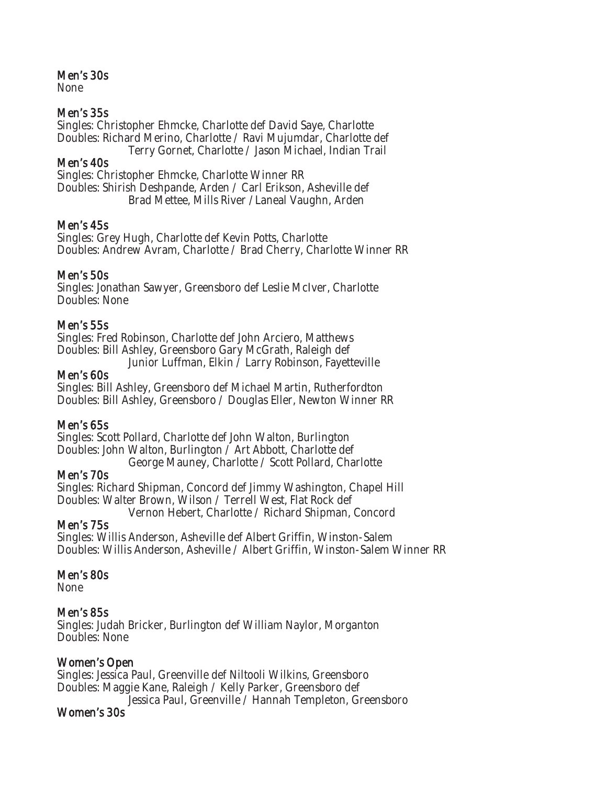#### Men's 30s

None

#### Men's 35s

Singles: Christopher Ehmcke, Charlotte def David Saye, Charlotte Doubles: Richard Merino, Charlotte / Ravi Mujumdar, Charlotte def Terry Gornet, Charlotte / Jason Michael, Indian Trail

#### Men's 40s

Singles: Christopher Ehmcke, Charlotte Winner RR Doubles: Shirish Deshpande, Arden / Carl Erikson, Asheville def Brad Mettee, Mills River /Laneal Vaughn, Arden

#### Men's 45s

Singles: Grey Hugh, Charlotte def Kevin Potts, Charlotte Doubles: Andrew Avram, Charlotte / Brad Cherry, Charlotte Winner RR

#### Men's 50s

Singles: Jonathan Sawyer, Greensboro def Leslie McIver, Charlotte Doubles: None

#### Men's 55s

Singles: Fred Robinson, Charlotte def John Arciero, Matthews Doubles: Bill Ashley, Greensboro Gary McGrath, Raleigh def Junior Luffman, Elkin / Larry Robinson, Fayetteville

#### Men's 60s

Singles: Bill Ashley, Greensboro def Michael Martin, Rutherfordton Doubles: Bill Ashley, Greensboro / Douglas Eller, Newton Winner RR

#### Men's 65s

Singles: Scott Pollard, Charlotte def John Walton, Burlington Doubles: John Walton, Burlington / Art Abbott, Charlotte def George Mauney, Charlotte / Scott Pollard, Charlotte

#### Men's 70s

Singles: Richard Shipman, Concord def Jimmy Washington, Chapel Hill Doubles: Walter Brown, Wilson / Terrell West, Flat Rock def Vernon Hebert, Charlotte / Richard Shipman, Concord

#### Men's 75s

Singles: Willis Anderson, Asheville def Albert Griffin, Winston-Salem Doubles: Willis Anderson, Asheville / Albert Griffin, Winston-Salem Winner RR

#### Men's 80s

None

#### Men's 85s

Singles: Judah Bricker, Burlington def William Naylor, Morganton Doubles: None

#### Women's Open

Singles: Jessica Paul, Greenville def Niltooli Wilkins, Greensboro Doubles: Maggie Kane, Raleigh / Kelly Parker, Greensboro def Jessica Paul, Greenville / Hannah Templeton, Greensboro

#### Women's 30s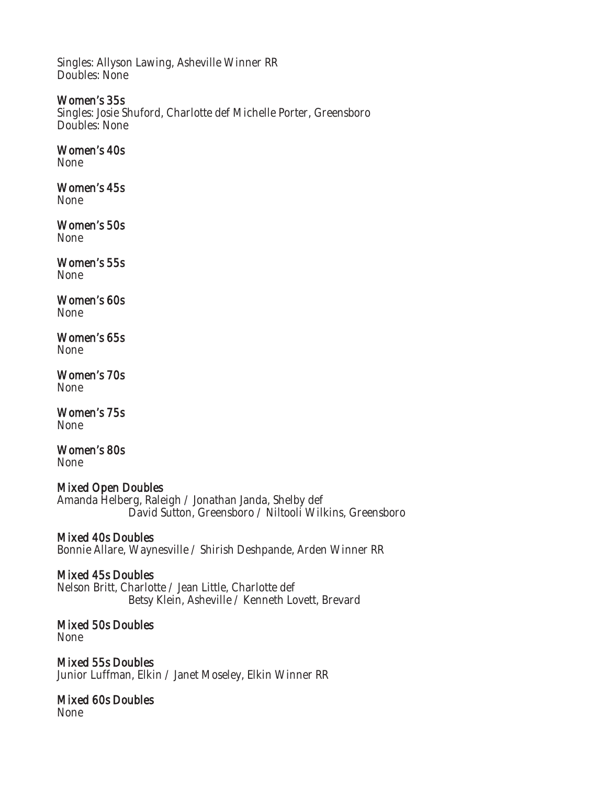Singles: Allyson Lawing, Asheville Winner RR Doubles: None

#### Women's 35s

Singles: Josie Shuford, Charlotte def Michelle Porter, Greensboro Doubles: None

#### Women's 40s

None

# Women's 45s

None

Women's 50s None

#### Women's 55s None

#### Women's 60s None

Women's 65s None

#### Women's 70s None

Women's 75s None

# Women's 80s

None

#### Mixed Open Doubles

Amanda Helberg, Raleigh / Jonathan Janda, Shelby def David Sutton, Greensboro / Niltooli Wilkins, Greensboro

#### Mixed 40s Doubles

Bonnie Allare, Waynesville / Shirish Deshpande, Arden Winner RR

#### Mixed 45s Doubles

Nelson Britt, Charlotte / Jean Little, Charlotte def Betsy Klein, Asheville / Kenneth Lovett, Brevard

#### Mixed 50s Doubles None

Mixed 55s Doubles Junior Luffman, Elkin / Janet Moseley, Elkin Winner RR

# Mixed 60s Doubles

None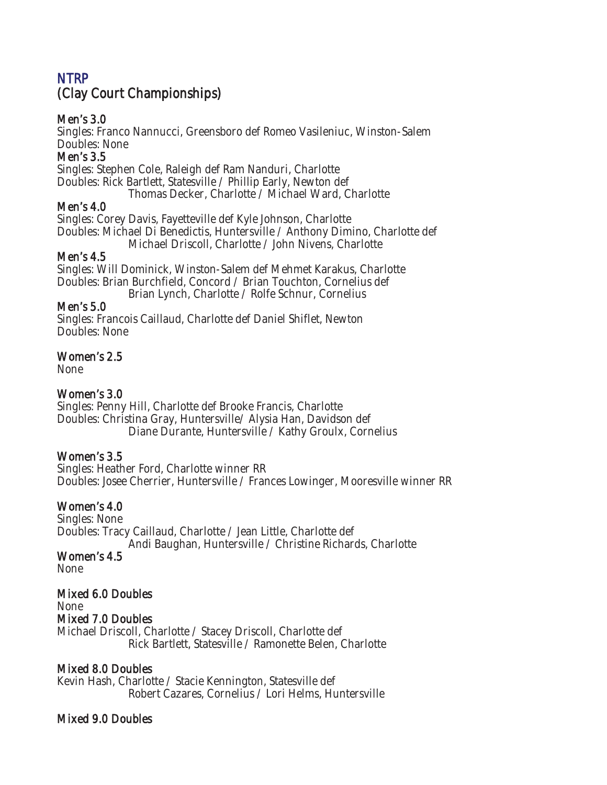# **NTRP** (Clay Court Championships)

#### Men's 3.0

Singles: Franco Nannucci, Greensboro def Romeo Vasileniuc, Winston-Salem Doubles: None

#### Men's 3.5

Singles: Stephen Cole, Raleigh def Ram Nanduri, Charlotte Doubles: Rick Bartlett, Statesville / Phillip Early, Newton def

Thomas Decker, Charlotte / Michael Ward, Charlotte

#### Men's 4.0

Singles: Corey Davis, Fayetteville def Kyle Johnson, Charlotte Doubles: Michael Di Benedictis, Huntersville / Anthony Dimino, Charlotte def

Michael Driscoll, Charlotte / John Nivens, Charlotte

#### Men's 4.5

Singles: Will Dominick, Winston-Salem def Mehmet Karakus, Charlotte Doubles: Brian Burchfield, Concord / Brian Touchton, Cornelius def

Brian Lynch, Charlotte / Rolfe Schnur, Cornelius

#### Men's 5.0

Singles: Francois Caillaud, Charlotte def Daniel Shiflet, Newton Doubles: None

#### Women's 2.5

None

#### Women's 3.0

Singles: Penny Hill, Charlotte def Brooke Francis, Charlotte Doubles: Christina Gray, Huntersville/ Alysia Han, Davidson def Diane Durante, Huntersville / Kathy Groulx, Cornelius

#### Women's 3.5

Singles: Heather Ford, Charlotte winner RR Doubles: Josee Cherrier, Huntersville / Frances Lowinger, Mooresville winner RR

#### Women's 4.0

Singles: None Doubles: Tracy Caillaud, Charlotte / Jean Little, Charlotte def Andi Baughan, Huntersville / Christine Richards, Charlotte

#### Women's 4.5

None

#### Mixed 6.0 Doubles None

#### Mixed 7.0 Doubles

Michael Driscoll, Charlotte / Stacey Driscoll, Charlotte def Rick Bartlett, Statesville / Ramonette Belen, Charlotte

#### Mixed 8.0 Doubles

Kevin Hash, Charlotte / Stacie Kennington, Statesville def Robert Cazares, Cornelius / Lori Helms, Huntersville

#### Mixed 9.0 Doubles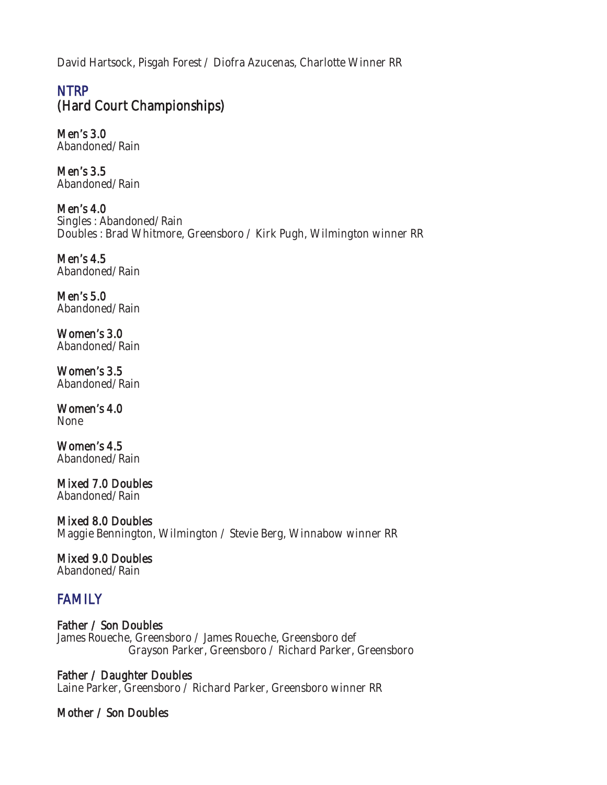David Hartsock, Pisgah Forest / Diofra Azucenas, Charlotte Winner RR

# **NTRP** (Hard Court Championships)

Men's 3.0 Abandoned/Rain

Men's 3.5 Abandoned/Rain

Men's 4.0 Singles : Abandoned/Rain Doubles : Brad Whitmore, Greensboro / Kirk Pugh, Wilmington winner RR

Men's 4.5 Abandoned/Rain

Men's 5.0 Abandoned/Rain

Women's 3.0 Abandoned/Rain

Women's 3.5 Abandoned/Rain

Women's 4.0 None

Women's 4.5 Abandoned/Rain

Mixed 7.0 Doubles Abandoned/Rain

Mixed 8.0 Doubles Maggie Bennington, Wilmington / Stevie Berg, Winnabow winner RR

### Mixed 9.0 Doubles

Abandoned/Rain

# **FAMILY**

Father / Son Doubles James Roueche, Greensboro / James Roueche, Greensboro def Grayson Parker, Greensboro / Richard Parker, Greensboro

Father / Daughter Doubles Laine Parker, Greensboro / Richard Parker, Greensboro winner RR

### Mother / Son Doubles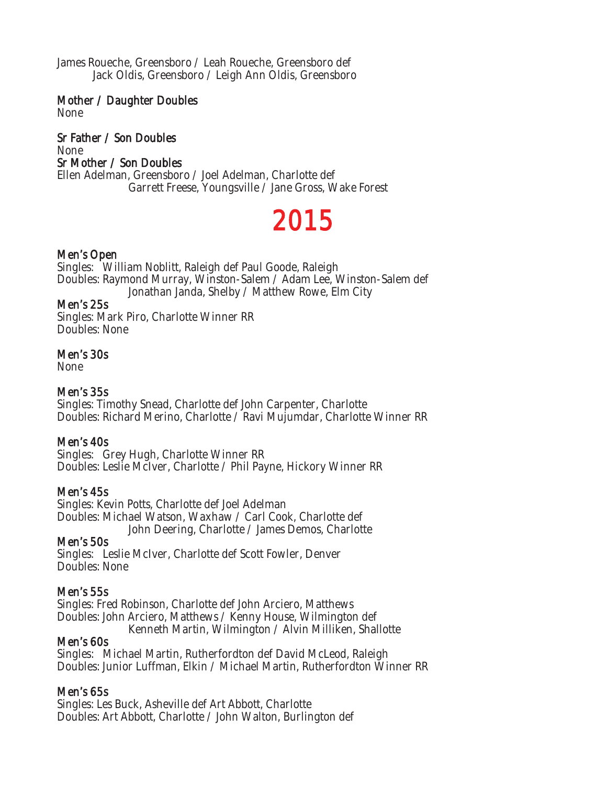James Roueche, Greensboro / Leah Roueche, Greensboro def Jack Oldis, Greensboro / Leigh Ann Oldis, Greensboro

Mother / Daughter Doubles None

Sr Father / Son Doubles None Sr Mother / Son Doubles Ellen Adelman, Greensboro / Joel Adelman, Charlotte def Garrett Freese, Youngsville / Jane Gross, Wake Forest

# 2015

#### Men's Open

Singles: William Noblitt, Raleigh def Paul Goode, Raleigh Doubles: Raymond Murray, Winston-Salem / Adam Lee, Winston-Salem def Jonathan Janda, Shelby / Matthew Rowe, Elm City

#### Men's 25s

Singles: Mark Piro, Charlotte Winner RR Doubles: None

#### Men's 30s

None

#### Men's 35s

Singles: Timothy Snead, Charlotte def John Carpenter, Charlotte Doubles: Richard Merino, Charlotte / Ravi Mujumdar, Charlotte Winner RR

#### Men's 40s

Singles: Grey Hugh, Charlotte Winner RR Doubles: Leslie McIver, Charlotte / Phil Payne, Hickory Winner RR

#### Men's 45s

Singles: Kevin Potts, Charlotte def Joel Adelman Doubles: Michael Watson, Waxhaw / Carl Cook, Charlotte def John Deering, Charlotte / James Demos, Charlotte

#### Men's 50s

Singles: Leslie McIver, Charlotte def Scott Fowler, Denver Doubles: None

#### Men's 55s

Singles: Fred Robinson, Charlotte def John Arciero, Matthews Doubles: John Arciero, Matthews / Kenny House, Wilmington def Kenneth Martin, Wilmington / Alvin Milliken, Shallotte

#### Men's 60s

Singles: Michael Martin, Rutherfordton def David McLeod, Raleigh Doubles: Junior Luffman, Elkin / Michael Martin, Rutherfordton Winner RR

#### Men's 65s

Singles: Les Buck, Asheville def Art Abbott, Charlotte Doubles: Art Abbott, Charlotte / John Walton, Burlington def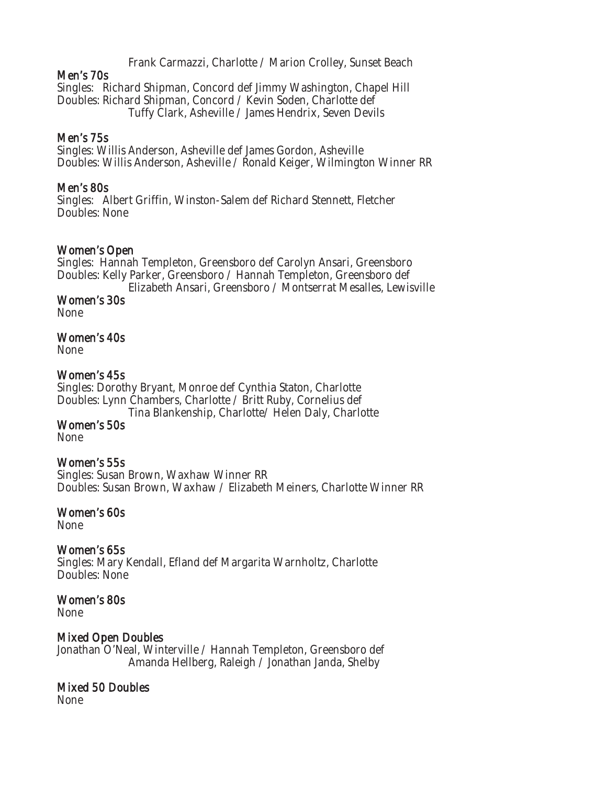Frank Carmazzi, Charlotte / Marion Crolley, Sunset Beach

#### Men's 70s

Singles: Richard Shipman, Concord def Jimmy Washington, Chapel Hill Doubles: Richard Shipman, Concord / Kevin Soden, Charlotte def Tuffy Clark, Asheville / James Hendrix, Seven Devils

#### Men's 75s

Singles: Willis Anderson, Asheville def James Gordon, Asheville Doubles: Willis Anderson, Asheville / Ronald Keiger, Wilmington Winner RR

#### Men's 80s

Singles: Albert Griffin, Winston-Salem def Richard Stennett, Fletcher Doubles: None

#### Women's Open

Singles: Hannah Templeton, Greensboro def Carolyn Ansari, Greensboro Doubles: Kelly Parker, Greensboro / Hannah Templeton, Greensboro def Elizabeth Ansari, Greensboro / Montserrat Mesalles, Lewisville

Women's 30s

### None

#### Women's 40s

None

#### Women's 45s

Singles: Dorothy Bryant, Monroe def Cynthia Staton, Charlotte Doubles: Lynn Chambers, Charlotte / Britt Ruby, Cornelius def Tina Blankenship, Charlotte/ Helen Daly, Charlotte Women's 50s

None

#### Women's 55s

Singles: Susan Brown, Waxhaw Winner RR Doubles: Susan Brown, Waxhaw / Elizabeth Meiners, Charlotte Winner RR

# Women's 60s

None

#### Women's 65s

Singles: Mary Kendall, Efland def Margarita Warnholtz, Charlotte Doubles: None

# Women's 80s

None

#### Mixed Open Doubles

Jonathan O'Neal, Winterville / Hannah Templeton, Greensboro def Amanda Hellberg, Raleigh / Jonathan Janda, Shelby

#### Mixed 50 Doubles

None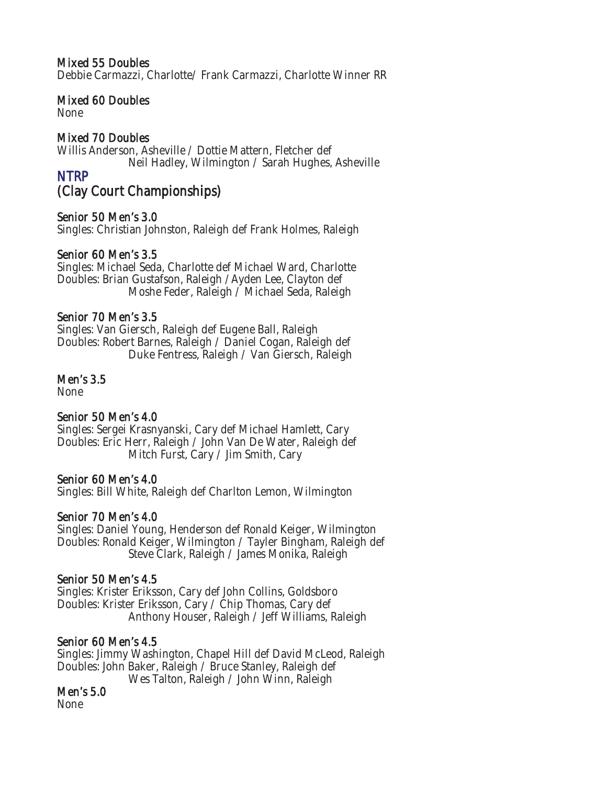#### Mixed 55 Doubles

Debbie Carmazzi, Charlotte/ Frank Carmazzi, Charlotte Winner RR

#### Mixed 60 Doubles

None

#### Mixed 70 Doubles

Willis Anderson, Asheville / Dottie Mattern, Fletcher def Neil Hadley, Wilmington / Sarah Hughes, Asheville

### NTRP

# (Clay Court Championships)

#### Senior 50 Men's 3.0

Singles: Christian Johnston, Raleigh def Frank Holmes, Raleigh

#### Senior 60 Men's 3.5

Singles: Michael Seda, Charlotte def Michael Ward, Charlotte Doubles: Brian Gustafson, Raleigh /Ayden Lee, Clayton def Moshe Feder, Raleigh / Michael Seda, Raleigh

#### Senior 70 Men's 3.5

Singles: Van Giersch, Raleigh def Eugene Ball, Raleigh Doubles: Robert Barnes, Raleigh / Daniel Cogan, Raleigh def Duke Fentress, Raleigh / Van Giersch, Raleigh

#### Men's 3.5

None

#### Senior 50 Men's 4.0

Singles: Sergei Krasnyanski, Cary def Michael Hamlett, Cary Doubles: Eric Herr, Raleigh / John Van De Water, Raleigh def Mitch Furst, Cary / Jim Smith, Cary

#### Senior 60 Men's 4.0

Singles: Bill White, Raleigh def Charlton Lemon, Wilmington

#### Senior 70 Men's 4.0

Singles: Daniel Young, Henderson def Ronald Keiger, Wilmington Doubles: Ronald Keiger, Wilmington / Tayler Bingham, Raleigh def Steve Clark, Raleigh / James Monika, Raleigh

#### Senior 50 Men's 4.5

Singles: Krister Eriksson, Cary def John Collins, Goldsboro Doubles: Krister Eriksson, Cary / Chip Thomas, Cary def Anthony Houser, Raleigh / Jeff Williams, Raleigh

#### Senior 60 Men's 4.5

Singles: Jimmy Washington, Chapel Hill def David McLeod, Raleigh Doubles: John Baker, Raleigh / Bruce Stanley, Raleigh def Wes Talton, Raleigh / John Winn, Raleigh

#### Men's 5.0

None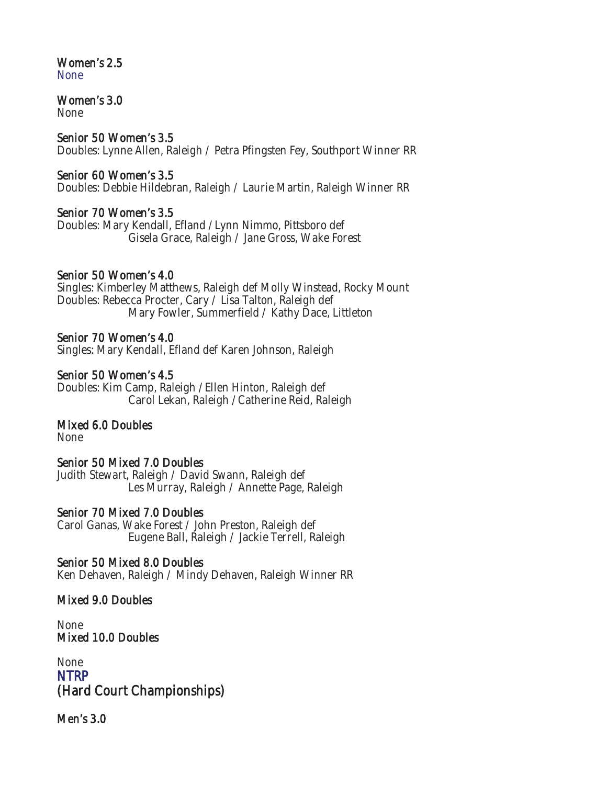#### Women's 2.5 None

# Women's 3.0

None

#### Senior 50 Women's 3.5

Doubles: Lynne Allen, Raleigh / Petra Pfingsten Fey, Southport Winner RR

#### Senior 60 Women's 3.5

Doubles: Debbie Hildebran, Raleigh / Laurie Martin, Raleigh Winner RR

#### Senior 70 Women's 3.5

Doubles: Mary Kendall, Efland /Lynn Nimmo, Pittsboro def Gisela Grace, Raleigh / Jane Gross, Wake Forest

#### Senior 50 Women's 4.0

Singles: Kimberley Matthews, Raleigh def Molly Winstead, Rocky Mount Doubles: Rebecca Procter, Cary / Lisa Talton, Raleigh def Mary Fowler, Summerfield / Kathy Dace, Littleton

#### Senior 70 Women's 4.0

Singles: Mary Kendall, Efland def Karen Johnson, Raleigh

#### Senior 50 Women's 4.5

Doubles: Kim Camp, Raleigh /Ellen Hinton, Raleigh def Carol Lekan, Raleigh /Catherine Reid, Raleigh

#### Mixed 6.0 Doubles

None

#### Senior 50 Mixed 7.0 Doubles

Judith Stewart, Raleigh / David Swann, Raleigh def Les Murray, Raleigh / Annette Page, Raleigh

#### Senior 70 Mixed 7.0 Doubles

Carol Ganas, Wake Forest / John Preston, Raleigh def Eugene Ball, Raleigh / Jackie Terrell, Raleigh

#### Senior 50 Mixed 8.0 Doubles

Ken Dehaven, Raleigh / Mindy Dehaven, Raleigh Winner RR

#### Mixed 9.0 Doubles

None Mixed 10.0 Doubles

None **NTRP** (Hard Court Championships)

Men's 3.0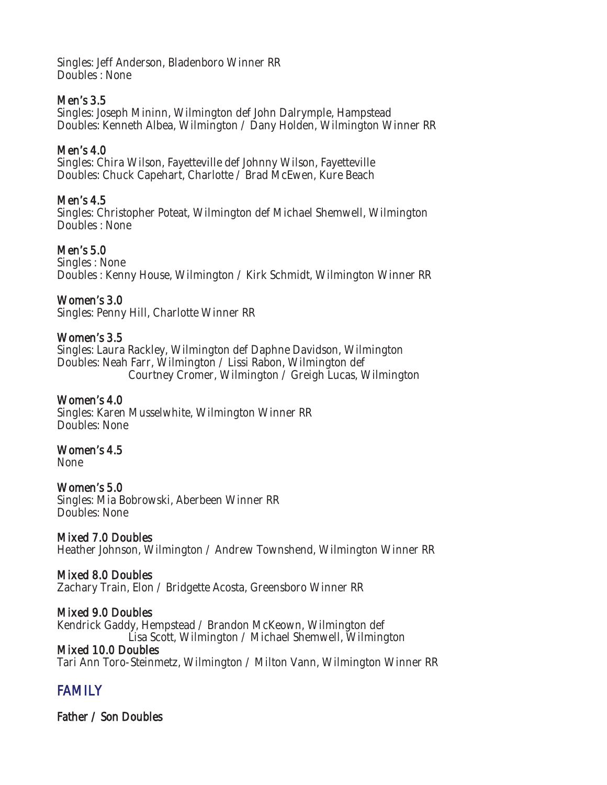Singles: Jeff Anderson, Bladenboro Winner RR Doubles : None

#### Men's 3.5

Singles: Joseph Mininn, Wilmington def John Dalrymple, Hampstead Doubles: Kenneth Albea, Wilmington / Dany Holden, Wilmington Winner RR

#### Men's 4.0

Singles: Chira Wilson, Fayetteville def Johnny Wilson, Fayetteville Doubles: Chuck Capehart, Charlotte / Brad McEwen, Kure Beach

#### Men's 4.5

Singles: Christopher Poteat, Wilmington def Michael Shemwell, Wilmington Doubles : None

#### Men's 5.0

Singles : None Doubles : Kenny House, Wilmington / Kirk Schmidt, Wilmington Winner RR

#### Women's 3.0

Singles: Penny Hill, Charlotte Winner RR

#### Women's 3.5

Singles: Laura Rackley, Wilmington def Daphne Davidson, Wilmington Doubles: Neah Farr, Wilmington / Lissi Rabon, Wilmington def Courtney Cromer, Wilmington / Greigh Lucas, Wilmington

#### Women's 4.0

Singles: Karen Musselwhite, Wilmington Winner RR Doubles: None

#### Women's 4.5

None

#### Women's 5.0

Singles: Mia Bobrowski, Aberbeen Winner RR Doubles: None

#### Mixed 7.0 Doubles

Heather Johnson, Wilmington / Andrew Townshend, Wilmington Winner RR

#### Mixed 8.0 Doubles

Zachary Train, Elon / Bridgette Acosta, Greensboro Winner RR

#### Mixed 9.0 Doubles

Kendrick Gaddy, Hempstead / Brandon McKeown, Wilmington def Lisa Scott, Wilmington / Michael Shemwell, Wilmington

#### Mixed 10.0 Doubles

Tari Ann Toro-Steinmetz, Wilmington / Milton Vann, Wilmington Winner RR

# FAMILY

Father / Son Doubles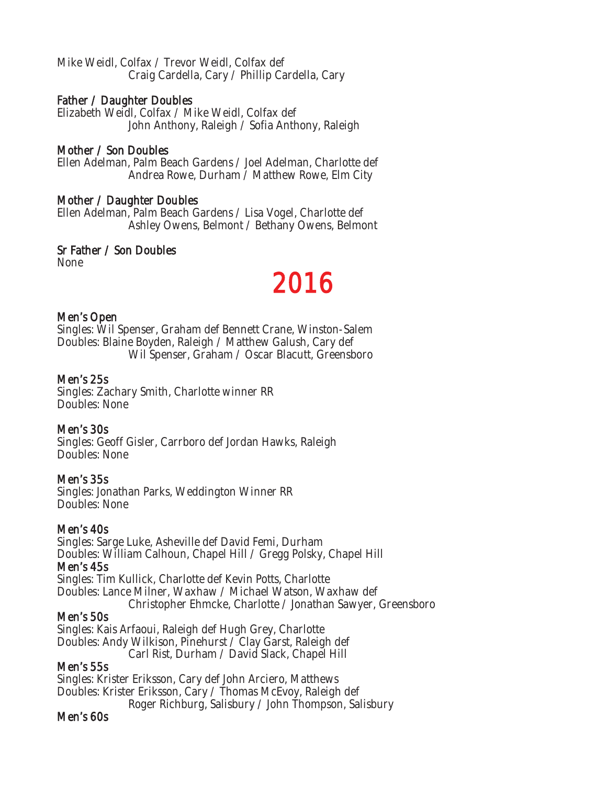Mike Weidl, Colfax / Trevor Weidl, Colfax def Craig Cardella, Cary / Phillip Cardella, Cary

#### Father / Daughter Doubles

Elizabeth Weidl, Colfax / Mike Weidl, Colfax def John Anthony, Raleigh / Sofia Anthony, Raleigh

#### Mother / Son Doubles

Ellen Adelman, Palm Beach Gardens / Joel Adelman, Charlotte def Andrea Rowe, Durham / Matthew Rowe, Elm City

#### Mother / Daughter Doubles

Ellen Adelman, Palm Beach Gardens / Lisa Vogel, Charlotte def Ashley Owens, Belmont / Bethany Owens, Belmont

#### Sr Father / Son Doubles

None

# 2016

#### Men's Open

Singles: Wil Spenser, Graham def Bennett Crane, Winston-Salem Doubles: Blaine Boyden, Raleigh / Matthew Galush, Cary def Wil Spenser, Graham / Oscar Blacutt, Greensboro

#### Men's 25s

Singles: Zachary Smith, Charlotte winner RR Doubles: None

#### Men's 30s

Singles: Geoff Gisler, Carrboro def Jordan Hawks, Raleigh Doubles: None

#### Men's 35s

Singles: Jonathan Parks, Weddington Winner RR Doubles: None

#### Men's 40s

Singles: Sarge Luke, Asheville def David Femi, Durham Doubles: William Calhoun, Chapel Hill / Gregg Polsky, Chapel Hill Men's 45s

Singles: Tim Kullick, Charlotte def Kevin Potts, Charlotte Doubles: Lance Milner, Waxhaw / Michael Watson, Waxhaw def Christopher Ehmcke, Charlotte / Jonathan Sawyer, Greensboro

#### Men's 50s

Singles: Kais Arfaoui, Raleigh def Hugh Grey, Charlotte Doubles: Andy Wilkison, Pinehurst / Clay Garst, Raleigh def Carl Rist, Durham / David Slack, Chapel Hill

#### Men's 55s

Singles: Krister Eriksson, Cary def John Arciero, Matthews Doubles: Krister Eriksson, Cary / Thomas McEvoy, Raleigh def Roger Richburg, Salisbury / John Thompson, Salisbury

#### Men's 60s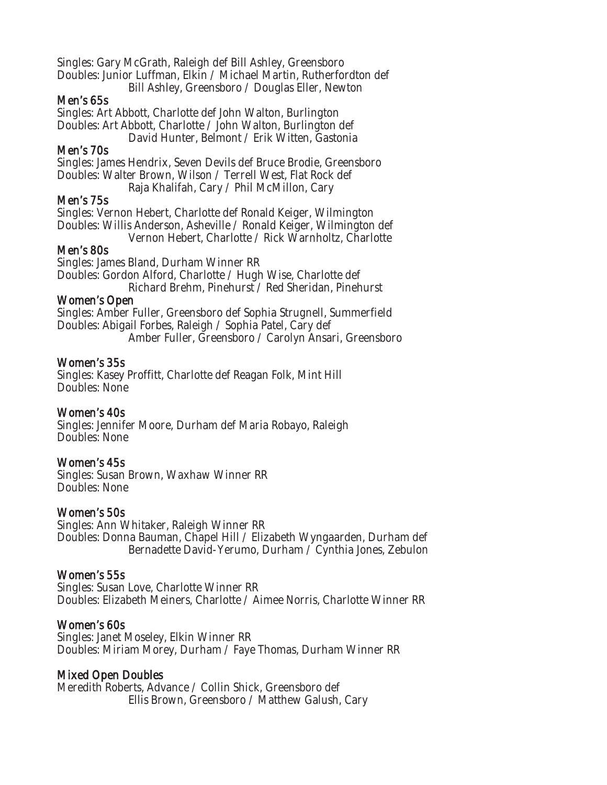Singles: Gary McGrath, Raleigh def Bill Ashley, Greensboro Doubles: Junior Luffman, Elkin / Michael Martin, Rutherfordton def Bill Ashley, Greensboro / Douglas Eller, Newton

#### Men's 65s

Singles: Art Abbott, Charlotte def John Walton, Burlington Doubles: Art Abbott, Charlotte / John Walton, Burlington def David Hunter, Belmont / Erik Witten, Gastonia

#### Men's 70s

Singles: James Hendrix, Seven Devils def Bruce Brodie, Greensboro Doubles: Walter Brown, Wilson / Terrell West, Flat Rock def Raja Khalifah, Cary / Phil McMillon, Cary

#### Men's 75s

Singles: Vernon Hebert, Charlotte def Ronald Keiger, Wilmington Doubles: Willis Anderson, Asheville / Ronald Keiger, Wilmington def Vernon Hebert, Charlotte / Rick Warnholtz, Charlotte

#### Men's 80s

Singles: James Bland, Durham Winner RR Doubles: Gordon Alford, Charlotte / Hugh Wise, Charlotte def Richard Brehm, Pinehurst / Red Sheridan, Pinehurst

#### Women's Open

Singles: Amber Fuller, Greensboro def Sophia Strugnell, Summerfield Doubles: Abigail Forbes, Raleigh / Sophia Patel, Cary def Amber Fuller, Greensboro / Carolyn Ansari, Greensboro

#### Women's 35s

Singles: Kasey Proffitt, Charlotte def Reagan Folk, Mint Hill Doubles: None

#### Women's 40s

Singles: Jennifer Moore, Durham def Maria Robayo, Raleigh Doubles: None

#### Women's 45s

Singles: Susan Brown, Waxhaw Winner RR Doubles: None

#### Women's 50s

Singles: Ann Whitaker, Raleigh Winner RR Doubles: Donna Bauman, Chapel Hill / Elizabeth Wyngaarden, Durham def Bernadette David-Yerumo, Durham / Cynthia Jones, Zebulon

#### Women's 55s

Singles: Susan Love, Charlotte Winner RR Doubles: Elizabeth Meiners, Charlotte / Aimee Norris, Charlotte Winner RR

#### Women's 60s

Singles: Janet Moseley, Elkin Winner RR Doubles: Miriam Morey, Durham / Faye Thomas, Durham Winner RR

#### Mixed Open Doubles

Meredith Roberts, Advance / Collin Shick, Greensboro def Ellis Brown, Greensboro / Matthew Galush, Cary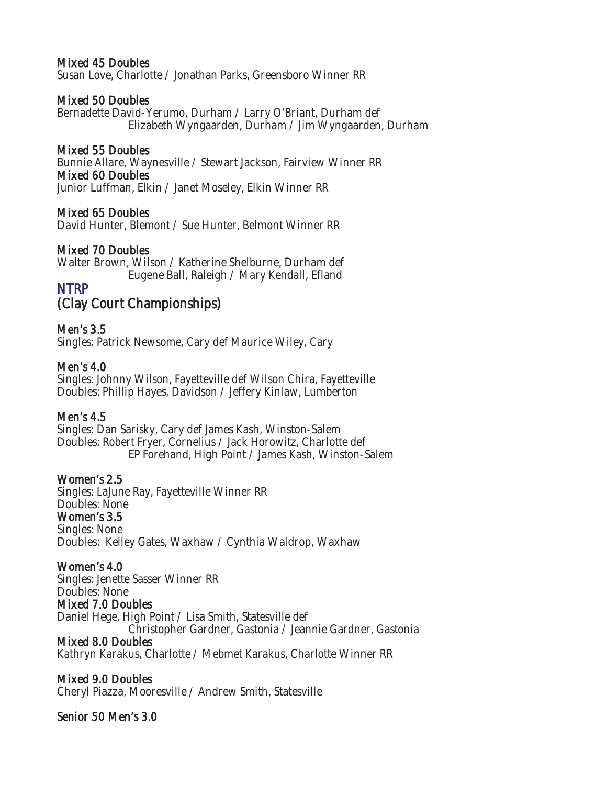#### Mixed 45 Doubles

Susan Love, Charlotte / Jonathan Parks, Greensboro Winner RR

#### Mixed 50 Doubles

Bernadette David-Yerumo, Durham / Larry O'Briant, Durham def Elizabeth Wyngaarden, Durham / Jim Wyngaarden, Durham

#### Mixed 55 Doubles

Bunnie Allare, Waynesville / Stewart Jackson, Fairview Winner RR Mixed 60 Doubles Junior Luffman, Elkin / Janet Moseley, Elkin Winner RR

#### Mixed 65 Doubles

David Hunter, Blemont / Sue Hunter, Belmont Winner RR

#### Mixed 70 Doubles

Walter Brown, Wilson / Katherine Shelburne, Durham def Eugene Ball, Raleigh / Mary Kendall, Efland

### NTRP

# (Clay Court Championships)

#### Men's 3.5

Singles: Patrick Newsome, Cary def Maurice Wiley, Cary

#### Men's 4.0

Singles: Johnny Wilson, Fayetteville def Wilson Chira, Fayetteville Doubles: Phillip Hayes, Davidson / Jeffery Kinlaw, Lumberton

#### Men's 4.5

Singles: Dan Sarisky, Cary def James Kash, Winston-Salem Doubles: Robert Fryer, Cornelius / Jack Horowitz, Charlotte def EP Forehand, High Point / James Kash, Winston-Salem

#### Women's 2.5

Singles: LaJune Ray, Fayetteville Winner RR Doubles: None Women's 3.5 Singles: None Doubles: Kelley Gates, Waxhaw / Cynthia Waldrop, Waxhaw

#### Women's 4.0

Singles: Jenette Sasser Winner RR Doubles: None Mixed 7.0 Doubles Daniel Hege, High Point / Lisa Smith, Statesville def Christopher Gardner, Gastonia / Jeannie Gardner, Gastonia

#### Mixed 8.0 Doubles

Kathryn Karakus, Charlotte / Mebmet Karakus, Charlotte Winner RR

#### Mixed 9.0 Doubles

Cheryl Piazza, Mooresville / Andrew Smith, Statesville

#### Senior 50 Men's 3.0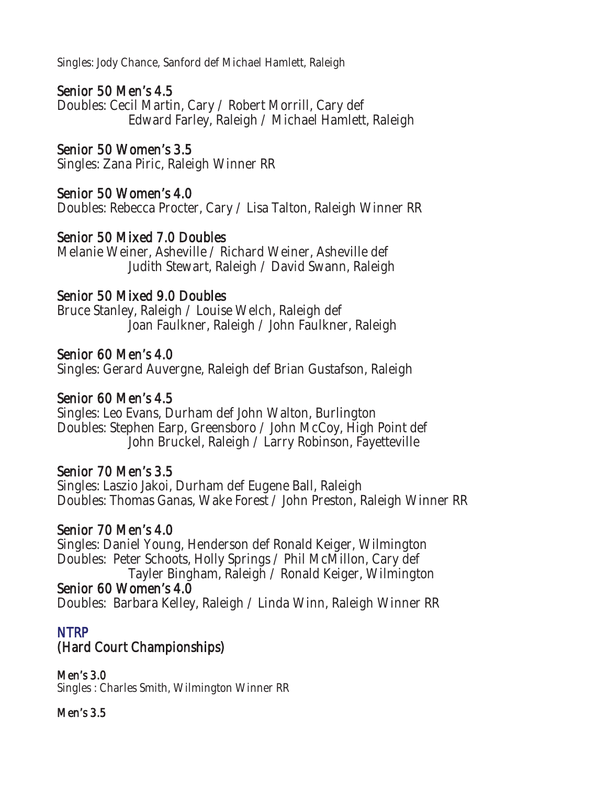Singles: Jody Chance, Sanford def Michael Hamlett, Raleigh

# Senior 50 Men's 4.5

Doubles: Cecil Martin, Cary / Robert Morrill, Cary def Edward Farley, Raleigh / Michael Hamlett, Raleigh

# Senior 50 Women's 3.5

Singles: Zana Piric, Raleigh Winner RR

# Senior 50 Women's 4.0

Doubles: Rebecca Procter, Cary / Lisa Talton, Raleigh Winner RR

# Senior 50 Mixed 7.0 Doubles

Melanie Weiner, Asheville / Richard Weiner, Asheville def Judith Stewart, Raleigh / David Swann, Raleigh

### Senior 50 Mixed 9.0 Doubles

Bruce Stanley, Raleigh / Louise Welch, Raleigh def Joan Faulkner, Raleigh / John Faulkner, Raleigh

### Senior 60 Men's 4.0

Singles: Gerard Auvergne, Raleigh def Brian Gustafson, Raleigh

### Senior 60 Men's 4.5

Singles: Leo Evans, Durham def John Walton, Burlington Doubles: Stephen Earp, Greensboro / John McCoy, High Point def John Bruckel, Raleigh / Larry Robinson, Fayetteville

### Senior 70 Men's 3.5

Singles: Laszio Jakoi, Durham def Eugene Ball, Raleigh Doubles: Thomas Ganas, Wake Forest / John Preston, Raleigh Winner RR

### Senior 70 Men's 4.0

Singles: Daniel Young, Henderson def Ronald Keiger, Wilmington Doubles: Peter Schoots, Holly Springs / Phil McMillon, Cary def Tayler Bingham, Raleigh / Ronald Keiger, Wilmington Senior 60 Women's 4.0 Doubles: Barbara Kelley, Raleigh / Linda Winn, Raleigh Winner RR

# NTRP

# (Hard Court Championships)

Men's 3.0 Singles : Charles Smith, Wilmington Winner RR

### Men's 3.5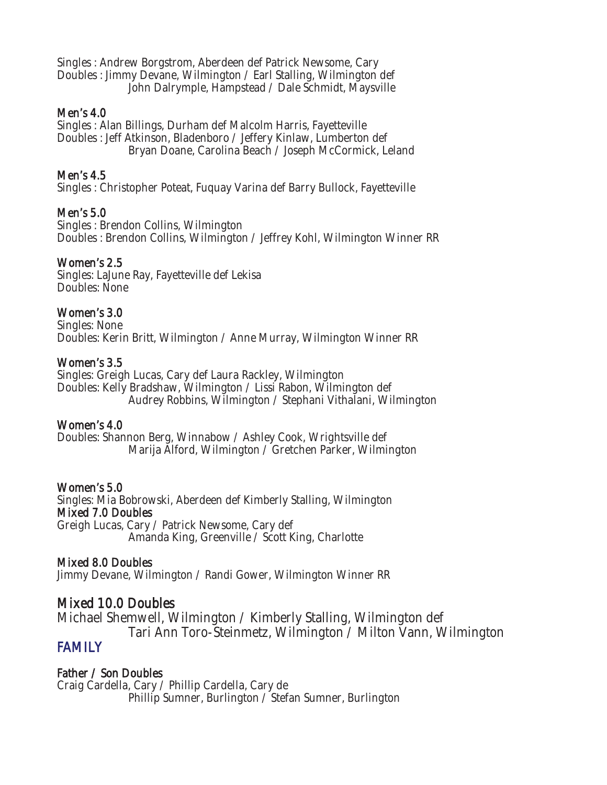Singles : Andrew Borgstrom, Aberdeen def Patrick Newsome, Cary Doubles : Jimmy Devane, Wilmington / Earl Stalling, Wilmington def John Dalrymple, Hampstead / Dale Schmidt, Maysville

#### Men's 4.0

Singles : Alan Billings, Durham def Malcolm Harris, Fayetteville Doubles : Jeff Atkinson, Bladenboro / Jeffery Kinlaw, Lumberton def Bryan Doane, Carolina Beach / Joseph McCormick, Leland

#### Men's 4.5

Singles : Christopher Poteat, Fuquay Varina def Barry Bullock, Fayetteville

#### Men's 5.0

Singles : Brendon Collins, Wilmington Doubles : Brendon Collins, Wilmington / Jeffrey Kohl, Wilmington Winner RR

#### Women's 2.5

Singles: LaJune Ray, Fayetteville def Lekisa Doubles: None

#### Women's 3.0

Singles: None Doubles: Kerin Britt, Wilmington / Anne Murray, Wilmington Winner RR

#### Women's 3.5

Singles: Greigh Lucas, Cary def Laura Rackley, Wilmington Doubles: Kelly Bradshaw, Wilmington / Lissi Rabon, Wilmington def Audrey Robbins, Wilmington / Stephani Vithalani, Wilmington

#### Women's 4.0

Doubles: Shannon Berg, Winnabow / Ashley Cook, Wrightsville def Marija Alford, Wilmington / Gretchen Parker, Wilmington

#### Women's 5.0

Singles: Mia Bobrowski, Aberdeen def Kimberly Stalling, Wilmington Mixed 7.0 Doubles Greigh Lucas, Cary / Patrick Newsome, Cary def Amanda King, Greenville / Scott King, Charlotte

#### Mixed 8.0 Doubles

Jimmy Devane, Wilmington / Randi Gower, Wilmington Winner RR

#### Mixed 10.0 Doubles

Michael Shemwell, Wilmington / Kimberly Stalling, Wilmington def Tari Ann Toro-Steinmetz, Wilmington / Milton Vann, Wilmington

### FAMILY

Father / Son Doubles Craig Cardella, Cary / Phillip Cardella, Cary de Phillip Sumner, Burlington / Stefan Sumner, Burlington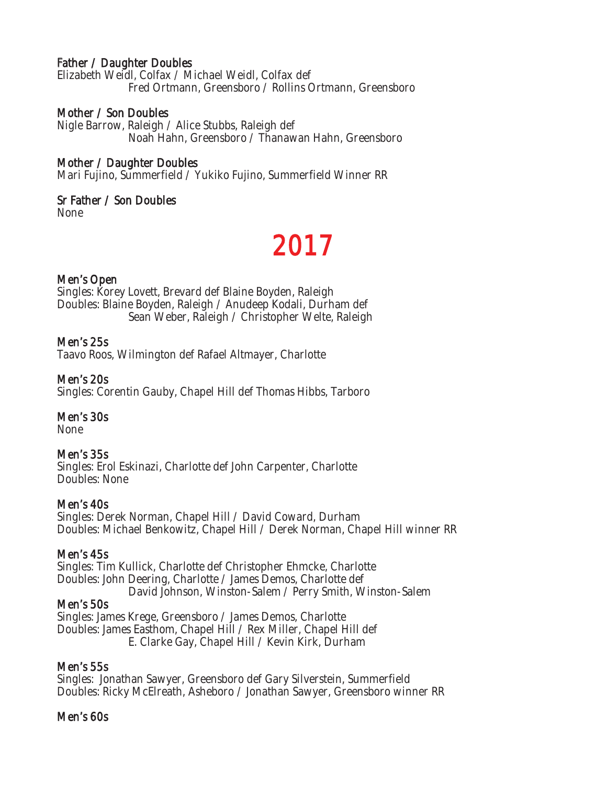#### Father / Daughter Doubles

Elizabeth Weidl, Colfax / Michael Weidl, Colfax def Fred Ortmann, Greensboro / Rollins Ortmann, Greensboro

#### Mother / Son Doubles

Nigle Barrow, Raleigh / Alice Stubbs, Raleigh def Noah Hahn, Greensboro / Thanawan Hahn, Greensboro

#### Mother / Daughter Doubles

Mari Fujino, Summerfield / Yukiko Fujino, Summerfield Winner RR

#### Sr Father / Son Doubles

None

# 2017

#### Men's Open

Singles: Korey Lovett, Brevard def Blaine Boyden, Raleigh Doubles: Blaine Boyden, Raleigh / Anudeep Kodali, Durham def Sean Weber, Raleigh / Christopher Welte, Raleigh

#### Men's 25s

Taavo Roos, Wilmington def Rafael Altmayer, Charlotte

#### Men's 20s

Singles: Corentin Gauby, Chapel Hill def Thomas Hibbs, Tarboro

#### Men's 30s

None

#### Men's 35s

Singles: Erol Eskinazi, Charlotte def John Carpenter, Charlotte Doubles: None

#### Men's 40s

Singles: Derek Norman, Chapel Hill / David Coward, Durham Doubles: Michael Benkowitz, Chapel Hill / Derek Norman, Chapel Hill winner RR

#### Men's 45s

Singles: Tim Kullick, Charlotte def Christopher Ehmcke, Charlotte Doubles: John Deering, Charlotte / James Demos, Charlotte def David Johnson, Winston-Salem / Perry Smith, Winston-Salem

#### Men's 50s

Singles: James Krege, Greensboro / James Demos, Charlotte Doubles: James Easthom, Chapel Hill / Rex Miller, Chapel Hill def E. Clarke Gay, Chapel Hill / Kevin Kirk, Durham

#### Men's 55s

Singles: Jonathan Sawyer, Greensboro def Gary Silverstein, Summerfield Doubles: Ricky McElreath, Asheboro / Jonathan Sawyer, Greensboro winner RR

#### Men's 60s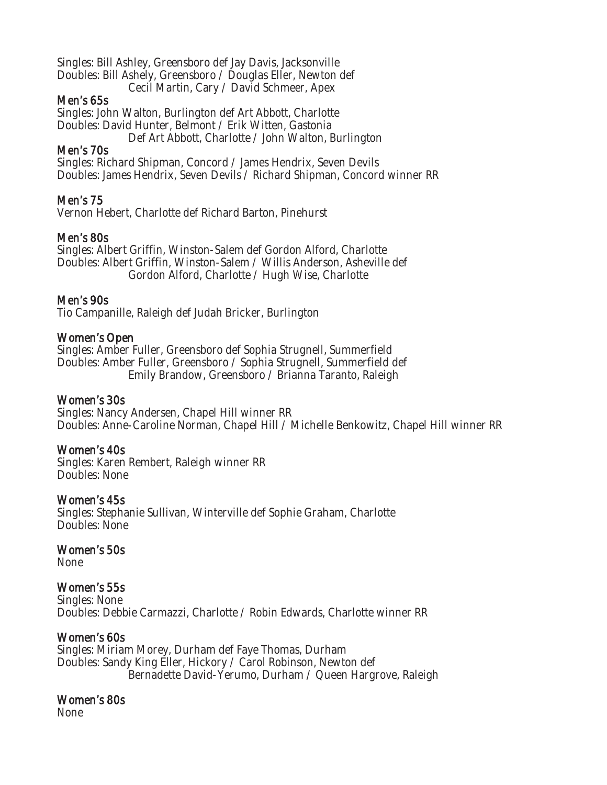Singles: Bill Ashley, Greensboro def Jay Davis, Jacksonville Doubles: Bill Ashely, Greensboro / Douglas Eller, Newton def Cecil Martin, Cary / David Schmeer, Apex

#### Men's 65s

Singles: John Walton, Burlington def Art Abbott, Charlotte Doubles: David Hunter, Belmont / Erik Witten, Gastonia Def Art Abbott, Charlotte / John Walton, Burlington

#### Men's 70s

Singles: Richard Shipman, Concord / James Hendrix, Seven Devils Doubles: James Hendrix, Seven Devils / Richard Shipman, Concord winner RR

#### Men's 75

Vernon Hebert, Charlotte def Richard Barton, Pinehurst

#### Men's 80s

Singles: Albert Griffin, Winston-Salem def Gordon Alford, Charlotte Doubles: Albert Griffin, Winston-Salem / Willis Anderson, Asheville def Gordon Alford, Charlotte / Hugh Wise, Charlotte

#### Men's 90s

Tio Campanille, Raleigh def Judah Bricker, Burlington

#### Women's Open

Singles: Amber Fuller, Greensboro def Sophia Strugnell, Summerfield Doubles: Amber Fuller, Greensboro / Sophia Strugnell, Summerfield def Emily Brandow, Greensboro / Brianna Taranto, Raleigh

#### Women's 30s

Singles: Nancy Andersen, Chapel Hill winner RR Doubles: Anne-Caroline Norman, Chapel Hill / Michelle Benkowitz, Chapel Hill winner RR

#### Women's 40s

Singles: Karen Rembert, Raleigh winner RR Doubles: None

#### Women's 45s

Singles: Stephanie Sullivan, Winterville def Sophie Graham, Charlotte Doubles: None

#### Women's 50s

None

#### Women's 55s

Singles: None Doubles: Debbie Carmazzi, Charlotte / Robin Edwards, Charlotte winner RR

#### Women's 60s

Singles: Miriam Morey, Durham def Faye Thomas, Durham Doubles: Sandy King Eller, Hickory / Carol Robinson, Newton def Bernadette David-Yerumo, Durham / Queen Hargrove, Raleigh

#### Women's 80s

None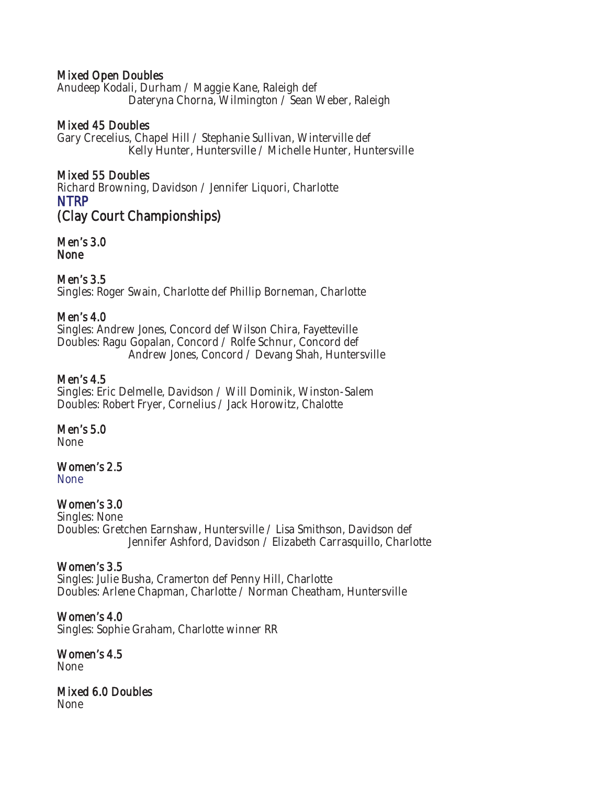#### Mixed Open Doubles

Anudeep Kodali, Durham / Maggie Kane, Raleigh def Dateryna Chorna, Wilmington / Sean Weber, Raleigh

#### Mixed 45 Doubles

Gary Crecelius, Chapel Hill / Stephanie Sullivan, Winterville def Kelly Hunter, Huntersville / Michelle Hunter, Huntersville

#### Mixed 55 Doubles

Richard Browning, Davidson / Jennifer Liquori, Charlotte NTRP (Clay Court Championships)

Men's 3.0 None

#### Men's 3.5

Singles: Roger Swain, Charlotte def Phillip Borneman, Charlotte

#### Men's 4.0

Singles: Andrew Jones, Concord def Wilson Chira, Fayetteville Doubles: Ragu Gopalan, Concord / Rolfe Schnur, Concord def Andrew Jones, Concord / Devang Shah, Huntersville

#### Men's 4.5

Singles: Eric Delmelle, Davidson / Will Dominik, Winston-Salem Doubles: Robert Fryer, Cornelius / Jack Horowitz, Chalotte

#### Men's 5.0

None

#### Women's 2.5

None

#### Women's 3.0

Singles: None Doubles: Gretchen Earnshaw, Huntersville / Lisa Smithson, Davidson def Jennifer Ashford, Davidson / Elizabeth Carrasquillo, Charlotte

#### Women's 3.5

Singles: Julie Busha, Cramerton def Penny Hill, Charlotte Doubles: Arlene Chapman, Charlotte / Norman Cheatham, Huntersville

#### Women's 4.0

Singles: Sophie Graham, Charlotte winner RR

Women's 4.5 None

#### Mixed 6.0 Doubles None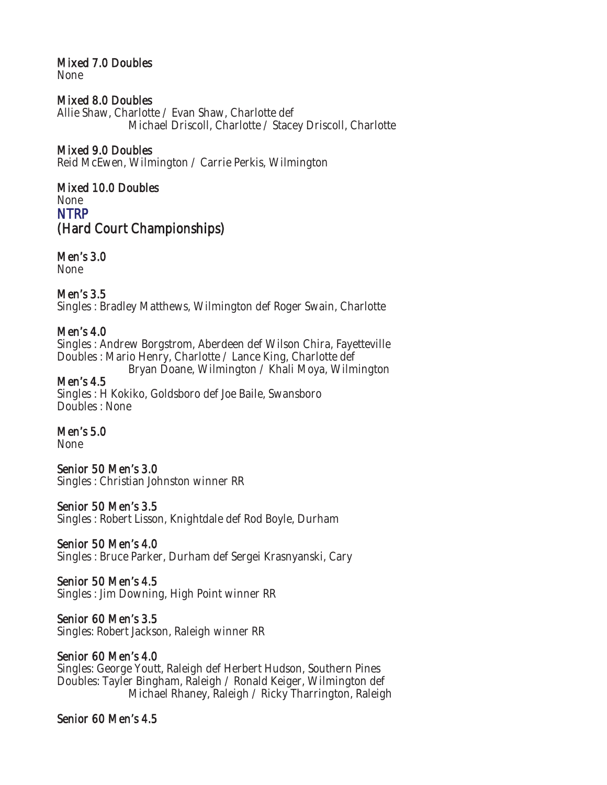# Mixed 7.0 Doubles

None

#### Mixed 8.0 Doubles

Allie Shaw, Charlotte / Evan Shaw, Charlotte def Michael Driscoll, Charlotte / Stacey Driscoll, Charlotte

#### Mixed 9.0 Doubles

Reid McEwen, Wilmington / Carrie Perkis, Wilmington

### Mixed 10.0 Doubles

None NTRP (Hard Court Championships)

# Men's 3.0

None

### Men's 3.5

Singles : Bradley Matthews, Wilmington def Roger Swain, Charlotte

#### Men's 4.0

Singles : Andrew Borgstrom, Aberdeen def Wilson Chira, Fayetteville Doubles : Mario Henry, Charlotte / Lance King, Charlotte def Bryan Doane, Wilmington / Khali Moya, Wilmington

#### Men's 4.5

Singles : H Kokiko, Goldsboro def Joe Baile, Swansboro Doubles : None

#### Men's 5.0

None

#### Senior 50 Men's 3.0

Singles : Christian Johnston winner RR

#### Senior 50 Men's 3.5

Singles : Robert Lisson, Knightdale def Rod Boyle, Durham

#### Senior 50 Men's 4.0

Singles : Bruce Parker, Durham def Sergei Krasnyanski, Cary

#### Senior 50 Men's 4.5

Singles : Jim Downing, High Point winner RR

#### Senior 60 Men's 3.5

Singles: Robert Jackson, Raleigh winner RR

#### Senior 60 Men's 4.0

Singles: George Youtt, Raleigh def Herbert Hudson, Southern Pines Doubles: Tayler Bingham, Raleigh / Ronald Keiger, Wilmington def Michael Rhaney, Raleigh / Ricky Tharrington, Raleigh

#### Senior 60 Men's 4.5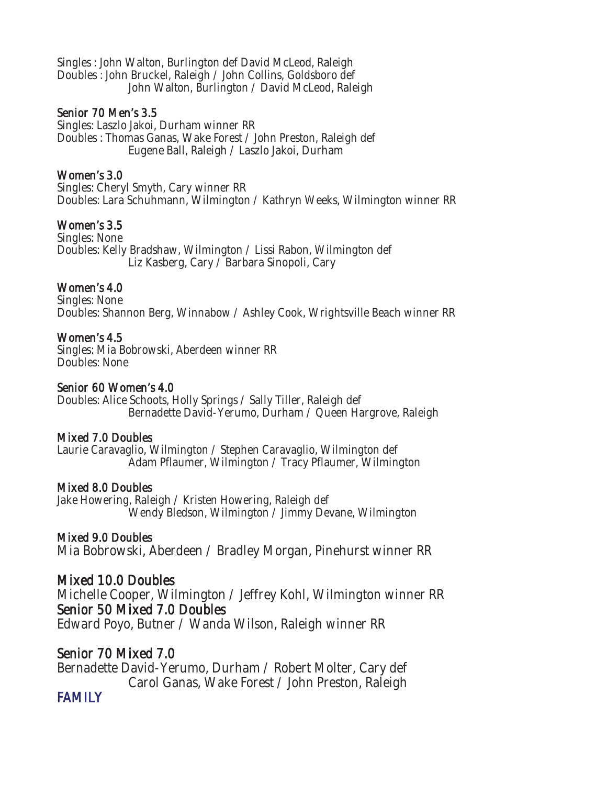Singles : John Walton, Burlington def David McLeod, Raleigh Doubles : John Bruckel, Raleigh / John Collins, Goldsboro def John Walton, Burlington / David McLeod, Raleigh

#### Senior 70 Men's 3.5

Singles: Laszlo Jakoi, Durham winner RR Doubles : Thomas Ganas, Wake Forest / John Preston, Raleigh def Eugene Ball, Raleigh / Laszlo Jakoi, Durham

#### Women's 3.0

Singles: Cheryl Smyth, Cary winner RR Doubles: Lara Schuhmann, Wilmington / Kathryn Weeks, Wilmington winner RR

#### Women's 3.5

Singles: None Doubles: Kelly Bradshaw, Wilmington / Lissi Rabon, Wilmington def Liz Kasberg, Cary / Barbara Sinopoli, Cary

#### Women's 4.0

Singles: None Doubles: Shannon Berg, Winnabow / Ashley Cook, Wrightsville Beach winner RR

#### Women's 4.5

Singles: Mia Bobrowski, Aberdeen winner RR Doubles: None

#### Senior 60 Women's 4.0

Doubles: Alice Schoots, Holly Springs / Sally Tiller, Raleigh def Bernadette David-Yerumo, Durham / Queen Hargrove, Raleigh

#### Mixed 7.0 Doubles

Laurie Caravaglio, Wilmington / Stephen Caravaglio, Wilmington def Adam Pflaumer, Wilmington / Tracy Pflaumer, Wilmington

#### Mixed 8.0 Doubles

Jake Howering, Raleigh / Kristen Howering, Raleigh def Wendy Bledson, Wilmington / Jimmy Devane, Wilmington

#### Mixed 9.0 Doubles

Mia Bobrowski, Aberdeen / Bradley Morgan, Pinehurst winner RR

### Mixed 10.0 Doubles

Michelle Cooper, Wilmington / Jeffrey Kohl, Wilmington winner RR Senior 50 Mixed 7.0 Doubles

Edward Poyo, Butner / Wanda Wilson, Raleigh winner RR

# Senior 70 Mixed 7.0

Bernadette David-Yerumo, Durham / Robert Molter, Cary def Carol Ganas, Wake Forest / John Preston, Raleigh

### FAMILY